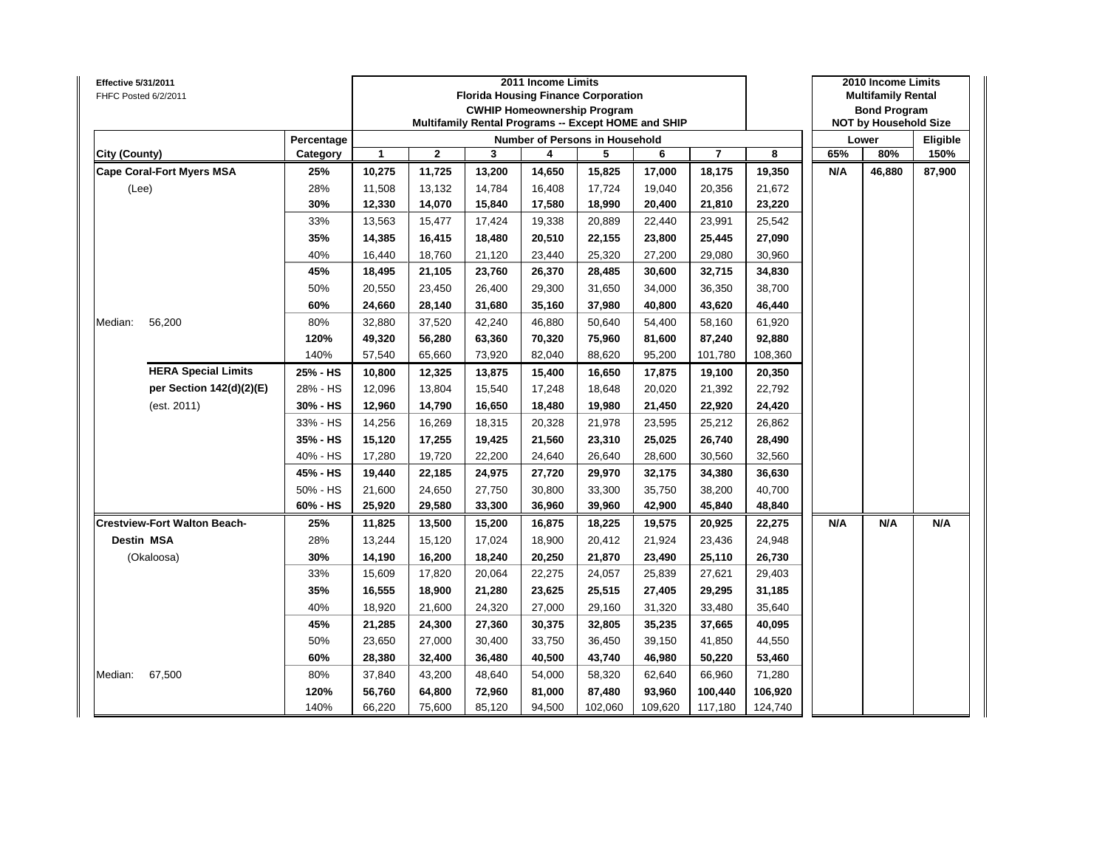| <b>Effective 5/31/2011</b><br>FHFC Posted 6/2/2011 |            |        |              |        | 2011 Income Limits | <b>Florida Housing Finance Corporation</b><br><b>CWHIP Homeownership Program</b><br>Multifamily Rental Programs -- Except HOME and SHIP |         |                |         |     | 2010 Income Limits<br><b>Multifamily Rental</b><br><b>Bond Program</b><br><b>NOT by Household Size</b> |          |
|----------------------------------------------------|------------|--------|--------------|--------|--------------------|-----------------------------------------------------------------------------------------------------------------------------------------|---------|----------------|---------|-----|--------------------------------------------------------------------------------------------------------|----------|
|                                                    | Percentage |        |              |        |                    | Number of Persons in Household                                                                                                          |         |                |         |     | Lower                                                                                                  | Eligible |
| City (County)                                      | Category   | 1      | $\mathbf{2}$ | 3      | 4                  | 5                                                                                                                                       | 6       | $\overline{7}$ | 8       | 65% | 80%                                                                                                    | 150%     |
| <b>Cape Coral-Fort Myers MSA</b>                   | 25%        | 10,275 | 11,725       | 13,200 | 14,650             | 15,825                                                                                                                                  | 17,000  | 18,175         | 19,350  | N/A | 46,880                                                                                                 | 87,900   |
| (Lee)                                              | 28%        | 11,508 | 13,132       | 14,784 | 16,408             | 17,724                                                                                                                                  | 19,040  | 20,356         | 21,672  |     |                                                                                                        |          |
|                                                    | 30%        | 12,330 | 14,070       | 15,840 | 17,580             | 18,990                                                                                                                                  | 20,400  | 21,810         | 23,220  |     |                                                                                                        |          |
|                                                    | 33%        | 13,563 | 15,477       | 17,424 | 19,338             | 20,889                                                                                                                                  | 22,440  | 23,991         | 25,542  |     |                                                                                                        |          |
|                                                    | 35%        | 14,385 | 16,415       | 18,480 | 20,510             | 22,155                                                                                                                                  | 23,800  | 25,445         | 27,090  |     |                                                                                                        |          |
|                                                    | 40%        | 16,440 | 18,760       | 21,120 | 23,440             | 25,320                                                                                                                                  | 27,200  | 29,080         | 30,960  |     |                                                                                                        |          |
|                                                    | 45%        | 18,495 | 21,105       | 23,760 | 26,370             | 28,485                                                                                                                                  | 30,600  | 32,715         | 34,830  |     |                                                                                                        |          |
|                                                    | 50%        | 20,550 | 23,450       | 26,400 | 29,300             | 31,650                                                                                                                                  | 34.000  | 36,350         | 38,700  |     |                                                                                                        |          |
|                                                    | 60%        | 24,660 | 28,140       | 31,680 | 35,160             | 37,980                                                                                                                                  | 40,800  | 43,620         | 46,440  |     |                                                                                                        |          |
| Median:<br>56,200                                  | 80%        | 32,880 | 37,520       | 42,240 | 46,880             | 50,640                                                                                                                                  | 54,400  | 58,160         | 61,920  |     |                                                                                                        |          |
|                                                    | 120%       | 49,320 | 56,280       | 63,360 | 70,320             | 75,960                                                                                                                                  | 81,600  | 87,240         | 92,880  |     |                                                                                                        |          |
|                                                    | 140%       | 57,540 | 65,660       | 73,920 | 82,040             | 88,620                                                                                                                                  | 95,200  | 101,780        | 108,360 |     |                                                                                                        |          |
| <b>HERA Special Limits</b>                         | 25% - HS   | 10,800 | 12,325       | 13,875 | 15,400             | 16,650                                                                                                                                  | 17,875  | 19,100         | 20,350  |     |                                                                                                        |          |
| per Section 142(d)(2)(E)                           | 28% - HS   | 12,096 | 13,804       | 15,540 | 17,248             | 18,648                                                                                                                                  | 20,020  | 21,392         | 22,792  |     |                                                                                                        |          |
| (est. 2011)                                        | 30% - HS   | 12,960 | 14,790       | 16,650 | 18,480             | 19,980                                                                                                                                  | 21,450  | 22,920         | 24,420  |     |                                                                                                        |          |
|                                                    | 33% - HS   | 14,256 | 16,269       | 18,315 | 20,328             | 21,978                                                                                                                                  | 23,595  | 25,212         | 26,862  |     |                                                                                                        |          |
|                                                    | 35% - HS   | 15,120 | 17,255       | 19,425 | 21,560             | 23,310                                                                                                                                  | 25,025  | 26,740         | 28,490  |     |                                                                                                        |          |
|                                                    | 40% - HS   | 17,280 | 19,720       | 22,200 | 24,640             | 26,640                                                                                                                                  | 28,600  | 30,560         | 32,560  |     |                                                                                                        |          |
|                                                    | 45% - HS   | 19,440 | 22,185       | 24,975 | 27,720             | 29,970                                                                                                                                  | 32,175  | 34,380         | 36,630  |     |                                                                                                        |          |
|                                                    | 50% - HS   | 21,600 | 24,650       | 27,750 | 30,800             | 33,300                                                                                                                                  | 35,750  | 38,200         | 40,700  |     |                                                                                                        |          |
|                                                    | 60% - HS   | 25,920 | 29,580       | 33,300 | 36,960             | 39,960                                                                                                                                  | 42,900  | 45,840         | 48,840  |     |                                                                                                        |          |
| <b>Crestview-Fort Walton Beach-</b>                | 25%        | 11,825 | 13,500       | 15,200 | 16,875             | 18,225                                                                                                                                  | 19,575  | 20,925         | 22,275  | N/A | N/A                                                                                                    | N/A      |
| <b>Destin MSA</b>                                  | 28%        | 13,244 | 15,120       | 17,024 | 18,900             | 20,412                                                                                                                                  | 21,924  | 23,436         | 24,948  |     |                                                                                                        |          |
| (Okaloosa)                                         | 30%        | 14,190 | 16,200       | 18,240 | 20,250             | 21,870                                                                                                                                  | 23,490  | 25,110         | 26,730  |     |                                                                                                        |          |
|                                                    | 33%        | 15,609 | 17,820       | 20,064 | 22,275             | 24,057                                                                                                                                  | 25,839  | 27,621         | 29,403  |     |                                                                                                        |          |
|                                                    | 35%        | 16,555 | 18,900       | 21,280 | 23,625             | 25,515                                                                                                                                  | 27,405  | 29,295         | 31,185  |     |                                                                                                        |          |
|                                                    | 40%        | 18,920 | 21,600       | 24,320 | 27,000             | 29,160                                                                                                                                  | 31,320  | 33,480         | 35,640  |     |                                                                                                        |          |
|                                                    | 45%        | 21,285 | 24,300       | 27,360 | 30,375             | 32,805                                                                                                                                  | 35,235  | 37,665         | 40,095  |     |                                                                                                        |          |
|                                                    | 50%        | 23,650 | 27,000       | 30,400 | 33,750             | 36,450                                                                                                                                  | 39,150  | 41,850         | 44,550  |     |                                                                                                        |          |
|                                                    | 60%        | 28,380 | 32,400       | 36,480 | 40,500             | 43,740                                                                                                                                  | 46,980  | 50,220         | 53,460  |     |                                                                                                        |          |
| Median:<br>67,500                                  | 80%        | 37,840 | 43,200       | 48,640 | 54,000             | 58,320                                                                                                                                  | 62,640  | 66,960         | 71,280  |     |                                                                                                        |          |
|                                                    | 120%       | 56,760 | 64,800       | 72,960 | 81,000             | 87,480                                                                                                                                  | 93,960  | 100,440        | 106,920 |     |                                                                                                        |          |
|                                                    | 140%       | 66,220 | 75,600       | 85,120 | 94,500             | 102,060                                                                                                                                 | 109,620 | 117,180        | 124,740 |     |                                                                                                        |          |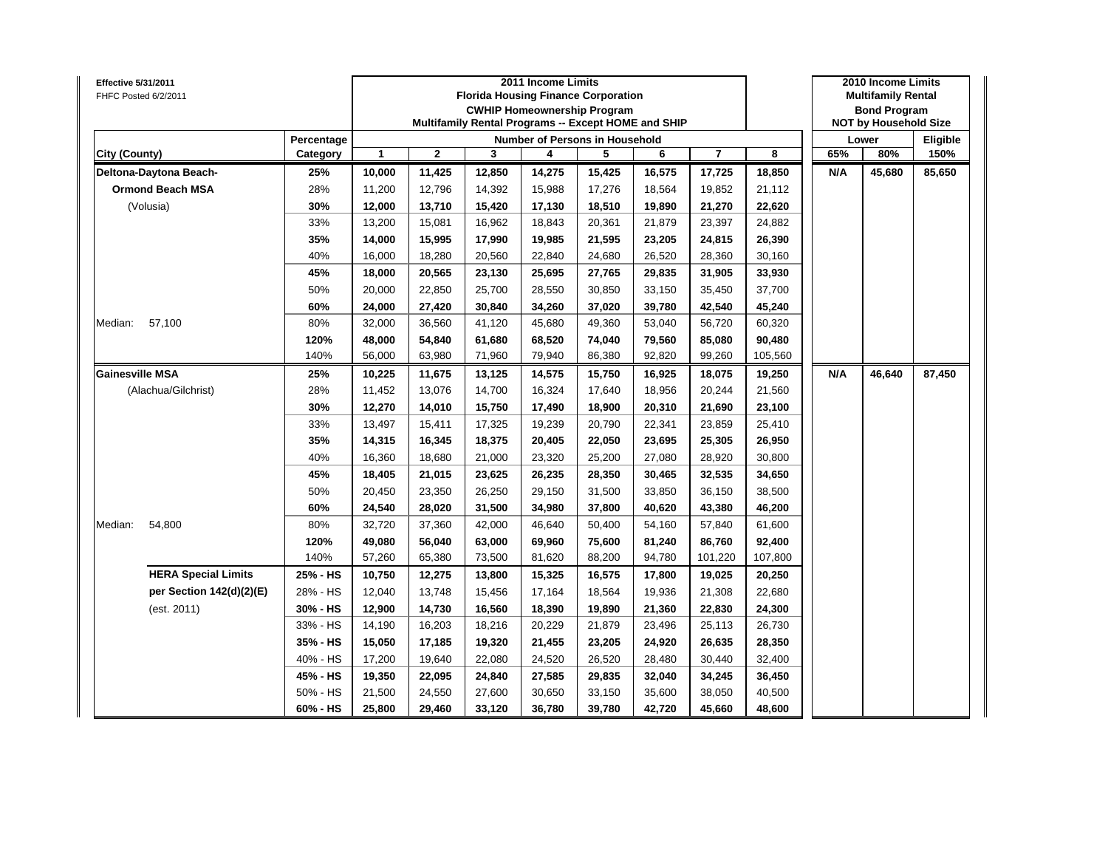| <b>Effective 5/31/2011</b><br>FHFC Posted 6/2/2011 |                        |        |              |        | 2011 Income Limits | <b>Florida Housing Finance Corporation</b><br><b>CWHIP Homeownership Program</b> |        |                |         |     | 2010 Income Limits<br><b>Multifamily Rental</b><br><b>Bond Program</b> |                  |
|----------------------------------------------------|------------------------|--------|--------------|--------|--------------------|----------------------------------------------------------------------------------|--------|----------------|---------|-----|------------------------------------------------------------------------|------------------|
|                                                    |                        |        |              |        |                    | Multifamily Rental Programs -- Except HOME and SHIP                              |        |                |         |     | <b>NOT by Household Size</b>                                           |                  |
| City (County)                                      | Percentage<br>Category | 1      | $\mathbf{2}$ | 3      | 4                  | Number of Persons in Household<br>5                                              | 6      | $\overline{7}$ | 8       | 65% | Lower<br>80%                                                           | Eligible<br>150% |
| Deltona-Daytona Beach-                             | 25%                    | 10,000 | 11,425       | 12,850 | 14,275             | 15,425                                                                           | 16,575 | 17,725         | 18,850  | N/A | 45,680                                                                 | 85,650           |
| <b>Ormond Beach MSA</b>                            | 28%                    | 11,200 | 12,796       | 14,392 | 15,988             | 17,276                                                                           | 18,564 | 19,852         | 21,112  |     |                                                                        |                  |
| (Volusia)                                          | 30%                    | 12,000 | 13,710       | 15,420 | 17,130             | 18,510                                                                           | 19,890 | 21,270         | 22,620  |     |                                                                        |                  |
|                                                    | 33%                    | 13,200 | 15,081       | 16,962 | 18,843             | 20,361                                                                           | 21,879 | 23,397         | 24,882  |     |                                                                        |                  |
|                                                    | 35%                    | 14,000 | 15,995       | 17,990 | 19,985             | 21,595                                                                           | 23,205 | 24,815         | 26,390  |     |                                                                        |                  |
|                                                    | 40%                    | 16,000 | 18,280       | 20,560 | 22,840             | 24,680                                                                           | 26,520 | 28,360         | 30,160  |     |                                                                        |                  |
|                                                    | 45%                    | 18,000 | 20,565       | 23,130 | 25,695             | 27,765                                                                           | 29,835 | 31,905         | 33,930  |     |                                                                        |                  |
|                                                    | 50%                    | 20,000 | 22,850       | 25,700 | 28,550             | 30,850                                                                           | 33,150 | 35,450         | 37,700  |     |                                                                        |                  |
|                                                    | 60%                    | 24,000 | 27,420       | 30,840 | 34,260             | 37,020                                                                           | 39,780 | 42,540         | 45,240  |     |                                                                        |                  |
| Median:<br>57,100                                  | 80%                    | 32,000 | 36,560       | 41,120 | 45,680             | 49,360                                                                           | 53,040 | 56,720         | 60,320  |     |                                                                        |                  |
|                                                    | 120%                   | 48,000 | 54,840       | 61,680 | 68,520             | 74,040                                                                           | 79,560 | 85,080         | 90,480  |     |                                                                        |                  |
|                                                    | 140%                   | 56,000 | 63,980       | 71,960 | 79,940             | 86,380                                                                           | 92,820 | 99,260         | 105,560 |     |                                                                        |                  |
| <b>Gainesville MSA</b>                             | 25%                    | 10,225 | 11,675       | 13,125 | 14,575             | 15,750                                                                           | 16,925 | 18,075         | 19,250  | N/A | 46,640                                                                 | 87,450           |
| (Alachua/Gilchrist)                                | 28%                    | 11,452 | 13,076       | 14,700 | 16,324             | 17,640                                                                           | 18,956 | 20,244         | 21,560  |     |                                                                        |                  |
|                                                    | 30%                    | 12,270 | 14,010       | 15,750 | 17,490             | 18,900                                                                           | 20,310 | 21,690         | 23,100  |     |                                                                        |                  |
|                                                    | 33%                    | 13,497 | 15,411       | 17,325 | 19,239             | 20,790                                                                           | 22,341 | 23,859         | 25,410  |     |                                                                        |                  |
|                                                    | 35%                    | 14,315 | 16,345       | 18,375 | 20,405             | 22,050                                                                           | 23,695 | 25,305         | 26,950  |     |                                                                        |                  |
|                                                    | 40%                    | 16,360 | 18,680       | 21,000 | 23,320             | 25,200                                                                           | 27,080 | 28,920         | 30,800  |     |                                                                        |                  |
|                                                    | 45%                    | 18,405 | 21,015       | 23,625 | 26,235             | 28,350                                                                           | 30,465 | 32,535         | 34,650  |     |                                                                        |                  |
|                                                    | 50%                    | 20,450 | 23,350       | 26,250 | 29,150             | 31,500                                                                           | 33,850 | 36,150         | 38,500  |     |                                                                        |                  |
|                                                    | 60%                    | 24,540 | 28,020       | 31,500 | 34,980             | 37,800                                                                           | 40,620 | 43,380         | 46,200  |     |                                                                        |                  |
| Median:<br>54,800                                  | 80%                    | 32,720 | 37,360       | 42,000 | 46,640             | 50,400                                                                           | 54,160 | 57,840         | 61,600  |     |                                                                        |                  |
|                                                    | 120%                   | 49,080 | 56,040       | 63,000 | 69,960             | 75,600                                                                           | 81,240 | 86,760         | 92,400  |     |                                                                        |                  |
|                                                    | 140%                   | 57,260 | 65,380       | 73,500 | 81,620             | 88,200                                                                           | 94,780 | 101,220        | 107,800 |     |                                                                        |                  |
| <b>HERA Special Limits</b>                         | 25% - HS               | 10,750 | 12,275       | 13,800 | 15,325             | 16,575                                                                           | 17,800 | 19,025         | 20,250  |     |                                                                        |                  |
| per Section 142(d)(2)(E)                           | 28% - HS               | 12,040 | 13,748       | 15,456 | 17,164             | 18,564                                                                           | 19,936 | 21,308         | 22,680  |     |                                                                        |                  |
| (est. 2011)                                        | 30% - HS               | 12,900 | 14,730       | 16,560 | 18,390             | 19,890                                                                           | 21,360 | 22,830         | 24,300  |     |                                                                        |                  |
|                                                    | 33% - HS               | 14,190 | 16,203       | 18,216 | 20,229             | 21,879                                                                           | 23,496 | 25,113         | 26,730  |     |                                                                        |                  |
|                                                    | 35% - HS               | 15,050 | 17,185       | 19,320 | 21,455             | 23,205                                                                           | 24,920 | 26,635         | 28,350  |     |                                                                        |                  |
|                                                    | 40% - HS               | 17,200 | 19,640       | 22,080 | 24,520             | 26,520                                                                           | 28,480 | 30,440         | 32,400  |     |                                                                        |                  |
|                                                    | 45% - HS               | 19,350 | 22,095       | 24,840 | 27,585             | 29,835                                                                           | 32,040 | 34,245         | 36,450  |     |                                                                        |                  |
|                                                    | 50% - HS               | 21,500 | 24,550       | 27,600 | 30,650             | 33,150                                                                           | 35,600 | 38,050         | 40,500  |     |                                                                        |                  |
|                                                    | 60% - HS               | 25,800 | 29,460       | 33,120 | 36,780             | 39,780                                                                           | 42,720 | 45,660         | 48,600  |     |                                                                        |                  |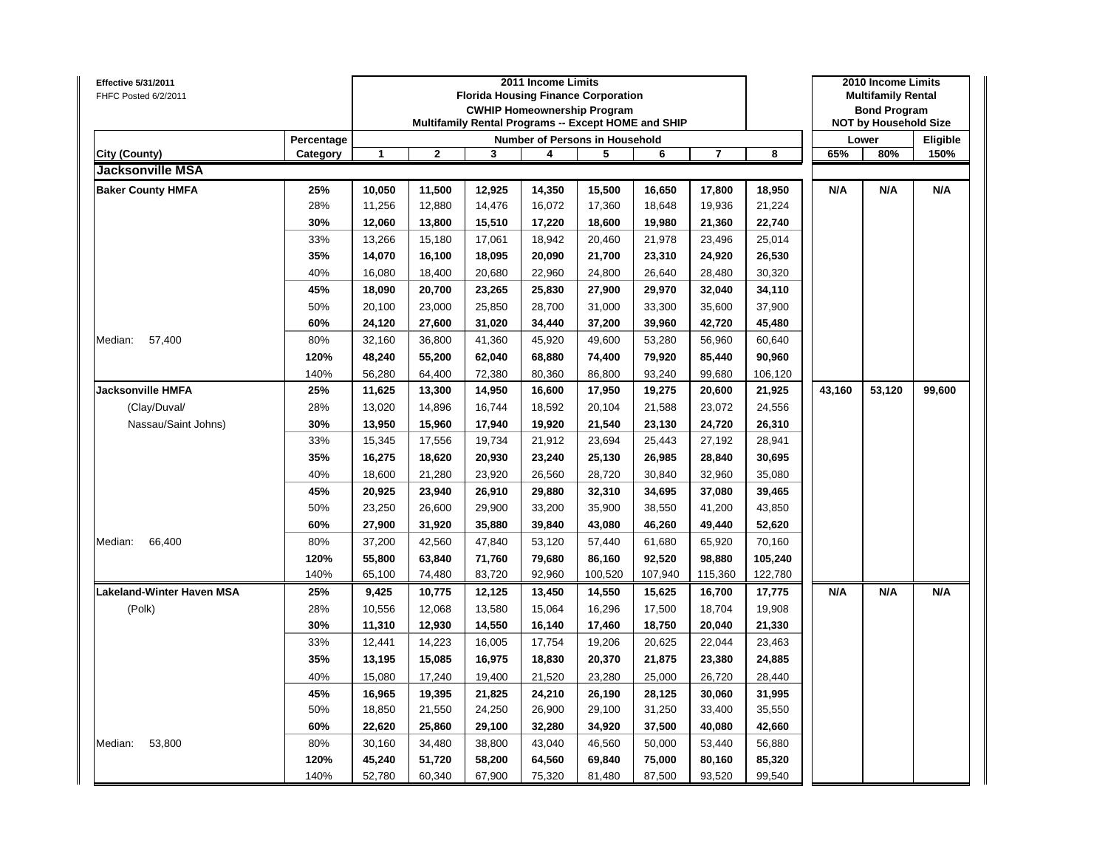| Effective 5/31/2011<br>FHFC Posted 6/2/2011 |            |              |                |        | 2011 Income Limits | <b>Florida Housing Finance Corporation</b><br><b>CWHIP Homeownership Program</b><br>Multifamily Rental Programs -- Except HOME and SHIP |         |                |         |        | 2010 Income Limits<br><b>Multifamily Rental</b><br><b>Bond Program</b><br><b>NOT by Household Size</b> |          |
|---------------------------------------------|------------|--------------|----------------|--------|--------------------|-----------------------------------------------------------------------------------------------------------------------------------------|---------|----------------|---------|--------|--------------------------------------------------------------------------------------------------------|----------|
|                                             | Percentage |              |                |        |                    | Number of Persons in Household                                                                                                          |         |                |         |        | Lower                                                                                                  | Eligible |
| City (County)                               | Category   | $\mathbf{1}$ | $\overline{2}$ | 3      | 4                  | 5                                                                                                                                       | 6       | $\overline{7}$ | 8       | 65%    | 80%                                                                                                    | 150%     |
| <b>Jacksonville MSA</b>                     |            |              |                |        |                    |                                                                                                                                         |         |                |         |        |                                                                                                        |          |
| <b>Baker County HMFA</b>                    | 25%        | 10,050       | 11,500         | 12,925 | 14,350             | 15,500                                                                                                                                  | 16,650  | 17,800         | 18,950  | N/A    | N/A                                                                                                    | N/A      |
|                                             | 28%        | 11,256       | 12,880         | 14,476 | 16,072             | 17,360                                                                                                                                  | 18,648  | 19,936         | 21,224  |        |                                                                                                        |          |
|                                             | 30%        | 12,060       | 13,800         | 15,510 | 17,220             | 18,600                                                                                                                                  | 19,980  | 21,360         | 22,740  |        |                                                                                                        |          |
|                                             | 33%        | 13,266       | 15,180         | 17,061 | 18,942             | 20,460                                                                                                                                  | 21,978  | 23,496         | 25,014  |        |                                                                                                        |          |
|                                             | 35%        | 14,070       | 16,100         | 18,095 | 20,090             | 21,700                                                                                                                                  | 23,310  | 24,920         | 26,530  |        |                                                                                                        |          |
|                                             | 40%        | 16,080       | 18,400         | 20,680 | 22,960             | 24,800                                                                                                                                  | 26,640  | 28,480         | 30,320  |        |                                                                                                        |          |
|                                             | 45%        | 18,090       | 20,700         | 23,265 | 25,830             | 27,900                                                                                                                                  | 29,970  | 32,040         | 34,110  |        |                                                                                                        |          |
|                                             | 50%        | 20,100       | 23,000         | 25,850 | 28,700             | 31,000                                                                                                                                  | 33,300  | 35,600         | 37,900  |        |                                                                                                        |          |
|                                             | 60%        | 24,120       | 27,600         | 31,020 | 34,440             | 37,200                                                                                                                                  | 39,960  | 42,720         | 45,480  |        |                                                                                                        |          |
| Median:<br>57,400                           | 80%        | 32,160       | 36,800         | 41,360 | 45,920             | 49,600                                                                                                                                  | 53,280  | 56,960         | 60,640  |        |                                                                                                        |          |
|                                             | 120%       | 48,240       | 55,200         | 62,040 | 68,880             | 74,400                                                                                                                                  | 79,920  | 85,440         | 90,960  |        |                                                                                                        |          |
|                                             | 140%       | 56,280       | 64,400         | 72,380 | 80,360             | 86,800                                                                                                                                  | 93,240  | 99,680         | 106,120 |        |                                                                                                        |          |
| <b>Jacksonville HMFA</b>                    | 25%        | 11,625       | 13,300         | 14,950 | 16,600             | 17,950                                                                                                                                  | 19,275  | 20,600         | 21,925  | 43,160 | 53,120                                                                                                 | 99,600   |
| (Clay/Duval/                                | 28%        | 13,020       | 14,896         | 16,744 | 18,592             | 20,104                                                                                                                                  | 21,588  | 23,072         | 24,556  |        |                                                                                                        |          |
| Nassau/Saint Johns)                         | 30%        | 13,950       | 15,960         | 17,940 | 19,920             | 21,540                                                                                                                                  | 23,130  | 24,720         | 26,310  |        |                                                                                                        |          |
|                                             | 33%        | 15,345       | 17,556         | 19,734 | 21,912             | 23,694                                                                                                                                  | 25,443  | 27,192         | 28,941  |        |                                                                                                        |          |
|                                             | 35%        | 16,275       | 18,620         | 20,930 | 23,240             | 25,130                                                                                                                                  | 26,985  | 28,840         | 30,695  |        |                                                                                                        |          |
|                                             | 40%        | 18,600       | 21,280         | 23,920 | 26,560             | 28,720                                                                                                                                  | 30,840  | 32,960         | 35,080  |        |                                                                                                        |          |
|                                             | 45%        | 20,925       | 23,940         | 26,910 | 29,880             | 32,310                                                                                                                                  | 34,695  | 37,080         | 39,465  |        |                                                                                                        |          |
|                                             | 50%        | 23,250       | 26,600         | 29,900 | 33,200             | 35,900                                                                                                                                  | 38,550  | 41,200         | 43,850  |        |                                                                                                        |          |
|                                             | 60%        | 27,900       | 31,920         | 35,880 | 39,840             | 43,080                                                                                                                                  | 46,260  | 49,440         | 52,620  |        |                                                                                                        |          |
| Median:<br>66,400                           | 80%        | 37,200       | 42,560         | 47,840 | 53,120             | 57,440                                                                                                                                  | 61,680  | 65,920         | 70,160  |        |                                                                                                        |          |
|                                             | 120%       | 55,800       | 63,840         | 71,760 | 79,680             | 86,160                                                                                                                                  | 92,520  | 98,880         | 105,240 |        |                                                                                                        |          |
|                                             | 140%       | 65,100       | 74,480         | 83,720 | 92,960             | 100,520                                                                                                                                 | 107,940 | 115,360        | 122,780 |        |                                                                                                        |          |
| Lakeland-Winter Haven MSA                   | 25%        | 9,425        | 10,775         | 12,125 | 13,450             | 14,550                                                                                                                                  | 15,625  | 16,700         | 17,775  | N/A    | N/A                                                                                                    | N/A      |
| (Polk)                                      | 28%        | 10,556       | 12,068         | 13,580 | 15,064             | 16,296                                                                                                                                  | 17,500  | 18,704         | 19,908  |        |                                                                                                        |          |
|                                             | 30%        | 11,310       | 12,930         | 14,550 | 16,140             | 17,460                                                                                                                                  | 18,750  | 20,040         | 21,330  |        |                                                                                                        |          |
|                                             | 33%        | 12,441       | 14,223         | 16,005 | 17,754             | 19,206                                                                                                                                  | 20,625  | 22,044         | 23,463  |        |                                                                                                        |          |
|                                             | 35%        | 13,195       | 15,085         | 16,975 | 18,830             | 20,370                                                                                                                                  | 21,875  | 23,380         | 24,885  |        |                                                                                                        |          |
|                                             | 40%        | 15,080       | 17,240         | 19,400 | 21,520             | 23,280                                                                                                                                  | 25,000  | 26,720         | 28,440  |        |                                                                                                        |          |
|                                             | 45%        | 16,965       | 19,395         | 21,825 | 24,210             | 26,190                                                                                                                                  | 28,125  | 30,060         | 31,995  |        |                                                                                                        |          |
|                                             | 50%        | 18,850       | 21,550         | 24,250 | 26,900             | 29,100                                                                                                                                  | 31,250  | 33,400         | 35,550  |        |                                                                                                        |          |
|                                             | 60%        | 22,620       | 25,860         | 29,100 | 32,280             | 34,920                                                                                                                                  | 37,500  | 40,080         | 42,660  |        |                                                                                                        |          |
| 53,800<br>Median:                           | 80%        | 30,160       | 34,480         | 38,800 | 43,040             | 46,560                                                                                                                                  | 50,000  | 53,440         | 56,880  |        |                                                                                                        |          |
|                                             | 120%       | 45,240       | 51,720         | 58,200 | 64,560             | 69,840                                                                                                                                  | 75,000  | 80,160         | 85,320  |        |                                                                                                        |          |
|                                             | 140%       | 52,780       | 60,340         | 67,900 | 75,320             | 81,480                                                                                                                                  | 87,500  | 93,520         | 99,540  |        |                                                                                                        |          |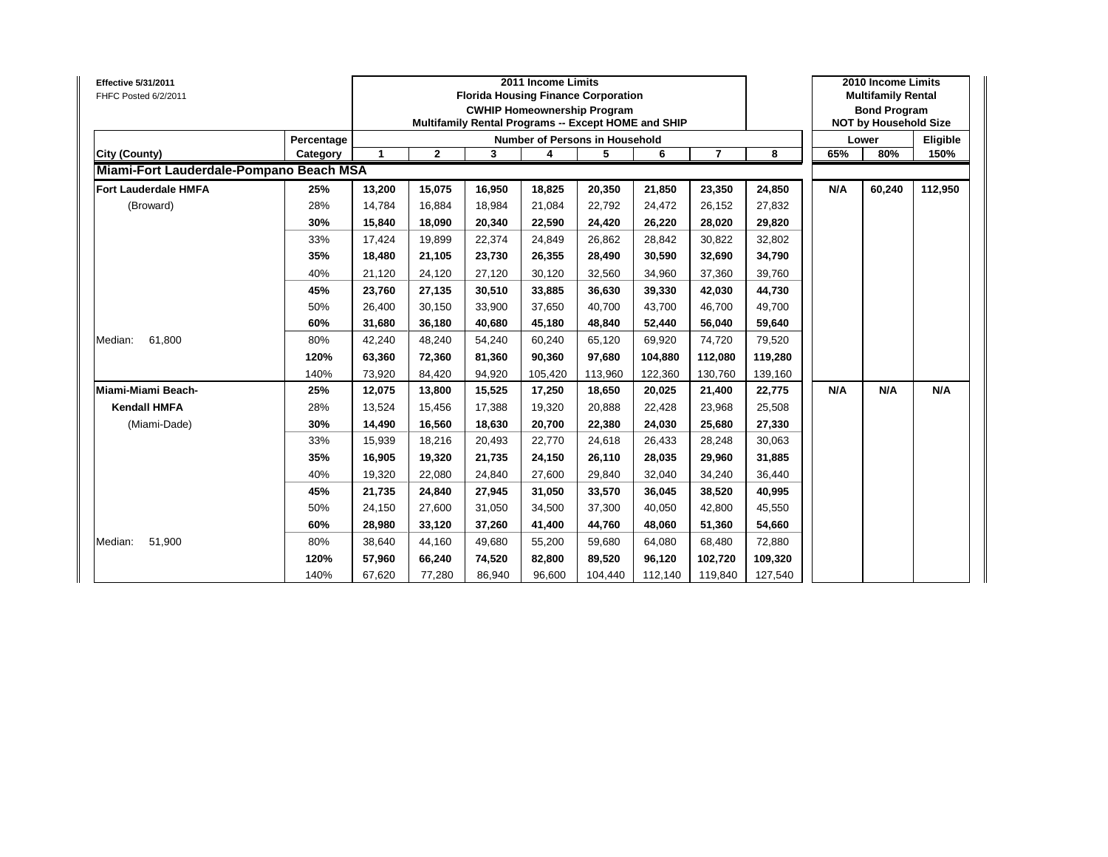| <b>Effective 5/31/2011</b><br>FHFC Posted 6/2/2011 |            |        |              |        | 2011 Income Limits | <b>Florida Housing Finance Corporation</b><br><b>CWHIP Homeownership Program</b><br>Multifamily Rental Programs -- Except HOME and SHIP |         |         |         |     | 2010 Income Limits<br><b>Multifamily Rental</b><br><b>Bond Program</b><br><b>NOT by Household Size</b> |          |
|----------------------------------------------------|------------|--------|--------------|--------|--------------------|-----------------------------------------------------------------------------------------------------------------------------------------|---------|---------|---------|-----|--------------------------------------------------------------------------------------------------------|----------|
|                                                    | Percentage |        |              |        |                    | <b>Number of Persons in Household</b>                                                                                                   |         |         |         |     | Lower                                                                                                  | Eligible |
| City (County)                                      | Category   | 1      | $\mathbf{2}$ | 3      | 4                  | 5                                                                                                                                       | 6       | 7       | 8       | 65% | 80%                                                                                                    | 150%     |
| Miami-Fort Lauderdale-Pompano Beach MSA            |            |        |              |        |                    |                                                                                                                                         |         |         |         |     |                                                                                                        |          |
| <b>Fort Lauderdale HMFA</b>                        | 25%        | 13,200 | 15,075       | 16,950 | 18,825             | 20,350                                                                                                                                  | 21,850  | 23,350  | 24,850  | N/A | 60,240                                                                                                 | 112,950  |
| (Broward)                                          | 28%        | 14.784 | 16,884       | 18.984 | 21,084             | 22,792                                                                                                                                  | 24,472  | 26,152  | 27,832  |     |                                                                                                        |          |
|                                                    | 30%        | 15,840 | 18,090       | 20,340 | 22,590             | 24,420                                                                                                                                  | 26,220  | 28,020  | 29,820  |     |                                                                                                        |          |
|                                                    | 33%        | 17,424 | 19,899       | 22,374 | 24,849             | 26,862                                                                                                                                  | 28.842  | 30,822  | 32,802  |     |                                                                                                        |          |
|                                                    | 35%        | 18,480 | 21,105       | 23,730 | 26,355             | 28,490                                                                                                                                  | 30,590  | 32,690  | 34,790  |     |                                                                                                        |          |
|                                                    | 40%        | 21,120 | 24,120       | 27,120 | 30,120             | 32,560                                                                                                                                  | 34,960  | 37,360  | 39,760  |     |                                                                                                        |          |
|                                                    | 45%        | 23,760 | 27,135       | 30,510 | 33,885             | 36,630                                                                                                                                  | 39,330  | 42,030  | 44,730  |     |                                                                                                        |          |
|                                                    | 50%        | 26,400 | 30,150       | 33,900 | 37,650             | 40,700                                                                                                                                  | 43,700  | 46,700  | 49,700  |     |                                                                                                        |          |
|                                                    | 60%        | 31,680 | 36,180       | 40,680 | 45,180             | 48,840                                                                                                                                  | 52,440  | 56,040  | 59,640  |     |                                                                                                        |          |
| 61,800<br>Median:                                  | 80%        | 42,240 | 48,240       | 54,240 | 60,240             | 65,120                                                                                                                                  | 69,920  | 74,720  | 79,520  |     |                                                                                                        |          |
|                                                    | 120%       | 63,360 | 72,360       | 81,360 | 90,360             | 97,680                                                                                                                                  | 104,880 | 112,080 | 119,280 |     |                                                                                                        |          |
|                                                    | 140%       | 73,920 | 84,420       | 94,920 | 105,420            | 113,960                                                                                                                                 | 122,360 | 130,760 | 139,160 |     |                                                                                                        |          |
| Miami-Miami Beach-                                 | 25%        | 12,075 | 13,800       | 15,525 | 17,250             | 18,650                                                                                                                                  | 20,025  | 21,400  | 22,775  | N/A | N/A                                                                                                    | N/A      |
| <b>Kendall HMFA</b>                                | 28%        | 13,524 | 15,456       | 17,388 | 19,320             | 20,888                                                                                                                                  | 22,428  | 23,968  | 25,508  |     |                                                                                                        |          |
| (Miami-Dade)                                       | 30%        | 14,490 | 16,560       | 18,630 | 20,700             | 22,380                                                                                                                                  | 24,030  | 25,680  | 27,330  |     |                                                                                                        |          |
|                                                    | 33%        | 15,939 | 18,216       | 20,493 | 22,770             | 24,618                                                                                                                                  | 26,433  | 28,248  | 30,063  |     |                                                                                                        |          |
|                                                    | 35%        | 16,905 | 19,320       | 21,735 | 24,150             | 26,110                                                                                                                                  | 28,035  | 29,960  | 31,885  |     |                                                                                                        |          |
|                                                    | 40%        | 19,320 | 22,080       | 24,840 | 27,600             | 29,840                                                                                                                                  | 32,040  | 34,240  | 36,440  |     |                                                                                                        |          |
|                                                    | 45%        | 21,735 | 24,840       | 27,945 | 31,050             | 33,570                                                                                                                                  | 36,045  | 38,520  | 40,995  |     |                                                                                                        |          |
|                                                    | 50%        | 24,150 | 27,600       | 31,050 | 34,500             | 37,300                                                                                                                                  | 40,050  | 42,800  | 45,550  |     |                                                                                                        |          |
|                                                    | 60%        | 28,980 | 33,120       | 37,260 | 41,400             | 44,760                                                                                                                                  | 48,060  | 51,360  | 54,660  |     |                                                                                                        |          |
| 51,900<br>Median:                                  | 80%        | 38,640 | 44,160       | 49,680 | 55,200             | 59,680                                                                                                                                  | 64,080  | 68,480  | 72,880  |     |                                                                                                        |          |
|                                                    | 120%       | 57,960 | 66,240       | 74,520 | 82,800             | 89,520                                                                                                                                  | 96,120  | 102,720 | 109,320 |     |                                                                                                        |          |
|                                                    | 140%       | 67,620 | 77,280       | 86,940 | 96,600             | 104,440                                                                                                                                 | 112,140 | 119,840 | 127,540 |     |                                                                                                        |          |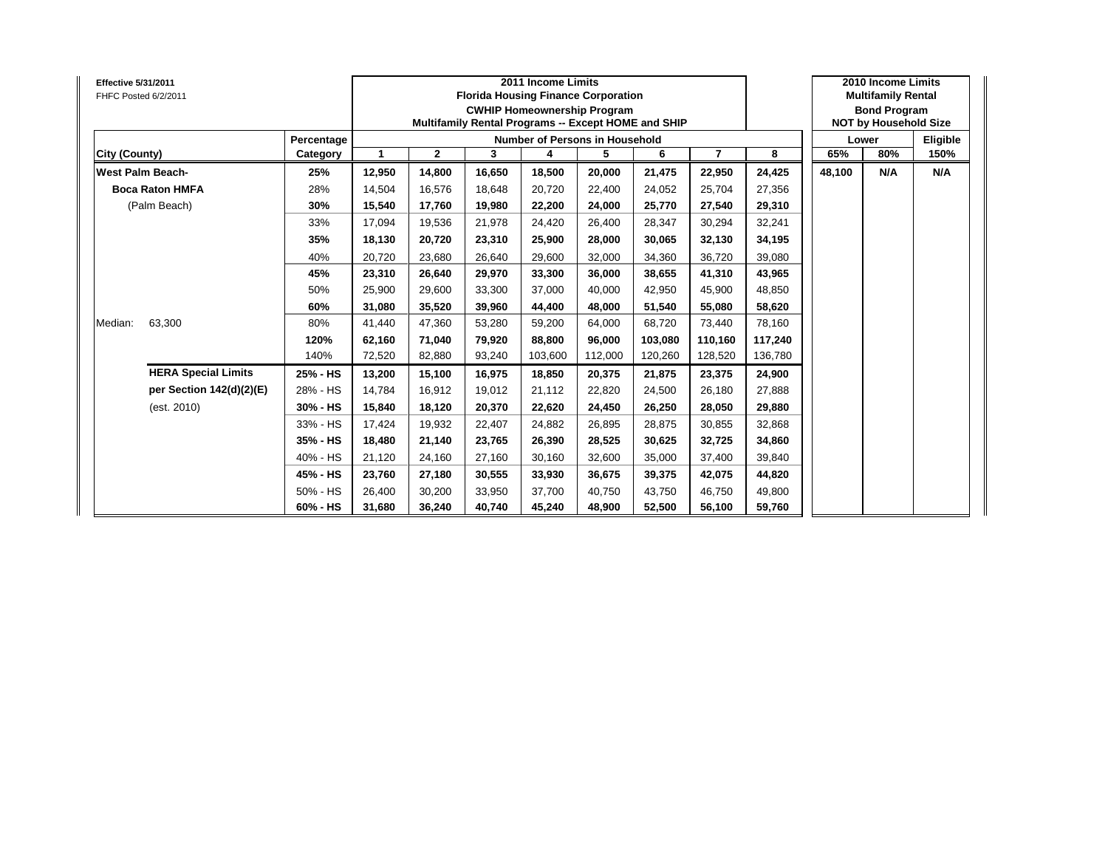| <b>Effective 5/31/2011</b><br>FHFC Posted 6/2/2011 |            |        |              |        | 2011 Income Limits | <b>Florida Housing Finance Corporation</b><br><b>CWHIP Homeownership Program</b><br>Multifamily Rental Programs -- Except HOME and SHIP |         |                |         |        | 2010 Income Limits<br><b>Multifamily Rental</b><br><b>Bond Program</b><br><b>NOT by Household Size</b> |          |
|----------------------------------------------------|------------|--------|--------------|--------|--------------------|-----------------------------------------------------------------------------------------------------------------------------------------|---------|----------------|---------|--------|--------------------------------------------------------------------------------------------------------|----------|
|                                                    | Percentage |        |              |        |                    | <b>Number of Persons in Household</b>                                                                                                   |         |                |         |        | Lower                                                                                                  | Eligible |
| City (County)                                      | Category   | 1      | $\mathbf{2}$ | 3      | 4                  | 5                                                                                                                                       | 6       | $\overline{7}$ | 8       | 65%    | 80%                                                                                                    | 150%     |
| <b>West Palm Beach-</b>                            | 25%        | 12,950 | 14,800       | 16,650 | 18,500             | 20,000                                                                                                                                  | 21,475  | 22,950         | 24,425  | 48,100 | N/A                                                                                                    | N/A      |
| <b>Boca Raton HMFA</b>                             | 28%        | 14,504 | 16.576       | 18.648 | 20,720             | 22.400                                                                                                                                  | 24.052  | 25,704         | 27,356  |        |                                                                                                        |          |
| (Palm Beach)                                       | 30%        | 15,540 | 17,760       | 19,980 | 22,200             | 24,000                                                                                                                                  | 25,770  | 27,540         | 29,310  |        |                                                                                                        |          |
|                                                    | 33%        | 17,094 | 19,536       | 21,978 | 24,420             | 26,400                                                                                                                                  | 28,347  | 30,294         | 32,241  |        |                                                                                                        |          |
|                                                    | 35%        | 18,130 | 20,720       | 23,310 | 25,900             | 28,000                                                                                                                                  | 30,065  | 32,130         | 34,195  |        |                                                                                                        |          |
|                                                    | 40%        | 20,720 | 23,680       | 26,640 | 29,600             | 32,000                                                                                                                                  | 34,360  | 36,720         | 39,080  |        |                                                                                                        |          |
|                                                    | 45%        | 23,310 | 26,640       | 29.970 | 33,300             | 36,000                                                                                                                                  | 38.655  | 41,310         | 43,965  |        |                                                                                                        |          |
|                                                    | 50%        | 25,900 | 29,600       | 33,300 | 37,000             | 40.000                                                                                                                                  | 42,950  | 45,900         | 48,850  |        |                                                                                                        |          |
|                                                    | 60%        | 31,080 | 35,520       | 39,960 | 44,400             | 48,000                                                                                                                                  | 51,540  | 55,080         | 58,620  |        |                                                                                                        |          |
| 63,300<br>Median:                                  | 80%        | 41,440 | 47,360       | 53,280 | 59,200             | 64,000                                                                                                                                  | 68,720  | 73,440         | 78,160  |        |                                                                                                        |          |
|                                                    | 120%       | 62,160 | 71,040       | 79,920 | 88,800             | 96,000                                                                                                                                  | 103,080 | 110,160        | 117,240 |        |                                                                                                        |          |
|                                                    | 140%       | 72,520 | 82,880       | 93,240 | 103,600            | 112,000                                                                                                                                 | 120,260 | 128,520        | 136,780 |        |                                                                                                        |          |
| <b>HERA Special Limits</b>                         | 25% - HS   | 13,200 | 15,100       | 16,975 | 18,850             | 20,375                                                                                                                                  | 21,875  | 23,375         | 24,900  |        |                                                                                                        |          |
| per Section 142(d)(2)(E)                           | 28% - HS   | 14.784 | 16.912       | 19.012 | 21,112             | 22,820                                                                                                                                  | 24.500  | 26,180         | 27,888  |        |                                                                                                        |          |
| (est. 2010)                                        | 30% - HS   | 15,840 | 18,120       | 20,370 | 22,620             | 24,450                                                                                                                                  | 26,250  | 28,050         | 29,880  |        |                                                                                                        |          |
|                                                    | 33% - HS   | 17,424 | 19,932       | 22,407 | 24,882             | 26,895                                                                                                                                  | 28,875  | 30,855         | 32,868  |        |                                                                                                        |          |
|                                                    | 35% - HS   | 18,480 | 21,140       | 23,765 | 26,390             | 28,525                                                                                                                                  | 30,625  | 32,725         | 34,860  |        |                                                                                                        |          |
|                                                    | 40% - HS   | 21,120 | 24,160       | 27,160 | 30,160             | 32,600                                                                                                                                  | 35,000  | 37,400         | 39,840  |        |                                                                                                        |          |
|                                                    | 45% - HS   | 23,760 | 27,180       | 30,555 | 33,930             | 36,675                                                                                                                                  | 39,375  | 42,075         | 44,820  |        |                                                                                                        |          |
|                                                    | 50% - HS   | 26,400 | 30,200       | 33,950 | 37,700             | 40,750                                                                                                                                  | 43.750  | 46,750         | 49,800  |        |                                                                                                        |          |
|                                                    | 60% - HS   | 31,680 | 36,240       | 40,740 | 45,240             | 48,900                                                                                                                                  | 52,500  | 56,100         | 59,760  |        |                                                                                                        |          |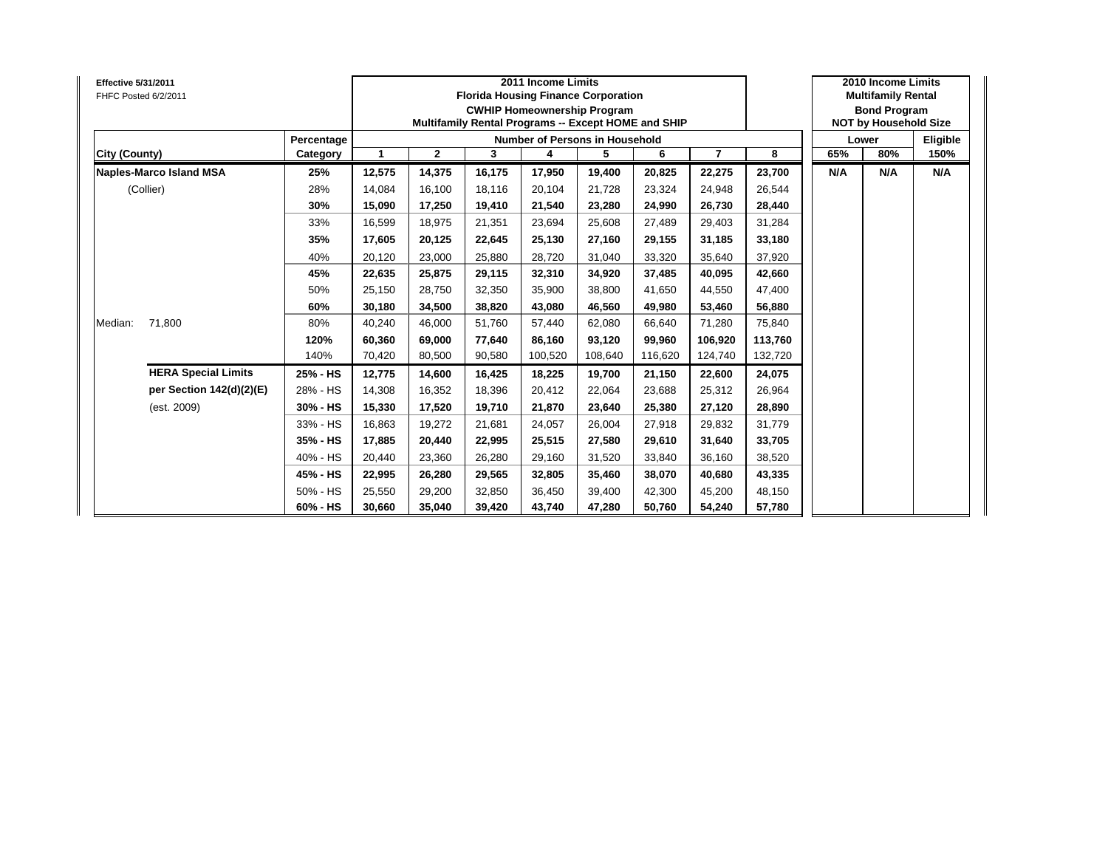| <b>Effective 5/31/2011</b><br>FHFC Posted 6/2/2011 |            |              |              |        | 2011 Income Limits<br><b>Florida Housing Finance Corporation</b><br><b>CWHIP Homeownership Program</b><br>Multifamily Rental Programs -- Except HOME and SHIP |         |         |                |         |     | 2010 Income Limits<br><b>Multifamily Rental</b><br><b>Bond Program</b><br><b>NOT by Household Size</b> |          |
|----------------------------------------------------|------------|--------------|--------------|--------|---------------------------------------------------------------------------------------------------------------------------------------------------------------|---------|---------|----------------|---------|-----|--------------------------------------------------------------------------------------------------------|----------|
|                                                    | Percentage |              |              |        | <b>Number of Persons in Household</b>                                                                                                                         |         |         |                |         |     | Lower                                                                                                  | Eligible |
| <b>City (County)</b>                               | Category   | $\mathbf{1}$ | $\mathbf{2}$ | 3      | 4                                                                                                                                                             | 5       | 6       | $\overline{7}$ | 8       | 65% | 80%                                                                                                    | 150%     |
| Naples-Marco Island MSA                            | 25%        | 12,575       | 14,375       | 16,175 | 17,950                                                                                                                                                        | 19,400  | 20,825  | 22,275         | 23,700  | N/A | N/A                                                                                                    | N/A      |
| (Collier)                                          | 28%        | 14,084       | 16,100       | 18.116 | 20,104                                                                                                                                                        | 21,728  | 23,324  | 24,948         | 26,544  |     |                                                                                                        |          |
|                                                    | 30%        | 15,090       | 17,250       | 19,410 | 21,540                                                                                                                                                        | 23,280  | 24,990  | 26,730         | 28,440  |     |                                                                                                        |          |
|                                                    | 33%        | 16,599       | 18,975       | 21,351 | 23,694                                                                                                                                                        | 25,608  | 27,489  | 29,403         | 31,284  |     |                                                                                                        |          |
|                                                    | 35%        | 17,605       | 20,125       | 22,645 | 25,130                                                                                                                                                        | 27,160  | 29,155  | 31,185         | 33,180  |     |                                                                                                        |          |
|                                                    | 40%        | 20,120       | 23,000       | 25,880 | 28,720                                                                                                                                                        | 31,040  | 33,320  | 35,640         | 37,920  |     |                                                                                                        |          |
|                                                    | 45%        | 22,635       | 25,875       | 29.115 | 32,310                                                                                                                                                        | 34,920  | 37,485  | 40,095         | 42,660  |     |                                                                                                        |          |
|                                                    | 50%        | 25,150       | 28,750       | 32.350 | 35,900                                                                                                                                                        | 38,800  | 41,650  | 44,550         | 47,400  |     |                                                                                                        |          |
|                                                    | 60%        | 30,180       | 34,500       | 38,820 | 43,080                                                                                                                                                        | 46,560  | 49,980  | 53,460         | 56,880  |     |                                                                                                        |          |
| 71,800<br>Median:                                  | 80%        | 40,240       | 46,000       | 51,760 | 57,440                                                                                                                                                        | 62,080  | 66,640  | 71,280         | 75,840  |     |                                                                                                        |          |
|                                                    | 120%       | 60,360       | 69,000       | 77,640 | 86,160                                                                                                                                                        | 93,120  | 99,960  | 106,920        | 113,760 |     |                                                                                                        |          |
|                                                    | 140%       | 70,420       | 80,500       | 90,580 | 100,520                                                                                                                                                       | 108,640 | 116,620 | 124,740        | 132,720 |     |                                                                                                        |          |
| <b>HERA Special Limits</b>                         | 25% - HS   | 12,775       | 14,600       | 16,425 | 18,225                                                                                                                                                        | 19,700  | 21,150  | 22,600         | 24,075  |     |                                                                                                        |          |
| per Section 142(d)(2)(E)                           | 28% - HS   | 14,308       | 16,352       | 18.396 | 20,412                                                                                                                                                        | 22,064  | 23.688  | 25,312         | 26,964  |     |                                                                                                        |          |
| (est. 2009)                                        | 30% - HS   | 15,330       | 17,520       | 19,710 | 21,870                                                                                                                                                        | 23,640  | 25,380  | 27,120         | 28,890  |     |                                                                                                        |          |
|                                                    | 33% - HS   | 16,863       | 19,272       | 21,681 | 24,057                                                                                                                                                        | 26,004  | 27,918  | 29,832         | 31,779  |     |                                                                                                        |          |
|                                                    | 35% - HS   | 17,885       | 20,440       | 22,995 | 25,515                                                                                                                                                        | 27,580  | 29,610  | 31,640         | 33,705  |     |                                                                                                        |          |
|                                                    | 40% - HS   | 20,440       | 23,360       | 26,280 | 29,160                                                                                                                                                        | 31,520  | 33,840  | 36,160         | 38,520  |     |                                                                                                        |          |
|                                                    | 45% - HS   | 22,995       | 26,280       | 29,565 | 32,805                                                                                                                                                        | 35,460  | 38,070  | 40,680         | 43,335  |     |                                                                                                        |          |
|                                                    | 50% - HS   | 25,550       | 29,200       | 32,850 | 36,450                                                                                                                                                        | 39,400  | 42,300  | 45,200         | 48,150  |     |                                                                                                        |          |
|                                                    | 60% - HS   | 30,660       | 35,040       | 39,420 | 43,740                                                                                                                                                        | 47,280  | 50,760  | 54,240         | 57,780  |     |                                                                                                        |          |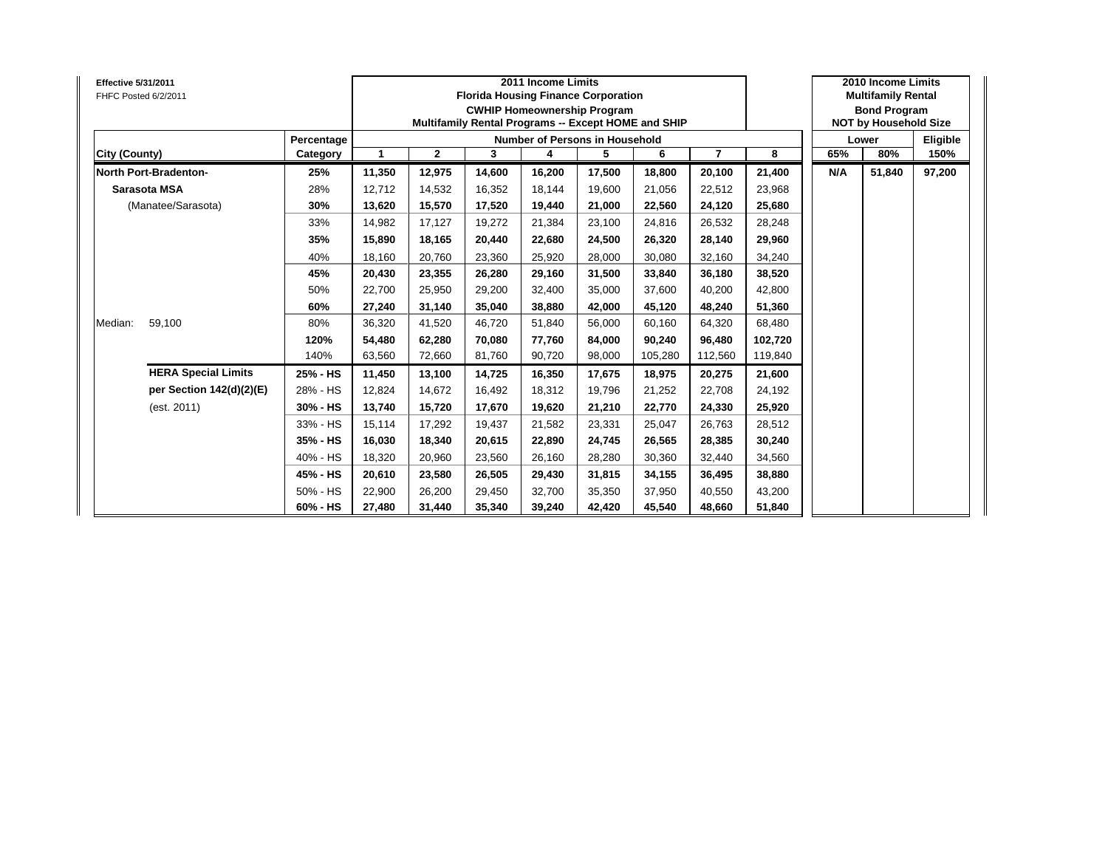| <b>Effective 5/31/2011</b><br>FHFC Posted 6/2/2011 |            |              |              | <b>Florida Housing Finance Corporation</b><br>Multifamily Rental Programs -- Except HOME and SHIP | 2011 Income Limits | <b>CWHIP Homeownership Program</b>    |         |                |         |     | 2010 Income Limits<br><b>Multifamily Rental</b><br><b>Bond Program</b><br><b>NOT by Household Size</b> |          |
|----------------------------------------------------|------------|--------------|--------------|---------------------------------------------------------------------------------------------------|--------------------|---------------------------------------|---------|----------------|---------|-----|--------------------------------------------------------------------------------------------------------|----------|
|                                                    | Percentage |              |              |                                                                                                   |                    | <b>Number of Persons in Household</b> |         |                |         |     | Lower                                                                                                  | Eligible |
| <b>City (County)</b>                               | Category   | $\mathbf{1}$ | $\mathbf{2}$ | 3                                                                                                 | 4                  | 5                                     | 6       | $\overline{7}$ | 8       | 65% | 80%                                                                                                    | 150%     |
| North Port-Bradenton-                              | 25%        | 11,350       | 12,975       | 14,600                                                                                            | 16,200             | 17,500                                | 18,800  | 20,100         | 21,400  | N/A | 51,840                                                                                                 | 97,200   |
| <b>Sarasota MSA</b>                                | 28%        | 12.712       | 14,532       | 16.352                                                                                            | 18,144             | 19.600                                | 21,056  | 22,512         | 23,968  |     |                                                                                                        |          |
| (Manatee/Sarasota)                                 | 30%        | 13,620       | 15,570       | 17,520                                                                                            | 19,440             | 21,000                                | 22,560  | 24,120         | 25,680  |     |                                                                                                        |          |
|                                                    | 33%        | 14,982       | 17,127       | 19,272                                                                                            | 21,384             | 23,100                                | 24,816  | 26,532         | 28,248  |     |                                                                                                        |          |
|                                                    | 35%        | 15,890       | 18,165       | 20,440                                                                                            | 22,680             | 24,500                                | 26,320  | 28,140         | 29,960  |     |                                                                                                        |          |
|                                                    | 40%        | 18,160       | 20,760       | 23,360                                                                                            | 25,920             | 28,000                                | 30,080  | 32,160         | 34,240  |     |                                                                                                        |          |
|                                                    | 45%        | 20,430       | 23,355       | 26.280                                                                                            | 29,160             | 31,500                                | 33,840  | 36,180         | 38,520  |     |                                                                                                        |          |
|                                                    | 50%        | 22,700       | 25,950       | 29.200                                                                                            | 32,400             | 35,000                                | 37.600  | 40,200         | 42,800  |     |                                                                                                        |          |
|                                                    | 60%        | 27,240       | 31,140       | 35,040                                                                                            | 38,880             | 42,000                                | 45,120  | 48,240         | 51,360  |     |                                                                                                        |          |
| 59,100<br>Median:                                  | 80%        | 36,320       | 41,520       | 46,720                                                                                            | 51,840             | 56,000                                | 60,160  | 64,320         | 68,480  |     |                                                                                                        |          |
|                                                    | 120%       | 54,480       | 62,280       | 70.080                                                                                            | 77,760             | 84,000                                | 90,240  | 96,480         | 102,720 |     |                                                                                                        |          |
|                                                    | 140%       | 63,560       | 72,660       | 81,760                                                                                            | 90,720             | 98,000                                | 105,280 | 112,560        | 119,840 |     |                                                                                                        |          |
| <b>HERA Special Limits</b>                         | 25% - HS   | 11,450       | 13,100       | 14,725                                                                                            | 16,350             | 17,675                                | 18,975  | 20,275         | 21,600  |     |                                                                                                        |          |
| per Section 142(d)(2)(E)                           | 28% - HS   | 12,824       | 14.672       | 16.492                                                                                            | 18,312             | 19,796                                | 21,252  | 22,708         | 24,192  |     |                                                                                                        |          |
| (est. 2011)                                        | 30% - HS   | 13,740       | 15,720       | 17,670                                                                                            | 19,620             | 21,210                                | 22,770  | 24,330         | 25,920  |     |                                                                                                        |          |
|                                                    | 33% - HS   | 15,114       | 17,292       | 19,437                                                                                            | 21,582             | 23,331                                | 25,047  | 26,763         | 28,512  |     |                                                                                                        |          |
|                                                    | 35% - HS   | 16,030       | 18,340       | 20,615                                                                                            | 22,890             | 24,745                                | 26,565  | 28,385         | 30,240  |     |                                                                                                        |          |
|                                                    | 40% - HS   | 18,320       | 20,960       | 23,560                                                                                            | 26,160             | 28,280                                | 30,360  | 32,440         | 34,560  |     |                                                                                                        |          |
|                                                    | 45% - HS   | 20,610       | 23,580       | 26,505                                                                                            | 29,430             | 31,815                                | 34,155  | 36,495         | 38,880  |     |                                                                                                        |          |
|                                                    | 50% - HS   | 22,900       | 26,200       | 29.450                                                                                            | 32,700             | 35,350                                | 37,950  | 40,550         | 43,200  |     |                                                                                                        |          |
|                                                    | 60% - HS   | 27,480       | 31,440       | 35,340                                                                                            | 39,240             | 42,420                                | 45,540  | 48,660         | 51,840  |     |                                                                                                        |          |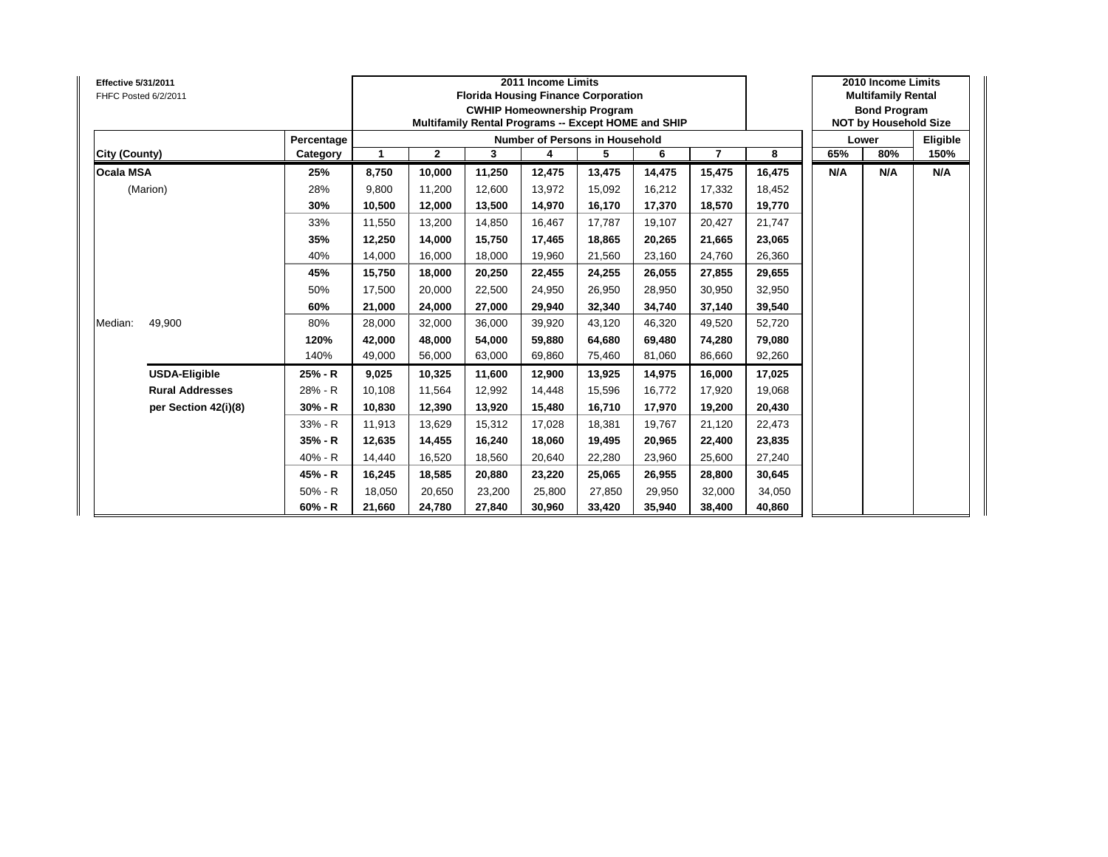| <b>Effective 5/31/2011</b><br>FHFC Posted 6/2/2011 |            |              |              |        | 2011 Income Limits<br><b>Florida Housing Finance Corporation</b><br><b>CWHIP Homeownership Program</b><br>Multifamily Rental Programs -- Except HOME and SHIP |        |        |                |        |     | 2010 Income Limits<br><b>Multifamily Rental</b><br><b>Bond Program</b><br><b>NOT by Household Size</b> |          |
|----------------------------------------------------|------------|--------------|--------------|--------|---------------------------------------------------------------------------------------------------------------------------------------------------------------|--------|--------|----------------|--------|-----|--------------------------------------------------------------------------------------------------------|----------|
|                                                    | Percentage |              |              |        | <b>Number of Persons in Household</b>                                                                                                                         |        |        |                |        |     | Lower                                                                                                  | Eligible |
| <b>City (County)</b>                               | Category   | $\mathbf{1}$ | $\mathbf{2}$ | 3      | 4                                                                                                                                                             | 5      | 6      | $\overline{7}$ | 8      | 65% | 80%                                                                                                    | 150%     |
| <b>Ocala MSA</b>                                   | 25%        | 8,750        | 10,000       | 11,250 | 12,475                                                                                                                                                        | 13,475 | 14,475 | 15,475         | 16,475 | N/A | N/A                                                                                                    | N/A      |
| (Marion)                                           | 28%        | 9.800        | 11,200       | 12.600 | 13,972                                                                                                                                                        | 15,092 | 16,212 | 17,332         | 18,452 |     |                                                                                                        |          |
|                                                    | 30%        | 10,500       | 12,000       | 13,500 | 14,970                                                                                                                                                        | 16,170 | 17,370 | 18,570         | 19,770 |     |                                                                                                        |          |
|                                                    | 33%        | 11,550       | 13,200       | 14,850 | 16,467                                                                                                                                                        | 17,787 | 19,107 | 20,427         | 21,747 |     |                                                                                                        |          |
|                                                    | 35%        | 12,250       | 14,000       | 15,750 | 17,465                                                                                                                                                        | 18,865 | 20,265 | 21,665         | 23,065 |     |                                                                                                        |          |
|                                                    | 40%        | 14,000       | 16,000       | 18,000 | 19,960                                                                                                                                                        | 21,560 | 23,160 | 24,760         | 26,360 |     |                                                                                                        |          |
|                                                    | 45%        | 15,750       | 18,000       | 20,250 | 22,455                                                                                                                                                        | 24,255 | 26,055 | 27,855         | 29,655 |     |                                                                                                        |          |
|                                                    | 50%        | 17,500       | 20,000       | 22.500 | 24,950                                                                                                                                                        | 26,950 | 28,950 | 30,950         | 32,950 |     |                                                                                                        |          |
|                                                    | 60%        | 21,000       | 24,000       | 27,000 | 29,940                                                                                                                                                        | 32,340 | 34,740 | 37,140         | 39,540 |     |                                                                                                        |          |
| 49,900<br>Median:                                  | 80%        | 28,000       | 32,000       | 36,000 | 39,920                                                                                                                                                        | 43,120 | 46,320 | 49,520         | 52,720 |     |                                                                                                        |          |
|                                                    | 120%       | 42,000       | 48,000       | 54.000 | 59,880                                                                                                                                                        | 64,680 | 69,480 | 74,280         | 79,080 |     |                                                                                                        |          |
|                                                    | 140%       | 49,000       | 56,000       | 63,000 | 69,860                                                                                                                                                        | 75,460 | 81,060 | 86,660         | 92,260 |     |                                                                                                        |          |
| <b>USDA-Eligible</b>                               | 25% - R    | 9,025        | 10,325       | 11,600 | 12,900                                                                                                                                                        | 13,925 | 14,975 | 16,000         | 17,025 |     |                                                                                                        |          |
| <b>Rural Addresses</b>                             | 28% - R    | 10.108       | 11.564       | 12.992 | 14,448                                                                                                                                                        | 15,596 | 16.772 | 17,920         | 19,068 |     |                                                                                                        |          |
| per Section 42(i)(8)                               | $30% - R$  | 10,830       | 12,390       | 13,920 | 15,480                                                                                                                                                        | 16,710 | 17,970 | 19,200         | 20,430 |     |                                                                                                        |          |
|                                                    | 33% - R    | 11,913       | 13,629       | 15,312 | 17,028                                                                                                                                                        | 18,381 | 19,767 | 21,120         | 22,473 |     |                                                                                                        |          |
|                                                    | 35% - R    | 12,635       | 14,455       | 16,240 | 18,060                                                                                                                                                        | 19,495 | 20,965 | 22,400         | 23,835 |     |                                                                                                        |          |
|                                                    | 40% - R    | 14,440       | 16,520       | 18,560 | 20,640                                                                                                                                                        | 22,280 | 23,960 | 25,600         | 27,240 |     |                                                                                                        |          |
|                                                    | 45% - R    | 16,245       | 18,585       | 20,880 | 23,220                                                                                                                                                        | 25,065 | 26,955 | 28,800         | 30,645 |     |                                                                                                        |          |
|                                                    | $50% - R$  | 18,050       | 20,650       | 23,200 | 25,800                                                                                                                                                        | 27,850 | 29,950 | 32,000         | 34,050 |     |                                                                                                        |          |
|                                                    | $60% - R$  | 21,660       | 24,780       | 27,840 | 30,960                                                                                                                                                        | 33,420 | 35,940 | 38,400         | 40,860 |     |                                                                                                        |          |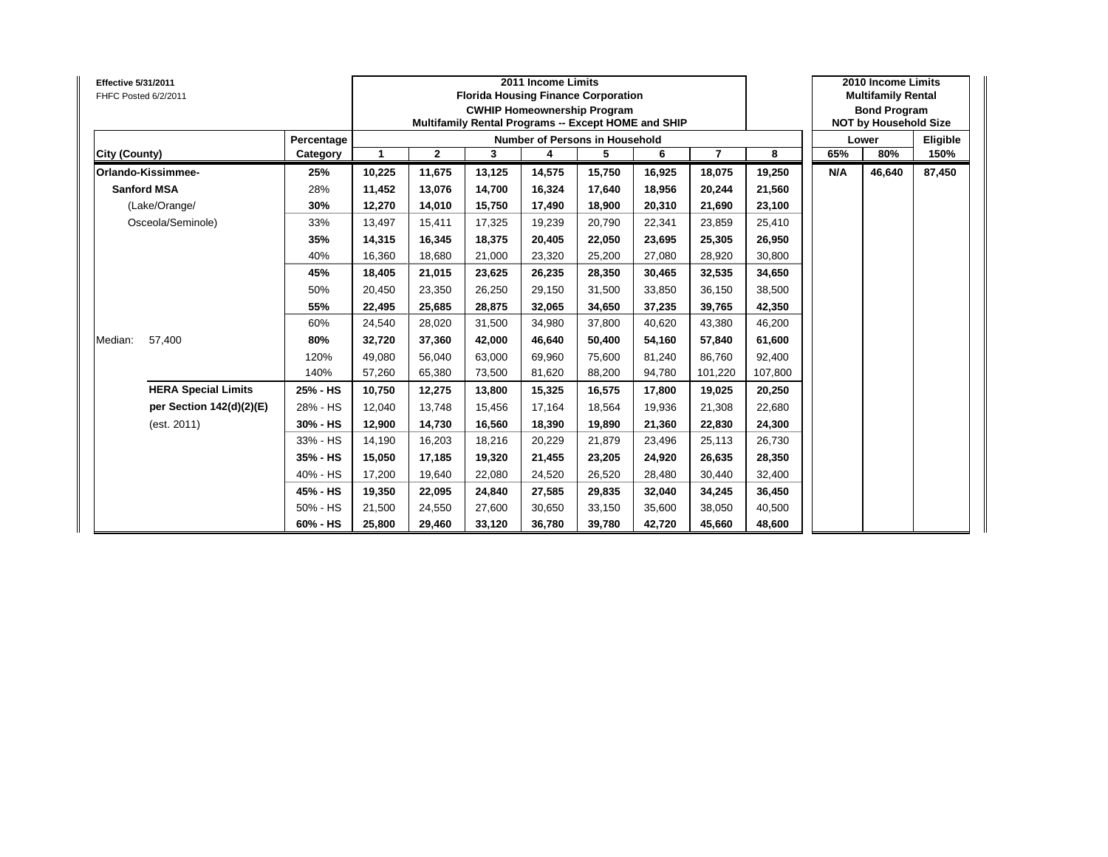| <b>Effective 5/31/2011</b><br>FHFC Posted 6/2/2011 |            |        |              | <b>Florida Housing Finance Corporation</b><br>Multifamily Rental Programs -- Except HOME and SHIP | 2011 Income Limits | <b>CWHIP Homeownership Program</b> |        |                |         |     | 2010 Income Limits<br><b>Multifamily Rental</b><br><b>Bond Program</b><br><b>NOT by Household Size</b> |          |
|----------------------------------------------------|------------|--------|--------------|---------------------------------------------------------------------------------------------------|--------------------|------------------------------------|--------|----------------|---------|-----|--------------------------------------------------------------------------------------------------------|----------|
|                                                    | Percentage |        |              |                                                                                                   |                    | Number of Persons in Household     |        |                |         |     | Lower                                                                                                  | Eligible |
| City (County)                                      | Category   |        | $\mathbf{2}$ | 3                                                                                                 | 4                  | 5                                  | 6      | $\overline{7}$ | 8       | 65% | 80%                                                                                                    | 150%     |
| Orlando-Kissimmee-                                 | 25%        | 10,225 | 11,675       | 13,125                                                                                            | 14,575             | 15,750                             | 16,925 | 18,075         | 19,250  | N/A | 46,640                                                                                                 | 87,450   |
| <b>Sanford MSA</b>                                 | 28%        | 11,452 | 13,076       | 14.700                                                                                            | 16,324             | 17,640                             | 18,956 | 20,244         | 21,560  |     |                                                                                                        |          |
| (Lake/Orange/                                      | 30%        | 12,270 | 14,010       | 15,750                                                                                            | 17,490             | 18,900                             | 20,310 | 21,690         | 23,100  |     |                                                                                                        |          |
| Osceola/Seminole)                                  | 33%        | 13,497 | 15,411       | 17,325                                                                                            | 19,239             | 20,790                             | 22,341 | 23,859         | 25,410  |     |                                                                                                        |          |
|                                                    | 35%        | 14,315 | 16,345       | 18,375                                                                                            | 20,405             | 22,050                             | 23,695 | 25,305         | 26,950  |     |                                                                                                        |          |
|                                                    | 40%        | 16,360 | 18,680       | 21,000                                                                                            | 23,320             | 25,200                             | 27,080 | 28,920         | 30,800  |     |                                                                                                        |          |
|                                                    | 45%        | 18,405 | 21,015       | 23,625                                                                                            | 26,235             | 28,350                             | 30,465 | 32,535         | 34,650  |     |                                                                                                        |          |
|                                                    | 50%        | 20,450 | 23,350       | 26,250                                                                                            | 29,150             | 31,500                             | 33,850 | 36,150         | 38,500  |     |                                                                                                        |          |
|                                                    | 55%        | 22,495 | 25,685       | 28,875                                                                                            | 32,065             | 34,650                             | 37,235 | 39,765         | 42,350  |     |                                                                                                        |          |
|                                                    | 60%        | 24,540 | 28,020       | 31,500                                                                                            | 34,980             | 37,800                             | 40,620 | 43,380         | 46,200  |     |                                                                                                        |          |
| 57,400<br>Median:                                  | 80%        | 32,720 | 37,360       | 42,000                                                                                            | 46,640             | 50,400                             | 54,160 | 57,840         | 61,600  |     |                                                                                                        |          |
|                                                    | 120%       | 49,080 | 56,040       | 63,000                                                                                            | 69,960             | 75,600                             | 81,240 | 86,760         | 92,400  |     |                                                                                                        |          |
|                                                    | 140%       | 57,260 | 65,380       | 73,500                                                                                            | 81,620             | 88,200                             | 94,780 | 101,220        | 107,800 |     |                                                                                                        |          |
| <b>HERA Special Limits</b>                         | 25% - HS   | 10,750 | 12,275       | 13,800                                                                                            | 15,325             | 16,575                             | 17,800 | 19,025         | 20,250  |     |                                                                                                        |          |
| per Section 142(d)(2)(E)                           | 28% - HS   | 12,040 | 13,748       | 15,456                                                                                            | 17,164             | 18,564                             | 19,936 | 21,308         | 22,680  |     |                                                                                                        |          |
| (est. 2011)                                        | 30% - HS   | 12,900 | 14,730       | 16,560                                                                                            | 18,390             | 19,890                             | 21,360 | 22,830         | 24,300  |     |                                                                                                        |          |
|                                                    | 33% - HS   | 14,190 | 16,203       | 18,216                                                                                            | 20,229             | 21,879                             | 23,496 | 25,113         | 26,730  |     |                                                                                                        |          |
|                                                    | 35% - HS   | 15,050 | 17,185       | 19,320                                                                                            | 21,455             | 23,205                             | 24,920 | 26,635         | 28,350  |     |                                                                                                        |          |
|                                                    | 40% - HS   | 17,200 | 19,640       | 22,080                                                                                            | 24,520             | 26,520                             | 28,480 | 30,440         | 32,400  |     |                                                                                                        |          |
|                                                    | 45% - HS   | 19,350 | 22,095       | 24,840                                                                                            | 27,585             | 29,835                             | 32,040 | 34,245         | 36,450  |     |                                                                                                        |          |
|                                                    | 50% - HS   | 21,500 | 24,550       | 27,600                                                                                            | 30,650             | 33,150                             | 35,600 | 38,050         | 40,500  |     |                                                                                                        |          |
|                                                    | 60% - HS   | 25,800 | 29,460       | 33,120                                                                                            | 36,780             | 39,780                             | 42,720 | 45,660         | 48,600  |     |                                                                                                        |          |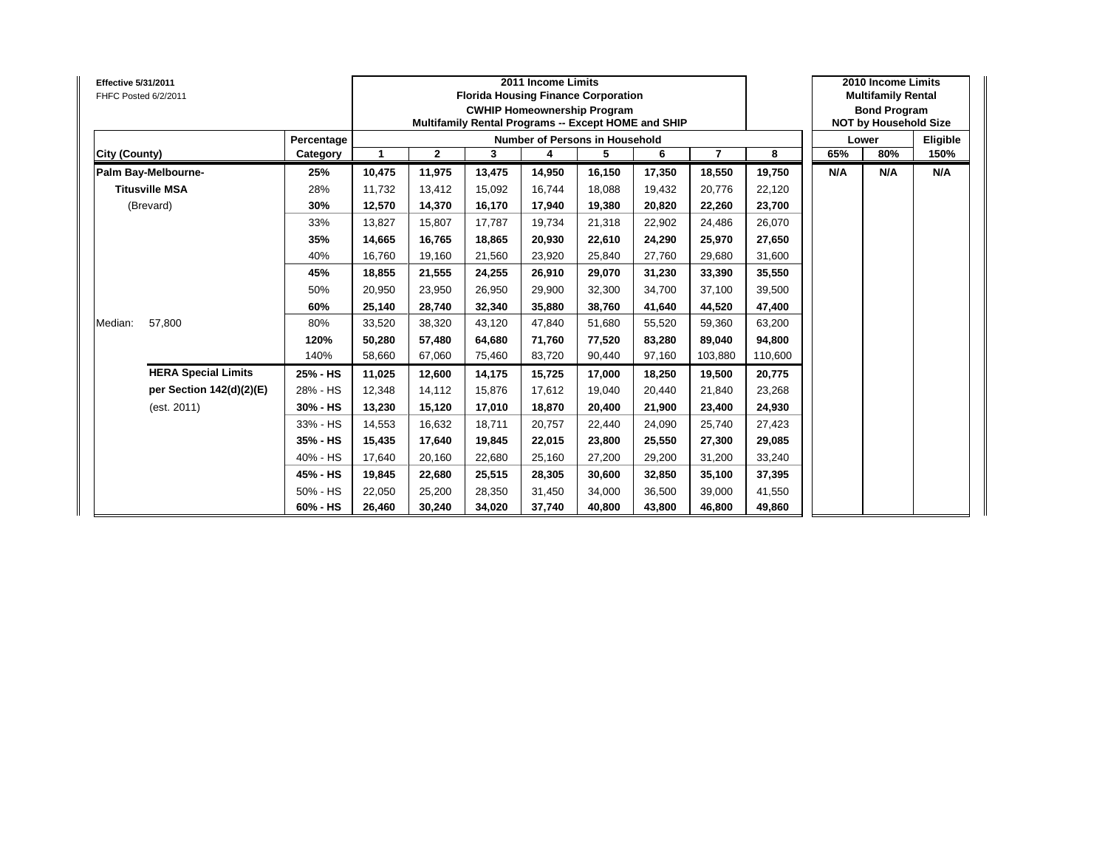| <b>Effective 5/31/2011</b><br>FHFC Posted 6/2/2011 |            |        |              |        | 2011 Income Limits | <b>Florida Housing Finance Corporation</b><br><b>CWHIP Homeownership Program</b><br>Multifamily Rental Programs -- Except HOME and SHIP |        |                |         |     | 2010 Income Limits<br><b>Multifamily Rental</b><br><b>Bond Program</b><br><b>NOT by Household Size</b> |          |
|----------------------------------------------------|------------|--------|--------------|--------|--------------------|-----------------------------------------------------------------------------------------------------------------------------------------|--------|----------------|---------|-----|--------------------------------------------------------------------------------------------------------|----------|
|                                                    | Percentage |        |              |        |                    | <b>Number of Persons in Household</b>                                                                                                   |        |                |         |     | Lower                                                                                                  | Eligible |
| City (County)                                      | Category   | 1      | $\mathbf{2}$ | 3      | 4                  | 5                                                                                                                                       | 6      | $\overline{7}$ | 8       | 65% | 80%                                                                                                    | 150%     |
| Palm Bay-Melbourne-                                | 25%        | 10,475 | 11,975       | 13,475 | 14,950             | 16,150                                                                                                                                  | 17,350 | 18,550         | 19,750  | N/A | N/A                                                                                                    | N/A      |
| <b>Titusville MSA</b>                              | 28%        | 11.732 | 13,412       | 15.092 | 16.744             | 18.088                                                                                                                                  | 19.432 | 20,776         | 22,120  |     |                                                                                                        |          |
| (Brevard)                                          | 30%        | 12,570 | 14,370       | 16,170 | 17,940             | 19,380                                                                                                                                  | 20,820 | 22,260         | 23,700  |     |                                                                                                        |          |
|                                                    | 33%        | 13,827 | 15,807       | 17,787 | 19,734             | 21,318                                                                                                                                  | 22,902 | 24,486         | 26,070  |     |                                                                                                        |          |
|                                                    | 35%        | 14,665 | 16,765       | 18,865 | 20,930             | 22,610                                                                                                                                  | 24,290 | 25,970         | 27,650  |     |                                                                                                        |          |
|                                                    | 40%        | 16,760 | 19,160       | 21,560 | 23,920             | 25,840                                                                                                                                  | 27,760 | 29,680         | 31,600  |     |                                                                                                        |          |
|                                                    | 45%        | 18,855 | 21,555       | 24,255 | 26,910             | 29,070                                                                                                                                  | 31,230 | 33,390         | 35,550  |     |                                                                                                        |          |
|                                                    | 50%        | 20,950 | 23,950       | 26,950 | 29,900             | 32,300                                                                                                                                  | 34.700 | 37,100         | 39,500  |     |                                                                                                        |          |
|                                                    | 60%        | 25,140 | 28,740       | 32,340 | 35,880             | 38,760                                                                                                                                  | 41,640 | 44,520         | 47,400  |     |                                                                                                        |          |
| 57,800<br>Median:                                  | 80%        | 33,520 | 38,320       | 43,120 | 47,840             | 51,680                                                                                                                                  | 55,520 | 59,360         | 63,200  |     |                                                                                                        |          |
|                                                    | 120%       | 50,280 | 57,480       | 64,680 | 71,760             | 77,520                                                                                                                                  | 83,280 | 89,040         | 94,800  |     |                                                                                                        |          |
|                                                    | 140%       | 58,660 | 67,060       | 75,460 | 83,720             | 90,440                                                                                                                                  | 97,160 | 103,880        | 110,600 |     |                                                                                                        |          |
| <b>HERA Special Limits</b>                         | 25% - HS   | 11,025 | 12,600       | 14,175 | 15,725             | 17,000                                                                                                                                  | 18,250 | 19,500         | 20,775  |     |                                                                                                        |          |
| per Section 142(d)(2)(E)                           | 28% - HS   | 12,348 | 14,112       | 15,876 | 17,612             | 19,040                                                                                                                                  | 20,440 | 21,840         | 23,268  |     |                                                                                                        |          |
| (est. 2011)                                        | 30% - HS   | 13,230 | 15,120       | 17,010 | 18,870             | 20,400                                                                                                                                  | 21,900 | 23,400         | 24,930  |     |                                                                                                        |          |
|                                                    | 33% - HS   | 14,553 | 16,632       | 18,711 | 20,757             | 22,440                                                                                                                                  | 24,090 | 25,740         | 27,423  |     |                                                                                                        |          |
|                                                    | 35% - HS   | 15,435 | 17,640       | 19,845 | 22,015             | 23,800                                                                                                                                  | 25,550 | 27,300         | 29,085  |     |                                                                                                        |          |
|                                                    | 40% - HS   | 17,640 | 20,160       | 22,680 | 25,160             | 27,200                                                                                                                                  | 29,200 | 31,200         | 33,240  |     |                                                                                                        |          |
|                                                    | 45% - HS   | 19,845 | 22,680       | 25,515 | 28,305             | 30,600                                                                                                                                  | 32,850 | 35,100         | 37,395  |     |                                                                                                        |          |
|                                                    | 50% - HS   | 22,050 | 25,200       | 28,350 | 31,450             | 34,000                                                                                                                                  | 36,500 | 39,000         | 41,550  |     |                                                                                                        |          |
|                                                    | 60% - HS   | 26,460 | 30,240       | 34,020 | 37,740             | 40,800                                                                                                                                  | 43,800 | 46,800         | 49,860  |     |                                                                                                        |          |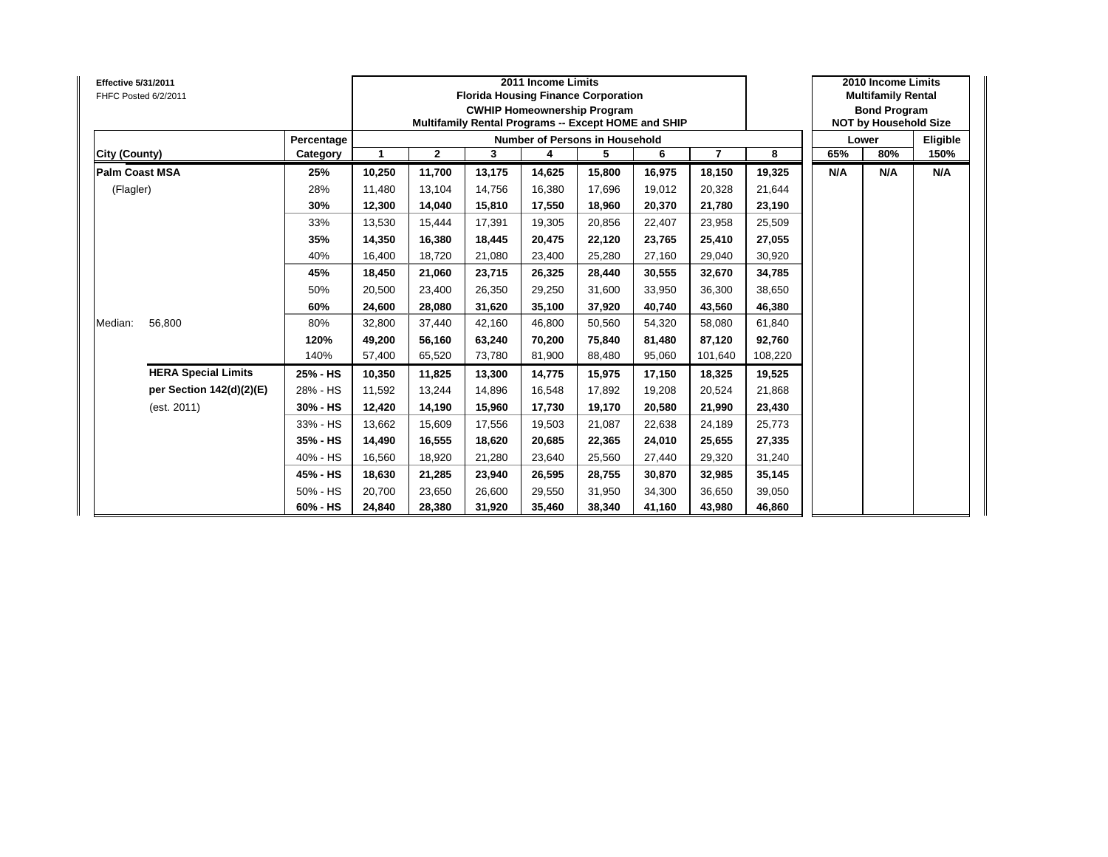| <b>Effective 5/31/2011</b><br>FHFC Posted 6/2/2011 |            |              |              | <b>Florida Housing Finance Corporation</b><br>Multifamily Rental Programs -- Except HOME and SHIP | 2011 Income Limits | <b>CWHIP Homeownership Program</b>    |        |                |         |     | 2010 Income Limits<br><b>Multifamily Rental</b><br><b>Bond Program</b><br><b>NOT by Household Size</b> |          |
|----------------------------------------------------|------------|--------------|--------------|---------------------------------------------------------------------------------------------------|--------------------|---------------------------------------|--------|----------------|---------|-----|--------------------------------------------------------------------------------------------------------|----------|
|                                                    | Percentage |              |              |                                                                                                   |                    | <b>Number of Persons in Household</b> |        |                |         |     | Lower                                                                                                  | Eligible |
| <b>City (County)</b>                               | Category   | $\mathbf{1}$ | $\mathbf{2}$ | 3                                                                                                 | 4                  | 5                                     | 6      | $\overline{7}$ | 8       | 65% | 80%                                                                                                    | 150%     |
| <b>Palm Coast MSA</b>                              | 25%        | 10,250       | 11,700       | 13,175                                                                                            | 14,625             | 15,800                                | 16,975 | 18,150         | 19,325  | N/A | N/A                                                                                                    | N/A      |
| (Flagler)                                          | 28%        | 11.480       | 13,104       | 14.756                                                                                            | 16,380             | 17.696                                | 19,012 | 20,328         | 21,644  |     |                                                                                                        |          |
|                                                    | 30%        | 12,300       | 14,040       | 15,810                                                                                            | 17,550             | 18,960                                | 20,370 | 21,780         | 23,190  |     |                                                                                                        |          |
|                                                    | 33%        | 13,530       | 15,444       | 17,391                                                                                            | 19,305             | 20,856                                | 22,407 | 23,958         | 25,509  |     |                                                                                                        |          |
|                                                    | 35%        | 14,350       | 16,380       | 18,445                                                                                            | 20,475             | 22,120                                | 23,765 | 25,410         | 27,055  |     |                                                                                                        |          |
|                                                    | 40%        | 16,400       | 18,720       | 21,080                                                                                            | 23,400             | 25,280                                | 27,160 | 29,040         | 30,920  |     |                                                                                                        |          |
|                                                    | 45%        | 18,450       | 21,060       | 23,715                                                                                            | 26,325             | 28,440                                | 30,555 | 32,670         | 34,785  |     |                                                                                                        |          |
|                                                    | 50%        | 20,500       | 23,400       | 26,350                                                                                            | 29,250             | 31,600                                | 33,950 | 36,300         | 38,650  |     |                                                                                                        |          |
|                                                    | 60%        | 24,600       | 28,080       | 31,620                                                                                            | 35,100             | 37,920                                | 40,740 | 43,560         | 46,380  |     |                                                                                                        |          |
| 56,800<br>Median:                                  | 80%        | 32,800       | 37,440       | 42,160                                                                                            | 46,800             | 50,560                                | 54,320 | 58,080         | 61,840  |     |                                                                                                        |          |
|                                                    | 120%       | 49,200       | 56,160       | 63,240                                                                                            | 70,200             | 75,840                                | 81,480 | 87,120         | 92,760  |     |                                                                                                        |          |
|                                                    | 140%       | 57,400       | 65,520       | 73,780                                                                                            | 81,900             | 88,480                                | 95,060 | 101,640        | 108,220 |     |                                                                                                        |          |
| <b>HERA Special Limits</b>                         | 25% - HS   | 10,350       | 11,825       | 13,300                                                                                            | 14,775             | 15,975                                | 17,150 | 18,325         | 19,525  |     |                                                                                                        |          |
| per Section 142(d)(2)(E)                           | 28% - HS   | 11,592       | 13,244       | 14,896                                                                                            | 16,548             | 17,892                                | 19,208 | 20,524         | 21,868  |     |                                                                                                        |          |
| (est. 2011)                                        | 30% - HS   | 12,420       | 14,190       | 15,960                                                                                            | 17,730             | 19,170                                | 20,580 | 21,990         | 23,430  |     |                                                                                                        |          |
|                                                    | 33% - HS   | 13,662       | 15,609       | 17,556                                                                                            | 19,503             | 21,087                                | 22,638 | 24,189         | 25,773  |     |                                                                                                        |          |
|                                                    | 35% - HS   | 14,490       | 16,555       | 18,620                                                                                            | 20,685             | 22,365                                | 24,010 | 25,655         | 27,335  |     |                                                                                                        |          |
|                                                    | 40% - HS   | 16,560       | 18,920       | 21,280                                                                                            | 23,640             | 25,560                                | 27,440 | 29,320         | 31,240  |     |                                                                                                        |          |
|                                                    | 45% - HS   | 18,630       | 21,285       | 23,940                                                                                            | 26,595             | 28,755                                | 30,870 | 32,985         | 35,145  |     |                                                                                                        |          |
|                                                    | 50% - HS   | 20,700       | 23,650       | 26,600                                                                                            | 29,550             | 31,950                                | 34,300 | 36,650         | 39,050  |     |                                                                                                        |          |
|                                                    | 60% - HS   | 24,840       | 28,380       | 31,920                                                                                            | 35,460             | 38,340                                | 41,160 | 43,980         | 46,860  |     |                                                                                                        |          |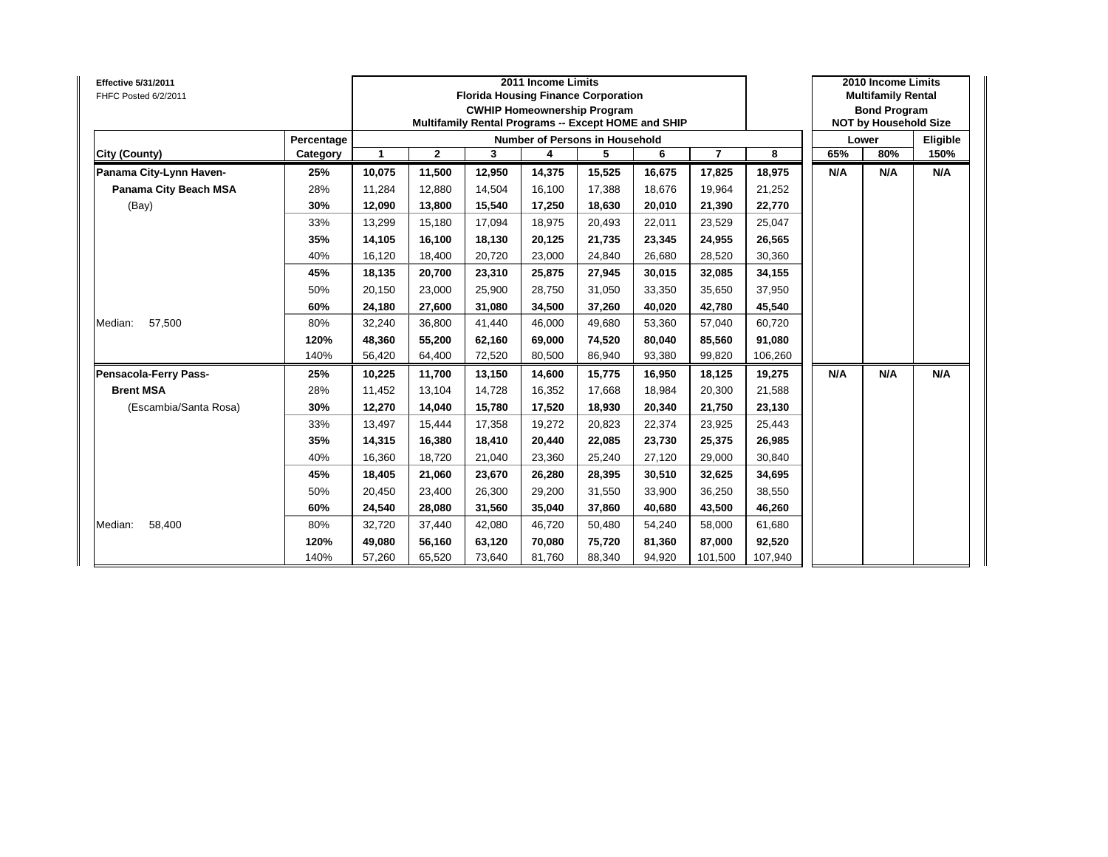| Effective 5/31/2011<br>FHFC Posted 6/2/2011 |            |              |              | <b>Florida Housing Finance Corporation</b><br>Multifamily Rental Programs -- Except HOME and SHIP | 2011 Income Limits<br><b>CWHIP Homeownership Program</b> |        |        |                |         |     | 2010 Income Limits<br><b>Multifamily Rental</b><br><b>Bond Program</b><br><b>NOT by Household Size</b> |          |
|---------------------------------------------|------------|--------------|--------------|---------------------------------------------------------------------------------------------------|----------------------------------------------------------|--------|--------|----------------|---------|-----|--------------------------------------------------------------------------------------------------------|----------|
|                                             | Percentage |              |              |                                                                                                   | <b>Number of Persons in Household</b>                    |        |        |                |         |     | Lower                                                                                                  | Eligible |
| City (County)                               | Category   | $\mathbf{1}$ | $\mathbf{2}$ | 3                                                                                                 | 4                                                        | 5      | 6      | $\overline{7}$ | 8       | 65% | 80%                                                                                                    | 150%     |
| Panama City-Lynn Haven-                     | 25%        | 10,075       | 11,500       | 12,950                                                                                            | 14,375                                                   | 15,525 | 16,675 | 17,825         | 18,975  | N/A | N/A                                                                                                    | N/A      |
| Panama City Beach MSA                       | 28%        | 11,284       | 12,880       | 14,504                                                                                            | 16,100                                                   | 17,388 | 18,676 | 19,964         | 21,252  |     |                                                                                                        |          |
| (Bay)                                       | 30%        | 12,090       | 13,800       | 15,540                                                                                            | 17,250                                                   | 18,630 | 20,010 | 21,390         | 22,770  |     |                                                                                                        |          |
|                                             | 33%        | 13,299       | 15,180       | 17,094                                                                                            | 18,975                                                   | 20,493 | 22,011 | 23,529         | 25,047  |     |                                                                                                        |          |
|                                             | 35%        | 14,105       | 16,100       | 18,130                                                                                            | 20,125                                                   | 21,735 | 23,345 | 24,955         | 26,565  |     |                                                                                                        |          |
|                                             | 40%        | 16,120       | 18,400       | 20,720                                                                                            | 23,000                                                   | 24,840 | 26,680 | 28,520         | 30,360  |     |                                                                                                        |          |
|                                             | 45%        | 18,135       | 20,700       | 23,310                                                                                            | 25,875                                                   | 27,945 | 30.015 | 32,085         | 34,155  |     |                                                                                                        |          |
|                                             | 50%        | 20,150       | 23,000       | 25,900                                                                                            | 28,750                                                   | 31,050 | 33,350 | 35,650         | 37,950  |     |                                                                                                        |          |
|                                             | 60%        | 24,180       | 27,600       | 31,080                                                                                            | 34,500                                                   | 37,260 | 40,020 | 42,780         | 45,540  |     |                                                                                                        |          |
| Median:<br>57,500                           | 80%        | 32,240       | 36,800       | 41,440                                                                                            | 46,000                                                   | 49,680 | 53,360 | 57,040         | 60,720  |     |                                                                                                        |          |
|                                             | 120%       | 48,360       | 55,200       | 62,160                                                                                            | 69,000                                                   | 74,520 | 80,040 | 85,560         | 91,080  |     |                                                                                                        |          |
|                                             | 140%       | 56,420       | 64,400       | 72,520                                                                                            | 80,500                                                   | 86,940 | 93,380 | 99,820         | 106,260 |     |                                                                                                        |          |
| Pensacola-Ferry Pass-                       | 25%        | 10,225       | 11,700       | 13,150                                                                                            | 14,600                                                   | 15,775 | 16,950 | 18,125         | 19,275  | N/A | N/A                                                                                                    | N/A      |
| <b>Brent MSA</b>                            | 28%        | 11,452       | 13,104       | 14,728                                                                                            | 16,352                                                   | 17,668 | 18,984 | 20,300         | 21,588  |     |                                                                                                        |          |
| (Escambia/Santa Rosa)                       | 30%        | 12,270       | 14,040       | 15,780                                                                                            | 17,520                                                   | 18,930 | 20,340 | 21,750         | 23,130  |     |                                                                                                        |          |
|                                             | 33%        | 13,497       | 15,444       | 17,358                                                                                            | 19,272                                                   | 20,823 | 22,374 | 23,925         | 25,443  |     |                                                                                                        |          |
|                                             | 35%        | 14,315       | 16,380       | 18,410                                                                                            | 20,440                                                   | 22,085 | 23,730 | 25,375         | 26,985  |     |                                                                                                        |          |
|                                             | 40%        | 16,360       | 18,720       | 21,040                                                                                            | 23,360                                                   | 25,240 | 27,120 | 29,000         | 30,840  |     |                                                                                                        |          |
|                                             | 45%        | 18,405       | 21,060       | 23,670                                                                                            | 26,280                                                   | 28,395 | 30,510 | 32,625         | 34,695  |     |                                                                                                        |          |
|                                             | 50%        | 20,450       | 23,400       | 26,300                                                                                            | 29,200                                                   | 31,550 | 33,900 | 36,250         | 38,550  |     |                                                                                                        |          |
|                                             | 60%        | 24,540       | 28,080       | 31,560                                                                                            | 35,040                                                   | 37,860 | 40,680 | 43,500         | 46,260  |     |                                                                                                        |          |
| 58,400<br>Median:                           | 80%        | 32,720       | 37,440       | 42,080                                                                                            | 46,720                                                   | 50,480 | 54,240 | 58,000         | 61,680  |     |                                                                                                        |          |
|                                             | 120%       | 49,080       | 56,160       | 63,120                                                                                            | 70,080                                                   | 75,720 | 81,360 | 87,000         | 92,520  |     |                                                                                                        |          |
|                                             | 140%       | 57,260       | 65,520       | 73,640                                                                                            | 81,760                                                   | 88,340 | 94,920 | 101,500        | 107,940 |     |                                                                                                        |          |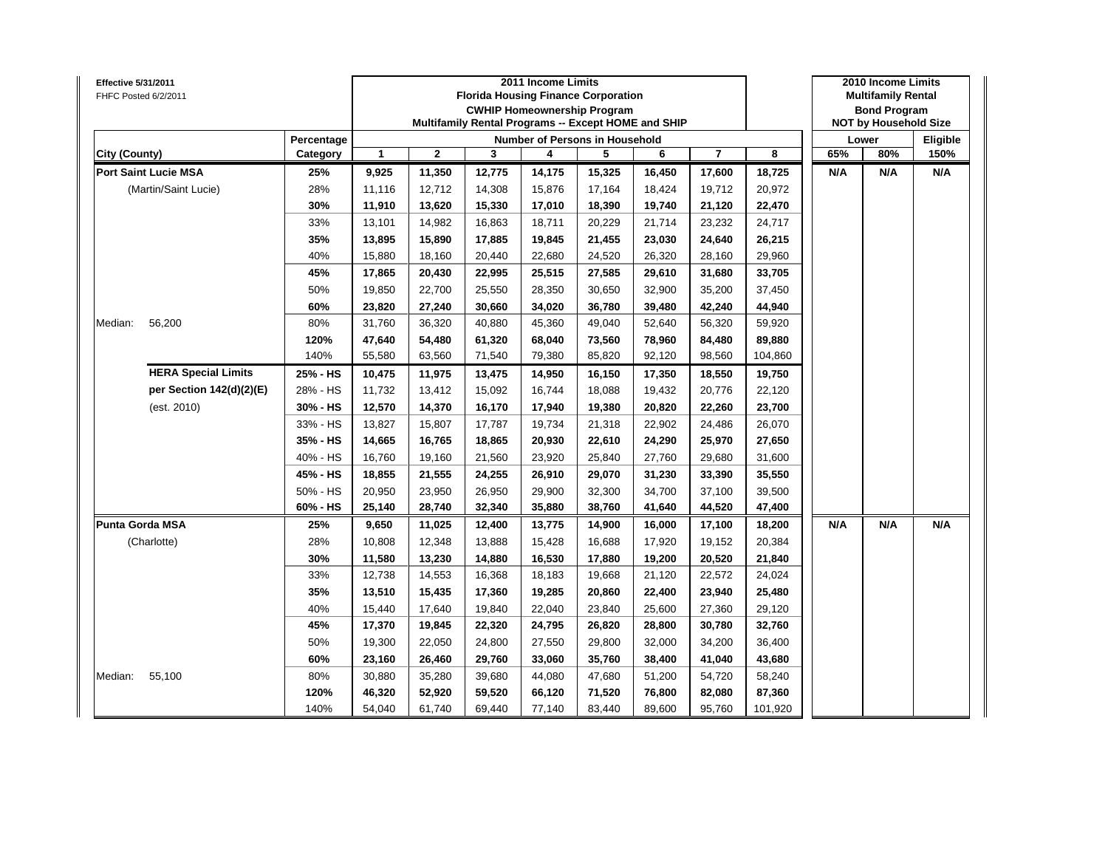| <b>Effective 5/31/2011</b><br>FHFC Posted 6/2/2011 |            |        |              |        | 2011 Income Limits<br><b>Florida Housing Finance Corporation</b><br><b>CWHIP Homeownership Program</b><br>Multifamily Rental Programs -- Except HOME and SHIP |        |        |                |         |     | 2010 Income Limits<br><b>Multifamily Rental</b><br><b>Bond Program</b><br><b>NOT by Household Size</b> |          |
|----------------------------------------------------|------------|--------|--------------|--------|---------------------------------------------------------------------------------------------------------------------------------------------------------------|--------|--------|----------------|---------|-----|--------------------------------------------------------------------------------------------------------|----------|
|                                                    | Percentage |        |              |        | Number of Persons in Household                                                                                                                                |        |        |                |         |     | Lower                                                                                                  | Eligible |
| <b>City (County)</b>                               | Category   | 1      | $\mathbf{2}$ | 3      | 4                                                                                                                                                             | 5      | 6      | $\overline{7}$ | 8       | 65% | 80%                                                                                                    | 150%     |
| <b>Port Saint Lucie MSA</b>                        | 25%        | 9,925  | 11,350       | 12,775 | 14,175                                                                                                                                                        | 15,325 | 16,450 | 17,600         | 18,725  | N/A | N/A                                                                                                    | N/A      |
| (Martin/Saint Lucie)                               | 28%        | 11,116 | 12,712       | 14,308 | 15,876                                                                                                                                                        | 17,164 | 18,424 | 19,712         | 20,972  |     |                                                                                                        |          |
|                                                    | 30%        | 11,910 | 13,620       | 15,330 | 17,010                                                                                                                                                        | 18,390 | 19,740 | 21,120         | 22,470  |     |                                                                                                        |          |
|                                                    | 33%        | 13,101 | 14,982       | 16,863 | 18,711                                                                                                                                                        | 20,229 | 21,714 | 23,232         | 24,717  |     |                                                                                                        |          |
|                                                    | 35%        | 13,895 | 15,890       | 17,885 | 19,845                                                                                                                                                        | 21,455 | 23,030 | 24,640         | 26,215  |     |                                                                                                        |          |
|                                                    | 40%        | 15,880 | 18,160       | 20,440 | 22,680                                                                                                                                                        | 24,520 | 26,320 | 28,160         | 29,960  |     |                                                                                                        |          |
|                                                    | 45%        | 17,865 | 20,430       | 22,995 | 25,515                                                                                                                                                        | 27,585 | 29,610 | 31,680         | 33,705  |     |                                                                                                        |          |
|                                                    | 50%        | 19,850 | 22,700       | 25,550 | 28,350                                                                                                                                                        | 30,650 | 32,900 | 35,200         | 37,450  |     |                                                                                                        |          |
|                                                    | 60%        | 23,820 | 27,240       | 30,660 | 34,020                                                                                                                                                        | 36,780 | 39,480 | 42,240         | 44,940  |     |                                                                                                        |          |
| 56,200<br>Median:                                  | 80%        | 31,760 | 36,320       | 40,880 | 45,360                                                                                                                                                        | 49,040 | 52,640 | 56,320         | 59,920  |     |                                                                                                        |          |
|                                                    | 120%       | 47,640 | 54,480       | 61,320 | 68,040                                                                                                                                                        | 73,560 | 78,960 | 84,480         | 89,880  |     |                                                                                                        |          |
|                                                    | 140%       | 55,580 | 63,560       | 71,540 | 79,380                                                                                                                                                        | 85,820 | 92,120 | 98,560         | 104,860 |     |                                                                                                        |          |
| <b>HERA Special Limits</b>                         | 25% - HS   | 10,475 | 11,975       | 13,475 | 14,950                                                                                                                                                        | 16,150 | 17,350 | 18,550         | 19,750  |     |                                                                                                        |          |
| per Section 142(d)(2)(E)                           | 28% - HS   | 11,732 | 13,412       | 15,092 | 16,744                                                                                                                                                        | 18,088 | 19,432 | 20,776         | 22,120  |     |                                                                                                        |          |
| (est. 2010)                                        | 30% - HS   | 12,570 | 14,370       | 16,170 | 17,940                                                                                                                                                        | 19,380 | 20,820 | 22,260         | 23,700  |     |                                                                                                        |          |
|                                                    | 33% - HS   | 13,827 | 15,807       | 17,787 | 19,734                                                                                                                                                        | 21,318 | 22,902 | 24,486         | 26,070  |     |                                                                                                        |          |
|                                                    | 35% - HS   | 14,665 | 16,765       | 18,865 | 20,930                                                                                                                                                        | 22,610 | 24,290 | 25,970         | 27,650  |     |                                                                                                        |          |
|                                                    | 40% - HS   | 16,760 | 19,160       | 21,560 | 23,920                                                                                                                                                        | 25,840 | 27,760 | 29,680         | 31,600  |     |                                                                                                        |          |
|                                                    | 45% - HS   | 18,855 | 21,555       | 24,255 | 26,910                                                                                                                                                        | 29,070 | 31,230 | 33,390         | 35,550  |     |                                                                                                        |          |
|                                                    | 50% - HS   | 20,950 | 23,950       | 26,950 | 29,900                                                                                                                                                        | 32,300 | 34,700 | 37,100         | 39,500  |     |                                                                                                        |          |
|                                                    | 60% - HS   | 25,140 | 28,740       | 32,340 | 35,880                                                                                                                                                        | 38,760 | 41,640 | 44,520         | 47,400  |     |                                                                                                        |          |
| <b>Punta Gorda MSA</b>                             | 25%        | 9,650  | 11,025       | 12,400 | 13,775                                                                                                                                                        | 14,900 | 16,000 | 17,100         | 18,200  | N/A | N/A                                                                                                    | N/A      |
| (Charlotte)                                        | 28%        | 10,808 | 12,348       | 13,888 | 15,428                                                                                                                                                        | 16,688 | 17,920 | 19,152         | 20,384  |     |                                                                                                        |          |
|                                                    | 30%        | 11,580 | 13,230       | 14,880 | 16,530                                                                                                                                                        | 17,880 | 19,200 | 20,520         | 21,840  |     |                                                                                                        |          |
|                                                    | 33%        | 12,738 | 14,553       | 16,368 | 18,183                                                                                                                                                        | 19,668 | 21,120 | 22,572         | 24,024  |     |                                                                                                        |          |
|                                                    | 35%        | 13,510 | 15,435       | 17,360 | 19,285                                                                                                                                                        | 20,860 | 22,400 | 23,940         | 25,480  |     |                                                                                                        |          |
|                                                    | 40%        | 15,440 | 17,640       | 19,840 | 22,040                                                                                                                                                        | 23,840 | 25,600 | 27,360         | 29,120  |     |                                                                                                        |          |
|                                                    | 45%        | 17,370 | 19,845       | 22,320 | 24,795                                                                                                                                                        | 26,820 | 28,800 | 30,780         | 32,760  |     |                                                                                                        |          |
|                                                    | 50%        | 19,300 | 22,050       | 24,800 | 27,550                                                                                                                                                        | 29,800 | 32,000 | 34,200         | 36,400  |     |                                                                                                        |          |
|                                                    | 60%        | 23,160 | 26,460       | 29,760 | 33,060                                                                                                                                                        | 35,760 | 38,400 | 41,040         | 43,680  |     |                                                                                                        |          |
| Median:<br>55,100                                  | 80%        | 30,880 | 35,280       | 39,680 | 44,080                                                                                                                                                        | 47,680 | 51,200 | 54,720         | 58,240  |     |                                                                                                        |          |
|                                                    | 120%       | 46,320 | 52,920       | 59,520 | 66,120                                                                                                                                                        | 71,520 | 76,800 | 82,080         | 87,360  |     |                                                                                                        |          |
|                                                    | 140%       | 54,040 | 61,740       | 69,440 | 77,140                                                                                                                                                        | 83,440 | 89,600 | 95,760         | 101,920 |     |                                                                                                        |          |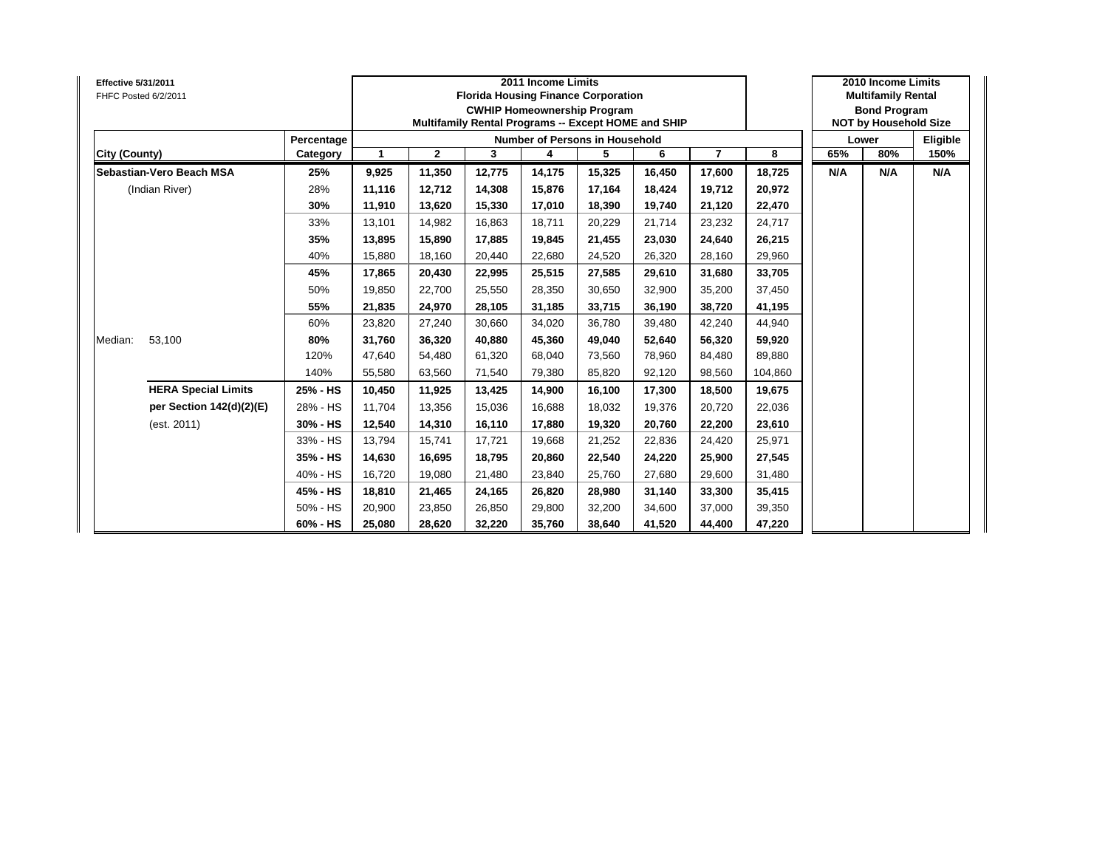| <b>Effective 5/31/2011</b><br>FHFC Posted 6/2/2011 |                            |            |             |              |        | 2011 Income Limits | <b>Florida Housing Finance Corporation</b><br><b>CWHIP Homeownership Program</b><br>Multifamily Rental Programs -- Except HOME and SHIP |        |        |         |     | 2010 Income Limits<br><b>Multifamily Rental</b><br><b>Bond Program</b><br><b>NOT by Household Size</b> |          |
|----------------------------------------------------|----------------------------|------------|-------------|--------------|--------|--------------------|-----------------------------------------------------------------------------------------------------------------------------------------|--------|--------|---------|-----|--------------------------------------------------------------------------------------------------------|----------|
|                                                    |                            | Percentage |             |              |        |                    | Number of Persons in Household                                                                                                          |        |        |         |     | Lower                                                                                                  | Eligible |
| City (County)                                      |                            | Category   | $\mathbf 1$ | $\mathbf{2}$ | 3      | 4                  | 5                                                                                                                                       | 6      | 7      | 8       | 65% | 80%                                                                                                    | 150%     |
|                                                    | Sebastian-Vero Beach MSA   | 25%        | 9,925       | 11,350       | 12,775 | 14,175             | 15,325                                                                                                                                  | 16,450 | 17,600 | 18,725  | N/A | N/A                                                                                                    | N/A      |
|                                                    | (Indian River)             | 28%        | 11,116      | 12,712       | 14,308 | 15,876             | 17,164                                                                                                                                  | 18,424 | 19,712 | 20,972  |     |                                                                                                        |          |
|                                                    |                            | 30%        | 11,910      | 13,620       | 15,330 | 17,010             | 18,390                                                                                                                                  | 19,740 | 21,120 | 22,470  |     |                                                                                                        |          |
|                                                    |                            | 33%        | 13,101      | 14,982       | 16.863 | 18,711             | 20,229                                                                                                                                  | 21.714 | 23,232 | 24,717  |     |                                                                                                        |          |
|                                                    |                            | 35%        | 13,895      | 15,890       | 17,885 | 19,845             | 21,455                                                                                                                                  | 23,030 | 24,640 | 26,215  |     |                                                                                                        |          |
|                                                    |                            | 40%        | 15,880      | 18,160       | 20,440 | 22,680             | 24,520                                                                                                                                  | 26,320 | 28,160 | 29,960  |     |                                                                                                        |          |
|                                                    |                            | 45%        | 17,865      | 20,430       | 22,995 | 25,515             | 27,585                                                                                                                                  | 29,610 | 31,680 | 33,705  |     |                                                                                                        |          |
|                                                    |                            | 50%        | 19,850      | 22,700       | 25,550 | 28,350             | 30,650                                                                                                                                  | 32,900 | 35,200 | 37,450  |     |                                                                                                        |          |
|                                                    |                            | 55%        | 21,835      | 24,970       | 28,105 | 31,185             | 33,715                                                                                                                                  | 36,190 | 38,720 | 41,195  |     |                                                                                                        |          |
|                                                    |                            | 60%        | 23,820      | 27,240       | 30,660 | 34,020             | 36,780                                                                                                                                  | 39,480 | 42,240 | 44,940  |     |                                                                                                        |          |
| Median:                                            | 53,100                     | 80%        | 31,760      | 36,320       | 40.880 | 45,360             | 49,040                                                                                                                                  | 52,640 | 56,320 | 59,920  |     |                                                                                                        |          |
|                                                    |                            | 120%       | 47,640      | 54,480       | 61,320 | 68,040             | 73,560                                                                                                                                  | 78,960 | 84,480 | 89,880  |     |                                                                                                        |          |
|                                                    |                            | 140%       | 55,580      | 63,560       | 71,540 | 79,380             | 85,820                                                                                                                                  | 92,120 | 98,560 | 104,860 |     |                                                                                                        |          |
|                                                    | <b>HERA Special Limits</b> | 25% - HS   | 10,450      | 11,925       | 13,425 | 14,900             | 16,100                                                                                                                                  | 17,300 | 18,500 | 19,675  |     |                                                                                                        |          |
|                                                    | per Section 142(d)(2)(E)   | 28% - HS   | 11,704      | 13,356       | 15,036 | 16,688             | 18,032                                                                                                                                  | 19,376 | 20,720 | 22,036  |     |                                                                                                        |          |
|                                                    | (est. 2011)                | 30% - HS   | 12,540      | 14,310       | 16,110 | 17,880             | 19,320                                                                                                                                  | 20,760 | 22,200 | 23,610  |     |                                                                                                        |          |
|                                                    |                            | 33% - HS   | 13,794      | 15,741       | 17,721 | 19,668             | 21,252                                                                                                                                  | 22,836 | 24,420 | 25,971  |     |                                                                                                        |          |
|                                                    |                            | 35% - HS   | 14,630      | 16,695       | 18,795 | 20,860             | 22,540                                                                                                                                  | 24,220 | 25,900 | 27,545  |     |                                                                                                        |          |
|                                                    |                            | 40% - HS   | 16,720      | 19,080       | 21,480 | 23,840             | 25,760                                                                                                                                  | 27,680 | 29,600 | 31,480  |     |                                                                                                        |          |
|                                                    |                            | 45% - HS   | 18,810      | 21,465       | 24,165 | 26,820             | 28,980                                                                                                                                  | 31,140 | 33,300 | 35,415  |     |                                                                                                        |          |
|                                                    |                            | 50% - HS   | 20,900      | 23,850       | 26,850 | 29,800             | 32,200                                                                                                                                  | 34,600 | 37,000 | 39,350  |     |                                                                                                        |          |
|                                                    |                            | 60% - HS   | 25,080      | 28,620       | 32,220 | 35,760             | 38,640                                                                                                                                  | 41,520 | 44,400 | 47,220  |     |                                                                                                        |          |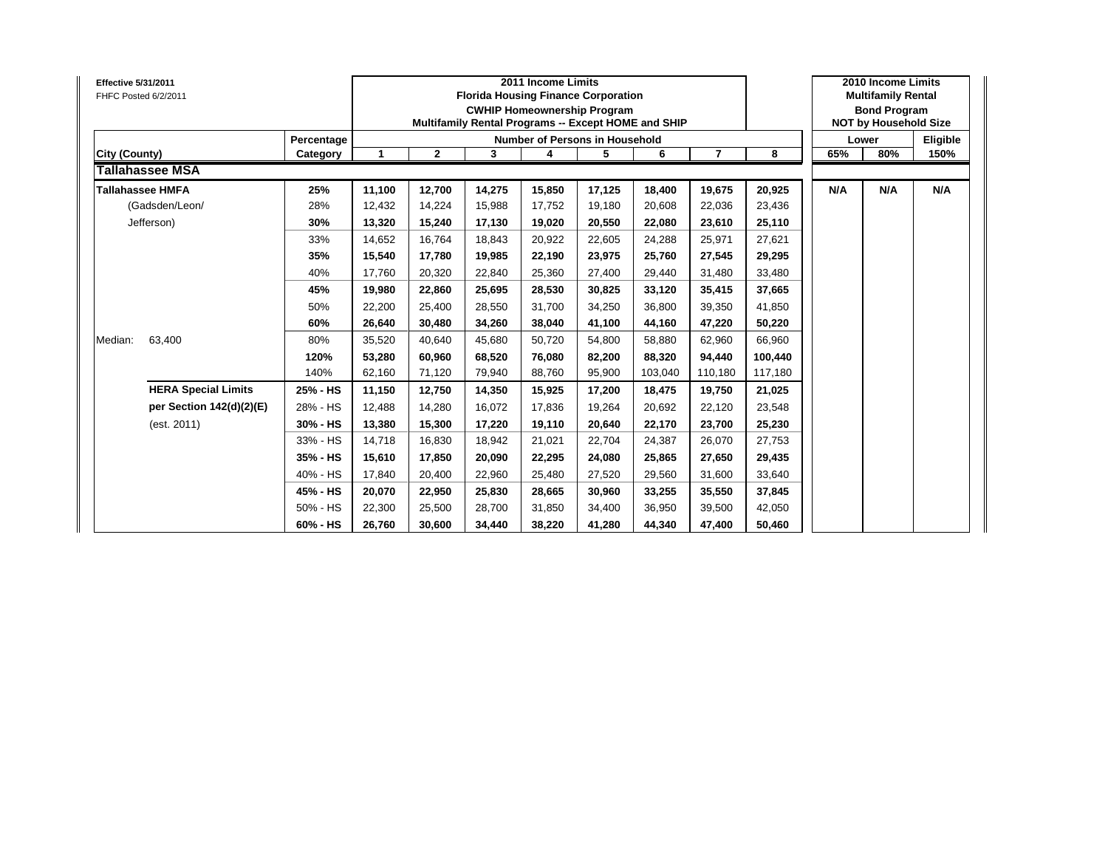| <b>Effective 5/31/2011</b><br>FHFC Posted 6/2/2011 |            |        |              | <b>Florida Housing Finance Corporation</b> | 2011 Income Limits<br><b>CWHIP Homeownership Program</b> |        | Multifamily Rental Programs -- Except HOME and SHIP |         |         |     | 2010 Income Limits<br><b>Multifamily Rental</b><br><b>Bond Program</b><br><b>NOT by Household Size</b> |          |
|----------------------------------------------------|------------|--------|--------------|--------------------------------------------|----------------------------------------------------------|--------|-----------------------------------------------------|---------|---------|-----|--------------------------------------------------------------------------------------------------------|----------|
|                                                    | Percentage |        |              |                                            | <b>Number of Persons in Household</b>                    |        |                                                     |         |         |     | Lower                                                                                                  | Eligible |
| City (County)                                      | Category   |        | $\mathbf{2}$ | 3                                          | 4                                                        | 5      | 6                                                   |         | 8       | 65% | 80%                                                                                                    | 150%     |
| Tallahassee MSA                                    |            |        |              |                                            |                                                          |        |                                                     |         |         |     |                                                                                                        |          |
| <b>Tallahassee HMFA</b>                            | 25%        | 11,100 | 12,700       | 14,275                                     | 15,850                                                   | 17,125 | 18,400                                              | 19,675  | 20,925  | N/A | N/A                                                                                                    | N/A      |
| (Gadsden/Leon/                                     | 28%        | 12,432 | 14.224       | 15.988                                     | 17,752                                                   | 19,180 | 20.608                                              | 22,036  | 23,436  |     |                                                                                                        |          |
| Jefferson)                                         | 30%        | 13,320 | 15,240       | 17,130                                     | 19,020                                                   | 20,550 | 22,080                                              | 23,610  | 25,110  |     |                                                                                                        |          |
|                                                    | 33%        | 14,652 | 16,764       | 18,843                                     | 20,922                                                   | 22,605 | 24,288                                              | 25,971  | 27,621  |     |                                                                                                        |          |
|                                                    | 35%        | 15,540 | 17,780       | 19.985                                     | 22,190                                                   | 23,975 | 25.760                                              | 27,545  | 29,295  |     |                                                                                                        |          |
|                                                    | 40%        | 17,760 | 20,320       | 22,840                                     | 25,360                                                   | 27,400 | 29,440                                              | 31,480  | 33,480  |     |                                                                                                        |          |
|                                                    | 45%        | 19,980 | 22,860       | 25,695                                     | 28,530                                                   | 30,825 | 33,120                                              | 35,415  | 37,665  |     |                                                                                                        |          |
|                                                    | 50%        | 22,200 | 25,400       | 28,550                                     | 31,700                                                   | 34,250 | 36,800                                              | 39,350  | 41,850  |     |                                                                                                        |          |
|                                                    | 60%        | 26,640 | 30,480       | 34,260                                     | 38,040                                                   | 41,100 | 44,160                                              | 47,220  | 50,220  |     |                                                                                                        |          |
| 63,400<br>Median:                                  | 80%        | 35,520 | 40,640       | 45,680                                     | 50,720                                                   | 54,800 | 58,880                                              | 62,960  | 66,960  |     |                                                                                                        |          |
|                                                    | 120%       | 53,280 | 60,960       | 68.520                                     | 76,080                                                   | 82,200 | 88,320                                              | 94,440  | 100,440 |     |                                                                                                        |          |
|                                                    | 140%       | 62,160 | 71,120       | 79,940                                     | 88,760                                                   | 95,900 | 103,040                                             | 110,180 | 117,180 |     |                                                                                                        |          |
| <b>HERA Special Limits</b>                         | 25% - HS   | 11,150 | 12,750       | 14,350                                     | 15,925                                                   | 17,200 | 18,475                                              | 19,750  | 21,025  |     |                                                                                                        |          |
| per Section 142(d)(2)(E)                           | 28% - HS   | 12,488 | 14,280       | 16.072                                     | 17,836                                                   | 19,264 | 20,692                                              | 22,120  | 23,548  |     |                                                                                                        |          |
| (est. 2011)                                        | 30% - HS   | 13,380 | 15,300       | 17,220                                     | 19,110                                                   | 20,640 | 22,170                                              | 23,700  | 25,230  |     |                                                                                                        |          |
|                                                    | 33% - HS   | 14,718 | 16,830       | 18,942                                     | 21,021                                                   | 22,704 | 24,387                                              | 26,070  | 27,753  |     |                                                                                                        |          |
|                                                    | 35% - HS   | 15,610 | 17,850       | 20,090                                     | 22,295                                                   | 24,080 | 25,865                                              | 27,650  | 29,435  |     |                                                                                                        |          |
|                                                    | 40% - HS   | 17,840 | 20,400       | 22,960                                     | 25,480                                                   | 27,520 | 29,560                                              | 31,600  | 33,640  |     |                                                                                                        |          |
|                                                    | 45% - HS   | 20,070 | 22,950       | 25,830                                     | 28,665                                                   | 30,960 | 33,255                                              | 35,550  | 37,845  |     |                                                                                                        |          |
|                                                    | 50% - HS   | 22,300 | 25,500       | 28,700                                     | 31,850                                                   | 34,400 | 36,950                                              | 39,500  | 42,050  |     |                                                                                                        |          |
|                                                    | 60% - HS   | 26,760 | 30,600       | 34,440                                     | 38,220                                                   | 41,280 | 44,340                                              | 47,400  | 50,460  |     |                                                                                                        |          |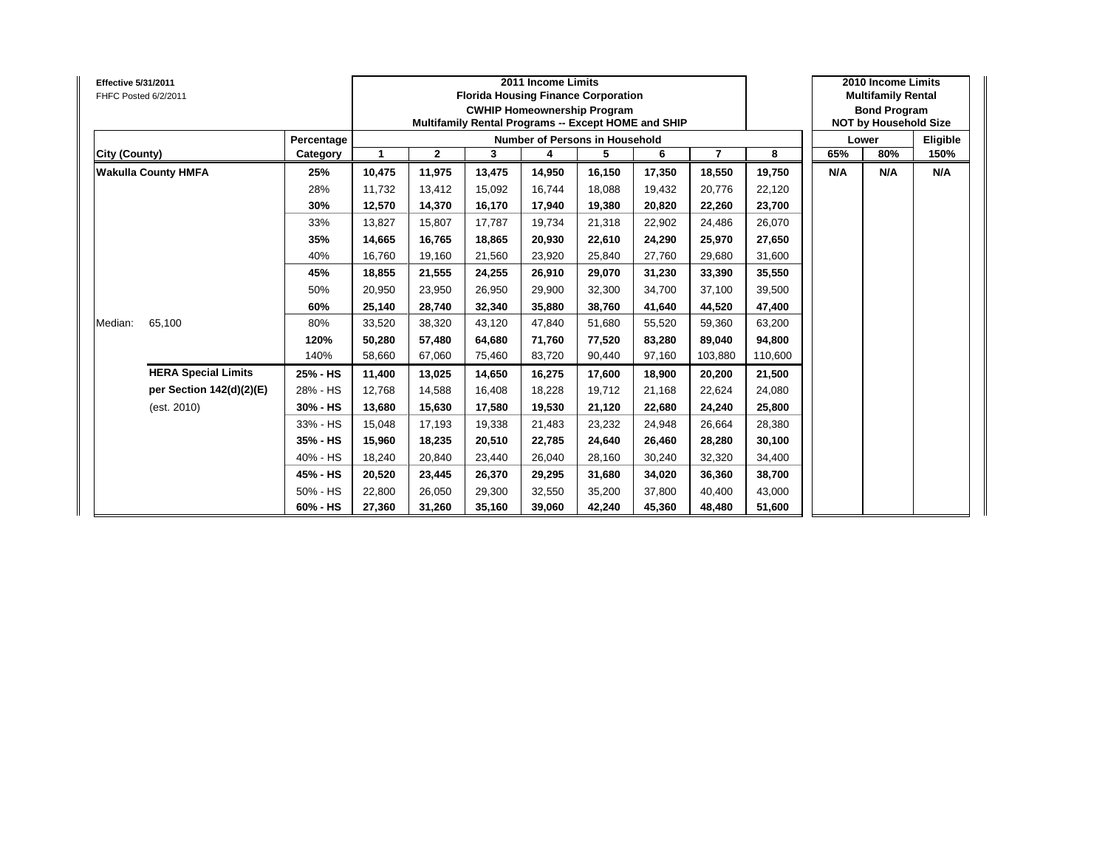| <b>Effective 5/31/2011</b><br>FHFC Posted 6/2/2011 |                            |            |              |              |        | 2011 Income Limits<br><b>Florida Housing Finance Corporation</b><br><b>CWHIP Homeownership Program</b><br>Multifamily Rental Programs -- Except HOME and SHIP |        |        |                |         |     | 2010 Income Limits<br><b>Multifamily Rental</b><br><b>Bond Program</b><br><b>NOT by Household Size</b> |          |
|----------------------------------------------------|----------------------------|------------|--------------|--------------|--------|---------------------------------------------------------------------------------------------------------------------------------------------------------------|--------|--------|----------------|---------|-----|--------------------------------------------------------------------------------------------------------|----------|
|                                                    |                            | Percentage |              |              |        | <b>Number of Persons in Household</b>                                                                                                                         |        |        |                |         |     | Lower                                                                                                  | Eligible |
| <b>City (County)</b>                               |                            | Category   | $\mathbf{1}$ | $\mathbf{2}$ | 3      | 4                                                                                                                                                             | 5      | 6      | $\overline{7}$ | 8       | 65% | 80%                                                                                                    | 150%     |
|                                                    | <b>Wakulla County HMFA</b> | 25%        | 10,475       | 11,975       | 13,475 | 14,950                                                                                                                                                        | 16,150 | 17,350 | 18,550         | 19,750  | N/A | N/A                                                                                                    | N/A      |
|                                                    |                            | 28%        | 11.732       | 13,412       | 15.092 | 16.744                                                                                                                                                        | 18,088 | 19.432 | 20,776         | 22,120  |     |                                                                                                        |          |
|                                                    |                            | 30%        | 12,570       | 14,370       | 16,170 | 17,940                                                                                                                                                        | 19,380 | 20,820 | 22,260         | 23,700  |     |                                                                                                        |          |
|                                                    |                            | 33%        | 13,827       | 15,807       | 17,787 | 19,734                                                                                                                                                        | 21,318 | 22,902 | 24,486         | 26,070  |     |                                                                                                        |          |
|                                                    |                            | 35%        | 14,665       | 16,765       | 18,865 | 20,930                                                                                                                                                        | 22,610 | 24,290 | 25,970         | 27,650  |     |                                                                                                        |          |
|                                                    |                            | 40%        | 16,760       | 19,160       | 21,560 | 23,920                                                                                                                                                        | 25,840 | 27,760 | 29,680         | 31,600  |     |                                                                                                        |          |
|                                                    |                            | 45%        | 18,855       | 21,555       | 24,255 | 26,910                                                                                                                                                        | 29,070 | 31,230 | 33,390         | 35,550  |     |                                                                                                        |          |
|                                                    |                            | 50%        | 20,950       | 23,950       | 26.950 | 29,900                                                                                                                                                        | 32,300 | 34.700 | 37,100         | 39,500  |     |                                                                                                        |          |
|                                                    |                            | 60%        | 25,140       | 28,740       | 32,340 | 35,880                                                                                                                                                        | 38,760 | 41,640 | 44,520         | 47,400  |     |                                                                                                        |          |
| Median:                                            | 65,100                     | 80%        | 33,520       | 38,320       | 43,120 | 47,840                                                                                                                                                        | 51,680 | 55,520 | 59,360         | 63,200  |     |                                                                                                        |          |
|                                                    |                            | 120%       | 50,280       | 57,480       | 64,680 | 71,760                                                                                                                                                        | 77,520 | 83,280 | 89,040         | 94,800  |     |                                                                                                        |          |
|                                                    |                            | 140%       | 58,660       | 67,060       | 75,460 | 83,720                                                                                                                                                        | 90,440 | 97,160 | 103,880        | 110,600 |     |                                                                                                        |          |
|                                                    | <b>HERA Special Limits</b> | 25% - HS   | 11,400       | 13,025       | 14,650 | 16,275                                                                                                                                                        | 17,600 | 18,900 | 20,200         | 21,500  |     |                                                                                                        |          |
|                                                    | per Section 142(d)(2)(E)   | 28% - HS   | 12,768       | 14,588       | 16,408 | 18,228                                                                                                                                                        | 19,712 | 21,168 | 22,624         | 24,080  |     |                                                                                                        |          |
|                                                    | (est. 2010)                | 30% - HS   | 13,680       | 15,630       | 17,580 | 19,530                                                                                                                                                        | 21,120 | 22,680 | 24,240         | 25,800  |     |                                                                                                        |          |
|                                                    |                            | 33% - HS   | 15,048       | 17,193       | 19,338 | 21,483                                                                                                                                                        | 23,232 | 24,948 | 26,664         | 28,380  |     |                                                                                                        |          |
|                                                    |                            | 35% - HS   | 15,960       | 18,235       | 20,510 | 22,785                                                                                                                                                        | 24,640 | 26,460 | 28,280         | 30,100  |     |                                                                                                        |          |
|                                                    |                            | 40% - HS   | 18,240       | 20,840       | 23,440 | 26,040                                                                                                                                                        | 28,160 | 30,240 | 32,320         | 34,400  |     |                                                                                                        |          |
|                                                    |                            | 45% - HS   | 20,520       | 23,445       | 26,370 | 29,295                                                                                                                                                        | 31,680 | 34,020 | 36,360         | 38,700  |     |                                                                                                        |          |
|                                                    |                            | 50% - HS   | 22,800       | 26,050       | 29,300 | 32,550                                                                                                                                                        | 35,200 | 37,800 | 40,400         | 43,000  |     |                                                                                                        |          |
|                                                    |                            | 60% - HS   | 27,360       | 31,260       | 35,160 | 39,060                                                                                                                                                        | 42,240 | 45,360 | 48,480         | 51,600  |     |                                                                                                        |          |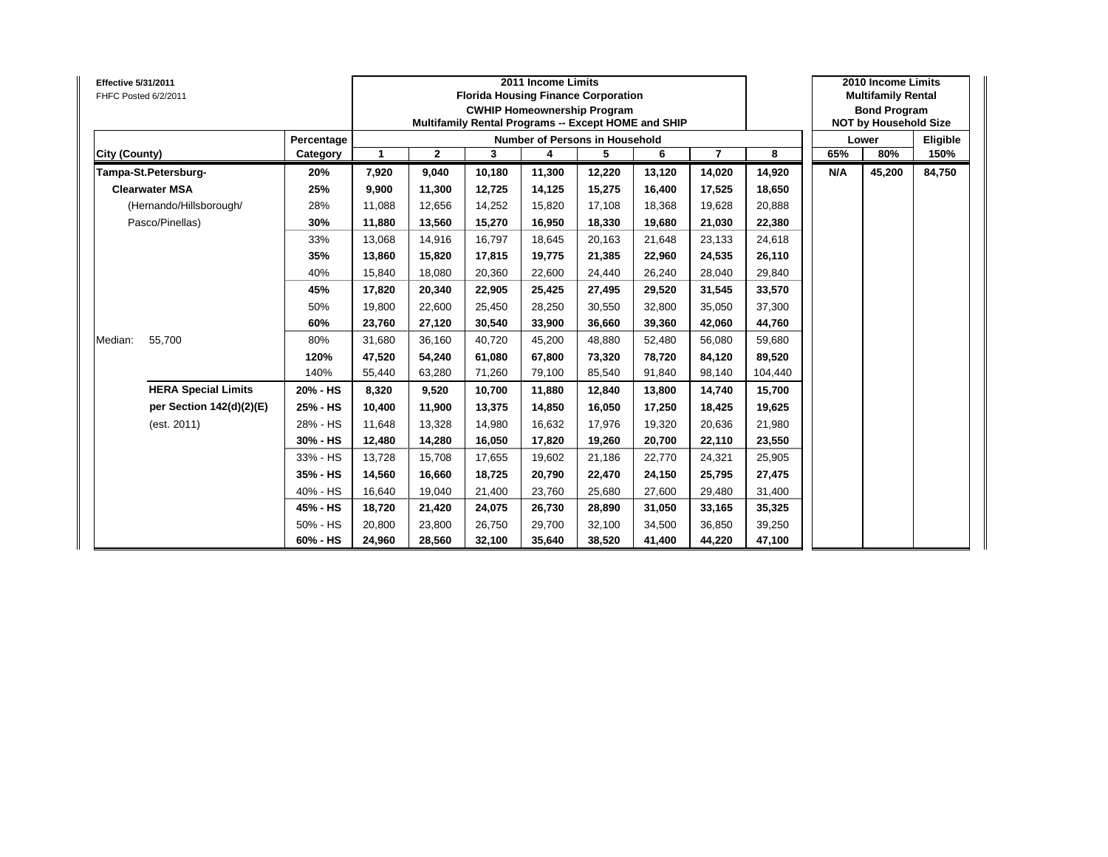| <b>Effective 5/31/2011</b><br>FHFC Posted 6/2/2011 |            |                      |              | <b>Florida Housing Finance Corporation</b><br>Multifamily Rental Programs -- Except HOME and SHIP | 2011 Income Limits<br><b>CWHIP Homeownership Program</b> |        |        |                |         |     | 2010 Income Limits<br><b>Multifamily Rental</b><br><b>Bond Program</b><br><b>NOT by Household Size</b> |          |
|----------------------------------------------------|------------|----------------------|--------------|---------------------------------------------------------------------------------------------------|----------------------------------------------------------|--------|--------|----------------|---------|-----|--------------------------------------------------------------------------------------------------------|----------|
|                                                    | Percentage |                      |              |                                                                                                   | <b>Number of Persons in Household</b>                    |        |        |                |         |     | Lower                                                                                                  | Eligible |
| City (County)                                      | Category   | $\blacktriangleleft$ | $\mathbf{2}$ | 3                                                                                                 | 4                                                        | 5      | 6      | $\overline{7}$ | 8       | 65% | 80%                                                                                                    | 150%     |
| Tampa-St.Petersburg-                               | 20%        | 7,920                | 9,040        | 10.180                                                                                            | 11,300                                                   | 12,220 | 13.120 | 14,020         | 14,920  | N/A | 45,200                                                                                                 | 84,750   |
| <b>Clearwater MSA</b>                              | 25%        | 9,900                | 11,300       | 12,725                                                                                            | 14,125                                                   | 15,275 | 16,400 | 17,525         | 18,650  |     |                                                                                                        |          |
| (Hernando/Hillsborough/                            | 28%        | 11,088               | 12,656       | 14,252                                                                                            | 15,820                                                   | 17,108 | 18,368 | 19,628         | 20,888  |     |                                                                                                        |          |
| Pasco/Pinellas)                                    | 30%        | 11,880               | 13,560       | 15,270                                                                                            | 16,950                                                   | 18,330 | 19,680 | 21,030         | 22,380  |     |                                                                                                        |          |
|                                                    | 33%        | 13,068               | 14,916       | 16,797                                                                                            | 18,645                                                   | 20,163 | 21,648 | 23,133         | 24,618  |     |                                                                                                        |          |
|                                                    | 35%        | 13,860               | 15,820       | 17,815                                                                                            | 19,775                                                   | 21,385 | 22,960 | 24,535         | 26,110  |     |                                                                                                        |          |
|                                                    | 40%        | 15,840               | 18,080       | 20,360                                                                                            | 22,600                                                   | 24,440 | 26,240 | 28,040         | 29,840  |     |                                                                                                        |          |
|                                                    | 45%        | 17,820               | 20,340       | 22,905                                                                                            | 25,425                                                   | 27,495 | 29,520 | 31,545         | 33,570  |     |                                                                                                        |          |
|                                                    | 50%        | 19,800               | 22,600       | 25,450                                                                                            | 28,250                                                   | 30,550 | 32,800 | 35,050         | 37,300  |     |                                                                                                        |          |
|                                                    | 60%        | 23,760               | 27,120       | 30,540                                                                                            | 33,900                                                   | 36,660 | 39,360 | 42,060         | 44,760  |     |                                                                                                        |          |
| 55,700<br>Median:                                  | 80%        | 31,680               | 36,160       | 40,720                                                                                            | 45,200                                                   | 48,880 | 52,480 | 56,080         | 59,680  |     |                                                                                                        |          |
|                                                    | 120%       | 47,520               | 54,240       | 61.080                                                                                            | 67,800                                                   | 73,320 | 78,720 | 84,120         | 89,520  |     |                                                                                                        |          |
|                                                    | 140%       | 55,440               | 63,280       | 71,260                                                                                            | 79,100                                                   | 85,540 | 91,840 | 98,140         | 104,440 |     |                                                                                                        |          |
| <b>HERA Special Limits</b>                         | 20% - HS   | 8,320                | 9,520        | 10.700                                                                                            | 11,880                                                   | 12,840 | 13,800 | 14,740         | 15,700  |     |                                                                                                        |          |
| per Section 142(d)(2)(E)                           | 25% - HS   | 10,400               | 11,900       | 13,375                                                                                            | 14,850                                                   | 16,050 | 17,250 | 18,425         | 19,625  |     |                                                                                                        |          |
| (est. 2011)                                        | 28% - HS   | 11,648               | 13,328       | 14,980                                                                                            | 16,632                                                   | 17,976 | 19,320 | 20,636         | 21,980  |     |                                                                                                        |          |
|                                                    | 30% - HS   | 12,480               | 14,280       | 16,050                                                                                            | 17,820                                                   | 19,260 | 20,700 | 22,110         | 23,550  |     |                                                                                                        |          |
|                                                    | 33% - HS   | 13,728               | 15,708       | 17,655                                                                                            | 19,602                                                   | 21,186 | 22,770 | 24,321         | 25,905  |     |                                                                                                        |          |
|                                                    | 35% - HS   | 14,560               | 16,660       | 18,725                                                                                            | 20,790                                                   | 22,470 | 24,150 | 25,795         | 27,475  |     |                                                                                                        |          |
|                                                    | 40% - HS   | 16,640               | 19,040       | 21,400                                                                                            | 23,760                                                   | 25,680 | 27,600 | 29,480         | 31,400  |     |                                                                                                        |          |
|                                                    | 45% - HS   | 18,720               | 21,420       | 24,075                                                                                            | 26,730                                                   | 28,890 | 31,050 | 33,165         | 35,325  |     |                                                                                                        |          |
|                                                    | 50% - HS   | 20,800               | 23,800       | 26,750                                                                                            | 29,700                                                   | 32,100 | 34,500 | 36,850         | 39,250  |     |                                                                                                        |          |
|                                                    | 60% - HS   | 24,960               | 28,560       | 32,100                                                                                            | 35,640                                                   | 38,520 | 41,400 | 44,220         | 47,100  |     |                                                                                                        |          |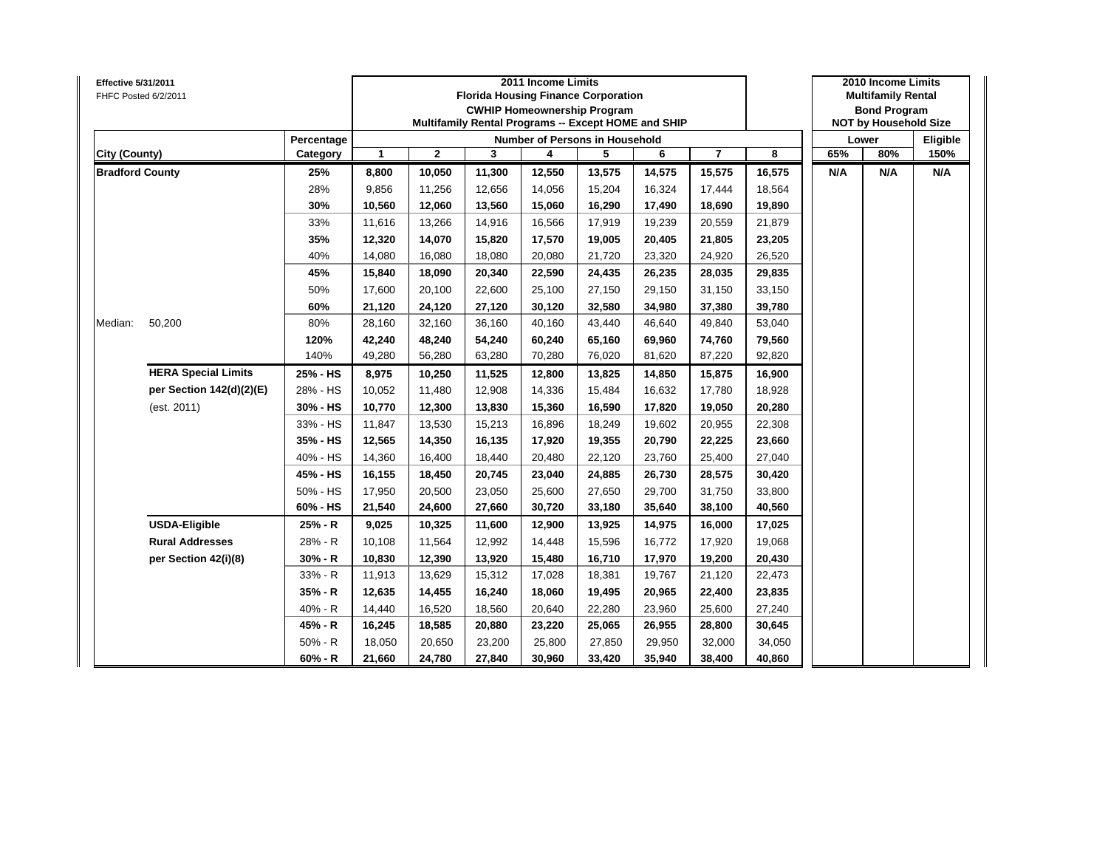| <b>Effective 5/31/2011</b> | FHFC Posted 6/2/2011       |            |        |              |        | 2011 Income Limits | <b>Florida Housing Finance Corporation</b><br><b>CWHIP Homeownership Program</b><br>Multifamily Rental Programs -- Except HOME and SHIP |        |                |        |     | 2010 Income Limits<br><b>Multifamily Rental</b><br><b>Bond Program</b><br><b>NOT by Household Size</b> |          |
|----------------------------|----------------------------|------------|--------|--------------|--------|--------------------|-----------------------------------------------------------------------------------------------------------------------------------------|--------|----------------|--------|-----|--------------------------------------------------------------------------------------------------------|----------|
|                            |                            | Percentage |        |              |        |                    | Number of Persons in Household                                                                                                          |        |                |        |     | Lower                                                                                                  | Eligible |
| City (County)              |                            | Category   | 1      | $\mathbf{2}$ | 3      | 4                  | 5                                                                                                                                       | 6      | $\overline{7}$ | 8      | 65% | 80%                                                                                                    | 150%     |
| <b>Bradford County</b>     |                            | 25%        | 8,800  | 10,050       | 11,300 | 12,550             | 13,575                                                                                                                                  | 14,575 | 15,575         | 16,575 | N/A | N/A                                                                                                    | N/A      |
|                            |                            | 28%        | 9,856  | 11,256       | 12,656 | 14,056             | 15,204                                                                                                                                  | 16,324 | 17,444         | 18,564 |     |                                                                                                        |          |
|                            |                            | 30%        | 10,560 | 12,060       | 13,560 | 15,060             | 16,290                                                                                                                                  | 17,490 | 18,690         | 19,890 |     |                                                                                                        |          |
|                            |                            | 33%        | 11,616 | 13,266       | 14,916 | 16,566             | 17,919                                                                                                                                  | 19,239 | 20,559         | 21,879 |     |                                                                                                        |          |
|                            |                            | 35%        | 12,320 | 14,070       | 15,820 | 17,570             | 19,005                                                                                                                                  | 20,405 | 21,805         | 23,205 |     |                                                                                                        |          |
|                            |                            | 40%        | 14,080 | 16,080       | 18,080 | 20,080             | 21,720                                                                                                                                  | 23,320 | 24,920         | 26,520 |     |                                                                                                        |          |
|                            |                            | 45%        | 15,840 | 18,090       | 20,340 | 22,590             | 24,435                                                                                                                                  | 26,235 | 28,035         | 29,835 |     |                                                                                                        |          |
|                            |                            | 50%        | 17,600 | 20,100       | 22,600 | 25,100             | 27,150                                                                                                                                  | 29,150 | 31,150         | 33,150 |     |                                                                                                        |          |
|                            |                            | 60%        | 21,120 | 24,120       | 27,120 | 30,120             | 32,580                                                                                                                                  | 34,980 | 37,380         | 39,780 |     |                                                                                                        |          |
| Median:                    | 50,200                     | 80%        | 28,160 | 32,160       | 36,160 | 40,160             | 43,440                                                                                                                                  | 46,640 | 49,840         | 53,040 |     |                                                                                                        |          |
|                            |                            | 120%       | 42,240 | 48,240       | 54,240 | 60,240             | 65,160                                                                                                                                  | 69,960 | 74,760         | 79,560 |     |                                                                                                        |          |
|                            |                            | 140%       | 49,280 | 56,280       | 63,280 | 70,280             | 76,020                                                                                                                                  | 81,620 | 87,220         | 92,820 |     |                                                                                                        |          |
|                            | <b>HERA Special Limits</b> | 25% - HS   | 8,975  | 10,250       | 11,525 | 12,800             | 13,825                                                                                                                                  | 14,850 | 15,875         | 16,900 |     |                                                                                                        |          |
|                            | per Section 142(d)(2)(E)   | 28% - HS   | 10,052 | 11,480       | 12,908 | 14,336             | 15,484                                                                                                                                  | 16,632 | 17,780         | 18,928 |     |                                                                                                        |          |
|                            | (est. 2011)                | 30% - HS   | 10,770 | 12,300       | 13,830 | 15,360             | 16,590                                                                                                                                  | 17,820 | 19,050         | 20,280 |     |                                                                                                        |          |
|                            |                            | 33% - HS   | 11,847 | 13,530       | 15,213 | 16,896             | 18,249                                                                                                                                  | 19,602 | 20,955         | 22,308 |     |                                                                                                        |          |
|                            |                            | 35% - HS   | 12,565 | 14,350       | 16,135 | 17,920             | 19,355                                                                                                                                  | 20,790 | 22,225         | 23,660 |     |                                                                                                        |          |
|                            |                            | 40% - HS   | 14,360 | 16,400       | 18,440 | 20,480             | 22,120                                                                                                                                  | 23,760 | 25,400         | 27,040 |     |                                                                                                        |          |
|                            |                            | 45% - HS   | 16,155 | 18,450       | 20,745 | 23,040             | 24,885                                                                                                                                  | 26,730 | 28,575         | 30,420 |     |                                                                                                        |          |
|                            |                            | 50% - HS   | 17,950 | 20,500       | 23,050 | 25,600             | 27,650                                                                                                                                  | 29,700 | 31,750         | 33,800 |     |                                                                                                        |          |
|                            |                            | 60% - HS   | 21,540 | 24,600       | 27,660 | 30,720             | 33,180                                                                                                                                  | 35,640 | 38,100         | 40,560 |     |                                                                                                        |          |
|                            | <b>USDA-Eligible</b>       | 25% - R    | 9,025  | 10,325       | 11,600 | 12,900             | 13,925                                                                                                                                  | 14,975 | 16,000         | 17,025 |     |                                                                                                        |          |
|                            | <b>Rural Addresses</b>     | 28% - R    | 10,108 | 11,564       | 12,992 | 14,448             | 15,596                                                                                                                                  | 16,772 | 17,920         | 19,068 |     |                                                                                                        |          |
|                            | per Section 42(i)(8)       | $30% - R$  | 10,830 | 12,390       | 13,920 | 15,480             | 16,710                                                                                                                                  | 17,970 | 19,200         | 20,430 |     |                                                                                                        |          |
|                            |                            | 33% - R    | 11,913 | 13,629       | 15,312 | 17,028             | 18,381                                                                                                                                  | 19,767 | 21,120         | 22,473 |     |                                                                                                        |          |
|                            |                            | $35% - R$  | 12,635 | 14,455       | 16,240 | 18,060             | 19,495                                                                                                                                  | 20,965 | 22,400         | 23,835 |     |                                                                                                        |          |
|                            |                            | 40% - R    | 14,440 | 16,520       | 18,560 | 20,640             | 22,280                                                                                                                                  | 23,960 | 25,600         | 27,240 |     |                                                                                                        |          |
|                            |                            | 45% - R    | 16,245 | 18,585       | 20,880 | 23,220             | 25,065                                                                                                                                  | 26,955 | 28,800         | 30,645 |     |                                                                                                        |          |
|                            |                            | $50% - R$  | 18,050 | 20,650       | 23,200 | 25,800             | 27,850                                                                                                                                  | 29,950 | 32,000         | 34,050 |     |                                                                                                        |          |
|                            |                            | $60% - R$  | 21,660 | 24,780       | 27,840 | 30,960             | 33,420                                                                                                                                  | 35,940 | 38,400         | 40,860 |     |                                                                                                        |          |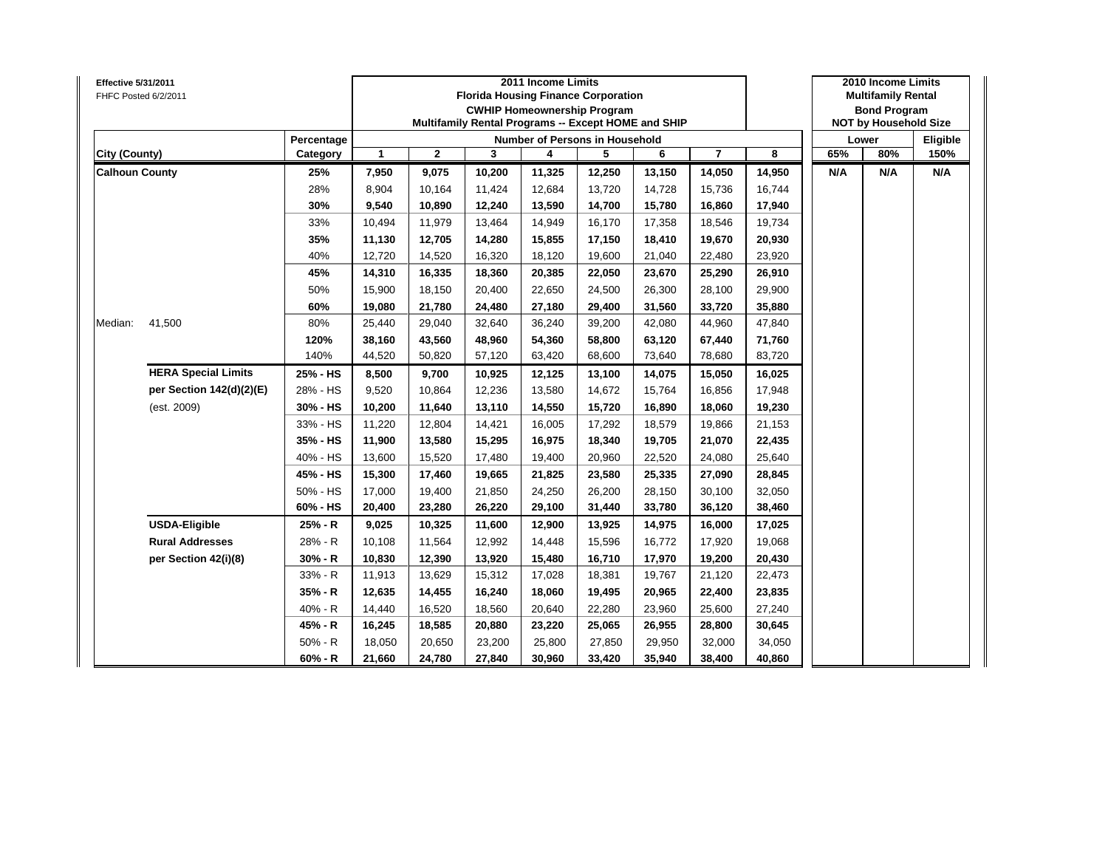| Effective 5/31/2011   | FHFC Posted 6/2/2011       |            |              |              |        | 2011 Income Limits | <b>Florida Housing Finance Corporation</b><br><b>CWHIP Homeownership Program</b><br>Multifamily Rental Programs -- Except HOME and SHIP |        |                         |        |     | 2010 Income Limits<br><b>Multifamily Rental</b><br><b>Bond Program</b><br><b>NOT by Household Size</b> |          |
|-----------------------|----------------------------|------------|--------------|--------------|--------|--------------------|-----------------------------------------------------------------------------------------------------------------------------------------|--------|-------------------------|--------|-----|--------------------------------------------------------------------------------------------------------|----------|
|                       |                            | Percentage |              |              |        |                    | <b>Number of Persons in Household</b>                                                                                                   |        |                         |        |     | Lower                                                                                                  | Eligible |
| City (County)         |                            | Category   | $\mathbf{1}$ | $\mathbf{2}$ | 3      | 4                  | 5                                                                                                                                       | 6      | $\overline{\mathbf{r}}$ | 8      | 65% | 80%                                                                                                    | 150%     |
| <b>Calhoun County</b> |                            | 25%        | 7,950        | 9,075        | 10,200 | 11,325             | 12,250                                                                                                                                  | 13,150 | 14,050                  | 14,950 | N/A | N/A                                                                                                    | N/A      |
|                       |                            | 28%        | 8,904        | 10,164       | 11,424 | 12,684             | 13,720                                                                                                                                  | 14,728 | 15,736                  | 16,744 |     |                                                                                                        |          |
|                       |                            | 30%        | 9,540        | 10,890       | 12,240 | 13,590             | 14,700                                                                                                                                  | 15,780 | 16,860                  | 17,940 |     |                                                                                                        |          |
|                       |                            | 33%        | 10,494       | 11,979       | 13,464 | 14,949             | 16,170                                                                                                                                  | 17,358 | 18,546                  | 19,734 |     |                                                                                                        |          |
|                       |                            | 35%        | 11,130       | 12,705       | 14,280 | 15,855             | 17,150                                                                                                                                  | 18,410 | 19,670                  | 20,930 |     |                                                                                                        |          |
|                       |                            | 40%        | 12,720       | 14,520       | 16,320 | 18,120             | 19,600                                                                                                                                  | 21,040 | 22,480                  | 23,920 |     |                                                                                                        |          |
|                       |                            | 45%        | 14,310       | 16,335       | 18,360 | 20,385             | 22,050                                                                                                                                  | 23,670 | 25,290                  | 26,910 |     |                                                                                                        |          |
|                       |                            | 50%        | 15,900       | 18,150       | 20,400 | 22,650             | 24,500                                                                                                                                  | 26,300 | 28,100                  | 29,900 |     |                                                                                                        |          |
|                       |                            | 60%        | 19,080       | 21,780       | 24,480 | 27,180             | 29,400                                                                                                                                  | 31,560 | 33,720                  | 35,880 |     |                                                                                                        |          |
| Median:               | 41,500                     | 80%        | 25,440       | 29,040       | 32,640 | 36,240             | 39,200                                                                                                                                  | 42,080 | 44,960                  | 47,840 |     |                                                                                                        |          |
|                       |                            | 120%       | 38,160       | 43,560       | 48,960 | 54,360             | 58,800                                                                                                                                  | 63,120 | 67,440                  | 71,760 |     |                                                                                                        |          |
|                       |                            | 140%       | 44,520       | 50,820       | 57,120 | 63,420             | 68,600                                                                                                                                  | 73,640 | 78,680                  | 83,720 |     |                                                                                                        |          |
|                       | <b>HERA Special Limits</b> | 25% - HS   | 8,500        | 9,700        | 10,925 | 12,125             | 13,100                                                                                                                                  | 14,075 | 15,050                  | 16,025 |     |                                                                                                        |          |
|                       | per Section 142(d)(2)(E)   | 28% - HS   | 9,520        | 10,864       | 12,236 | 13,580             | 14,672                                                                                                                                  | 15,764 | 16,856                  | 17,948 |     |                                                                                                        |          |
|                       | (est. 2009)                | 30% - HS   | 10,200       | 11,640       | 13,110 | 14,550             | 15,720                                                                                                                                  | 16,890 | 18,060                  | 19,230 |     |                                                                                                        |          |
|                       |                            | 33% - HS   | 11,220       | 12,804       | 14,421 | 16,005             | 17,292                                                                                                                                  | 18,579 | 19,866                  | 21,153 |     |                                                                                                        |          |
|                       |                            | 35% - HS   | 11,900       | 13,580       | 15,295 | 16,975             | 18,340                                                                                                                                  | 19,705 | 21,070                  | 22,435 |     |                                                                                                        |          |
|                       |                            | 40% - HS   | 13,600       | 15,520       | 17,480 | 19,400             | 20,960                                                                                                                                  | 22,520 | 24,080                  | 25,640 |     |                                                                                                        |          |
|                       |                            | 45% - HS   | 15,300       | 17,460       | 19,665 | 21,825             | 23,580                                                                                                                                  | 25,335 | 27,090                  | 28,845 |     |                                                                                                        |          |
|                       |                            | 50% - HS   | 17,000       | 19,400       | 21,850 | 24,250             | 26,200                                                                                                                                  | 28,150 | 30,100                  | 32,050 |     |                                                                                                        |          |
|                       |                            | 60% - HS   | 20,400       | 23,280       | 26,220 | 29,100             | 31,440                                                                                                                                  | 33,780 | 36,120                  | 38,460 |     |                                                                                                        |          |
|                       | <b>USDA-Eligible</b>       | 25% - R    | 9,025        | 10,325       | 11,600 | 12,900             | 13,925                                                                                                                                  | 14,975 | 16,000                  | 17,025 |     |                                                                                                        |          |
|                       | <b>Rural Addresses</b>     | 28% - R    | 10,108       | 11,564       | 12,992 | 14,448             | 15,596                                                                                                                                  | 16,772 | 17,920                  | 19,068 |     |                                                                                                        |          |
|                       | per Section 42(i)(8)       | $30% - R$  | 10,830       | 12,390       | 13,920 | 15,480             | 16,710                                                                                                                                  | 17,970 | 19,200                  | 20,430 |     |                                                                                                        |          |
|                       |                            | 33% - R    | 11,913       | 13,629       | 15,312 | 17,028             | 18,381                                                                                                                                  | 19,767 | 21,120                  | 22,473 |     |                                                                                                        |          |
|                       |                            | 35% - R    | 12,635       | 14,455       | 16,240 | 18,060             | 19,495                                                                                                                                  | 20,965 | 22,400                  | 23,835 |     |                                                                                                        |          |
|                       |                            | 40% - R    | 14,440       | 16,520       | 18,560 | 20,640             | 22,280                                                                                                                                  | 23,960 | 25,600                  | 27,240 |     |                                                                                                        |          |
|                       |                            | 45% - R    | 16,245       | 18,585       | 20,880 | 23,220             | 25,065                                                                                                                                  | 26,955 | 28,800                  | 30,645 |     |                                                                                                        |          |
|                       |                            | $50% - R$  | 18,050       | 20,650       | 23,200 | 25,800             | 27,850                                                                                                                                  | 29,950 | 32,000                  | 34,050 |     |                                                                                                        |          |
|                       |                            | $60% - R$  | 21,660       | 24,780       | 27,840 | 30,960             | 33,420                                                                                                                                  | 35,940 | 38,400                  | 40,860 |     |                                                                                                        |          |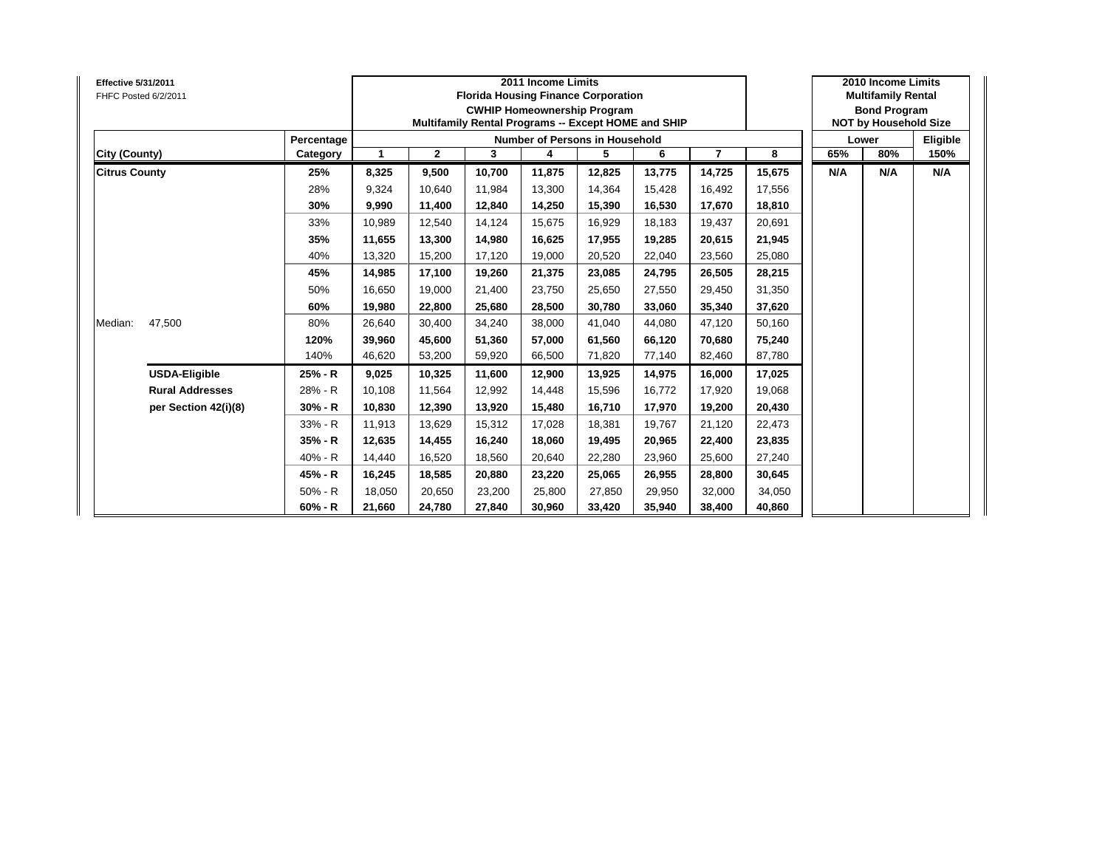| <b>Effective 5/31/2011</b><br>FHFC Posted 6/2/2011 |            |              |              |        | 2011 Income Limits | <b>Florida Housing Finance Corporation</b><br><b>CWHIP Homeownership Program</b><br>Multifamily Rental Programs -- Except HOME and SHIP |        |                |        |     | 2010 Income Limits<br><b>Multifamily Rental</b><br><b>Bond Program</b><br><b>NOT by Household Size</b> |          |
|----------------------------------------------------|------------|--------------|--------------|--------|--------------------|-----------------------------------------------------------------------------------------------------------------------------------------|--------|----------------|--------|-----|--------------------------------------------------------------------------------------------------------|----------|
|                                                    | Percentage |              |              |        |                    | <b>Number of Persons in Household</b>                                                                                                   |        |                |        |     | Lower                                                                                                  | Eligible |
| City (County)                                      | Category   | $\mathbf{1}$ | $\mathbf{2}$ | 3      | 4                  | 5                                                                                                                                       | 6      | $\overline{7}$ | 8      | 65% | 80%                                                                                                    | 150%     |
| <b>Citrus County</b>                               | 25%        | 8,325        | 9,500        | 10.700 | 11,875             | 12,825                                                                                                                                  | 13,775 | 14,725         | 15,675 | N/A | N/A                                                                                                    | N/A      |
|                                                    | 28%        | 9,324        | 10,640       | 11.984 | 13,300             | 14,364                                                                                                                                  | 15,428 | 16,492         | 17,556 |     |                                                                                                        |          |
|                                                    | 30%        | 9,990        | 11,400       | 12,840 | 14,250             | 15,390                                                                                                                                  | 16,530 | 17,670         | 18,810 |     |                                                                                                        |          |
|                                                    | 33%        | 10,989       | 12,540       | 14,124 | 15,675             | 16,929                                                                                                                                  | 18,183 | 19,437         | 20,691 |     |                                                                                                        |          |
|                                                    | 35%        | 11,655       | 13,300       | 14.980 | 16,625             | 17,955                                                                                                                                  | 19,285 | 20,615         | 21,945 |     |                                                                                                        |          |
|                                                    | 40%        | 13,320       | 15,200       | 17,120 | 19,000             | 20,520                                                                                                                                  | 22,040 | 23,560         | 25,080 |     |                                                                                                        |          |
|                                                    | 45%        | 14,985       | 17,100       | 19.260 | 21,375             | 23,085                                                                                                                                  | 24,795 | 26,505         | 28,215 |     |                                                                                                        |          |
|                                                    | 50%        | 16,650       | 19,000       | 21,400 | 23,750             | 25,650                                                                                                                                  | 27,550 | 29,450         | 31,350 |     |                                                                                                        |          |
|                                                    | 60%        | 19,980       | 22,800       | 25.680 | 28,500             | 30,780                                                                                                                                  | 33,060 | 35,340         | 37,620 |     |                                                                                                        |          |
| 47,500<br>Median:                                  | 80%        | 26,640       | 30,400       | 34.240 | 38,000             | 41,040                                                                                                                                  | 44,080 | 47,120         | 50,160 |     |                                                                                                        |          |
|                                                    | 120%       | 39,960       | 45,600       | 51,360 | 57,000             | 61,560                                                                                                                                  | 66,120 | 70,680         | 75,240 |     |                                                                                                        |          |
|                                                    | 140%       | 46,620       | 53,200       | 59.920 | 66,500             | 71,820                                                                                                                                  | 77,140 | 82,460         | 87,780 |     |                                                                                                        |          |
| <b>USDA-Eligible</b>                               | 25% - R    | 9,025        | 10,325       | 11,600 | 12,900             | 13,925                                                                                                                                  | 14,975 | 16,000         | 17,025 |     |                                                                                                        |          |
| <b>Rural Addresses</b>                             | 28% - R    | 10,108       | 11,564       | 12.992 | 14,448             | 15,596                                                                                                                                  | 16,772 | 17,920         | 19,068 |     |                                                                                                        |          |
| per Section 42(i)(8)                               | 30% - R    | 10,830       | 12,390       | 13,920 | 15,480             | 16,710                                                                                                                                  | 17,970 | 19,200         | 20,430 |     |                                                                                                        |          |
|                                                    | 33% - R    | 11,913       | 13,629       | 15.312 | 17,028             | 18,381                                                                                                                                  | 19.767 | 21,120         | 22,473 |     |                                                                                                        |          |
|                                                    | 35% - R    | 12,635       | 14,455       | 16,240 | 18,060             | 19,495                                                                                                                                  | 20,965 | 22,400         | 23,835 |     |                                                                                                        |          |
|                                                    | 40% - R    | 14,440       | 16,520       | 18,560 | 20,640             | 22,280                                                                                                                                  | 23,960 | 25,600         | 27,240 |     |                                                                                                        |          |
|                                                    | 45% - R    | 16,245       | 18,585       | 20.880 | 23,220             | 25,065                                                                                                                                  | 26,955 | 28,800         | 30,645 |     |                                                                                                        |          |
|                                                    | $50% - R$  | 18,050       | 20,650       | 23,200 | 25,800             | 27,850                                                                                                                                  | 29,950 | 32,000         | 34,050 |     |                                                                                                        |          |
|                                                    | $60% - R$  | 21,660       | 24,780       | 27,840 | 30,960             | 33,420                                                                                                                                  | 35,940 | 38,400         | 40,860 |     |                                                                                                        |          |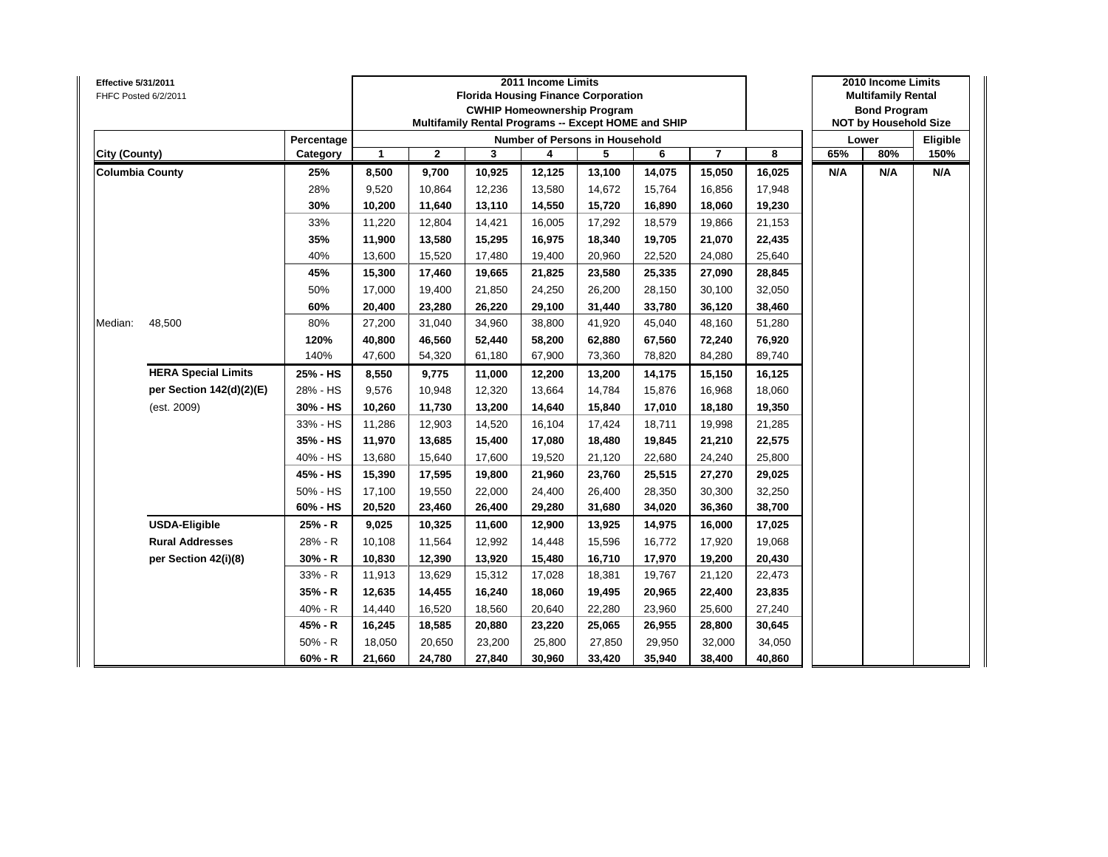| Effective 5/31/2011    | FHFC Posted 6/2/2011       |            |        |              | <b>Florida Housing Finance Corporation</b><br><b>CWHIP Homeownership Program</b><br>Multifamily Rental Programs -- Except HOME and SHIP | 2011 Income Limits |                                       |        |                |        |     | 2010 Income Limits<br><b>Multifamily Rental</b><br><b>Bond Program</b><br><b>NOT by Household Size</b> |          |
|------------------------|----------------------------|------------|--------|--------------|-----------------------------------------------------------------------------------------------------------------------------------------|--------------------|---------------------------------------|--------|----------------|--------|-----|--------------------------------------------------------------------------------------------------------|----------|
|                        |                            | Percentage |        |              |                                                                                                                                         |                    | <b>Number of Persons in Household</b> |        |                |        |     | Lower                                                                                                  | Eligible |
| City (County)          |                            | Category   | 1      | $\mathbf{2}$ | 3                                                                                                                                       | 4                  | 5                                     | 6      | $\overline{7}$ | 8      | 65% | 80%                                                                                                    | 150%     |
| <b>Columbia County</b> |                            | 25%        | 8,500  | 9,700        | 10,925                                                                                                                                  | 12,125             | 13,100                                | 14,075 | 15,050         | 16,025 | N/A | N/A                                                                                                    | N/A      |
|                        |                            | 28%        | 9,520  | 10,864       | 12,236                                                                                                                                  | 13,580             | 14,672                                | 15,764 | 16,856         | 17,948 |     |                                                                                                        |          |
|                        |                            | 30%        | 10,200 | 11,640       | 13,110                                                                                                                                  | 14,550             | 15,720                                | 16,890 | 18,060         | 19,230 |     |                                                                                                        |          |
|                        |                            | 33%        | 11,220 | 12,804       | 14,421                                                                                                                                  | 16,005             | 17,292                                | 18,579 | 19,866         | 21,153 |     |                                                                                                        |          |
|                        |                            | 35%        | 11,900 | 13,580       | 15,295                                                                                                                                  | 16,975             | 18,340                                | 19,705 | 21,070         | 22,435 |     |                                                                                                        |          |
|                        |                            | 40%        | 13,600 | 15,520       | 17,480                                                                                                                                  | 19,400             | 20,960                                | 22,520 | 24,080         | 25,640 |     |                                                                                                        |          |
|                        |                            | 45%        | 15,300 | 17,460       | 19,665                                                                                                                                  | 21,825             | 23,580                                | 25,335 | 27,090         | 28,845 |     |                                                                                                        |          |
|                        |                            | 50%        | 17,000 | 19,400       | 21,850                                                                                                                                  | 24,250             | 26,200                                | 28,150 | 30,100         | 32,050 |     |                                                                                                        |          |
|                        |                            | 60%        | 20,400 | 23,280       | 26,220                                                                                                                                  | 29,100             | 31,440                                | 33,780 | 36,120         | 38,460 |     |                                                                                                        |          |
| Median:                | 48,500                     | 80%        | 27,200 | 31,040       | 34,960                                                                                                                                  | 38,800             | 41,920                                | 45,040 | 48,160         | 51,280 |     |                                                                                                        |          |
|                        |                            | 120%       | 40,800 | 46,560       | 52,440                                                                                                                                  | 58,200             | 62,880                                | 67,560 | 72,240         | 76,920 |     |                                                                                                        |          |
|                        |                            | 140%       | 47,600 | 54,320       | 61,180                                                                                                                                  | 67,900             | 73,360                                | 78,820 | 84,280         | 89,740 |     |                                                                                                        |          |
|                        | <b>HERA Special Limits</b> | 25% - HS   | 8,550  | 9,775        | 11,000                                                                                                                                  | 12,200             | 13,200                                | 14,175 | 15,150         | 16,125 |     |                                                                                                        |          |
|                        | per Section 142(d)(2)(E)   | 28% - HS   | 9,576  | 10,948       | 12,320                                                                                                                                  | 13,664             | 14,784                                | 15,876 | 16,968         | 18,060 |     |                                                                                                        |          |
|                        | (est. 2009)                | 30% - HS   | 10,260 | 11,730       | 13,200                                                                                                                                  | 14,640             | 15,840                                | 17,010 | 18,180         | 19,350 |     |                                                                                                        |          |
|                        |                            | 33% - HS   | 11,286 | 12,903       | 14,520                                                                                                                                  | 16,104             | 17,424                                | 18,711 | 19,998         | 21,285 |     |                                                                                                        |          |
|                        |                            | 35% - HS   | 11,970 | 13,685       | 15,400                                                                                                                                  | 17,080             | 18,480                                | 19,845 | 21,210         | 22,575 |     |                                                                                                        |          |
|                        |                            | 40% - HS   | 13,680 | 15,640       | 17,600                                                                                                                                  | 19,520             | 21,120                                | 22,680 | 24,240         | 25,800 |     |                                                                                                        |          |
|                        |                            | 45% - HS   | 15,390 | 17,595       | 19,800                                                                                                                                  | 21,960             | 23,760                                | 25,515 | 27,270         | 29,025 |     |                                                                                                        |          |
|                        |                            | 50% - HS   | 17,100 | 19,550       | 22,000                                                                                                                                  | 24,400             | 26,400                                | 28,350 | 30,300         | 32,250 |     |                                                                                                        |          |
|                        |                            | 60% - HS   | 20,520 | 23,460       | 26,400                                                                                                                                  | 29,280             | 31,680                                | 34,020 | 36,360         | 38,700 |     |                                                                                                        |          |
|                        | <b>USDA-Eligible</b>       | 25% - R    | 9,025  | 10,325       | 11,600                                                                                                                                  | 12,900             | 13,925                                | 14,975 | 16,000         | 17,025 |     |                                                                                                        |          |
|                        | <b>Rural Addresses</b>     | 28% - R    | 10,108 | 11,564       | 12,992                                                                                                                                  | 14,448             | 15,596                                | 16,772 | 17,920         | 19,068 |     |                                                                                                        |          |
|                        | per Section 42(i)(8)       | 30% - R    | 10,830 | 12,390       | 13,920                                                                                                                                  | 15,480             | 16,710                                | 17,970 | 19,200         | 20,430 |     |                                                                                                        |          |
|                        |                            | 33% - R    | 11,913 | 13,629       | 15,312                                                                                                                                  | 17,028             | 18,381                                | 19,767 | 21,120         | 22,473 |     |                                                                                                        |          |
|                        |                            | 35% - R    | 12,635 | 14,455       | 16,240                                                                                                                                  | 18,060             | 19,495                                | 20,965 | 22,400         | 23,835 |     |                                                                                                        |          |
|                        |                            | 40% - R    | 14,440 | 16,520       | 18,560                                                                                                                                  | 20,640             | 22,280                                | 23,960 | 25,600         | 27,240 |     |                                                                                                        |          |
|                        |                            | 45% - R    | 16,245 | 18,585       | 20,880                                                                                                                                  | 23,220             | 25,065                                | 26,955 | 28,800         | 30,645 |     |                                                                                                        |          |
|                        |                            | $50% - R$  | 18,050 | 20,650       | 23,200                                                                                                                                  | 25,800             | 27,850                                | 29,950 | 32,000         | 34,050 |     |                                                                                                        |          |
|                        |                            | $60% - R$  | 21,660 | 24,780       | 27,840                                                                                                                                  | 30,960             | 33,420                                | 35,940 | 38,400         | 40,860 |     |                                                                                                        |          |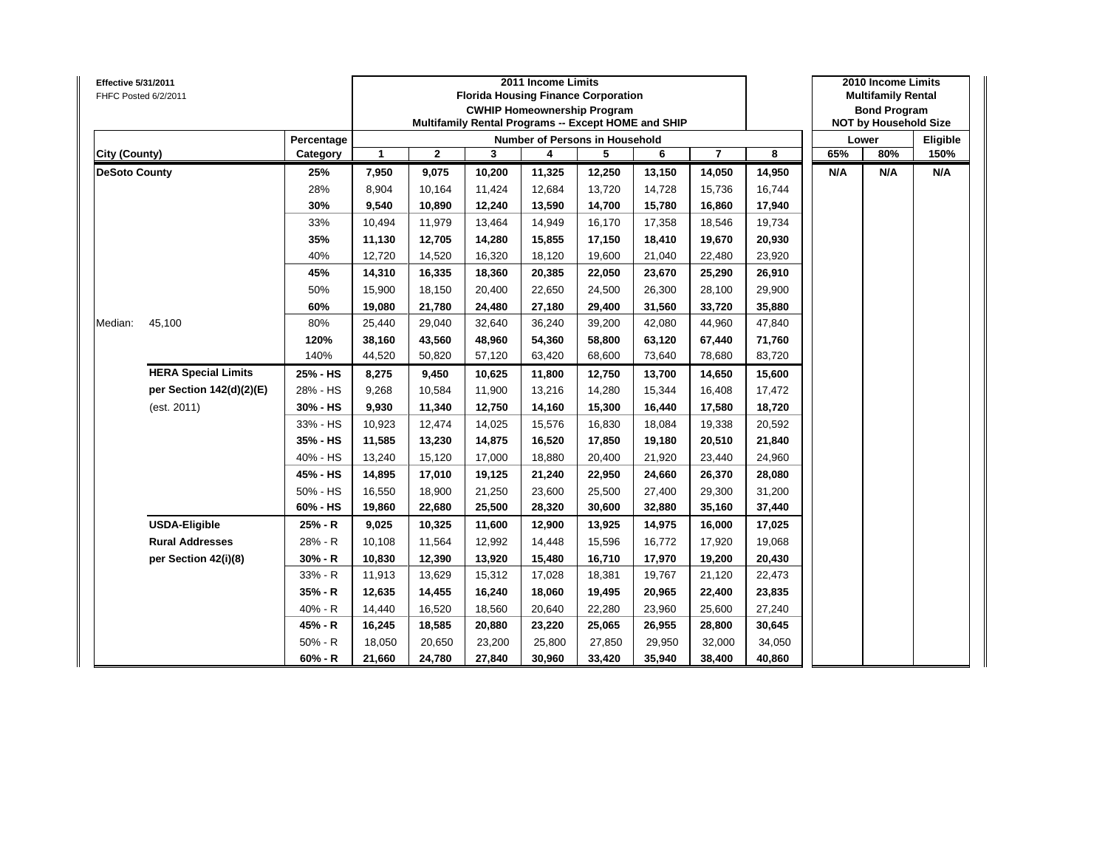| Effective 5/31/2011  | FHFC Posted 6/2/2011       |            |              |              |        | 2011 Income Limits | <b>Florida Housing Finance Corporation</b><br><b>CWHIP Homeownership Program</b><br>Multifamily Rental Programs -- Except HOME and SHIP |        |                         |        |     | 2010 Income Limits<br><b>Multifamily Rental</b><br><b>Bond Program</b><br><b>NOT by Household Size</b> |          |
|----------------------|----------------------------|------------|--------------|--------------|--------|--------------------|-----------------------------------------------------------------------------------------------------------------------------------------|--------|-------------------------|--------|-----|--------------------------------------------------------------------------------------------------------|----------|
|                      |                            | Percentage |              |              |        |                    | <b>Number of Persons in Household</b>                                                                                                   |        |                         |        |     | Lower                                                                                                  | Eligible |
| City (County)        |                            | Category   | $\mathbf{1}$ | $\mathbf{2}$ | 3      | 4                  | 5                                                                                                                                       | 6      | $\overline{\mathbf{r}}$ | 8      | 65% | 80%                                                                                                    | 150%     |
| <b>DeSoto County</b> |                            | 25%        | 7,950        | 9,075        | 10,200 | 11,325             | 12,250                                                                                                                                  | 13,150 | 14,050                  | 14,950 | N/A | N/A                                                                                                    | N/A      |
|                      |                            | 28%        | 8,904        | 10,164       | 11,424 | 12,684             | 13,720                                                                                                                                  | 14,728 | 15,736                  | 16,744 |     |                                                                                                        |          |
|                      |                            | 30%        | 9,540        | 10,890       | 12,240 | 13,590             | 14,700                                                                                                                                  | 15,780 | 16,860                  | 17,940 |     |                                                                                                        |          |
|                      |                            | 33%        | 10,494       | 11,979       | 13,464 | 14,949             | 16,170                                                                                                                                  | 17,358 | 18,546                  | 19,734 |     |                                                                                                        |          |
|                      |                            | 35%        | 11,130       | 12,705       | 14,280 | 15,855             | 17,150                                                                                                                                  | 18,410 | 19,670                  | 20,930 |     |                                                                                                        |          |
|                      |                            | 40%        | 12,720       | 14,520       | 16,320 | 18,120             | 19,600                                                                                                                                  | 21,040 | 22,480                  | 23,920 |     |                                                                                                        |          |
|                      |                            | 45%        | 14,310       | 16,335       | 18,360 | 20,385             | 22,050                                                                                                                                  | 23,670 | 25,290                  | 26,910 |     |                                                                                                        |          |
|                      |                            | 50%        | 15,900       | 18,150       | 20,400 | 22,650             | 24,500                                                                                                                                  | 26,300 | 28,100                  | 29,900 |     |                                                                                                        |          |
|                      |                            | 60%        | 19,080       | 21,780       | 24,480 | 27,180             | 29,400                                                                                                                                  | 31,560 | 33,720                  | 35,880 |     |                                                                                                        |          |
| Median:              | 45,100                     | 80%        | 25,440       | 29,040       | 32,640 | 36,240             | 39,200                                                                                                                                  | 42,080 | 44,960                  | 47,840 |     |                                                                                                        |          |
|                      |                            | 120%       | 38,160       | 43,560       | 48,960 | 54,360             | 58,800                                                                                                                                  | 63,120 | 67,440                  | 71,760 |     |                                                                                                        |          |
|                      |                            | 140%       | 44,520       | 50,820       | 57,120 | 63,420             | 68,600                                                                                                                                  | 73,640 | 78,680                  | 83,720 |     |                                                                                                        |          |
|                      | <b>HERA Special Limits</b> | 25% - HS   | 8,275        | 9,450        | 10,625 | 11,800             | 12,750                                                                                                                                  | 13,700 | 14,650                  | 15,600 |     |                                                                                                        |          |
|                      | per Section 142(d)(2)(E)   | 28% - HS   | 9,268        | 10,584       | 11,900 | 13,216             | 14,280                                                                                                                                  | 15,344 | 16,408                  | 17,472 |     |                                                                                                        |          |
|                      | (est. 2011)                | 30% - HS   | 9,930        | 11,340       | 12,750 | 14,160             | 15,300                                                                                                                                  | 16,440 | 17,580                  | 18,720 |     |                                                                                                        |          |
|                      |                            | 33% - HS   | 10,923       | 12,474       | 14,025 | 15,576             | 16,830                                                                                                                                  | 18,084 | 19,338                  | 20,592 |     |                                                                                                        |          |
|                      |                            | 35% - HS   | 11,585       | 13,230       | 14,875 | 16,520             | 17,850                                                                                                                                  | 19,180 | 20,510                  | 21,840 |     |                                                                                                        |          |
|                      |                            | 40% - HS   | 13,240       | 15,120       | 17,000 | 18,880             | 20,400                                                                                                                                  | 21,920 | 23,440                  | 24,960 |     |                                                                                                        |          |
|                      |                            | 45% - HS   | 14,895       | 17,010       | 19,125 | 21,240             | 22,950                                                                                                                                  | 24,660 | 26,370                  | 28,080 |     |                                                                                                        |          |
|                      |                            | 50% - HS   | 16,550       | 18,900       | 21,250 | 23,600             | 25,500                                                                                                                                  | 27,400 | 29,300                  | 31,200 |     |                                                                                                        |          |
|                      |                            | 60% - HS   | 19,860       | 22,680       | 25,500 | 28,320             | 30,600                                                                                                                                  | 32,880 | 35,160                  | 37,440 |     |                                                                                                        |          |
|                      | <b>USDA-Eligible</b>       | 25% - R    | 9,025        | 10,325       | 11,600 | 12,900             | 13,925                                                                                                                                  | 14,975 | 16,000                  | 17,025 |     |                                                                                                        |          |
|                      | <b>Rural Addresses</b>     | 28% - R    | 10,108       | 11,564       | 12,992 | 14,448             | 15,596                                                                                                                                  | 16,772 | 17,920                  | 19,068 |     |                                                                                                        |          |
|                      | per Section 42(i)(8)       | $30% - R$  | 10,830       | 12,390       | 13,920 | 15,480             | 16,710                                                                                                                                  | 17,970 | 19,200                  | 20,430 |     |                                                                                                        |          |
|                      |                            | 33% - R    | 11,913       | 13,629       | 15,312 | 17,028             | 18,381                                                                                                                                  | 19,767 | 21,120                  | 22,473 |     |                                                                                                        |          |
|                      |                            | 35% - R    | 12,635       | 14,455       | 16,240 | 18,060             | 19,495                                                                                                                                  | 20,965 | 22,400                  | 23,835 |     |                                                                                                        |          |
|                      |                            | 40% - R    | 14,440       | 16,520       | 18,560 | 20,640             | 22,280                                                                                                                                  | 23,960 | 25,600                  | 27,240 |     |                                                                                                        |          |
|                      |                            | 45% - R    | 16,245       | 18,585       | 20,880 | 23,220             | 25,065                                                                                                                                  | 26,955 | 28,800                  | 30,645 |     |                                                                                                        |          |
|                      |                            | $50% - R$  | 18,050       | 20,650       | 23,200 | 25,800             | 27,850                                                                                                                                  | 29,950 | 32,000                  | 34,050 |     |                                                                                                        |          |
|                      |                            | $60% - R$  | 21,660       | 24,780       | 27,840 | 30,960             | 33,420                                                                                                                                  | 35,940 | 38,400                  | 40,860 |     |                                                                                                        |          |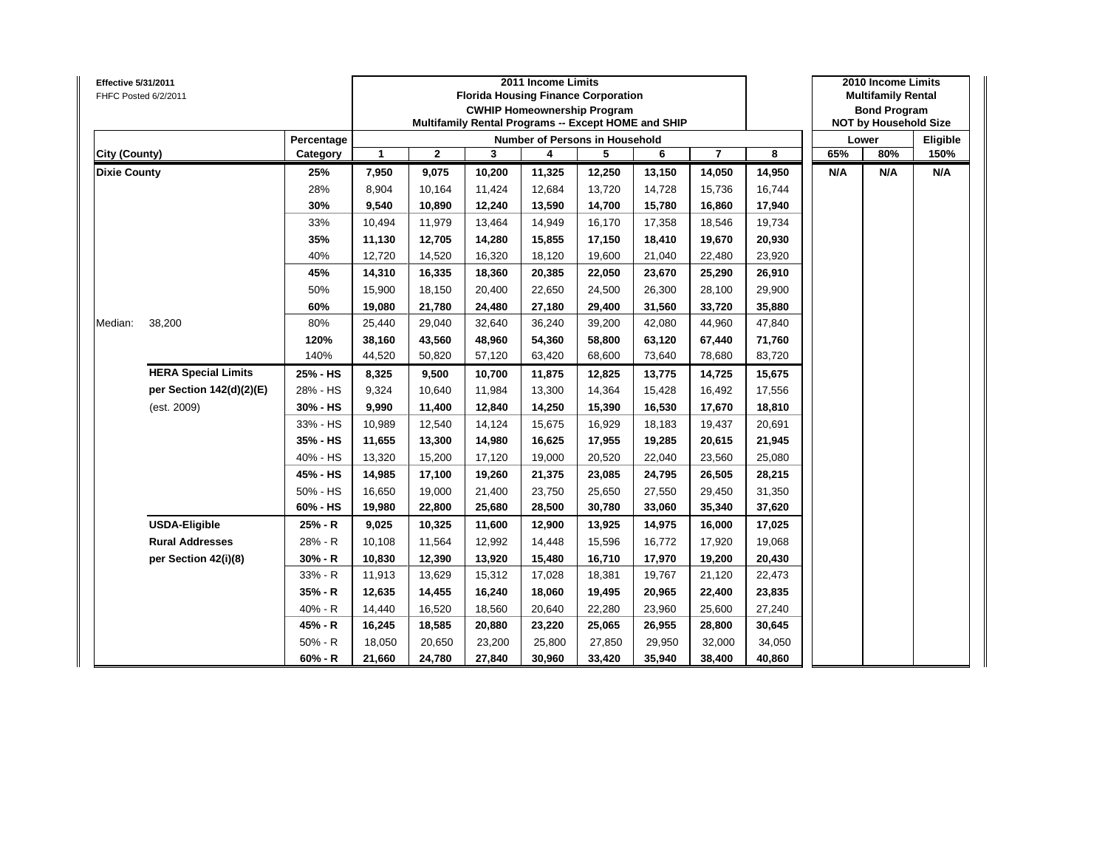| Effective 5/31/2011 | FHFC Posted 6/2/2011       |            |              |              |        | 2011 Income Limits | <b>Florida Housing Finance Corporation</b><br><b>CWHIP Homeownership Program</b><br>Multifamily Rental Programs -- Except HOME and SHIP |        |                         |        |     | 2010 Income Limits<br><b>Multifamily Rental</b><br><b>Bond Program</b><br><b>NOT by Household Size</b> |          |
|---------------------|----------------------------|------------|--------------|--------------|--------|--------------------|-----------------------------------------------------------------------------------------------------------------------------------------|--------|-------------------------|--------|-----|--------------------------------------------------------------------------------------------------------|----------|
|                     |                            | Percentage |              |              |        |                    | Number of Persons in Household                                                                                                          |        |                         |        |     | Lower                                                                                                  | Eligible |
| City (County)       |                            | Category   | $\mathbf{1}$ | $\mathbf{2}$ | 3      | 4                  | 5                                                                                                                                       | 6      | $\overline{\mathbf{r}}$ | 8      | 65% | 80%                                                                                                    | 150%     |
| <b>Dixie County</b> |                            | 25%        | 7,950        | 9,075        | 10,200 | 11,325             | 12,250                                                                                                                                  | 13,150 | 14,050                  | 14,950 | N/A | N/A                                                                                                    | N/A      |
|                     |                            | 28%        | 8,904        | 10,164       | 11,424 | 12,684             | 13,720                                                                                                                                  | 14,728 | 15,736                  | 16,744 |     |                                                                                                        |          |
|                     |                            | 30%        | 9,540        | 10,890       | 12,240 | 13,590             | 14,700                                                                                                                                  | 15,780 | 16,860                  | 17,940 |     |                                                                                                        |          |
|                     |                            | 33%        | 10,494       | 11,979       | 13,464 | 14,949             | 16,170                                                                                                                                  | 17,358 | 18,546                  | 19,734 |     |                                                                                                        |          |
|                     |                            | 35%        | 11,130       | 12,705       | 14,280 | 15,855             | 17,150                                                                                                                                  | 18,410 | 19,670                  | 20,930 |     |                                                                                                        |          |
|                     |                            | 40%        | 12,720       | 14,520       | 16,320 | 18,120             | 19,600                                                                                                                                  | 21,040 | 22,480                  | 23,920 |     |                                                                                                        |          |
|                     |                            | 45%        | 14,310       | 16,335       | 18,360 | 20,385             | 22,050                                                                                                                                  | 23,670 | 25,290                  | 26,910 |     |                                                                                                        |          |
|                     |                            | 50%        | 15,900       | 18,150       | 20,400 | 22,650             | 24,500                                                                                                                                  | 26,300 | 28,100                  | 29,900 |     |                                                                                                        |          |
|                     |                            | 60%        | 19,080       | 21,780       | 24,480 | 27,180             | 29,400                                                                                                                                  | 31,560 | 33,720                  | 35,880 |     |                                                                                                        |          |
| Median:             | 38,200                     | 80%        | 25,440       | 29,040       | 32,640 | 36,240             | 39,200                                                                                                                                  | 42,080 | 44,960                  | 47,840 |     |                                                                                                        |          |
|                     |                            | 120%       | 38,160       | 43,560       | 48,960 | 54,360             | 58,800                                                                                                                                  | 63,120 | 67,440                  | 71,760 |     |                                                                                                        |          |
|                     |                            | 140%       | 44,520       | 50,820       | 57,120 | 63,420             | 68,600                                                                                                                                  | 73,640 | 78,680                  | 83,720 |     |                                                                                                        |          |
|                     | <b>HERA Special Limits</b> | 25% - HS   | 8,325        | 9,500        | 10,700 | 11,875             | 12,825                                                                                                                                  | 13,775 | 14,725                  | 15,675 |     |                                                                                                        |          |
|                     | per Section 142(d)(2)(E)   | 28% - HS   | 9,324        | 10,640       | 11,984 | 13,300             | 14,364                                                                                                                                  | 15,428 | 16,492                  | 17,556 |     |                                                                                                        |          |
|                     | (est. 2009)                | 30% - HS   | 9,990        | 11,400       | 12,840 | 14,250             | 15,390                                                                                                                                  | 16,530 | 17,670                  | 18,810 |     |                                                                                                        |          |
|                     |                            | 33% - HS   | 10,989       | 12,540       | 14,124 | 15,675             | 16,929                                                                                                                                  | 18,183 | 19,437                  | 20,691 |     |                                                                                                        |          |
|                     |                            | 35% - HS   | 11,655       | 13,300       | 14,980 | 16,625             | 17,955                                                                                                                                  | 19,285 | 20,615                  | 21,945 |     |                                                                                                        |          |
|                     |                            | 40% - HS   | 13,320       | 15,200       | 17,120 | 19,000             | 20,520                                                                                                                                  | 22,040 | 23,560                  | 25,080 |     |                                                                                                        |          |
|                     |                            | 45% - HS   | 14,985       | 17,100       | 19,260 | 21,375             | 23,085                                                                                                                                  | 24,795 | 26,505                  | 28,215 |     |                                                                                                        |          |
|                     |                            | 50% - HS   | 16,650       | 19,000       | 21,400 | 23,750             | 25,650                                                                                                                                  | 27,550 | 29,450                  | 31,350 |     |                                                                                                        |          |
|                     |                            | 60% - HS   | 19,980       | 22,800       | 25,680 | 28,500             | 30,780                                                                                                                                  | 33,060 | 35,340                  | 37,620 |     |                                                                                                        |          |
|                     | <b>USDA-Eligible</b>       | 25% - R    | 9,025        | 10,325       | 11,600 | 12,900             | 13,925                                                                                                                                  | 14,975 | 16,000                  | 17,025 |     |                                                                                                        |          |
|                     | <b>Rural Addresses</b>     | 28% - R    | 10,108       | 11,564       | 12,992 | 14,448             | 15,596                                                                                                                                  | 16,772 | 17,920                  | 19,068 |     |                                                                                                        |          |
|                     | per Section 42(i)(8)       | $30% - R$  | 10,830       | 12,390       | 13,920 | 15,480             | 16,710                                                                                                                                  | 17,970 | 19,200                  | 20,430 |     |                                                                                                        |          |
|                     |                            | 33% - R    | 11,913       | 13,629       | 15,312 | 17,028             | 18,381                                                                                                                                  | 19,767 | 21,120                  | 22,473 |     |                                                                                                        |          |
|                     |                            | 35% - R    | 12,635       | 14,455       | 16,240 | 18,060             | 19,495                                                                                                                                  | 20,965 | 22,400                  | 23,835 |     |                                                                                                        |          |
|                     |                            | 40% - R    | 14,440       | 16,520       | 18,560 | 20,640             | 22,280                                                                                                                                  | 23,960 | 25,600                  | 27,240 |     |                                                                                                        |          |
|                     |                            | 45% - R    | 16,245       | 18,585       | 20,880 | 23,220             | 25,065                                                                                                                                  | 26,955 | 28,800                  | 30,645 |     |                                                                                                        |          |
|                     |                            | $50% - R$  | 18,050       | 20,650       | 23,200 | 25,800             | 27,850                                                                                                                                  | 29,950 | 32,000                  | 34,050 |     |                                                                                                        |          |
|                     |                            | $60% - R$  | 21,660       | 24,780       | 27,840 | 30,960             | 33,420                                                                                                                                  | 35,940 | 38,400                  | 40,860 |     |                                                                                                        |          |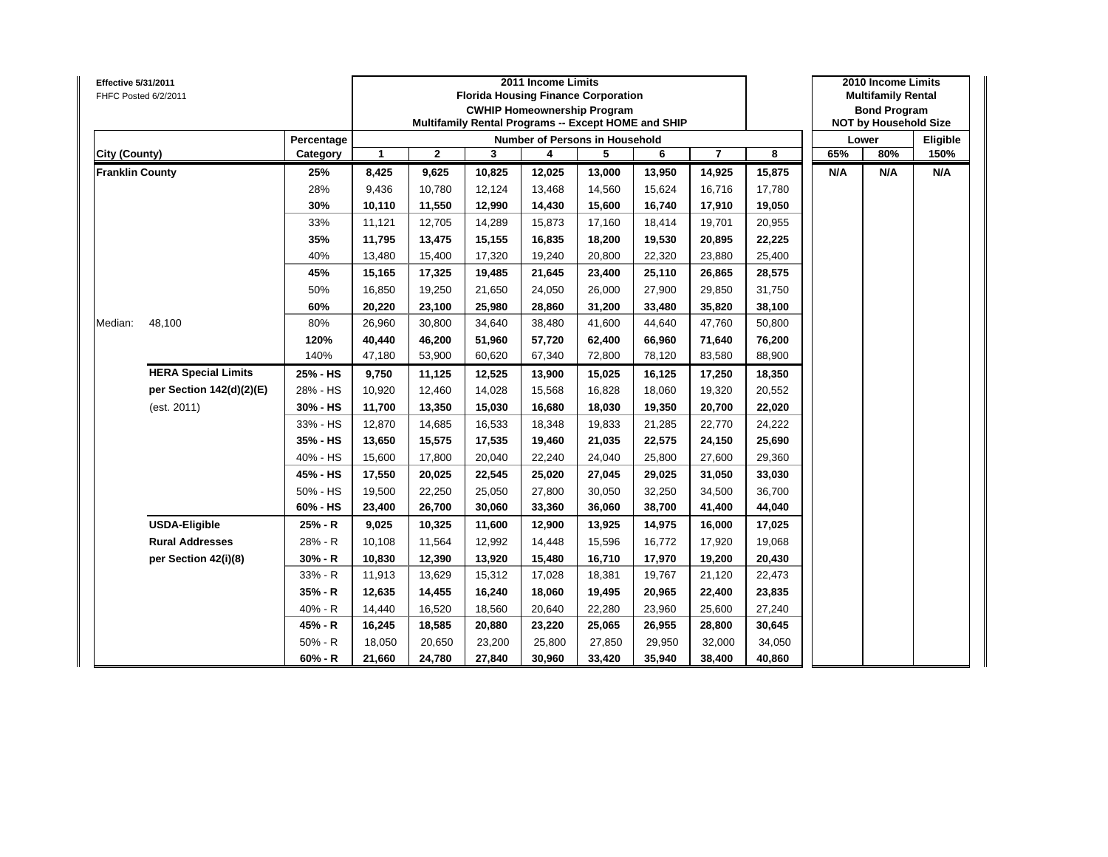| Effective 5/31/2011    | FHFC Posted 6/2/2011       |            |        |              | <b>Florida Housing Finance Corporation</b><br>Multifamily Rental Programs -- Except HOME and SHIP | 2011 Income Limits | <b>CWHIP Homeownership Program</b>    |        |                |        |     | 2010 Income Limits<br><b>Multifamily Rental</b><br><b>Bond Program</b><br><b>NOT by Household Size</b> |          |
|------------------------|----------------------------|------------|--------|--------------|---------------------------------------------------------------------------------------------------|--------------------|---------------------------------------|--------|----------------|--------|-----|--------------------------------------------------------------------------------------------------------|----------|
|                        |                            | Percentage |        |              |                                                                                                   |                    | <b>Number of Persons in Household</b> |        |                |        |     | Lower                                                                                                  | Eligible |
| City (County)          |                            | Category   | 1      | $\mathbf{2}$ | 3                                                                                                 | 4                  | 5                                     | 6      | $\overline{7}$ | 8      | 65% | 80%                                                                                                    | 150%     |
| <b>Franklin County</b> |                            | 25%        | 8,425  | 9,625        | 10,825                                                                                            | 12,025             | 13,000                                | 13,950 | 14,925         | 15,875 | N/A | N/A                                                                                                    | N/A      |
|                        |                            | 28%        | 9,436  | 10,780       | 12,124                                                                                            | 13,468             | 14,560                                | 15,624 | 16,716         | 17,780 |     |                                                                                                        |          |
|                        |                            | 30%        | 10,110 | 11,550       | 12,990                                                                                            | 14,430             | 15,600                                | 16,740 | 17,910         | 19,050 |     |                                                                                                        |          |
|                        |                            | 33%        | 11,121 | 12,705       | 14,289                                                                                            | 15,873             | 17,160                                | 18,414 | 19,701         | 20,955 |     |                                                                                                        |          |
|                        |                            | 35%        | 11,795 | 13,475       | 15,155                                                                                            | 16,835             | 18,200                                | 19,530 | 20,895         | 22,225 |     |                                                                                                        |          |
|                        |                            | 40%        | 13,480 | 15,400       | 17,320                                                                                            | 19,240             | 20,800                                | 22,320 | 23,880         | 25,400 |     |                                                                                                        |          |
|                        |                            | 45%        | 15,165 | 17,325       | 19,485                                                                                            | 21,645             | 23,400                                | 25,110 | 26,865         | 28,575 |     |                                                                                                        |          |
|                        |                            | 50%        | 16,850 | 19,250       | 21,650                                                                                            | 24,050             | 26,000                                | 27,900 | 29,850         | 31,750 |     |                                                                                                        |          |
|                        |                            | 60%        | 20,220 | 23,100       | 25,980                                                                                            | 28,860             | 31,200                                | 33,480 | 35,820         | 38,100 |     |                                                                                                        |          |
| Median:                | 48,100                     | 80%        | 26,960 | 30,800       | 34,640                                                                                            | 38,480             | 41,600                                | 44,640 | 47,760         | 50,800 |     |                                                                                                        |          |
|                        |                            | 120%       | 40,440 | 46,200       | 51,960                                                                                            | 57,720             | 62,400                                | 66,960 | 71,640         | 76,200 |     |                                                                                                        |          |
|                        |                            | 140%       | 47,180 | 53,900       | 60,620                                                                                            | 67,340             | 72,800                                | 78,120 | 83,580         | 88,900 |     |                                                                                                        |          |
|                        | <b>HERA Special Limits</b> | 25% - HS   | 9,750  | 11,125       | 12,525                                                                                            | 13,900             | 15,025                                | 16,125 | 17,250         | 18,350 |     |                                                                                                        |          |
|                        | per Section 142(d)(2)(E)   | 28% - HS   | 10,920 | 12,460       | 14,028                                                                                            | 15,568             | 16,828                                | 18,060 | 19,320         | 20,552 |     |                                                                                                        |          |
|                        | (est. 2011)                | 30% - HS   | 11,700 | 13,350       | 15,030                                                                                            | 16,680             | 18,030                                | 19,350 | 20,700         | 22,020 |     |                                                                                                        |          |
|                        |                            | 33% - HS   | 12,870 | 14,685       | 16,533                                                                                            | 18,348             | 19,833                                | 21,285 | 22,770         | 24,222 |     |                                                                                                        |          |
|                        |                            | 35% - HS   | 13,650 | 15,575       | 17,535                                                                                            | 19,460             | 21,035                                | 22,575 | 24,150         | 25,690 |     |                                                                                                        |          |
|                        |                            | 40% - HS   | 15,600 | 17,800       | 20,040                                                                                            | 22,240             | 24,040                                | 25,800 | 27,600         | 29,360 |     |                                                                                                        |          |
|                        |                            | 45% - HS   | 17,550 | 20,025       | 22,545                                                                                            | 25,020             | 27,045                                | 29,025 | 31,050         | 33,030 |     |                                                                                                        |          |
|                        |                            | 50% - HS   | 19,500 | 22,250       | 25,050                                                                                            | 27,800             | 30,050                                | 32,250 | 34,500         | 36,700 |     |                                                                                                        |          |
|                        |                            | 60% - HS   | 23,400 | 26,700       | 30,060                                                                                            | 33,360             | 36,060                                | 38,700 | 41,400         | 44,040 |     |                                                                                                        |          |
|                        | <b>USDA-Eligible</b>       | 25% - R    | 9,025  | 10,325       | 11,600                                                                                            | 12,900             | 13,925                                | 14,975 | 16,000         | 17,025 |     |                                                                                                        |          |
|                        | <b>Rural Addresses</b>     | 28% - R    | 10,108 | 11,564       | 12,992                                                                                            | 14,448             | 15,596                                | 16,772 | 17,920         | 19,068 |     |                                                                                                        |          |
|                        | per Section 42(i)(8)       | 30% - R    | 10,830 | 12,390       | 13,920                                                                                            | 15,480             | 16,710                                | 17,970 | 19,200         | 20,430 |     |                                                                                                        |          |
|                        |                            | 33% - R    | 11,913 | 13,629       | 15,312                                                                                            | 17,028             | 18,381                                | 19,767 | 21,120         | 22,473 |     |                                                                                                        |          |
|                        |                            | 35% - R    | 12,635 | 14,455       | 16,240                                                                                            | 18,060             | 19,495                                | 20,965 | 22,400         | 23,835 |     |                                                                                                        |          |
|                        |                            | 40% - R    | 14,440 | 16,520       | 18,560                                                                                            | 20,640             | 22,280                                | 23,960 | 25,600         | 27,240 |     |                                                                                                        |          |
|                        |                            | 45% - R    | 16,245 | 18,585       | 20,880                                                                                            | 23,220             | 25,065                                | 26,955 | 28,800         | 30,645 |     |                                                                                                        |          |
|                        |                            | $50% - R$  | 18,050 | 20,650       | 23,200                                                                                            | 25,800             | 27,850                                | 29,950 | 32,000         | 34,050 |     |                                                                                                        |          |
|                        |                            | $60% - R$  | 21,660 | 24,780       | 27,840                                                                                            | 30,960             | 33,420                                | 35,940 | 38,400         | 40,860 |     |                                                                                                        |          |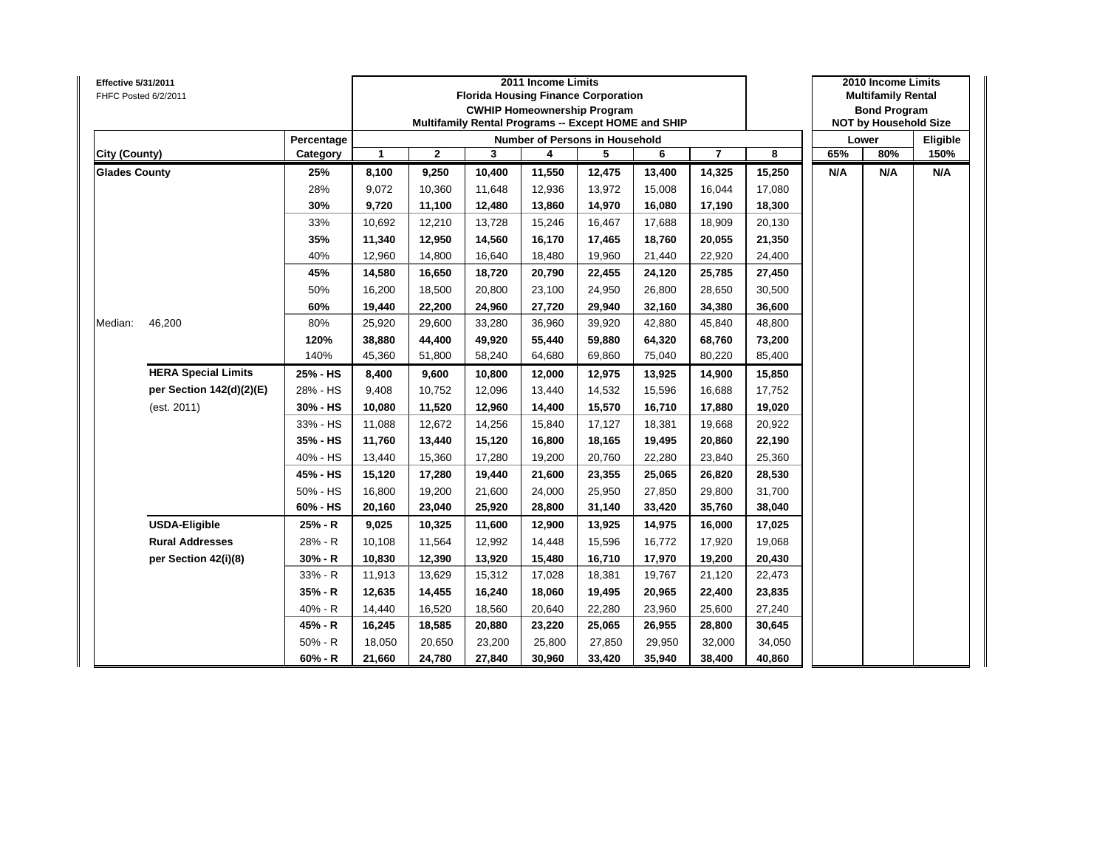| Effective 5/31/2011  | FHFC Posted 6/2/2011       |            |              |              |        | 2011 Income Limits | <b>Florida Housing Finance Corporation</b><br><b>CWHIP Homeownership Program</b><br>Multifamily Rental Programs -- Except HOME and SHIP |        |                         |        |     | 2010 Income Limits<br><b>Multifamily Rental</b><br><b>Bond Program</b><br><b>NOT by Household Size</b> |          |
|----------------------|----------------------------|------------|--------------|--------------|--------|--------------------|-----------------------------------------------------------------------------------------------------------------------------------------|--------|-------------------------|--------|-----|--------------------------------------------------------------------------------------------------------|----------|
|                      |                            | Percentage |              |              |        |                    | <b>Number of Persons in Household</b>                                                                                                   |        |                         |        |     | Lower                                                                                                  | Eligible |
| City (County)        |                            | Category   | $\mathbf{1}$ | $\mathbf{2}$ | 3      | 4                  | 5                                                                                                                                       | 6      | $\overline{\mathbf{r}}$ | 8      | 65% | 80%                                                                                                    | 150%     |
| <b>Glades County</b> |                            | 25%        | 8,100        | 9,250        | 10,400 | 11,550             | 12,475                                                                                                                                  | 13,400 | 14,325                  | 15,250 | N/A | N/A                                                                                                    | N/A      |
|                      |                            | 28%        | 9,072        | 10,360       | 11,648 | 12,936             | 13,972                                                                                                                                  | 15,008 | 16,044                  | 17,080 |     |                                                                                                        |          |
|                      |                            | 30%        | 9,720        | 11,100       | 12,480 | 13,860             | 14,970                                                                                                                                  | 16,080 | 17,190                  | 18,300 |     |                                                                                                        |          |
|                      |                            | 33%        | 10,692       | 12,210       | 13,728 | 15,246             | 16,467                                                                                                                                  | 17,688 | 18,909                  | 20,130 |     |                                                                                                        |          |
|                      |                            | 35%        | 11,340       | 12,950       | 14,560 | 16,170             | 17,465                                                                                                                                  | 18,760 | 20,055                  | 21,350 |     |                                                                                                        |          |
|                      |                            | 40%        | 12,960       | 14,800       | 16,640 | 18,480             | 19,960                                                                                                                                  | 21,440 | 22,920                  | 24,400 |     |                                                                                                        |          |
|                      |                            | 45%        | 14,580       | 16,650       | 18,720 | 20,790             | 22,455                                                                                                                                  | 24,120 | 25,785                  | 27,450 |     |                                                                                                        |          |
|                      |                            | 50%        | 16,200       | 18,500       | 20,800 | 23,100             | 24,950                                                                                                                                  | 26,800 | 28,650                  | 30,500 |     |                                                                                                        |          |
|                      |                            | 60%        | 19,440       | 22,200       | 24,960 | 27,720             | 29,940                                                                                                                                  | 32,160 | 34,380                  | 36,600 |     |                                                                                                        |          |
| Median:              | 46,200                     | 80%        | 25,920       | 29,600       | 33,280 | 36,960             | 39,920                                                                                                                                  | 42,880 | 45,840                  | 48,800 |     |                                                                                                        |          |
|                      |                            | 120%       | 38,880       | 44,400       | 49,920 | 55,440             | 59,880                                                                                                                                  | 64,320 | 68,760                  | 73,200 |     |                                                                                                        |          |
|                      |                            | 140%       | 45,360       | 51,800       | 58,240 | 64,680             | 69,860                                                                                                                                  | 75,040 | 80,220                  | 85,400 |     |                                                                                                        |          |
|                      | <b>HERA Special Limits</b> | 25% - HS   | 8,400        | 9,600        | 10,800 | 12,000             | 12,975                                                                                                                                  | 13,925 | 14,900                  | 15,850 |     |                                                                                                        |          |
|                      | per Section 142(d)(2)(E)   | 28% - HS   | 9,408        | 10,752       | 12,096 | 13,440             | 14,532                                                                                                                                  | 15,596 | 16,688                  | 17,752 |     |                                                                                                        |          |
|                      | (est. 2011)                | 30% - HS   | 10,080       | 11,520       | 12,960 | 14,400             | 15,570                                                                                                                                  | 16,710 | 17,880                  | 19,020 |     |                                                                                                        |          |
|                      |                            | 33% - HS   | 11,088       | 12,672       | 14,256 | 15,840             | 17,127                                                                                                                                  | 18,381 | 19,668                  | 20,922 |     |                                                                                                        |          |
|                      |                            | 35% - HS   | 11,760       | 13,440       | 15,120 | 16,800             | 18,165                                                                                                                                  | 19,495 | 20,860                  | 22,190 |     |                                                                                                        |          |
|                      |                            | 40% - HS   | 13,440       | 15,360       | 17,280 | 19,200             | 20,760                                                                                                                                  | 22,280 | 23,840                  | 25,360 |     |                                                                                                        |          |
|                      |                            | 45% - HS   | 15,120       | 17,280       | 19,440 | 21,600             | 23,355                                                                                                                                  | 25,065 | 26,820                  | 28,530 |     |                                                                                                        |          |
|                      |                            | 50% - HS   | 16,800       | 19,200       | 21,600 | 24,000             | 25,950                                                                                                                                  | 27,850 | 29,800                  | 31,700 |     |                                                                                                        |          |
|                      |                            | 60% - HS   | 20,160       | 23,040       | 25,920 | 28,800             | 31,140                                                                                                                                  | 33,420 | 35,760                  | 38,040 |     |                                                                                                        |          |
|                      | <b>USDA-Eligible</b>       | 25% - R    | 9,025        | 10,325       | 11,600 | 12,900             | 13,925                                                                                                                                  | 14,975 | 16,000                  | 17,025 |     |                                                                                                        |          |
|                      | <b>Rural Addresses</b>     | 28% - R    | 10,108       | 11,564       | 12,992 | 14,448             | 15,596                                                                                                                                  | 16,772 | 17,920                  | 19,068 |     |                                                                                                        |          |
|                      | per Section 42(i)(8)       | $30% - R$  | 10,830       | 12,390       | 13,920 | 15,480             | 16,710                                                                                                                                  | 17,970 | 19,200                  | 20,430 |     |                                                                                                        |          |
|                      |                            | 33% - R    | 11,913       | 13,629       | 15,312 | 17,028             | 18,381                                                                                                                                  | 19,767 | 21,120                  | 22,473 |     |                                                                                                        |          |
|                      |                            | 35% - R    | 12,635       | 14,455       | 16,240 | 18,060             | 19,495                                                                                                                                  | 20,965 | 22,400                  | 23,835 |     |                                                                                                        |          |
|                      |                            | 40% - R    | 14,440       | 16,520       | 18,560 | 20,640             | 22,280                                                                                                                                  | 23,960 | 25,600                  | 27,240 |     |                                                                                                        |          |
|                      |                            | 45% - R    | 16,245       | 18,585       | 20,880 | 23,220             | 25,065                                                                                                                                  | 26,955 | 28,800                  | 30,645 |     |                                                                                                        |          |
|                      |                            | $50% - R$  | 18,050       | 20,650       | 23,200 | 25,800             | 27,850                                                                                                                                  | 29,950 | 32,000                  | 34,050 |     |                                                                                                        |          |
|                      |                            | $60% - R$  | 21,660       | 24,780       | 27,840 | 30,960             | 33,420                                                                                                                                  | 35,940 | 38,400                  | 40,860 |     |                                                                                                        |          |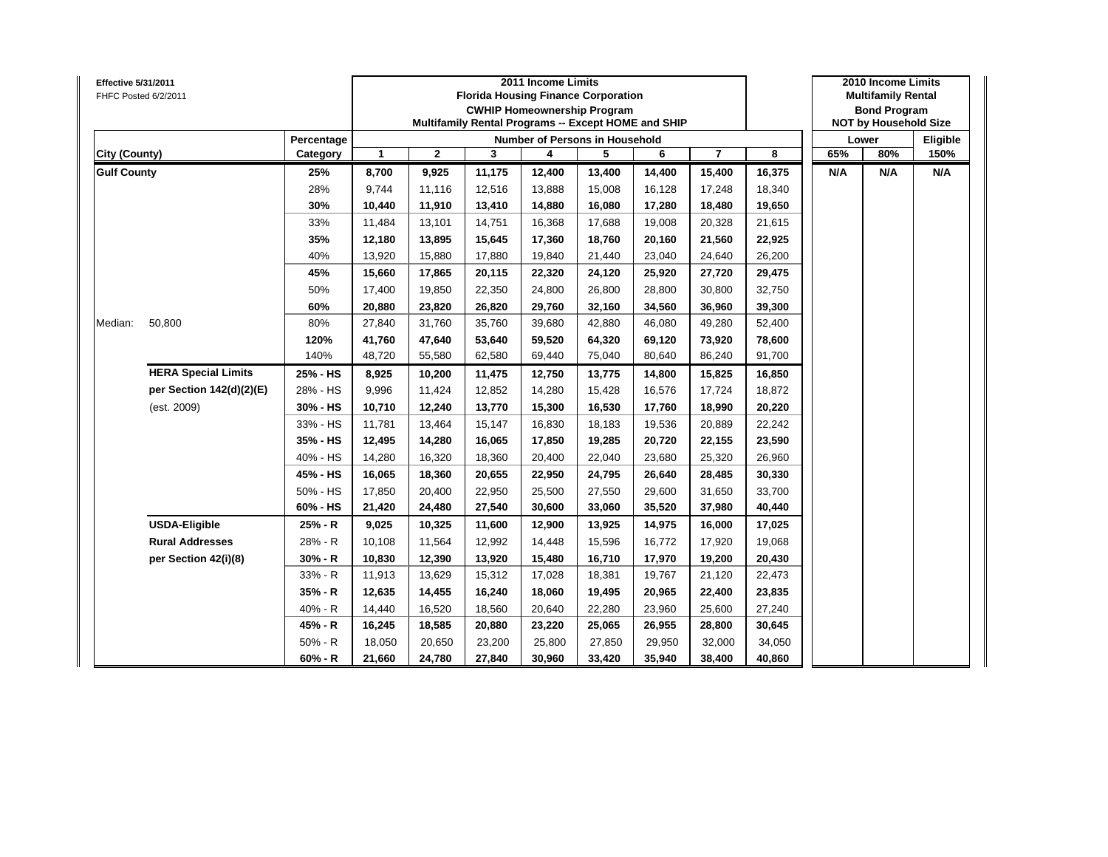| Effective 5/31/2011 | FHFC Posted 6/2/2011       |            |              |              |        | 2011 Income Limits | <b>Florida Housing Finance Corporation</b><br><b>CWHIP Homeownership Program</b><br>Multifamily Rental Programs -- Except HOME and SHIP |        |                         |        |     | 2010 Income Limits<br><b>Multifamily Rental</b><br><b>Bond Program</b><br><b>NOT by Household Size</b> |          |
|---------------------|----------------------------|------------|--------------|--------------|--------|--------------------|-----------------------------------------------------------------------------------------------------------------------------------------|--------|-------------------------|--------|-----|--------------------------------------------------------------------------------------------------------|----------|
|                     |                            | Percentage |              |              |        |                    | <b>Number of Persons in Household</b>                                                                                                   |        |                         |        |     | Lower                                                                                                  | Eligible |
| City (County)       |                            | Category   | $\mathbf{1}$ | $\mathbf{2}$ | 3      | 4                  | 5                                                                                                                                       | 6      | $\overline{\mathbf{r}}$ | 8      | 65% | 80%                                                                                                    | 150%     |
| <b>Gulf County</b>  |                            | 25%        | 8,700        | 9,925        | 11,175 | 12,400             | 13,400                                                                                                                                  | 14,400 | 15,400                  | 16,375 | N/A | N/A                                                                                                    | N/A      |
|                     |                            | 28%        | 9,744        | 11,116       | 12,516 | 13,888             | 15,008                                                                                                                                  | 16,128 | 17,248                  | 18,340 |     |                                                                                                        |          |
|                     |                            | 30%        | 10,440       | 11,910       | 13,410 | 14,880             | 16,080                                                                                                                                  | 17,280 | 18,480                  | 19,650 |     |                                                                                                        |          |
|                     |                            | 33%        | 11,484       | 13,101       | 14,751 | 16,368             | 17,688                                                                                                                                  | 19,008 | 20,328                  | 21,615 |     |                                                                                                        |          |
|                     |                            | 35%        | 12,180       | 13,895       | 15,645 | 17,360             | 18,760                                                                                                                                  | 20,160 | 21,560                  | 22,925 |     |                                                                                                        |          |
|                     |                            | 40%        | 13,920       | 15,880       | 17,880 | 19,840             | 21,440                                                                                                                                  | 23,040 | 24,640                  | 26,200 |     |                                                                                                        |          |
|                     |                            | 45%        | 15,660       | 17,865       | 20,115 | 22,320             | 24,120                                                                                                                                  | 25,920 | 27,720                  | 29,475 |     |                                                                                                        |          |
|                     |                            | 50%        | 17,400       | 19,850       | 22,350 | 24,800             | 26,800                                                                                                                                  | 28,800 | 30,800                  | 32,750 |     |                                                                                                        |          |
|                     |                            | 60%        | 20,880       | 23,820       | 26,820 | 29,760             | 32,160                                                                                                                                  | 34,560 | 36,960                  | 39,300 |     |                                                                                                        |          |
| Median:             | 50,800                     | 80%        | 27,840       | 31,760       | 35,760 | 39,680             | 42,880                                                                                                                                  | 46,080 | 49,280                  | 52,400 |     |                                                                                                        |          |
|                     |                            | 120%       | 41,760       | 47,640       | 53,640 | 59,520             | 64,320                                                                                                                                  | 69,120 | 73,920                  | 78,600 |     |                                                                                                        |          |
|                     |                            | 140%       | 48,720       | 55,580       | 62,580 | 69,440             | 75,040                                                                                                                                  | 80,640 | 86,240                  | 91,700 |     |                                                                                                        |          |
|                     | <b>HERA Special Limits</b> | 25% - HS   | 8,925        | 10,200       | 11,475 | 12,750             | 13,775                                                                                                                                  | 14,800 | 15,825                  | 16,850 |     |                                                                                                        |          |
|                     | per Section 142(d)(2)(E)   | 28% - HS   | 9,996        | 11,424       | 12,852 | 14,280             | 15,428                                                                                                                                  | 16,576 | 17,724                  | 18,872 |     |                                                                                                        |          |
|                     | (est. 2009)                | 30% - HS   | 10,710       | 12,240       | 13,770 | 15,300             | 16,530                                                                                                                                  | 17,760 | 18,990                  | 20,220 |     |                                                                                                        |          |
|                     |                            | 33% - HS   | 11,781       | 13,464       | 15,147 | 16,830             | 18,183                                                                                                                                  | 19,536 | 20,889                  | 22,242 |     |                                                                                                        |          |
|                     |                            | 35% - HS   | 12,495       | 14,280       | 16,065 | 17,850             | 19,285                                                                                                                                  | 20,720 | 22,155                  | 23,590 |     |                                                                                                        |          |
|                     |                            | 40% - HS   | 14,280       | 16,320       | 18,360 | 20,400             | 22,040                                                                                                                                  | 23,680 | 25,320                  | 26,960 |     |                                                                                                        |          |
|                     |                            | 45% - HS   | 16,065       | 18,360       | 20,655 | 22,950             | 24,795                                                                                                                                  | 26,640 | 28,485                  | 30,330 |     |                                                                                                        |          |
|                     |                            | 50% - HS   | 17,850       | 20,400       | 22,950 | 25,500             | 27,550                                                                                                                                  | 29,600 | 31,650                  | 33,700 |     |                                                                                                        |          |
|                     |                            | 60% - HS   | 21,420       | 24,480       | 27,540 | 30,600             | 33,060                                                                                                                                  | 35,520 | 37,980                  | 40,440 |     |                                                                                                        |          |
|                     | <b>USDA-Eligible</b>       | 25% - R    | 9,025        | 10,325       | 11,600 | 12,900             | 13,925                                                                                                                                  | 14,975 | 16,000                  | 17,025 |     |                                                                                                        |          |
|                     | <b>Rural Addresses</b>     | 28% - R    | 10,108       | 11,564       | 12,992 | 14,448             | 15,596                                                                                                                                  | 16,772 | 17,920                  | 19,068 |     |                                                                                                        |          |
|                     | per Section 42(i)(8)       | $30% - R$  | 10,830       | 12,390       | 13,920 | 15,480             | 16,710                                                                                                                                  | 17,970 | 19,200                  | 20,430 |     |                                                                                                        |          |
|                     |                            | 33% - R    | 11,913       | 13,629       | 15,312 | 17,028             | 18,381                                                                                                                                  | 19,767 | 21,120                  | 22,473 |     |                                                                                                        |          |
|                     |                            | 35% - R    | 12,635       | 14,455       | 16,240 | 18,060             | 19,495                                                                                                                                  | 20,965 | 22,400                  | 23,835 |     |                                                                                                        |          |
|                     |                            | 40% - R    | 14,440       | 16,520       | 18,560 | 20,640             | 22,280                                                                                                                                  | 23,960 | 25,600                  | 27,240 |     |                                                                                                        |          |
|                     |                            | 45% - R    | 16,245       | 18,585       | 20,880 | 23,220             | 25,065                                                                                                                                  | 26,955 | 28,800                  | 30,645 |     |                                                                                                        |          |
|                     |                            | $50% - R$  | 18,050       | 20,650       | 23,200 | 25,800             | 27,850                                                                                                                                  | 29,950 | 32,000                  | 34,050 |     |                                                                                                        |          |
|                     |                            | $60% - R$  | 21,660       | 24,780       | 27,840 | 30,960             | 33,420                                                                                                                                  | 35,940 | 38,400                  | 40,860 |     |                                                                                                        |          |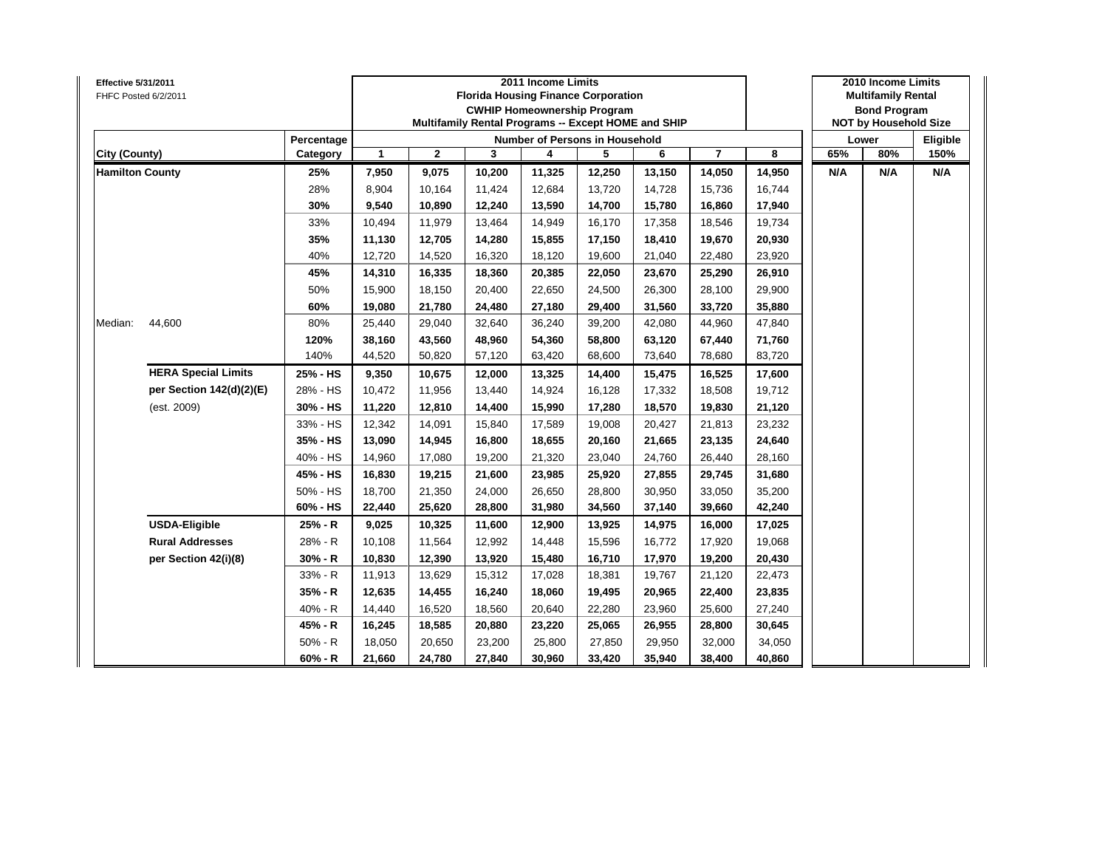| <b>Effective 5/31/2011</b> | FHFC Posted 6/2/2011       |            |        |              | <b>Florida Housing Finance Corporation</b><br>Multifamily Rental Programs -- Except HOME and SHIP | 2011 Income Limits | <b>CWHIP Homeownership Program</b> |        |                |        |     | 2010 Income Limits<br><b>Multifamily Rental</b><br><b>Bond Program</b><br><b>NOT by Household Size</b> |          |
|----------------------------|----------------------------|------------|--------|--------------|---------------------------------------------------------------------------------------------------|--------------------|------------------------------------|--------|----------------|--------|-----|--------------------------------------------------------------------------------------------------------|----------|
|                            |                            | Percentage |        |              |                                                                                                   |                    | Number of Persons in Household     |        |                |        |     | Lower                                                                                                  | Eligible |
| City (County)              |                            | Category   | 1      | $\mathbf{2}$ | 3                                                                                                 | 4                  | 5                                  | 6      | $\overline{7}$ | 8      | 65% | 80%                                                                                                    | 150%     |
| <b>Hamilton County</b>     |                            | 25%        | 7,950  | 9,075        | 10,200                                                                                            | 11,325             | 12,250                             | 13,150 | 14,050         | 14,950 | N/A | N/A                                                                                                    | N/A      |
|                            |                            | 28%        | 8,904  | 10,164       | 11,424                                                                                            | 12,684             | 13,720                             | 14,728 | 15,736         | 16,744 |     |                                                                                                        |          |
|                            |                            | 30%        | 9,540  | 10,890       | 12,240                                                                                            | 13,590             | 14,700                             | 15,780 | 16,860         | 17,940 |     |                                                                                                        |          |
|                            |                            | 33%        | 10,494 | 11,979       | 13,464                                                                                            | 14,949             | 16,170                             | 17,358 | 18,546         | 19,734 |     |                                                                                                        |          |
|                            |                            | 35%        | 11,130 | 12,705       | 14,280                                                                                            | 15,855             | 17,150                             | 18,410 | 19,670         | 20,930 |     |                                                                                                        |          |
|                            |                            | 40%        | 12,720 | 14,520       | 16,320                                                                                            | 18,120             | 19,600                             | 21,040 | 22,480         | 23,920 |     |                                                                                                        |          |
|                            |                            | 45%        | 14,310 | 16,335       | 18,360                                                                                            | 20,385             | 22,050                             | 23,670 | 25,290         | 26,910 |     |                                                                                                        |          |
|                            |                            | 50%        | 15,900 | 18,150       | 20,400                                                                                            | 22,650             | 24,500                             | 26,300 | 28,100         | 29,900 |     |                                                                                                        |          |
|                            |                            | 60%        | 19,080 | 21,780       | 24,480                                                                                            | 27,180             | 29,400                             | 31,560 | 33,720         | 35,880 |     |                                                                                                        |          |
| Median:                    | 44,600                     | 80%        | 25,440 | 29,040       | 32,640                                                                                            | 36,240             | 39,200                             | 42,080 | 44,960         | 47,840 |     |                                                                                                        |          |
|                            |                            | 120%       | 38,160 | 43,560       | 48,960                                                                                            | 54,360             | 58,800                             | 63,120 | 67,440         | 71,760 |     |                                                                                                        |          |
|                            |                            | 140%       | 44,520 | 50,820       | 57,120                                                                                            | 63,420             | 68,600                             | 73,640 | 78,680         | 83,720 |     |                                                                                                        |          |
|                            | <b>HERA Special Limits</b> | 25% - HS   | 9,350  | 10,675       | 12,000                                                                                            | 13,325             | 14,400                             | 15,475 | 16,525         | 17,600 |     |                                                                                                        |          |
|                            | per Section 142(d)(2)(E)   | 28% - HS   | 10,472 | 11,956       | 13,440                                                                                            | 14,924             | 16,128                             | 17,332 | 18,508         | 19,712 |     |                                                                                                        |          |
|                            | (est. 2009)                | 30% - HS   | 11,220 | 12,810       | 14,400                                                                                            | 15,990             | 17,280                             | 18,570 | 19,830         | 21,120 |     |                                                                                                        |          |
|                            |                            | 33% - HS   | 12,342 | 14,091       | 15,840                                                                                            | 17,589             | 19,008                             | 20,427 | 21,813         | 23,232 |     |                                                                                                        |          |
|                            |                            | 35% - HS   | 13,090 | 14,945       | 16,800                                                                                            | 18,655             | 20,160                             | 21,665 | 23,135         | 24,640 |     |                                                                                                        |          |
|                            |                            | 40% - HS   | 14,960 | 17,080       | 19,200                                                                                            | 21,320             | 23,040                             | 24,760 | 26,440         | 28,160 |     |                                                                                                        |          |
|                            |                            | 45% - HS   | 16,830 | 19,215       | 21,600                                                                                            | 23,985             | 25,920                             | 27,855 | 29,745         | 31,680 |     |                                                                                                        |          |
|                            |                            | 50% - HS   | 18,700 | 21,350       | 24,000                                                                                            | 26,650             | 28,800                             | 30,950 | 33,050         | 35,200 |     |                                                                                                        |          |
|                            |                            | 60% - HS   | 22,440 | 25,620       | 28,800                                                                                            | 31,980             | 34,560                             | 37,140 | 39,660         | 42,240 |     |                                                                                                        |          |
|                            | <b>USDA-Eligible</b>       | 25% - R    | 9,025  | 10,325       | 11,600                                                                                            | 12,900             | 13,925                             | 14,975 | 16,000         | 17,025 |     |                                                                                                        |          |
|                            | <b>Rural Addresses</b>     | 28% - R    | 10,108 | 11,564       | 12,992                                                                                            | 14,448             | 15,596                             | 16,772 | 17,920         | 19,068 |     |                                                                                                        |          |
|                            | per Section 42(i)(8)       | $30% - R$  | 10,830 | 12,390       | 13,920                                                                                            | 15,480             | 16,710                             | 17,970 | 19,200         | 20,430 |     |                                                                                                        |          |
|                            |                            | 33% - R    | 11,913 | 13,629       | 15,312                                                                                            | 17,028             | 18,381                             | 19,767 | 21,120         | 22,473 |     |                                                                                                        |          |
|                            |                            | 35% - R    | 12,635 | 14,455       | 16,240                                                                                            | 18,060             | 19,495                             | 20,965 | 22,400         | 23,835 |     |                                                                                                        |          |
|                            |                            | 40% - R    | 14,440 | 16,520       | 18,560                                                                                            | 20,640             | 22,280                             | 23,960 | 25,600         | 27,240 |     |                                                                                                        |          |
|                            |                            | 45% - R    | 16,245 | 18,585       | 20,880                                                                                            | 23,220             | 25,065                             | 26,955 | 28,800         | 30,645 |     |                                                                                                        |          |
|                            |                            | $50% - R$  | 18,050 | 20,650       | 23,200                                                                                            | 25,800             | 27,850                             | 29,950 | 32,000         | 34,050 |     |                                                                                                        |          |
|                            |                            | $60% - R$  | 21,660 | 24,780       | 27,840                                                                                            | 30,960             | 33,420                             | 35,940 | 38,400         | 40,860 |     |                                                                                                        |          |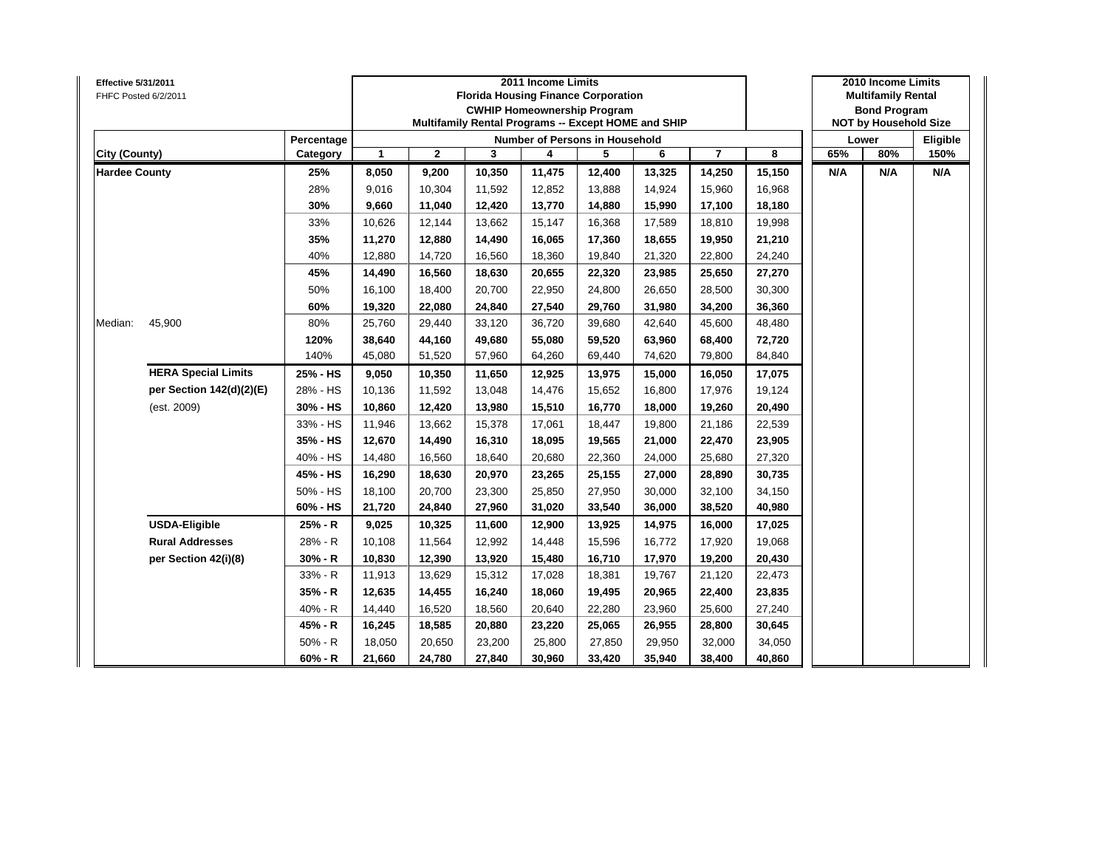| <b>Effective 5/31/2011</b> | FHFC Posted 6/2/2011       |            |        |              |        | 2011 Income Limits | <b>Florida Housing Finance Corporation</b><br><b>CWHIP Homeownership Program</b><br>Multifamily Rental Programs -- Except HOME and SHIP |        |                |        |     | 2010 Income Limits<br><b>Multifamily Rental</b><br><b>Bond Program</b><br><b>NOT by Household Size</b> |          |
|----------------------------|----------------------------|------------|--------|--------------|--------|--------------------|-----------------------------------------------------------------------------------------------------------------------------------------|--------|----------------|--------|-----|--------------------------------------------------------------------------------------------------------|----------|
|                            |                            | Percentage |        |              |        |                    | Number of Persons in Household                                                                                                          |        |                |        |     | Lower                                                                                                  | Eligible |
| City (County)              |                            | Category   | 1      | $\mathbf{2}$ | 3      | 4                  | 5                                                                                                                                       | 6      | $\overline{7}$ | 8      | 65% | 80%                                                                                                    | 150%     |
| <b>Hardee County</b>       |                            | 25%        | 8,050  | 9,200        | 10,350 | 11,475             | 12,400                                                                                                                                  | 13,325 | 14,250         | 15,150 | N/A | N/A                                                                                                    | N/A      |
|                            |                            | 28%        | 9,016  | 10,304       | 11,592 | 12,852             | 13,888                                                                                                                                  | 14,924 | 15,960         | 16,968 |     |                                                                                                        |          |
|                            |                            | 30%        | 9,660  | 11,040       | 12,420 | 13,770             | 14,880                                                                                                                                  | 15,990 | 17,100         | 18,180 |     |                                                                                                        |          |
|                            |                            | 33%        | 10,626 | 12,144       | 13,662 | 15,147             | 16,368                                                                                                                                  | 17,589 | 18,810         | 19,998 |     |                                                                                                        |          |
|                            |                            | 35%        | 11,270 | 12,880       | 14,490 | 16,065             | 17,360                                                                                                                                  | 18,655 | 19,950         | 21,210 |     |                                                                                                        |          |
|                            |                            | 40%        | 12,880 | 14,720       | 16,560 | 18,360             | 19,840                                                                                                                                  | 21,320 | 22,800         | 24,240 |     |                                                                                                        |          |
|                            |                            | 45%        | 14,490 | 16,560       | 18,630 | 20,655             | 22,320                                                                                                                                  | 23,985 | 25,650         | 27,270 |     |                                                                                                        |          |
|                            |                            | 50%        | 16,100 | 18,400       | 20,700 | 22,950             | 24,800                                                                                                                                  | 26,650 | 28,500         | 30,300 |     |                                                                                                        |          |
|                            |                            | 60%        | 19,320 | 22,080       | 24,840 | 27,540             | 29,760                                                                                                                                  | 31,980 | 34,200         | 36,360 |     |                                                                                                        |          |
| Median:                    | 45,900                     | 80%        | 25,760 | 29,440       | 33,120 | 36,720             | 39,680                                                                                                                                  | 42,640 | 45,600         | 48,480 |     |                                                                                                        |          |
|                            | <b>HERA Special Limits</b> | 120%       | 38,640 | 44,160       | 49,680 | 55,080             | 59,520                                                                                                                                  | 63,960 | 68,400         | 72,720 |     |                                                                                                        |          |
|                            |                            | 140%       | 45,080 | 51,520       | 57,960 | 64,260             | 69,440                                                                                                                                  | 74,620 | 79,800         | 84,840 |     |                                                                                                        |          |
|                            |                            | 25% - HS   | 9,050  | 10,350       | 11,650 | 12,925             | 13,975                                                                                                                                  | 15,000 | 16,050         | 17,075 |     |                                                                                                        |          |
|                            | per Section 142(d)(2)(E)   | 28% - HS   | 10,136 | 11,592       | 13,048 | 14,476             | 15,652                                                                                                                                  | 16,800 | 17,976         | 19,124 |     |                                                                                                        |          |
|                            | (est. 2009)                | 30% - HS   | 10,860 | 12,420       | 13,980 | 15,510             | 16,770                                                                                                                                  | 18,000 | 19,260         | 20,490 |     |                                                                                                        |          |
|                            |                            | 33% - HS   | 11,946 | 13,662       | 15,378 | 17,061             | 18,447                                                                                                                                  | 19,800 | 21,186         | 22,539 |     |                                                                                                        |          |
|                            |                            | 35% - HS   | 12,670 | 14,490       | 16,310 | 18,095             | 19,565                                                                                                                                  | 21,000 | 22,470         | 23,905 |     |                                                                                                        |          |
|                            |                            | 40% - HS   | 14,480 | 16,560       | 18,640 | 20,680             | 22,360                                                                                                                                  | 24,000 | 25,680         | 27,320 |     |                                                                                                        |          |
|                            |                            | 45% - HS   | 16,290 | 18,630       | 20,970 | 23,265             | 25,155                                                                                                                                  | 27,000 | 28,890         | 30,735 |     |                                                                                                        |          |
|                            |                            | 50% - HS   | 18,100 | 20,700       | 23,300 | 25,850             | 27,950                                                                                                                                  | 30,000 | 32,100         | 34,150 |     |                                                                                                        |          |
|                            |                            | 60% - HS   | 21,720 | 24,840       | 27,960 | 31,020             | 33,540                                                                                                                                  | 36,000 | 38,520         | 40,980 |     |                                                                                                        |          |
|                            | <b>USDA-Eligible</b>       | 25% - R    | 9,025  | 10,325       | 11,600 | 12,900             | 13,925                                                                                                                                  | 14,975 | 16,000         | 17,025 |     |                                                                                                        |          |
|                            | <b>Rural Addresses</b>     | 28% - R    | 10,108 | 11,564       | 12,992 | 14,448             | 15,596                                                                                                                                  | 16,772 | 17,920         | 19,068 |     |                                                                                                        |          |
|                            | per Section 42(i)(8)       | $30% - R$  | 10,830 | 12,390       | 13,920 | 15,480             | 16,710                                                                                                                                  | 17,970 | 19,200         | 20,430 |     |                                                                                                        |          |
|                            |                            | 33% - R    | 11,913 | 13,629       | 15,312 | 17,028             | 18,381                                                                                                                                  | 19,767 | 21,120         | 22,473 |     |                                                                                                        |          |
|                            |                            | $35% - R$  | 12,635 | 14,455       | 16,240 | 18,060             | 19,495                                                                                                                                  | 20,965 | 22,400         | 23,835 |     |                                                                                                        |          |
|                            |                            | 40% - R    | 14,440 | 16,520       | 18,560 | 20,640             | 22,280                                                                                                                                  | 23,960 | 25,600         | 27,240 |     |                                                                                                        |          |
|                            |                            | 45% - R    | 16,245 | 18,585       | 20,880 | 23,220             | 25,065                                                                                                                                  | 26,955 | 28,800         | 30,645 |     |                                                                                                        |          |
|                            |                            | $50% - R$  | 18,050 | 20,650       | 23,200 | 25,800             | 27,850                                                                                                                                  | 29,950 | 32,000         | 34,050 |     |                                                                                                        |          |
|                            |                            | $60% - R$  | 21,660 | 24,780       | 27,840 | 30,960             | 33,420                                                                                                                                  | 35,940 | 38,400         | 40,860 |     |                                                                                                        |          |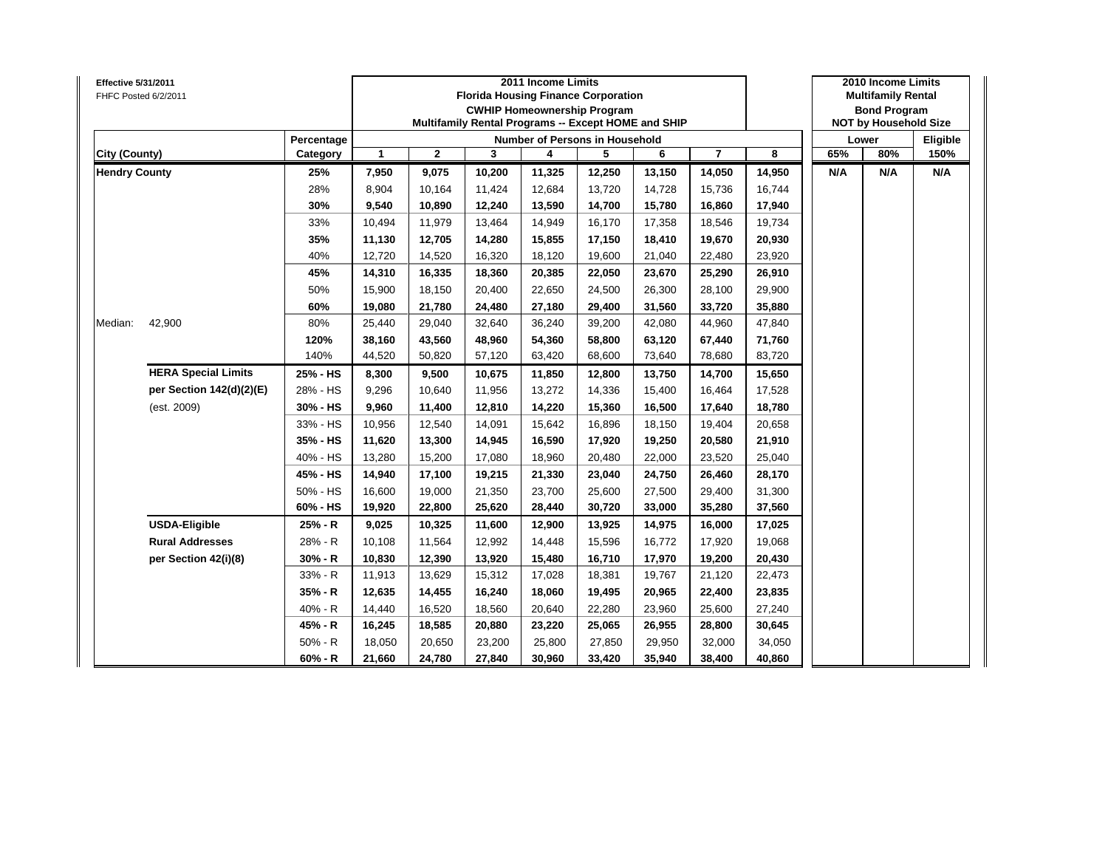| Effective 5/31/2011<br>FHFC Posted 6/2/2011 |                            |            |              |              |        | 2011 Income Limits | <b>Florida Housing Finance Corporation</b><br><b>CWHIP Homeownership Program</b><br>Multifamily Rental Programs -- Except HOME and SHIP |        |                         |        |     | 2010 Income Limits<br><b>Multifamily Rental</b><br><b>Bond Program</b><br><b>NOT by Household Size</b> |          |
|---------------------------------------------|----------------------------|------------|--------------|--------------|--------|--------------------|-----------------------------------------------------------------------------------------------------------------------------------------|--------|-------------------------|--------|-----|--------------------------------------------------------------------------------------------------------|----------|
|                                             |                            | Percentage |              |              |        |                    | <b>Number of Persons in Household</b>                                                                                                   |        |                         |        |     | Lower                                                                                                  | Eligible |
| City (County)                               |                            | Category   | $\mathbf{1}$ | $\mathbf{2}$ | 3      | 4                  | 5                                                                                                                                       | 6      | $\overline{\mathbf{r}}$ | 8      | 65% | 80%                                                                                                    | 150%     |
| <b>Hendry County</b>                        |                            | 25%        | 7,950        | 9,075        | 10,200 | 11,325             | 12,250                                                                                                                                  | 13,150 | 14,050                  | 14,950 | N/A | N/A                                                                                                    | N/A      |
|                                             |                            | 28%        | 8,904        | 10,164       | 11,424 | 12,684             | 13,720                                                                                                                                  | 14,728 | 15,736                  | 16,744 |     |                                                                                                        |          |
|                                             |                            | 30%        | 9,540        | 10,890       | 12,240 | 13,590             | 14,700                                                                                                                                  | 15,780 | 16,860                  | 17,940 |     |                                                                                                        |          |
|                                             |                            | 33%        | 10,494       | 11,979       | 13,464 | 14,949             | 16,170                                                                                                                                  | 17,358 | 18,546                  | 19,734 |     |                                                                                                        |          |
|                                             |                            | 35%        | 11,130       | 12,705       | 14,280 | 15,855             | 17,150                                                                                                                                  | 18,410 | 19,670                  | 20,930 |     |                                                                                                        |          |
|                                             |                            | 40%        | 12,720       | 14,520       | 16,320 | 18,120             | 19,600                                                                                                                                  | 21,040 | 22,480                  | 23,920 |     |                                                                                                        |          |
|                                             |                            | 45%        | 14,310       | 16,335       | 18,360 | 20,385             | 22,050                                                                                                                                  | 23,670 | 25,290                  | 26,910 |     |                                                                                                        |          |
|                                             |                            | 50%        | 15,900       | 18,150       | 20,400 | 22,650             | 24,500                                                                                                                                  | 26,300 | 28,100                  | 29,900 |     |                                                                                                        |          |
|                                             |                            | 60%        | 19,080       | 21,780       | 24,480 | 27,180             | 29,400                                                                                                                                  | 31,560 | 33,720                  | 35,880 |     |                                                                                                        |          |
| Median:                                     | 42,900                     | 80%        | 25,440       | 29,040       | 32,640 | 36,240             | 39,200                                                                                                                                  | 42,080 | 44,960                  | 47,840 |     |                                                                                                        |          |
|                                             | 120%<br>38,160             | 43,560     | 48,960       | 54,360       | 58,800 | 63,120             | 67,440                                                                                                                                  | 71,760 |                         |        |     |                                                                                                        |          |
|                                             |                            | 140%       | 44,520       | 50,820       | 57,120 | 63,420             | 68,600                                                                                                                                  | 73,640 | 78,680                  | 83,720 |     |                                                                                                        |          |
|                                             | <b>HERA Special Limits</b> | 25% - HS   | 8,300        | 9,500        | 10,675 | 11,850             | 12,800                                                                                                                                  | 13,750 | 14,700                  | 15,650 |     |                                                                                                        |          |
|                                             | per Section 142(d)(2)(E)   | 28% - HS   | 9,296        | 10,640       | 11,956 | 13,272             | 14,336                                                                                                                                  | 15,400 | 16,464                  | 17,528 |     |                                                                                                        |          |
|                                             | (est. 2009)                | 30% - HS   | 9,960        | 11,400       | 12,810 | 14,220             | 15,360                                                                                                                                  | 16,500 | 17,640                  | 18,780 |     |                                                                                                        |          |
|                                             |                            | 33% - HS   | 10,956       | 12,540       | 14,091 | 15,642             | 16,896                                                                                                                                  | 18,150 | 19,404                  | 20,658 |     |                                                                                                        |          |
|                                             |                            | 35% - HS   | 11,620       | 13,300       | 14,945 | 16,590             | 17,920                                                                                                                                  | 19,250 | 20,580                  | 21,910 |     |                                                                                                        |          |
|                                             |                            | 40% - HS   | 13,280       | 15,200       | 17,080 | 18,960             | 20,480                                                                                                                                  | 22,000 | 23,520                  | 25,040 |     |                                                                                                        |          |
|                                             |                            | 45% - HS   | 14,940       | 17,100       | 19,215 | 21,330             | 23,040                                                                                                                                  | 24,750 | 26,460                  | 28,170 |     |                                                                                                        |          |
|                                             |                            | 50% - HS   | 16,600       | 19,000       | 21,350 | 23,700             | 25,600                                                                                                                                  | 27,500 | 29,400                  | 31,300 |     |                                                                                                        |          |
|                                             |                            | 60% - HS   | 19,920       | 22,800       | 25,620 | 28,440             | 30,720                                                                                                                                  | 33,000 | 35,280                  | 37,560 |     |                                                                                                        |          |
|                                             | <b>USDA-Eligible</b>       | 25% - R    | 9,025        | 10,325       | 11,600 | 12,900             | 13,925                                                                                                                                  | 14,975 | 16,000                  | 17,025 |     |                                                                                                        |          |
|                                             | <b>Rural Addresses</b>     | 28% - R    | 10,108       | 11,564       | 12,992 | 14,448             | 15,596                                                                                                                                  | 16,772 | 17,920                  | 19,068 |     |                                                                                                        |          |
|                                             | per Section 42(i)(8)       | $30% - R$  | 10,830       | 12,390       | 13,920 | 15,480             | 16,710                                                                                                                                  | 17,970 | 19,200                  | 20,430 |     |                                                                                                        |          |
|                                             |                            | 33% - R    | 11,913       | 13,629       | 15,312 | 17,028             | 18,381                                                                                                                                  | 19,767 | 21,120                  | 22,473 |     |                                                                                                        |          |
|                                             |                            | 35% - R    | 12,635       | 14,455       | 16,240 | 18,060             | 19,495                                                                                                                                  | 20,965 | 22,400                  | 23,835 |     |                                                                                                        |          |
|                                             |                            | 40% - R    | 14,440       | 16,520       | 18,560 | 20,640             | 22,280                                                                                                                                  | 23,960 | 25,600                  | 27,240 |     |                                                                                                        |          |
|                                             |                            | 45% - R    | 16,245       | 18,585       | 20,880 | 23,220             | 25,065                                                                                                                                  | 26,955 | 28,800                  | 30,645 |     |                                                                                                        |          |
|                                             |                            | $50% - R$  | 18,050       | 20,650       | 23,200 | 25,800             | 27,850                                                                                                                                  | 29,950 | 32,000                  | 34,050 |     |                                                                                                        |          |
|                                             |                            | $60% - R$  | 21,660       | 24,780       | 27,840 | 30,960             | 33,420                                                                                                                                  | 35,940 | 38,400                  | 40,860 |     |                                                                                                        |          |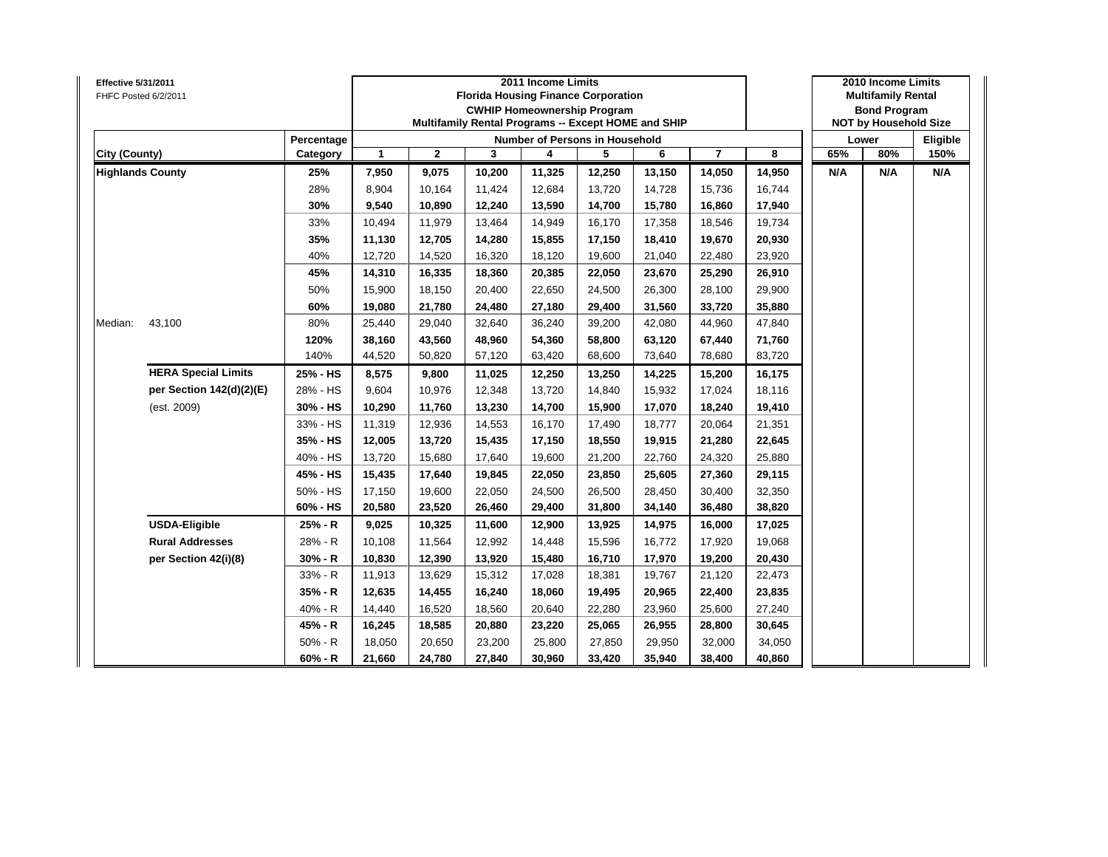| <b>Effective 5/31/2011</b> | FHFC Posted 6/2/2011       |            |        |              | <b>Florida Housing Finance Corporation</b><br>Multifamily Rental Programs -- Except HOME and SHIP | 2011 Income Limits | <b>CWHIP Homeownership Program</b> |        |                |        |     | 2010 Income Limits<br><b>Multifamily Rental</b><br><b>Bond Program</b><br><b>NOT by Household Size</b> |          |
|----------------------------|----------------------------|------------|--------|--------------|---------------------------------------------------------------------------------------------------|--------------------|------------------------------------|--------|----------------|--------|-----|--------------------------------------------------------------------------------------------------------|----------|
|                            |                            | Percentage |        |              |                                                                                                   |                    | Number of Persons in Household     |        |                |        |     | Lower                                                                                                  | Eligible |
| City (County)              |                            | Category   | 1      | $\mathbf{2}$ | 3                                                                                                 | 4                  | 5                                  | 6      | $\overline{7}$ | 8      | 65% | 80%                                                                                                    | 150%     |
|                            | <b>Highlands County</b>    | 25%        | 7,950  | 9,075        | 10,200                                                                                            | 11,325             | 12,250                             | 13,150 | 14,050         | 14,950 | N/A | N/A                                                                                                    | N/A      |
|                            |                            | 28%        | 8,904  | 10,164       | 11,424                                                                                            | 12,684             | 13,720                             | 14,728 | 15,736         | 16,744 |     |                                                                                                        |          |
|                            |                            | 30%        | 9,540  | 10,890       | 12,240                                                                                            | 13,590             | 14,700                             | 15,780 | 16,860         | 17,940 |     |                                                                                                        |          |
|                            |                            | 33%        | 10,494 | 11,979       | 13,464                                                                                            | 14,949             | 16,170                             | 17,358 | 18,546         | 19,734 |     |                                                                                                        |          |
|                            |                            | 35%        | 11,130 | 12,705       | 14,280                                                                                            | 15,855             | 17,150                             | 18,410 | 19,670         | 20,930 |     |                                                                                                        |          |
|                            |                            | 40%        | 12,720 | 14,520       | 16,320                                                                                            | 18,120             | 19,600                             | 21,040 | 22,480         | 23,920 |     |                                                                                                        |          |
|                            |                            | 45%        | 14,310 | 16,335       | 18,360                                                                                            | 20,385             | 22,050                             | 23,670 | 25,290         | 26,910 |     |                                                                                                        |          |
|                            |                            | 50%        | 15,900 | 18,150       | 20,400                                                                                            | 22,650             | 24,500                             | 26,300 | 28,100         | 29,900 |     |                                                                                                        |          |
|                            |                            | 60%        | 19,080 | 21,780       | 24,480                                                                                            | 27,180             | 29,400                             | 31,560 | 33,720         | 35,880 |     |                                                                                                        |          |
| Median:                    | 43,100                     | 80%        | 25,440 | 29,040       | 32,640                                                                                            | 36,240             | 39,200                             | 42,080 | 44,960         | 47,840 |     |                                                                                                        |          |
|                            |                            | 120%       | 38,160 | 43,560       | 48,960                                                                                            | 54,360             | 58,800                             | 63,120 | 67,440         | 71,760 |     |                                                                                                        |          |
|                            |                            | 140%       | 44,520 | 50,820       | 57,120                                                                                            | 63,420             | 68,600                             | 73,640 | 78,680         | 83,720 |     |                                                                                                        |          |
|                            | <b>HERA Special Limits</b> | 25% - HS   | 8,575  | 9,800        | 11,025                                                                                            | 12,250             | 13,250                             | 14,225 | 15,200         | 16,175 |     |                                                                                                        |          |
|                            | per Section 142(d)(2)(E)   | 28% - HS   | 9,604  | 10,976       | 12,348                                                                                            | 13,720             | 14,840                             | 15,932 | 17,024         | 18,116 |     |                                                                                                        |          |
|                            | (est. 2009)                | 30% - HS   | 10,290 | 11,760       | 13,230                                                                                            | 14,700             | 15,900                             | 17,070 | 18,240         | 19,410 |     |                                                                                                        |          |
|                            |                            | 33% - HS   | 11,319 | 12,936       | 14,553                                                                                            | 16,170             | 17,490                             | 18,777 | 20,064         | 21,351 |     |                                                                                                        |          |
|                            |                            | 35% - HS   | 12,005 | 13,720       | 15,435                                                                                            | 17,150             | 18,550                             | 19,915 | 21,280         | 22,645 |     |                                                                                                        |          |
|                            |                            | 40% - HS   | 13,720 | 15,680       | 17,640                                                                                            | 19,600             | 21,200                             | 22,760 | 24,320         | 25,880 |     |                                                                                                        |          |
|                            |                            | 45% - HS   | 15,435 | 17,640       | 19,845                                                                                            | 22,050             | 23,850                             | 25,605 | 27,360         | 29,115 |     |                                                                                                        |          |
|                            |                            | 50% - HS   | 17,150 | 19,600       | 22,050                                                                                            | 24,500             | 26,500                             | 28,450 | 30,400         | 32,350 |     |                                                                                                        |          |
|                            |                            | 60% - HS   | 20,580 | 23,520       | 26,460                                                                                            | 29,400             | 31,800                             | 34,140 | 36,480         | 38,820 |     |                                                                                                        |          |
|                            | <b>USDA-Eligible</b>       | 25% - R    | 9,025  | 10,325       | 11,600                                                                                            | 12,900             | 13,925                             | 14,975 | 16,000         | 17,025 |     |                                                                                                        |          |
|                            | <b>Rural Addresses</b>     | 28% - R    | 10,108 | 11,564       | 12,992                                                                                            | 14,448             | 15,596                             | 16,772 | 17,920         | 19,068 |     |                                                                                                        |          |
|                            | per Section 42(i)(8)       | $30% - R$  | 10,830 | 12,390       | 13,920                                                                                            | 15,480             | 16,710                             | 17,970 | 19,200         | 20,430 |     |                                                                                                        |          |
|                            |                            | 33% - R    | 11,913 | 13,629       | 15,312                                                                                            | 17,028             | 18,381                             | 19,767 | 21,120         | 22,473 |     |                                                                                                        |          |
|                            |                            | 35% - R    | 12,635 | 14,455       | 16,240                                                                                            | 18,060             | 19,495                             | 20,965 | 22,400         | 23,835 |     |                                                                                                        |          |
|                            |                            | 40% - R    | 14,440 | 16,520       | 18,560                                                                                            | 20,640             | 22,280                             | 23,960 | 25,600         | 27,240 |     |                                                                                                        |          |
|                            |                            | 45% - R    | 16,245 | 18,585       | 20,880                                                                                            | 23,220             | 25,065                             | 26,955 | 28,800         | 30,645 |     |                                                                                                        |          |
|                            |                            | $50% - R$  | 18,050 | 20,650       | 23,200                                                                                            | 25,800             | 27,850                             | 29,950 | 32,000         | 34,050 |     |                                                                                                        |          |
|                            |                            | $60% - R$  | 21,660 | 24,780       | 27,840                                                                                            | 30,960             | 33,420                             | 35,940 | 38,400         | 40,860 |     |                                                                                                        |          |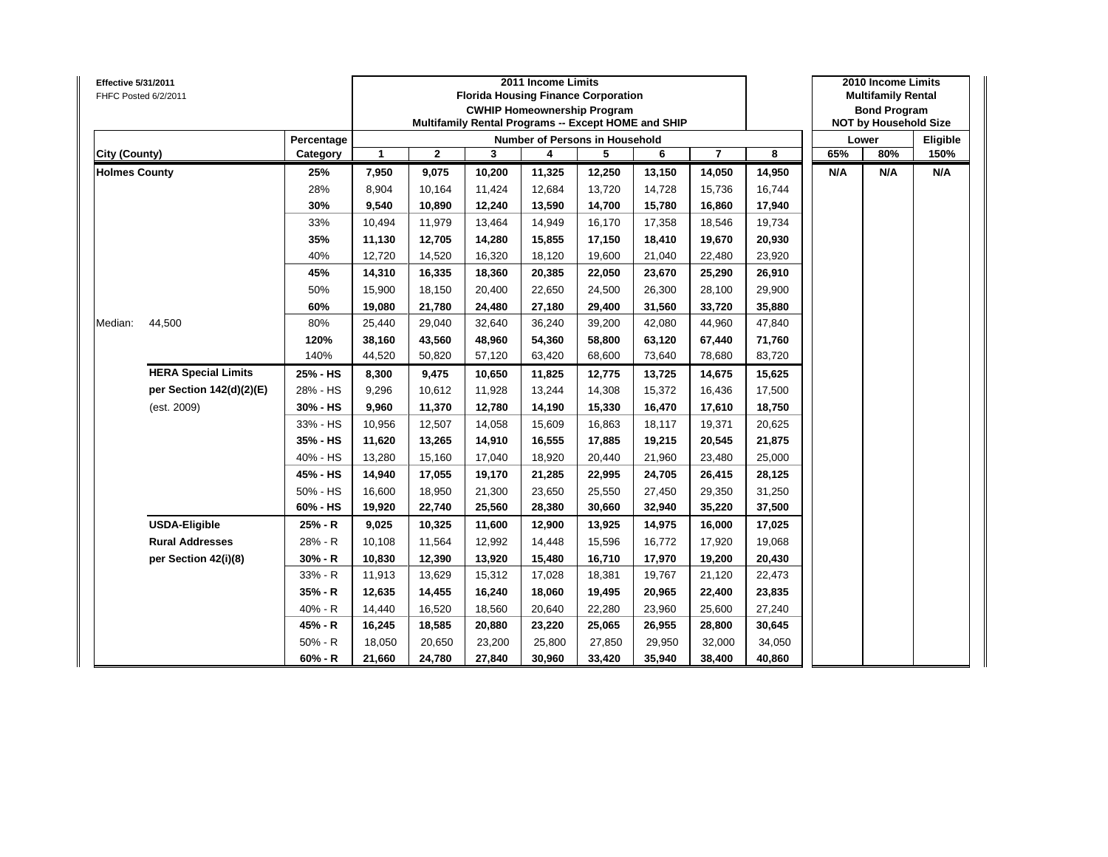| Effective 5/31/2011  | FHFC Posted 6/2/2011       |                |              |              |        | 2011 Income Limits | <b>Florida Housing Finance Corporation</b><br><b>CWHIP Homeownership Program</b><br>Multifamily Rental Programs -- Except HOME and SHIP |        |                         |        |     | 2010 Income Limits<br><b>Multifamily Rental</b><br><b>Bond Program</b><br><b>NOT by Household Size</b> |          |
|----------------------|----------------------------|----------------|--------------|--------------|--------|--------------------|-----------------------------------------------------------------------------------------------------------------------------------------|--------|-------------------------|--------|-----|--------------------------------------------------------------------------------------------------------|----------|
|                      |                            | Percentage     |              |              |        |                    | Number of Persons in Household                                                                                                          |        |                         |        |     | Lower                                                                                                  | Eligible |
| City (County)        |                            | Category       | $\mathbf{1}$ | $\mathbf{2}$ | 3      | 4                  | 5                                                                                                                                       | 6      | $\overline{\mathbf{r}}$ | 8      | 65% | 80%                                                                                                    | 150%     |
| <b>Holmes County</b> |                            | 25%            | 7,950        | 9,075        | 10,200 | 11,325             | 12,250                                                                                                                                  | 13,150 | 14,050                  | 14,950 | N/A | N/A                                                                                                    | N/A      |
|                      |                            | 28%            | 8,904        | 10,164       | 11,424 | 12,684             | 13,720                                                                                                                                  | 14,728 | 15,736                  | 16,744 |     |                                                                                                        |          |
|                      |                            | 30%            | 9,540        | 10,890       | 12,240 | 13,590             | 14,700                                                                                                                                  | 15,780 | 16,860                  | 17,940 |     |                                                                                                        |          |
|                      |                            | 33%            | 10,494       | 11,979       | 13,464 | 14,949             | 16,170                                                                                                                                  | 17,358 | 18,546                  | 19,734 |     |                                                                                                        |          |
|                      |                            | 35%            | 11,130       | 12,705       | 14,280 | 15,855             | 17,150                                                                                                                                  | 18,410 | 19,670                  | 20,930 |     |                                                                                                        |          |
|                      |                            | 40%            | 12,720       | 14,520       | 16,320 | 18,120             | 19,600                                                                                                                                  | 21,040 | 22,480                  | 23,920 |     |                                                                                                        |          |
|                      |                            | 45%            | 14,310       | 16,335       | 18,360 | 20,385             | 22,050                                                                                                                                  | 23,670 | 25,290                  | 26,910 |     |                                                                                                        |          |
|                      |                            | 50%            | 15,900       | 18,150       | 20,400 | 22,650             | 24,500                                                                                                                                  | 26,300 | 28,100                  | 29,900 |     |                                                                                                        |          |
|                      |                            | 60%            | 19,080       | 21,780       | 24,480 | 27,180             | 29,400                                                                                                                                  | 31,560 | 33,720                  | 35,880 |     |                                                                                                        |          |
| Median:              | 44,500                     | 80%            | 25,440       | 29,040       | 32,640 | 36,240             | 39,200                                                                                                                                  | 42,080 | 44,960                  | 47,840 |     |                                                                                                        |          |
|                      |                            | 120%           | 38,160       | 43,560       | 48,960 | 54,360             | 58,800                                                                                                                                  | 63,120 | 67,440                  | 71,760 |     |                                                                                                        |          |
|                      |                            | 140%<br>44,520 | 50,820       | 57,120       | 63,420 | 68,600             | 73,640                                                                                                                                  | 78,680 | 83,720                  |        |     |                                                                                                        |          |
|                      | <b>HERA Special Limits</b> | 25% - HS       | 8,300        | 9,475        | 10,650 | 11,825             | 12,775                                                                                                                                  | 13,725 | 14,675                  | 15,625 |     |                                                                                                        |          |
|                      | per Section 142(d)(2)(E)   | 28% - HS       | 9,296        | 10,612       | 11,928 | 13,244             | 14,308                                                                                                                                  | 15,372 | 16,436                  | 17,500 |     |                                                                                                        |          |
|                      | (est. 2009)                | 30% - HS       | 9,960        | 11,370       | 12,780 | 14,190             | 15,330                                                                                                                                  | 16,470 | 17,610                  | 18,750 |     |                                                                                                        |          |
|                      |                            | 33% - HS       | 10,956       | 12,507       | 14,058 | 15,609             | 16,863                                                                                                                                  | 18,117 | 19,371                  | 20,625 |     |                                                                                                        |          |
|                      |                            | 35% - HS       | 11,620       | 13,265       | 14,910 | 16,555             | 17,885                                                                                                                                  | 19,215 | 20,545                  | 21,875 |     |                                                                                                        |          |
|                      |                            | 40% - HS       | 13,280       | 15,160       | 17,040 | 18,920             | 20,440                                                                                                                                  | 21,960 | 23,480                  | 25,000 |     |                                                                                                        |          |
|                      |                            | 45% - HS       | 14,940       | 17,055       | 19,170 | 21,285             | 22,995                                                                                                                                  | 24,705 | 26,415                  | 28,125 |     |                                                                                                        |          |
|                      |                            | 50% - HS       | 16,600       | 18,950       | 21,300 | 23,650             | 25,550                                                                                                                                  | 27,450 | 29,350                  | 31,250 |     |                                                                                                        |          |
|                      |                            | 60% - HS       | 19,920       | 22,740       | 25,560 | 28,380             | 30,660                                                                                                                                  | 32,940 | 35,220                  | 37,500 |     |                                                                                                        |          |
|                      | <b>USDA-Eligible</b>       | 25% - R        | 9,025        | 10,325       | 11,600 | 12,900             | 13,925                                                                                                                                  | 14,975 | 16,000                  | 17,025 |     |                                                                                                        |          |
|                      | <b>Rural Addresses</b>     | 28% - R        | 10,108       | 11,564       | 12,992 | 14,448             | 15,596                                                                                                                                  | 16,772 | 17,920                  | 19,068 |     |                                                                                                        |          |
|                      | per Section 42(i)(8)       | $30% - R$      | 10,830       | 12,390       | 13,920 | 15,480             | 16,710                                                                                                                                  | 17,970 | 19,200                  | 20,430 |     |                                                                                                        |          |
|                      |                            | 33% - R        | 11,913       | 13,629       | 15,312 | 17,028             | 18,381                                                                                                                                  | 19,767 | 21,120                  | 22,473 |     |                                                                                                        |          |
|                      |                            | 35% - R        | 12,635       | 14,455       | 16,240 | 18,060             | 19,495                                                                                                                                  | 20,965 | 22,400                  | 23,835 |     |                                                                                                        |          |
|                      |                            | 40% - R        | 14,440       | 16,520       | 18,560 | 20,640             | 22,280                                                                                                                                  | 23,960 | 25,600                  | 27,240 |     |                                                                                                        |          |
|                      |                            | 45% - R        | 16,245       | 18,585       | 20,880 | 23,220             | 25,065                                                                                                                                  | 26,955 | 28,800                  | 30,645 |     |                                                                                                        |          |
|                      |                            | $50% - R$      | 18,050       | 20,650       | 23,200 | 25,800             | 27,850                                                                                                                                  | 29,950 | 32,000                  | 34,050 |     |                                                                                                        |          |
|                      |                            | $60% - R$      | 21,660       | 24,780       | 27,840 | 30,960             | 33,420                                                                                                                                  | 35,940 | 38,400                  | 40,860 |     |                                                                                                        |          |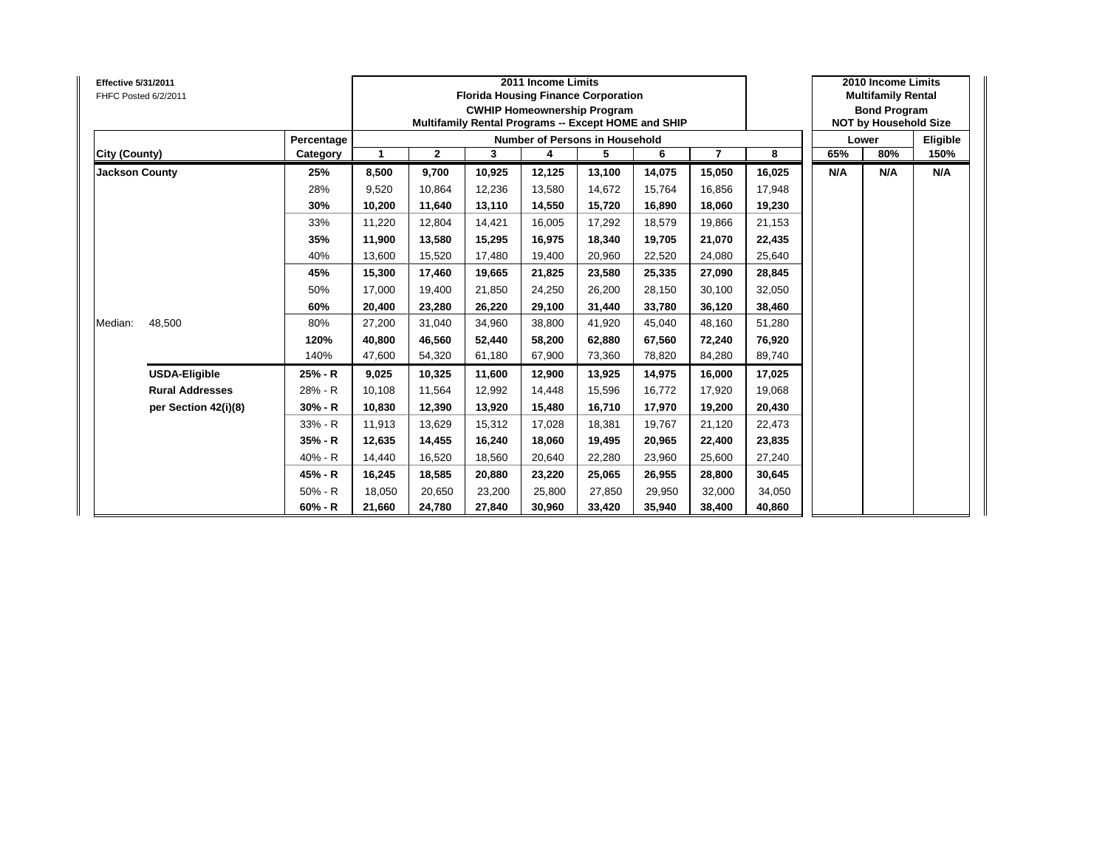| <b>Effective 5/31/2011</b><br>FHFC Posted 6/2/2011 |            |        |              |        | 2011 Income Limits | <b>Florida Housing Finance Corporation</b><br><b>CWHIP Homeownership Program</b><br>Multifamily Rental Programs -- Except HOME and SHIP |        |                |        |     | 2010 Income Limits<br><b>Multifamily Rental</b><br><b>Bond Program</b><br><b>NOT by Household Size</b> |          |
|----------------------------------------------------|------------|--------|--------------|--------|--------------------|-----------------------------------------------------------------------------------------------------------------------------------------|--------|----------------|--------|-----|--------------------------------------------------------------------------------------------------------|----------|
|                                                    | Percentage |        |              |        |                    | <b>Number of Persons in Household</b>                                                                                                   |        |                |        |     | Lower                                                                                                  | Eligible |
| City (County)                                      | Category   | 1      | $\mathbf{2}$ | 3      | 4                  | 5                                                                                                                                       | 6      | $\overline{7}$ | 8      | 65% | 80%                                                                                                    | 150%     |
| <b>Jackson County</b>                              | 25%        | 8,500  | 9,700        | 10,925 | 12,125             | 13,100                                                                                                                                  | 14,075 | 15,050         | 16,025 | N/A | N/A                                                                                                    | N/A      |
|                                                    | 28%        | 9,520  | 10,864       | 12.236 | 13,580             | 14.672                                                                                                                                  | 15.764 | 16,856         | 17,948 |     |                                                                                                        |          |
|                                                    | 30%        | 10,200 | 11,640       | 13,110 | 14,550             | 15,720                                                                                                                                  | 16,890 | 18,060         | 19,230 |     |                                                                                                        |          |
|                                                    | 33%        | 11,220 | 12,804       | 14,421 | 16,005             | 17,292                                                                                                                                  | 18,579 | 19,866         | 21,153 |     |                                                                                                        |          |
|                                                    | 35%        | 11,900 | 13,580       | 15,295 | 16,975             | 18,340                                                                                                                                  | 19,705 | 21,070         | 22,435 |     |                                                                                                        |          |
|                                                    | 40%        | 13,600 | 15,520       | 17,480 | 19,400             | 20,960                                                                                                                                  | 22,520 | 24,080         | 25,640 |     |                                                                                                        |          |
|                                                    | 45%        | 15,300 | 17,460       | 19,665 | 21,825             | 23,580                                                                                                                                  | 25,335 | 27,090         | 28,845 |     |                                                                                                        |          |
|                                                    | 50%        | 17.000 | 19,400       | 21.850 | 24,250             | 26,200                                                                                                                                  | 28.150 | 30,100         | 32,050 |     |                                                                                                        |          |
|                                                    | 60%        | 20,400 | 23,280       | 26,220 | 29,100             | 31,440                                                                                                                                  | 33,780 | 36,120         | 38,460 |     |                                                                                                        |          |
| 48,500<br>Median:                                  | 80%        | 27,200 | 31,040       | 34,960 | 38,800             | 41,920                                                                                                                                  | 45,040 | 48,160         | 51,280 |     |                                                                                                        |          |
|                                                    | 120%       | 40,800 | 46,560       | 52,440 | 58,200             | 62,880                                                                                                                                  | 67,560 | 72,240         | 76,920 |     |                                                                                                        |          |
|                                                    | 140%       | 47,600 | 54,320       | 61,180 | 67,900             | 73,360                                                                                                                                  | 78,820 | 84,280         | 89,740 |     |                                                                                                        |          |
| <b>USDA-Eligible</b>                               | 25% - R    | 9,025  | 10,325       | 11,600 | 12,900             | 13,925                                                                                                                                  | 14,975 | 16,000         | 17,025 |     |                                                                                                        |          |
| <b>Rural Addresses</b>                             | 28% - R    | 10.108 | 11.564       | 12.992 | 14,448             | 15.596                                                                                                                                  | 16.772 | 17,920         | 19,068 |     |                                                                                                        |          |
| per Section 42(i)(8)                               | $30% - R$  | 10,830 | 12,390       | 13,920 | 15,480             | 16,710                                                                                                                                  | 17,970 | 19,200         | 20,430 |     |                                                                                                        |          |
|                                                    | 33% - R    | 11,913 | 13,629       | 15,312 | 17,028             | 18,381                                                                                                                                  | 19,767 | 21,120         | 22,473 |     |                                                                                                        |          |
|                                                    | 35% - R    | 12,635 | 14,455       | 16,240 | 18,060             | 19,495                                                                                                                                  | 20,965 | 22,400         | 23,835 |     |                                                                                                        |          |
|                                                    | $40% - R$  | 14,440 | 16,520       | 18,560 | 20,640             | 22,280                                                                                                                                  | 23,960 | 25,600         | 27,240 |     |                                                                                                        |          |
|                                                    | 45% - R    | 16,245 | 18,585       | 20,880 | 23,220             | 25,065                                                                                                                                  | 26,955 | 28,800         | 30,645 |     |                                                                                                        |          |
|                                                    | $50% - R$  | 18,050 | 20,650       | 23,200 | 25,800             | 27,850                                                                                                                                  | 29,950 | 32,000         | 34,050 |     |                                                                                                        |          |
|                                                    | $60% - R$  | 21,660 | 24,780       | 27,840 | 30,960             | 33,420                                                                                                                                  | 35,940 | 38,400         | 40,860 |     |                                                                                                        |          |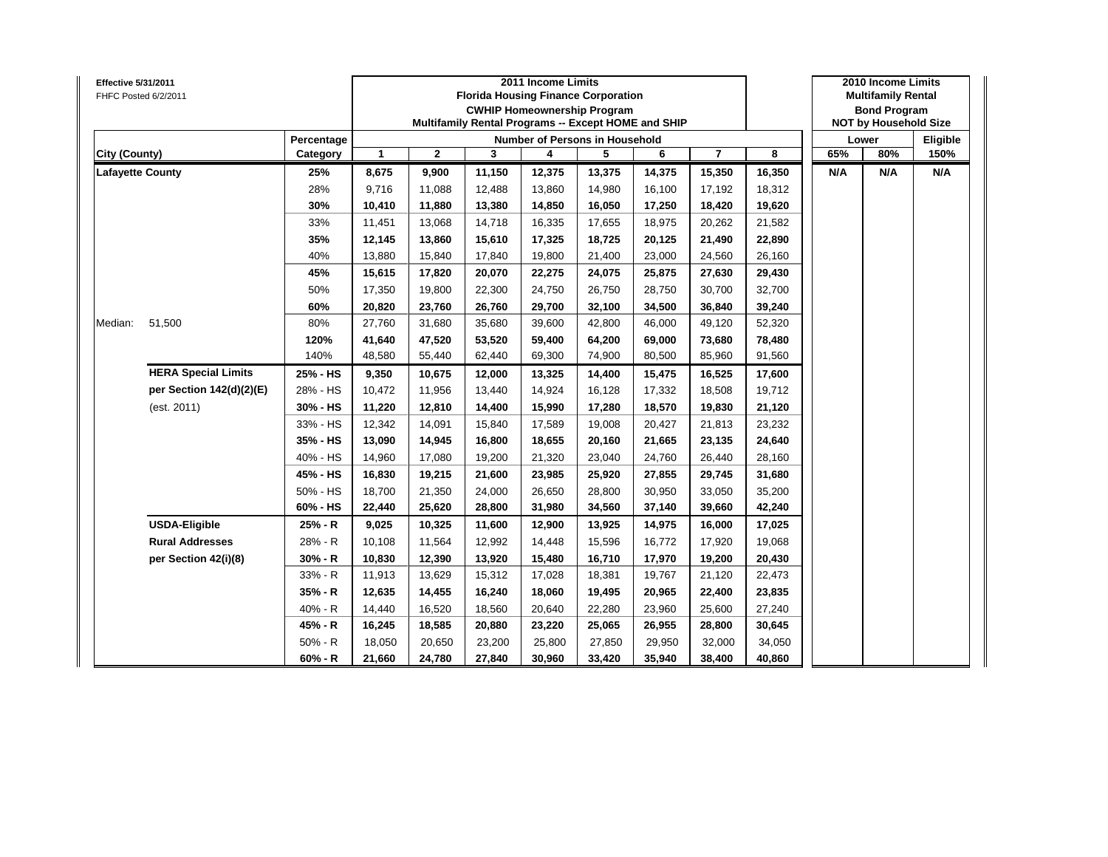| Effective 5/31/2011     | FHFC Posted 6/2/2011       |            |              |              |        | 2011 Income Limits | <b>Florida Housing Finance Corporation</b><br><b>CWHIP Homeownership Program</b><br>Multifamily Rental Programs -- Except HOME and SHIP |        |                |        |     | 2010 Income Limits<br><b>Multifamily Rental</b><br><b>Bond Program</b><br><b>NOT by Household Size</b> |          |
|-------------------------|----------------------------|------------|--------------|--------------|--------|--------------------|-----------------------------------------------------------------------------------------------------------------------------------------|--------|----------------|--------|-----|--------------------------------------------------------------------------------------------------------|----------|
|                         |                            | Percentage |              |              |        |                    | Number of Persons in Household                                                                                                          |        |                |        |     | Lower                                                                                                  | Eligible |
| City (County)           |                            | Category   | $\mathbf{1}$ | $\mathbf{2}$ | 3      | 4                  | 5                                                                                                                                       | 6      | $\overline{7}$ | 8      | 65% | 80%                                                                                                    | 150%     |
| <b>Lafayette County</b> |                            | 25%        | 8,675        | 9,900        | 11,150 | 12,375             | 13,375                                                                                                                                  | 14,375 | 15,350         | 16,350 | N/A | N/A                                                                                                    | N/A      |
|                         |                            | 28%        | 9,716        | 11,088       | 12,488 | 13,860             | 14,980                                                                                                                                  | 16,100 | 17,192         | 18,312 |     |                                                                                                        |          |
|                         |                            | 30%        | 10,410       | 11,880       | 13,380 | 14,850             | 16,050                                                                                                                                  | 17,250 | 18,420         | 19,620 |     |                                                                                                        |          |
|                         |                            | 33%        | 11,451       | 13,068       | 14,718 | 16,335             | 17,655                                                                                                                                  | 18,975 | 20,262         | 21,582 |     |                                                                                                        |          |
|                         |                            | 35%        | 12,145       | 13,860       | 15,610 | 17,325             | 18,725                                                                                                                                  | 20,125 | 21,490         | 22,890 |     |                                                                                                        |          |
|                         |                            | 40%        | 13,880       | 15,840       | 17,840 | 19,800             | 21,400                                                                                                                                  | 23,000 | 24,560         | 26,160 |     |                                                                                                        |          |
|                         |                            | 45%        | 15,615       | 17,820       | 20,070 | 22,275             | 24,075                                                                                                                                  | 25,875 | 27,630         | 29,430 |     |                                                                                                        |          |
|                         |                            | 50%        | 17,350       | 19,800       | 22,300 | 24,750             | 26,750                                                                                                                                  | 28,750 | 30,700         | 32,700 |     |                                                                                                        |          |
|                         |                            | 60%        | 20,820       | 23,760       | 26,760 | 29,700             | 32,100                                                                                                                                  | 34,500 | 36,840         | 39,240 |     |                                                                                                        |          |
| Median:                 | 51,500                     | 80%        | 27,760       | 31,680       | 35,680 | 39,600             | 42,800                                                                                                                                  | 46,000 | 49,120         | 52,320 |     |                                                                                                        |          |
|                         |                            | 120%       | 41,640       | 47,520       | 53,520 | 59,400             | 64,200                                                                                                                                  | 69,000 | 73,680         | 78,480 |     |                                                                                                        |          |
|                         |                            | 140%       | 48,580       | 55,440       | 62,440 | 69,300             | 74,900                                                                                                                                  | 80,500 | 85,960         | 91,560 |     |                                                                                                        |          |
|                         | <b>HERA Special Limits</b> | 25% - HS   | 9,350        | 10,675       | 12,000 | 13,325             | 14,400                                                                                                                                  | 15,475 | 16,525         | 17,600 |     |                                                                                                        |          |
|                         | per Section 142(d)(2)(E)   | 28% - HS   | 10,472       | 11,956       | 13,440 | 14,924             | 16,128                                                                                                                                  | 17,332 | 18,508         | 19,712 |     |                                                                                                        |          |
|                         | (est. 2011)                | 30% - HS   | 11,220       | 12,810       | 14,400 | 15,990             | 17,280                                                                                                                                  | 18,570 | 19,830         | 21,120 |     |                                                                                                        |          |
|                         |                            | 33% - HS   | 12,342       | 14,091       | 15,840 | 17,589             | 19,008                                                                                                                                  | 20,427 | 21,813         | 23,232 |     |                                                                                                        |          |
|                         |                            | 35% - HS   | 13,090       | 14,945       | 16,800 | 18,655             | 20,160                                                                                                                                  | 21,665 | 23,135         | 24,640 |     |                                                                                                        |          |
|                         |                            | 40% - HS   | 14,960       | 17,080       | 19,200 | 21,320             | 23,040                                                                                                                                  | 24,760 | 26,440         | 28,160 |     |                                                                                                        |          |
|                         |                            | 45% - HS   | 16,830       | 19,215       | 21,600 | 23,985             | 25,920                                                                                                                                  | 27,855 | 29,745         | 31,680 |     |                                                                                                        |          |
|                         |                            | 50% - HS   | 18,700       | 21,350       | 24,000 | 26,650             | 28,800                                                                                                                                  | 30,950 | 33,050         | 35,200 |     |                                                                                                        |          |
|                         |                            | 60% - HS   | 22,440       | 25,620       | 28,800 | 31,980             | 34,560                                                                                                                                  | 37,140 | 39,660         | 42,240 |     |                                                                                                        |          |
|                         | <b>USDA-Eligible</b>       | 25% - R    | 9,025        | 10,325       | 11,600 | 12,900             | 13,925                                                                                                                                  | 14,975 | 16,000         | 17,025 |     |                                                                                                        |          |
|                         | <b>Rural Addresses</b>     | 28% - R    | 10,108       | 11,564       | 12,992 | 14,448             | 15,596                                                                                                                                  | 16,772 | 17,920         | 19,068 |     |                                                                                                        |          |
|                         | per Section 42(i)(8)       | 30% - R    | 10,830       | 12,390       | 13,920 | 15,480             | 16,710                                                                                                                                  | 17,970 | 19,200         | 20,430 |     |                                                                                                        |          |
|                         |                            | 33% - R    | 11,913       | 13,629       | 15,312 | 17,028             | 18,381                                                                                                                                  | 19,767 | 21,120         | 22,473 |     |                                                                                                        |          |
|                         |                            | 35% - R    | 12,635       | 14,455       | 16,240 | 18,060             | 19,495                                                                                                                                  | 20,965 | 22,400         | 23,835 |     |                                                                                                        |          |
|                         |                            | 40% - R    | 14,440       | 16,520       | 18,560 | 20,640             | 22,280                                                                                                                                  | 23,960 | 25,600         | 27,240 |     |                                                                                                        |          |
|                         |                            | 45% - R    | 16,245       | 18,585       | 20,880 | 23,220             | 25,065                                                                                                                                  | 26,955 | 28,800         | 30,645 |     |                                                                                                        |          |
|                         |                            | $50% - R$  | 18,050       | 20,650       | 23,200 | 25,800             | 27,850                                                                                                                                  | 29,950 | 32,000         | 34,050 |     |                                                                                                        |          |
|                         |                            | $60% - R$  | 21,660       | 24,780       | 27,840 | 30,960             | 33,420                                                                                                                                  | 35,940 | 38,400         | 40,860 |     |                                                                                                        |          |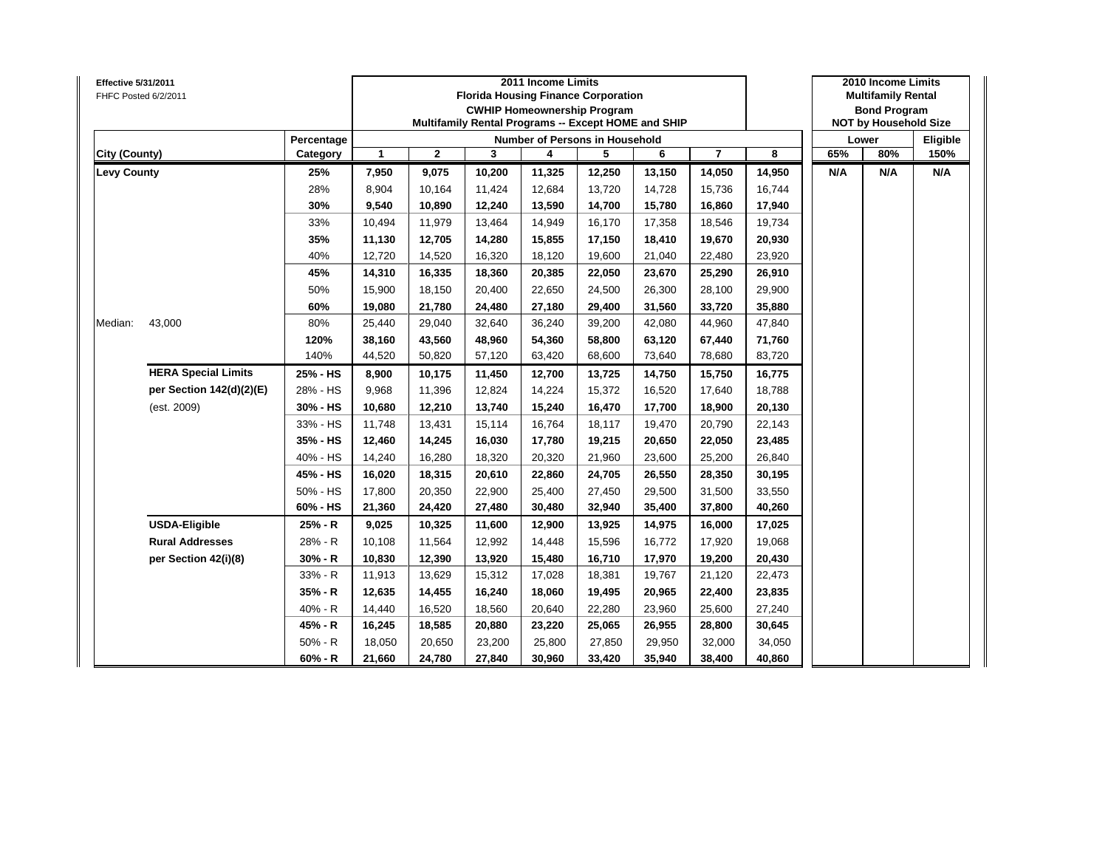| Effective 5/31/2011<br>FHFC Posted 6/2/2011 |                            |            |                                                                              |              |        | 2011 Income Limits | <b>Florida Housing Finance Corporation</b><br><b>CWHIP Homeownership Program</b><br>Multifamily Rental Programs -- Except HOME and SHIP |        |                         |        |     | 2010 Income Limits<br><b>Multifamily Rental</b><br><b>Bond Program</b><br><b>NOT by Household Size</b> |          |
|---------------------------------------------|----------------------------|------------|------------------------------------------------------------------------------|--------------|--------|--------------------|-----------------------------------------------------------------------------------------------------------------------------------------|--------|-------------------------|--------|-----|--------------------------------------------------------------------------------------------------------|----------|
|                                             |                            | Percentage |                                                                              |              |        |                    | <b>Number of Persons in Household</b>                                                                                                   |        |                         |        |     | Lower                                                                                                  | Eligible |
| City (County)                               |                            | Category   | $\mathbf{1}$                                                                 | $\mathbf{2}$ | 3      | 4                  | 5                                                                                                                                       | 6      | $\overline{\mathbf{r}}$ | 8      | 65% | 80%                                                                                                    | 150%     |
| <b>Levy County</b>                          |                            | 25%        | 7,950                                                                        | 9,075        | 10,200 | 11,325             | 12,250                                                                                                                                  | 13,150 | 14,050                  | 14,950 | N/A | N/A                                                                                                    | N/A      |
|                                             |                            | 28%        | 8,904                                                                        | 10,164       | 11,424 | 12,684             | 13,720                                                                                                                                  | 14,728 | 15,736                  | 16,744 |     |                                                                                                        |          |
|                                             |                            | 30%        | 9,540                                                                        | 10,890       | 12,240 | 13,590             | 14,700                                                                                                                                  | 15,780 | 16,860                  | 17,940 |     |                                                                                                        |          |
|                                             |                            | 33%        | 10,494                                                                       | 11,979       | 13,464 | 14,949             | 16,170                                                                                                                                  | 17,358 | 18,546                  | 19,734 |     |                                                                                                        |          |
|                                             |                            | 35%        | 11,130                                                                       | 12,705       | 14,280 | 15,855             | 17,150                                                                                                                                  | 18,410 | 19,670                  | 20,930 |     |                                                                                                        |          |
|                                             |                            | 40%        | 12,720                                                                       | 14,520       | 16,320 | 18,120             | 19,600                                                                                                                                  | 21,040 | 22,480                  | 23,920 |     |                                                                                                        |          |
|                                             |                            | 45%        | 14,310                                                                       | 16,335       | 18,360 | 20,385             | 22,050                                                                                                                                  | 23,670 | 25,290                  | 26,910 |     |                                                                                                        |          |
|                                             |                            | 50%        | 15,900                                                                       | 18,150       | 20,400 | 22,650             | 24,500                                                                                                                                  | 26,300 | 28,100                  | 29,900 |     |                                                                                                        |          |
|                                             |                            | 60%        | 19,080                                                                       | 21,780       | 24,480 | 27,180             | 29,400                                                                                                                                  | 31,560 | 33,720                  | 35,880 |     |                                                                                                        |          |
| Median:                                     | 43,000                     | 80%        | 25,440                                                                       | 29,040       | 32,640 | 36,240             | 39,200                                                                                                                                  | 42,080 | 44,960                  | 47,840 |     |                                                                                                        |          |
|                                             |                            | 120%       | 43,560<br>58,800<br>63,120<br>71,760<br>38,160<br>48,960<br>54,360<br>67,440 |              |        |                    |                                                                                                                                         |        |                         |        |     |                                                                                                        |          |
|                                             |                            | 140%       | 44,520                                                                       | 50,820       | 57,120 | 63,420             | 68,600                                                                                                                                  | 73,640 | 78,680                  | 83,720 |     |                                                                                                        |          |
|                                             | <b>HERA Special Limits</b> | 25% - HS   | 8,900                                                                        | 10,175       | 11,450 | 12,700             | 13,725                                                                                                                                  | 14,750 | 15,750                  | 16,775 |     |                                                                                                        |          |
|                                             | per Section 142(d)(2)(E)   | 28% - HS   | 9,968                                                                        | 11,396       | 12,824 | 14,224             | 15,372                                                                                                                                  | 16,520 | 17,640                  | 18,788 |     |                                                                                                        |          |
|                                             | (est. 2009)                | 30% - HS   | 10,680                                                                       | 12,210       | 13,740 | 15,240             | 16,470                                                                                                                                  | 17,700 | 18,900                  | 20,130 |     |                                                                                                        |          |
|                                             |                            | 33% - HS   | 11,748                                                                       | 13,431       | 15,114 | 16,764             | 18,117                                                                                                                                  | 19,470 | 20,790                  | 22,143 |     |                                                                                                        |          |
|                                             |                            | 35% - HS   | 12,460                                                                       | 14,245       | 16,030 | 17,780             | 19,215                                                                                                                                  | 20,650 | 22,050                  | 23,485 |     |                                                                                                        |          |
|                                             |                            | 40% - HS   | 14,240                                                                       | 16,280       | 18,320 | 20,320             | 21,960                                                                                                                                  | 23,600 | 25,200                  | 26,840 |     |                                                                                                        |          |
|                                             |                            | 45% - HS   | 16,020                                                                       | 18,315       | 20,610 | 22,860             | 24,705                                                                                                                                  | 26,550 | 28,350                  | 30,195 |     |                                                                                                        |          |
|                                             |                            | 50% - HS   | 17,800                                                                       | 20,350       | 22,900 | 25,400             | 27,450                                                                                                                                  | 29,500 | 31,500                  | 33,550 |     |                                                                                                        |          |
|                                             |                            | 60% - HS   | 21,360                                                                       | 24,420       | 27,480 | 30,480             | 32,940                                                                                                                                  | 35,400 | 37,800                  | 40,260 |     |                                                                                                        |          |
|                                             | <b>USDA-Eligible</b>       | 25% - R    | 9,025                                                                        | 10,325       | 11,600 | 12,900             | 13,925                                                                                                                                  | 14,975 | 16,000                  | 17,025 |     |                                                                                                        |          |
|                                             | <b>Rural Addresses</b>     | 28% - R    | 10,108                                                                       | 11,564       | 12,992 | 14,448             | 15,596                                                                                                                                  | 16,772 | 17,920                  | 19,068 |     |                                                                                                        |          |
|                                             | per Section 42(i)(8)       | $30% - R$  | 10,830                                                                       | 12,390       | 13,920 | 15,480             | 16,710                                                                                                                                  | 17,970 | 19,200                  | 20,430 |     |                                                                                                        |          |
|                                             |                            | 33% - R    | 11,913                                                                       | 13,629       | 15,312 | 17,028             | 18,381                                                                                                                                  | 19,767 | 21,120                  | 22,473 |     |                                                                                                        |          |
|                                             |                            | 35% - R    | 12,635                                                                       | 14,455       | 16,240 | 18,060             | 19,495                                                                                                                                  | 20,965 | 22,400                  | 23,835 |     |                                                                                                        |          |
|                                             |                            | 40% - R    | 14,440                                                                       | 16,520       | 18,560 | 20,640             | 22,280                                                                                                                                  | 23,960 | 25,600                  | 27,240 |     |                                                                                                        |          |
|                                             |                            | 45% - R    | 16,245                                                                       | 18,585       | 20,880 | 23,220             | 25,065                                                                                                                                  | 26,955 | 28,800                  | 30,645 |     |                                                                                                        |          |
|                                             |                            | $50% - R$  | 18,050                                                                       | 20,650       | 23,200 | 25,800             | 27,850                                                                                                                                  | 29,950 | 32,000                  | 34,050 |     |                                                                                                        |          |
|                                             |                            | $60% - R$  | 21,660                                                                       | 24,780       | 27,840 | 30,960             | 33,420                                                                                                                                  | 35,940 | 38,400                  | 40,860 |     |                                                                                                        |          |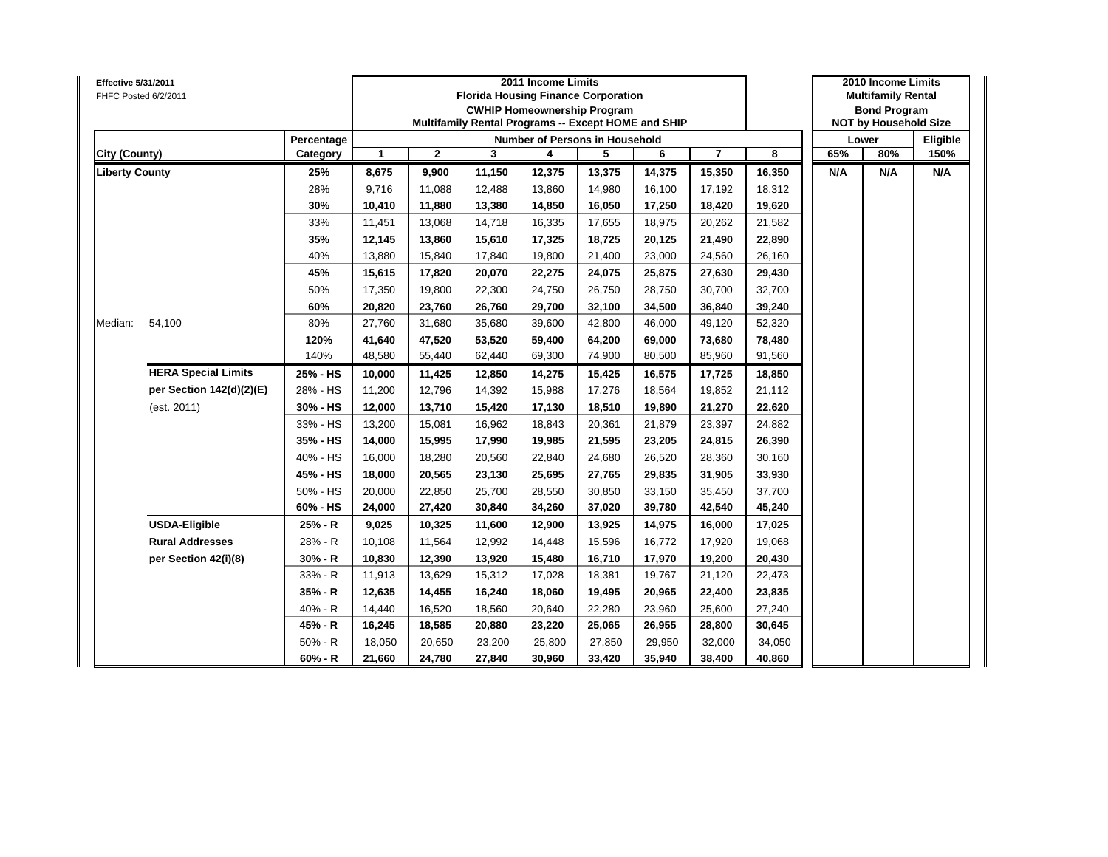| Effective 5/31/2011   | FHFC Posted 6/2/2011       |            |              |              |        | 2011 Income Limits | <b>Florida Housing Finance Corporation</b><br><b>CWHIP Homeownership Program</b><br>Multifamily Rental Programs -- Except HOME and SHIP |        |                         |        |     | 2010 Income Limits<br><b>Multifamily Rental</b><br><b>Bond Program</b><br><b>NOT by Household Size</b> |          |
|-----------------------|----------------------------|------------|--------------|--------------|--------|--------------------|-----------------------------------------------------------------------------------------------------------------------------------------|--------|-------------------------|--------|-----|--------------------------------------------------------------------------------------------------------|----------|
|                       |                            | Percentage |              |              |        |                    | Number of Persons in Household                                                                                                          |        |                         |        |     | Lower                                                                                                  | Eligible |
| City (County)         |                            | Category   | $\mathbf{1}$ | $\mathbf{2}$ | 3      | 4                  | 5                                                                                                                                       | 6      | $\overline{\mathbf{r}}$ | 8      | 65% | 80%                                                                                                    | 150%     |
| <b>Liberty County</b> |                            | 25%        | 8,675        | 9,900        | 11,150 | 12,375             | 13,375                                                                                                                                  | 14,375 | 15,350                  | 16,350 | N/A | N/A                                                                                                    | N/A      |
|                       |                            | 28%        | 9,716        | 11,088       | 12,488 | 13,860             | 14,980                                                                                                                                  | 16,100 | 17,192                  | 18,312 |     |                                                                                                        |          |
|                       |                            | 30%        | 10,410       | 11,880       | 13,380 | 14,850             | 16,050                                                                                                                                  | 17,250 | 18,420                  | 19,620 |     |                                                                                                        |          |
|                       |                            | 33%        | 11,451       | 13,068       | 14,718 | 16,335             | 17,655                                                                                                                                  | 18,975 | 20,262                  | 21,582 |     |                                                                                                        |          |
|                       |                            | 35%        | 12,145       | 13,860       | 15,610 | 17,325             | 18,725                                                                                                                                  | 20,125 | 21,490                  | 22,890 |     |                                                                                                        |          |
|                       |                            | 40%        | 13,880       | 15,840       | 17,840 | 19,800             | 21,400                                                                                                                                  | 23,000 | 24,560                  | 26,160 |     |                                                                                                        |          |
|                       |                            | 45%        | 15,615       | 17,820       | 20,070 | 22,275             | 24,075                                                                                                                                  | 25,875 | 27,630                  | 29,430 |     |                                                                                                        |          |
|                       |                            | 50%        | 17,350       | 19,800       | 22,300 | 24,750             | 26,750                                                                                                                                  | 28,750 | 30,700                  | 32,700 |     |                                                                                                        |          |
|                       |                            | 60%        | 20,820       | 23,760       | 26,760 | 29,700             | 32,100                                                                                                                                  | 34,500 | 36,840                  | 39,240 |     |                                                                                                        |          |
| Median:               | 54,100                     | 80%        | 27,760       | 31,680       | 35,680 | 39,600             | 42,800                                                                                                                                  | 46,000 | 49,120                  | 52,320 |     |                                                                                                        |          |
|                       |                            | 120%       | 41,640       | 47,520       | 53,520 | 59,400             | 64,200                                                                                                                                  | 69,000 | 73,680                  | 78,480 |     |                                                                                                        |          |
|                       |                            | 140%       | 48,580       | 55,440       | 62,440 | 69,300             | 74,900                                                                                                                                  | 80,500 | 85,960                  | 91,560 |     |                                                                                                        |          |
|                       | <b>HERA Special Limits</b> | 25% - HS   | 10,000       | 11,425       | 12,850 | 14,275             | 15,425                                                                                                                                  | 16,575 | 17,725                  | 18,850 |     |                                                                                                        |          |
|                       | per Section 142(d)(2)(E)   | 28% - HS   | 11,200       | 12,796       | 14,392 | 15,988             | 17,276                                                                                                                                  | 18,564 | 19,852                  | 21,112 |     |                                                                                                        |          |
|                       | (est. 2011)                | 30% - HS   | 12,000       | 13,710       | 15,420 | 17,130             | 18,510                                                                                                                                  | 19,890 | 21,270                  | 22,620 |     |                                                                                                        |          |
|                       |                            | 33% - HS   | 13,200       | 15,081       | 16,962 | 18,843             | 20,361                                                                                                                                  | 21,879 | 23,397                  | 24,882 |     |                                                                                                        |          |
|                       |                            | 35% - HS   | 14,000       | 15,995       | 17,990 | 19,985             | 21,595                                                                                                                                  | 23,205 | 24,815                  | 26,390 |     |                                                                                                        |          |
|                       |                            | 40% - HS   | 16,000       | 18,280       | 20,560 | 22,840             | 24,680                                                                                                                                  | 26,520 | 28,360                  | 30,160 |     |                                                                                                        |          |
|                       |                            | 45% - HS   | 18,000       | 20,565       | 23,130 | 25,695             | 27,765                                                                                                                                  | 29,835 | 31,905                  | 33,930 |     |                                                                                                        |          |
|                       |                            | 50% - HS   | 20,000       | 22,850       | 25,700 | 28,550             | 30,850                                                                                                                                  | 33,150 | 35,450                  | 37,700 |     |                                                                                                        |          |
|                       |                            | 60% - HS   | 24,000       | 27,420       | 30,840 | 34,260             | 37,020                                                                                                                                  | 39,780 | 42,540                  | 45,240 |     |                                                                                                        |          |
|                       | <b>USDA-Eligible</b>       | 25% - R    | 9,025        | 10,325       | 11,600 | 12,900             | 13,925                                                                                                                                  | 14,975 | 16,000                  | 17,025 |     |                                                                                                        |          |
|                       | <b>Rural Addresses</b>     | 28% - R    | 10,108       | 11,564       | 12,992 | 14,448             | 15,596                                                                                                                                  | 16,772 | 17,920                  | 19,068 |     |                                                                                                        |          |
|                       | per Section 42(i)(8)       | $30% - R$  | 10,830       | 12,390       | 13,920 | 15,480             | 16,710                                                                                                                                  | 17,970 | 19,200                  | 20,430 |     |                                                                                                        |          |
|                       |                            | 33% - R    | 11,913       | 13,629       | 15,312 | 17,028             | 18,381                                                                                                                                  | 19,767 | 21,120                  | 22,473 |     |                                                                                                        |          |
|                       |                            | 35% - R    | 12,635       | 14,455       | 16,240 | 18,060             | 19,495                                                                                                                                  | 20,965 | 22,400                  | 23,835 |     |                                                                                                        |          |
|                       |                            | 40% - R    | 14,440       | 16,520       | 18,560 | 20,640             | 22,280                                                                                                                                  | 23,960 | 25,600                  | 27,240 |     |                                                                                                        |          |
|                       |                            | 45% - R    | 16,245       | 18,585       | 20,880 | 23,220             | 25,065                                                                                                                                  | 26,955 | 28,800                  | 30,645 |     |                                                                                                        |          |
|                       |                            | $50% - R$  | 18,050       | 20,650       | 23,200 | 25,800             | 27,850                                                                                                                                  | 29,950 | 32,000                  | 34,050 |     |                                                                                                        |          |
|                       |                            | $60% - R$  | 21,660       | 24,780       | 27,840 | 30,960             | 33,420                                                                                                                                  | 35,940 | 38,400                  | 40,860 |     |                                                                                                        |          |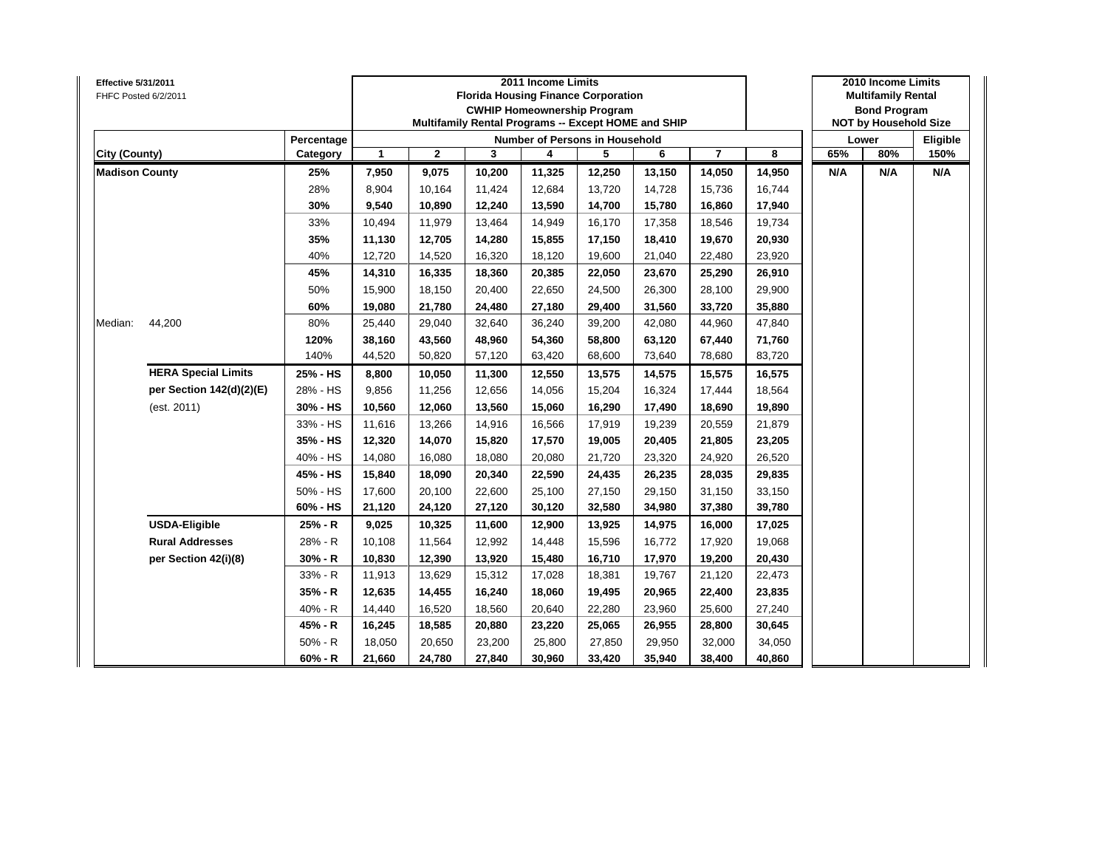| Effective 5/31/2011   | FHFC Posted 6/2/2011       |            |              |              |        | 2011 Income Limits | <b>Florida Housing Finance Corporation</b><br><b>CWHIP Homeownership Program</b><br>Multifamily Rental Programs -- Except HOME and SHIP |        |                         |        |     | 2010 Income Limits<br><b>Multifamily Rental</b><br><b>Bond Program</b><br><b>NOT by Household Size</b> |          |
|-----------------------|----------------------------|------------|--------------|--------------|--------|--------------------|-----------------------------------------------------------------------------------------------------------------------------------------|--------|-------------------------|--------|-----|--------------------------------------------------------------------------------------------------------|----------|
|                       |                            | Percentage |              |              |        |                    | <b>Number of Persons in Household</b>                                                                                                   |        |                         |        |     | Lower                                                                                                  | Eligible |
| City (County)         |                            | Category   | $\mathbf{1}$ | $\mathbf{2}$ | 3      | 4                  | 5                                                                                                                                       | 6      | $\overline{\mathbf{r}}$ | 8      | 65% | 80%                                                                                                    | 150%     |
| <b>Madison County</b> |                            | 25%        | 7,950        | 9,075        | 10,200 | 11,325             | 12,250                                                                                                                                  | 13,150 | 14,050                  | 14,950 | N/A | N/A                                                                                                    | N/A      |
|                       |                            | 28%        | 8,904        | 10,164       | 11,424 | 12,684             | 13,720                                                                                                                                  | 14,728 | 15,736                  | 16,744 |     |                                                                                                        |          |
|                       |                            | 30%        | 9,540        | 10,890       | 12,240 | 13,590             | 14,700                                                                                                                                  | 15,780 | 16,860                  | 17,940 |     |                                                                                                        |          |
|                       |                            | 33%        | 10,494       | 11,979       | 13,464 | 14,949             | 16,170                                                                                                                                  | 17,358 | 18,546                  | 19,734 |     |                                                                                                        |          |
|                       |                            | 35%        | 11,130       | 12,705       | 14,280 | 15,855             | 17,150                                                                                                                                  | 18,410 | 19,670                  | 20,930 |     |                                                                                                        |          |
|                       |                            | 40%        | 12,720       | 14,520       | 16,320 | 18,120             | 19,600                                                                                                                                  | 21,040 | 22,480                  | 23,920 |     |                                                                                                        |          |
|                       |                            | 45%        | 14,310       | 16,335       | 18,360 | 20,385             | 22,050                                                                                                                                  | 23,670 | 25,290                  | 26,910 |     |                                                                                                        |          |
|                       |                            | 50%        | 15,900       | 18,150       | 20,400 | 22,650             | 24,500                                                                                                                                  | 26,300 | 28,100                  | 29,900 |     |                                                                                                        |          |
|                       |                            | 60%        | 19,080       | 21,780       | 24,480 | 27,180             | 29,400                                                                                                                                  | 31,560 | 33,720                  | 35,880 |     |                                                                                                        |          |
| Median:               | 44,200                     | 80%        | 25,440       | 29,040       | 32,640 | 36,240             | 39,200                                                                                                                                  | 42,080 | 44,960                  | 47,840 |     |                                                                                                        |          |
|                       |                            | 120%       | 38,160       | 43,560       | 48,960 | 54,360             | 58,800                                                                                                                                  | 63,120 | 67,440                  | 71,760 |     |                                                                                                        |          |
|                       |                            | 140%       | 44,520       | 50,820       | 57,120 | 63,420             | 68,600                                                                                                                                  | 73,640 | 78,680                  | 83,720 |     |                                                                                                        |          |
|                       | <b>HERA Special Limits</b> | 25% - HS   | 8,800        | 10,050       | 11,300 | 12,550             | 13,575                                                                                                                                  | 14,575 | 15,575                  | 16,575 |     |                                                                                                        |          |
|                       | per Section 142(d)(2)(E)   | 28% - HS   | 9,856        | 11,256       | 12,656 | 14,056             | 15,204                                                                                                                                  | 16,324 | 17,444                  | 18,564 |     |                                                                                                        |          |
|                       | (est. 2011)                | 30% - HS   | 10,560       | 12,060       | 13,560 | 15,060             | 16,290                                                                                                                                  | 17,490 | 18,690                  | 19,890 |     |                                                                                                        |          |
|                       |                            | 33% - HS   | 11,616       | 13,266       | 14,916 | 16,566             | 17,919                                                                                                                                  | 19,239 | 20,559                  | 21,879 |     |                                                                                                        |          |
|                       |                            | 35% - HS   | 12,320       | 14,070       | 15,820 | 17,570             | 19,005                                                                                                                                  | 20,405 | 21,805                  | 23,205 |     |                                                                                                        |          |
|                       |                            | 40% - HS   | 14,080       | 16,080       | 18,080 | 20,080             | 21,720                                                                                                                                  | 23,320 | 24,920                  | 26,520 |     |                                                                                                        |          |
|                       |                            | 45% - HS   | 15,840       | 18,090       | 20,340 | 22,590             | 24,435                                                                                                                                  | 26,235 | 28,035                  | 29,835 |     |                                                                                                        |          |
|                       |                            | 50% - HS   | 17,600       | 20,100       | 22,600 | 25,100             | 27,150                                                                                                                                  | 29,150 | 31,150                  | 33,150 |     |                                                                                                        |          |
|                       |                            | 60% - HS   | 21,120       | 24,120       | 27,120 | 30,120             | 32,580                                                                                                                                  | 34,980 | 37,380                  | 39,780 |     |                                                                                                        |          |
|                       | <b>USDA-Eligible</b>       | 25% - R    | 9,025        | 10,325       | 11,600 | 12,900             | 13,925                                                                                                                                  | 14,975 | 16,000                  | 17,025 |     |                                                                                                        |          |
|                       | <b>Rural Addresses</b>     | 28% - R    | 10,108       | 11,564       | 12,992 | 14,448             | 15,596                                                                                                                                  | 16,772 | 17,920                  | 19,068 |     |                                                                                                        |          |
|                       | per Section 42(i)(8)       | $30% - R$  | 10,830       | 12,390       | 13,920 | 15,480             | 16,710                                                                                                                                  | 17,970 | 19,200                  | 20,430 |     |                                                                                                        |          |
|                       |                            | 33% - R    | 11,913       | 13,629       | 15,312 | 17,028             | 18,381                                                                                                                                  | 19,767 | 21,120                  | 22,473 |     |                                                                                                        |          |
|                       |                            | 35% - R    | 12,635       | 14,455       | 16,240 | 18,060             | 19,495                                                                                                                                  | 20,965 | 22,400                  | 23,835 |     |                                                                                                        |          |
|                       |                            | 40% - R    | 14,440       | 16,520       | 18,560 | 20,640             | 22,280                                                                                                                                  | 23,960 | 25,600                  | 27,240 |     |                                                                                                        |          |
|                       |                            | 45% - R    | 16,245       | 18,585       | 20,880 | 23,220             | 25,065                                                                                                                                  | 26,955 | 28,800                  | 30,645 |     |                                                                                                        |          |
|                       |                            | $50% - R$  | 18,050       | 20,650       | 23,200 | 25,800             | 27,850                                                                                                                                  | 29,950 | 32,000                  | 34,050 |     |                                                                                                        |          |
|                       |                            | $60% - R$  | 21,660       | 24,780       | 27,840 | 30,960             | 33,420                                                                                                                                  | 35,940 | 38,400                  | 40,860 |     |                                                                                                        |          |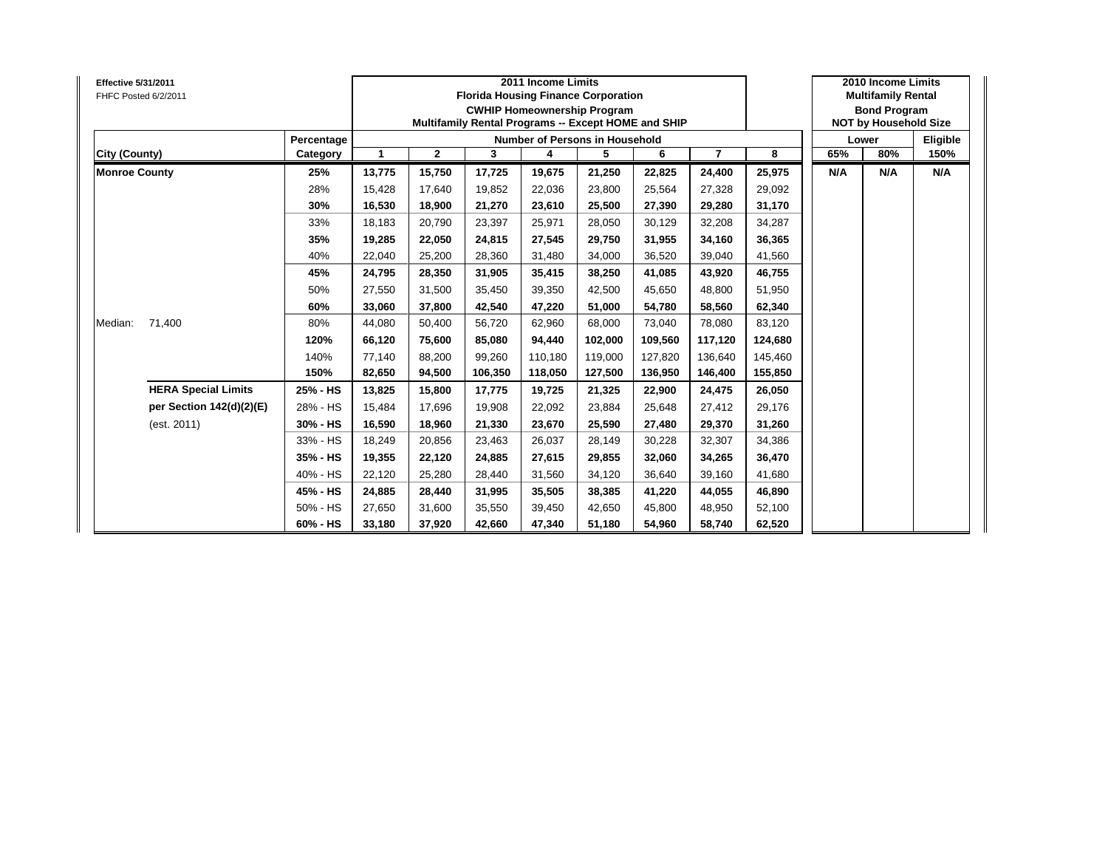| <b>Effective 5/31/2011</b><br>FHFC Posted 6/2/2011 |            |        |              | 2011 Income Limits<br><b>Florida Housing Finance Corporation</b><br><b>CWHIP Homeownership Program</b><br>Multifamily Rental Programs -- Except HOME and SHIP |         |                                | 2010 Income Limits<br><b>Multifamily Rental</b><br><b>Bond Program</b><br><b>NOT by Household Size</b> |         |         |     |       |          |
|----------------------------------------------------|------------|--------|--------------|---------------------------------------------------------------------------------------------------------------------------------------------------------------|---------|--------------------------------|--------------------------------------------------------------------------------------------------------|---------|---------|-----|-------|----------|
|                                                    | Percentage |        |              |                                                                                                                                                               |         | Number of Persons in Household |                                                                                                        |         |         |     | Lower | Eligible |
| City (County)                                      | Category   | 1      | $\mathbf{2}$ | 3                                                                                                                                                             | 4       | 5                              | 6                                                                                                      | 7       | 8       | 65% | 80%   | 150%     |
| <b>Monroe County</b>                               | 25%        | 13,775 | 15,750       | 17,725                                                                                                                                                        | 19,675  | 21,250                         | 22,825                                                                                                 | 24,400  | 25,975  | N/A | N/A   | N/A      |
|                                                    | 28%        | 15,428 | 17,640       | 19,852                                                                                                                                                        | 22,036  | 23,800                         | 25,564                                                                                                 | 27,328  | 29,092  |     |       |          |
|                                                    | 30%        | 16,530 | 18,900       | 21,270                                                                                                                                                        | 23,610  | 25,500                         | 27,390                                                                                                 | 29,280  | 31,170  |     |       |          |
|                                                    | 33%        | 18.183 | 20,790       | 23,397                                                                                                                                                        | 25,971  | 28,050                         | 30,129                                                                                                 | 32,208  | 34,287  |     |       |          |
|                                                    | 35%        | 19,285 | 22,050       | 24,815                                                                                                                                                        | 27,545  | 29,750                         | 31,955                                                                                                 | 34,160  | 36,365  |     |       |          |
|                                                    | 40%        | 22,040 | 25,200       | 28.360                                                                                                                                                        | 31,480  | 34,000                         | 36,520                                                                                                 | 39,040  | 41,560  |     |       |          |
|                                                    | 45%        | 24,795 | 28,350       | 31,905                                                                                                                                                        | 35,415  | 38,250                         | 41,085                                                                                                 | 43,920  | 46,755  |     |       |          |
|                                                    | 50%        | 27,550 | 31,500       | 35,450                                                                                                                                                        | 39,350  | 42,500                         | 45,650                                                                                                 | 48,800  | 51,950  |     |       |          |
|                                                    | 60%        | 33,060 | 37,800       | 42,540                                                                                                                                                        | 47,220  | 51,000                         | 54,780                                                                                                 | 58,560  | 62,340  |     |       |          |
| 71,400<br>Median:                                  | 80%        | 44,080 | 50,400       | 56,720                                                                                                                                                        | 62,960  | 68,000                         | 73,040                                                                                                 | 78,080  | 83,120  |     |       |          |
|                                                    | 120%       | 66,120 | 75,600       | 85.080                                                                                                                                                        | 94,440  | 102,000                        | 109,560                                                                                                | 117,120 | 124,680 |     |       |          |
|                                                    | 140%       | 77,140 | 88,200       | 99,260                                                                                                                                                        | 110,180 | 119,000                        | 127,820                                                                                                | 136,640 | 145,460 |     |       |          |
|                                                    | 150%       | 82,650 | 94,500       | 106,350                                                                                                                                                       | 118,050 | 127,500                        | 136,950                                                                                                | 146,400 | 155,850 |     |       |          |
| <b>HERA Special Limits</b>                         | 25% - HS   | 13,825 | 15,800       | 17,775                                                                                                                                                        | 19,725  | 21,325                         | 22,900                                                                                                 | 24,475  | 26,050  |     |       |          |
| per Section 142(d)(2)(E)                           | 28% - HS   | 15,484 | 17,696       | 19,908                                                                                                                                                        | 22,092  | 23,884                         | 25,648                                                                                                 | 27,412  | 29,176  |     |       |          |
| (est. 2011)                                        | 30% - HS   | 16,590 | 18,960       | 21,330                                                                                                                                                        | 23,670  | 25,590                         | 27,480                                                                                                 | 29,370  | 31,260  |     |       |          |
|                                                    | 33% - HS   | 18,249 | 20,856       | 23,463                                                                                                                                                        | 26,037  | 28,149                         | 30,228                                                                                                 | 32,307  | 34,386  |     |       |          |
|                                                    | 35% - HS   | 19,355 | 22,120       | 24,885                                                                                                                                                        | 27,615  | 29,855                         | 32,060                                                                                                 | 34,265  | 36,470  |     |       |          |
|                                                    | 40% - HS   | 22,120 | 25,280       | 28,440                                                                                                                                                        | 31,560  | 34,120                         | 36,640                                                                                                 | 39,160  | 41,680  |     |       |          |
|                                                    | 45% - HS   | 24,885 | 28,440       | 31,995                                                                                                                                                        | 35,505  | 38,385                         | 41,220                                                                                                 | 44,055  | 46,890  |     |       |          |
|                                                    | 50% - HS   | 27,650 | 31,600       | 35,550                                                                                                                                                        | 39,450  | 42,650                         | 45,800                                                                                                 | 48,950  | 52,100  |     |       |          |
|                                                    | 60% - HS   | 33,180 | 37,920       | 42,660                                                                                                                                                        | 47,340  | 51,180                         | 54,960                                                                                                 | 58,740  | 62,520  |     |       |          |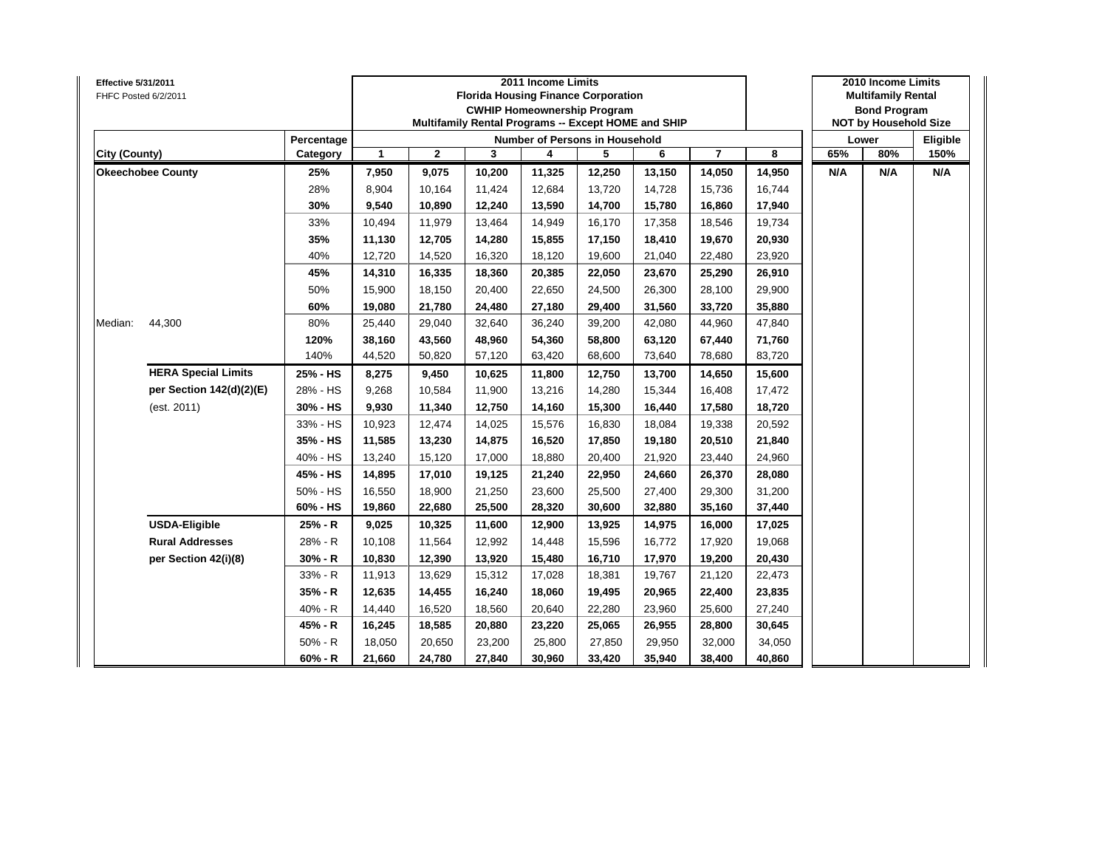| Effective 5/31/2011 | FHFC Posted 6/2/2011       |            |              |              | 2011 Income Limits<br><b>Florida Housing Finance Corporation</b><br><b>CWHIP Homeownership Program</b><br>Multifamily Rental Programs -- Except HOME and SHIP |        |                                       | 2010 Income Limits<br><b>Multifamily Rental</b><br><b>Bond Program</b><br><b>NOT by Household Size</b> |                         |        |     |       |          |
|---------------------|----------------------------|------------|--------------|--------------|---------------------------------------------------------------------------------------------------------------------------------------------------------------|--------|---------------------------------------|--------------------------------------------------------------------------------------------------------|-------------------------|--------|-----|-------|----------|
|                     |                            | Percentage |              |              |                                                                                                                                                               |        | <b>Number of Persons in Household</b> |                                                                                                        |                         |        |     | Lower | Eligible |
| City (County)       |                            | Category   | $\mathbf{1}$ | $\mathbf{2}$ | 3                                                                                                                                                             | 4      | 5                                     | 6                                                                                                      | $\overline{\mathbf{r}}$ | 8      | 65% | 80%   | 150%     |
|                     | <b>Okeechobee County</b>   | 25%        | 7,950        | 9,075        | 10,200                                                                                                                                                        | 11,325 | 12,250                                | 13,150                                                                                                 | 14,050                  | 14,950 | N/A | N/A   | N/A      |
|                     |                            | 28%        | 8,904        | 10,164       | 11,424                                                                                                                                                        | 12,684 | 13,720                                | 14,728                                                                                                 | 15,736                  | 16,744 |     |       |          |
|                     |                            | 30%        | 9,540        | 10,890       | 12,240                                                                                                                                                        | 13,590 | 14,700                                | 15,780                                                                                                 | 16,860                  | 17,940 |     |       |          |
|                     |                            | 33%        | 10,494       | 11,979       | 13,464                                                                                                                                                        | 14,949 | 16,170                                | 17,358                                                                                                 | 18,546                  | 19,734 |     |       |          |
|                     |                            | 35%        | 11,130       | 12,705       | 14,280                                                                                                                                                        | 15,855 | 17,150                                | 18,410                                                                                                 | 19,670                  | 20,930 |     |       |          |
|                     |                            | 40%        | 12,720       | 14,520       | 16,320                                                                                                                                                        | 18,120 | 19,600                                | 21,040                                                                                                 | 22,480                  | 23,920 |     |       |          |
|                     |                            | 45%        | 14,310       | 16,335       | 18,360                                                                                                                                                        | 20,385 | 22,050                                | 23,670                                                                                                 | 25,290                  | 26,910 |     |       |          |
| Median:             |                            | 50%        | 15,900       | 18,150       | 20,400                                                                                                                                                        | 22,650 | 24,500                                | 26,300                                                                                                 | 28,100                  | 29,900 |     |       |          |
|                     |                            | 60%        | 19,080       | 21,780       | 24,480                                                                                                                                                        | 27,180 | 29,400                                | 31,560                                                                                                 | 33,720                  | 35,880 |     |       |          |
|                     | 44,300                     | 80%        | 25,440       | 29,040       | 32,640                                                                                                                                                        | 36,240 | 39,200                                | 42,080                                                                                                 | 44,960                  | 47,840 |     |       |          |
|                     |                            | 120%       | 38,160       | 43,560       | 48,960                                                                                                                                                        | 54,360 | 58,800                                | 63,120                                                                                                 | 67,440                  | 71,760 |     |       |          |
|                     |                            | 140%       | 44,520       | 50,820       | 57,120                                                                                                                                                        | 63,420 | 68,600                                | 73,640                                                                                                 | 78,680                  | 83,720 |     |       |          |
|                     | <b>HERA Special Limits</b> | 25% - HS   | 8,275        | 9,450        | 10,625                                                                                                                                                        | 11,800 | 12,750                                | 13,700                                                                                                 | 14,650                  | 15,600 |     |       |          |
|                     | per Section 142(d)(2)(E)   | 28% - HS   | 9,268        | 10,584       | 11,900                                                                                                                                                        | 13,216 | 14,280                                | 15,344                                                                                                 | 16,408                  | 17,472 |     |       |          |
|                     | (est. 2011)                | 30% - HS   | 9,930        | 11,340       | 12,750                                                                                                                                                        | 14,160 | 15,300                                | 16,440                                                                                                 | 17,580                  | 18,720 |     |       |          |
|                     |                            | 33% - HS   | 10,923       | 12,474       | 14,025                                                                                                                                                        | 15,576 | 16,830                                | 18,084                                                                                                 | 19,338                  | 20,592 |     |       |          |
|                     |                            | 35% - HS   | 11,585       | 13,230       | 14,875                                                                                                                                                        | 16,520 | 17,850                                | 19,180                                                                                                 | 20,510                  | 21,840 |     |       |          |
|                     |                            | 40% - HS   | 13,240       | 15,120       | 17,000                                                                                                                                                        | 18,880 | 20,400                                | 21,920                                                                                                 | 23,440                  | 24,960 |     |       |          |
|                     |                            | 45% - HS   | 14,895       | 17,010       | 19,125                                                                                                                                                        | 21,240 | 22,950                                | 24,660                                                                                                 | 26,370                  | 28,080 |     |       |          |
|                     |                            | 50% - HS   | 16,550       | 18,900       | 21,250                                                                                                                                                        | 23,600 | 25,500                                | 27,400                                                                                                 | 29,300                  | 31,200 |     |       |          |
|                     |                            | 60% - HS   | 19,860       | 22,680       | 25,500                                                                                                                                                        | 28,320 | 30,600                                | 32,880                                                                                                 | 35,160                  | 37,440 |     |       |          |
|                     | <b>USDA-Eligible</b>       | 25% - R    | 9,025        | 10,325       | 11,600                                                                                                                                                        | 12,900 | 13,925                                | 14,975                                                                                                 | 16,000                  | 17,025 |     |       |          |
|                     | <b>Rural Addresses</b>     | 28% - R    | 10,108       | 11,564       | 12,992                                                                                                                                                        | 14,448 | 15,596                                | 16,772                                                                                                 | 17,920                  | 19,068 |     |       |          |
|                     | per Section 42(i)(8)       | $30% - R$  | 10,830       | 12,390       | 13,920                                                                                                                                                        | 15,480 | 16,710                                | 17,970                                                                                                 | 19,200                  | 20,430 |     |       |          |
|                     |                            | 33% - R    | 11,913       | 13,629       | 15,312                                                                                                                                                        | 17,028 | 18,381                                | 19,767                                                                                                 | 21,120                  | 22,473 |     |       |          |
|                     |                            | 35% - R    | 12,635       | 14,455       | 16,240                                                                                                                                                        | 18,060 | 19,495                                | 20,965                                                                                                 | 22,400                  | 23,835 |     |       |          |
|                     |                            | 40% - R    | 14,440       | 16,520       | 18,560                                                                                                                                                        | 20,640 | 22,280                                | 23,960                                                                                                 | 25,600                  | 27,240 |     |       |          |
|                     |                            | 45% - R    | 16,245       | 18,585       | 20,880                                                                                                                                                        | 23,220 | 25,065                                | 26,955                                                                                                 | 28,800                  | 30,645 |     |       |          |
|                     |                            | $50% - R$  | 18,050       | 20,650       | 23,200                                                                                                                                                        | 25,800 | 27,850                                | 29,950                                                                                                 | 32,000                  | 34,050 |     |       |          |
|                     |                            | $60% - R$  | 21,660       | 24,780       | 27,840                                                                                                                                                        | 30,960 | 33,420                                | 35,940                                                                                                 | 38,400                  | 40,860 |     |       |          |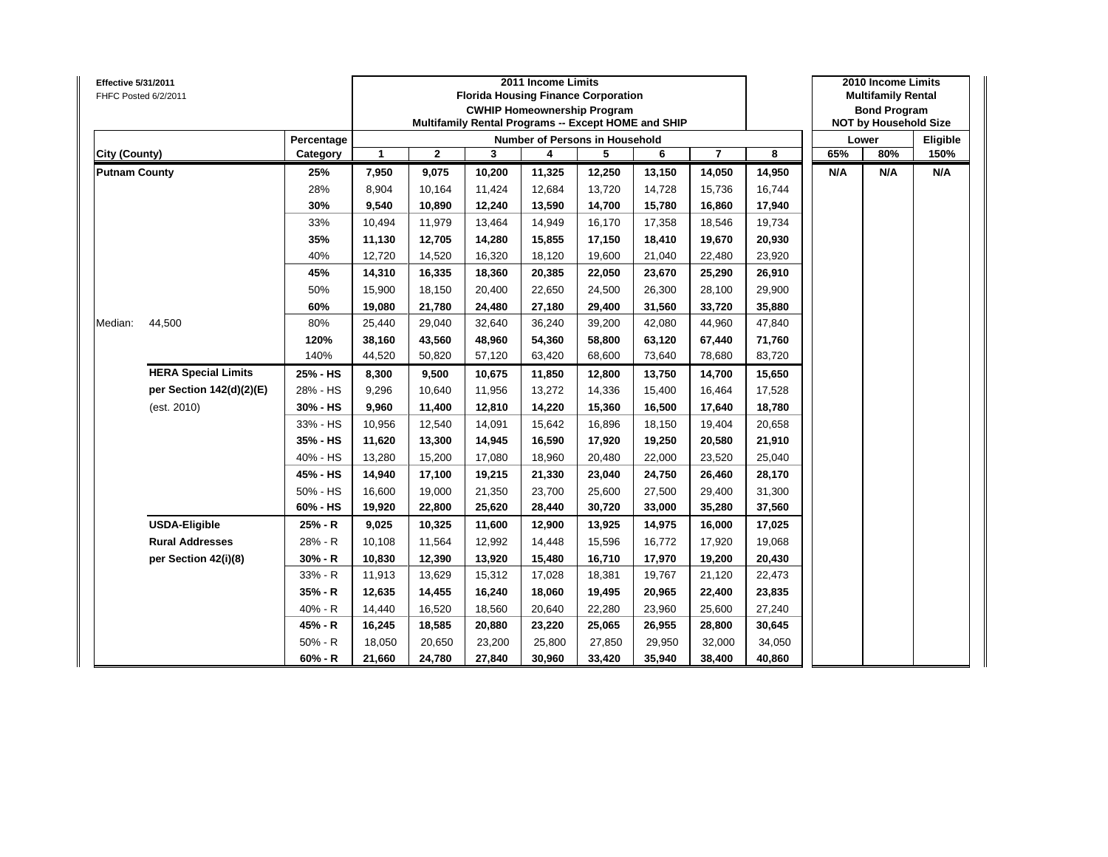| Effective 5/31/2011  | FHFC Posted 6/2/2011       |            |              |              | 2011 Income Limits<br><b>Florida Housing Finance Corporation</b><br><b>CWHIP Homeownership Program</b><br>Multifamily Rental Programs -- Except HOME and SHIP |        |                                       | 2010 Income Limits<br><b>Multifamily Rental</b><br><b>Bond Program</b><br><b>NOT by Household Size</b> |                         |        |     |       |          |
|----------------------|----------------------------|------------|--------------|--------------|---------------------------------------------------------------------------------------------------------------------------------------------------------------|--------|---------------------------------------|--------------------------------------------------------------------------------------------------------|-------------------------|--------|-----|-------|----------|
|                      |                            | Percentage |              |              |                                                                                                                                                               |        | <b>Number of Persons in Household</b> |                                                                                                        |                         |        |     | Lower | Eligible |
| City (County)        |                            | Category   | $\mathbf{1}$ | $\mathbf{2}$ | 3                                                                                                                                                             | 4      | 5                                     | 6                                                                                                      | $\overline{\mathbf{r}}$ | 8      | 65% | 80%   | 150%     |
| <b>Putnam County</b> |                            | 25%        | 7,950        | 9,075        | 10,200                                                                                                                                                        | 11,325 | 12,250                                | 13,150                                                                                                 | 14,050                  | 14,950 | N/A | N/A   | N/A      |
|                      |                            | 28%        | 8,904        | 10,164       | 11,424                                                                                                                                                        | 12,684 | 13,720                                | 14,728                                                                                                 | 15,736                  | 16,744 |     |       |          |
|                      |                            | 30%        | 9,540        | 10,890       | 12,240                                                                                                                                                        | 13,590 | 14,700                                | 15,780                                                                                                 | 16,860                  | 17,940 |     |       |          |
|                      |                            | 33%        | 10,494       | 11,979       | 13,464                                                                                                                                                        | 14,949 | 16,170                                | 17,358                                                                                                 | 18,546                  | 19,734 |     |       |          |
|                      |                            | 35%        | 11,130       | 12,705       | 14,280                                                                                                                                                        | 15,855 | 17,150                                | 18,410                                                                                                 | 19,670                  | 20,930 |     |       |          |
|                      |                            | 40%        | 12,720       | 14,520       | 16,320                                                                                                                                                        | 18,120 | 19,600                                | 21,040                                                                                                 | 22,480                  | 23,920 |     |       |          |
|                      |                            | 45%        | 14,310       | 16,335       | 18,360                                                                                                                                                        | 20,385 | 22,050                                | 23,670                                                                                                 | 25,290                  | 26,910 |     |       |          |
|                      |                            | 50%        | 15,900       | 18,150       | 20,400                                                                                                                                                        | 22,650 | 24,500                                | 26,300                                                                                                 | 28,100                  | 29,900 |     |       |          |
| Median:              |                            | 60%        | 19,080       | 21,780       | 24,480                                                                                                                                                        | 27,180 | 29,400                                | 31,560                                                                                                 | 33,720                  | 35,880 |     |       |          |
|                      | 44,500                     | 80%        | 25,440       | 29,040       | 32,640                                                                                                                                                        | 36,240 | 39,200                                | 42,080                                                                                                 | 44,960                  | 47,840 |     |       |          |
|                      |                            | 120%       | 38,160       | 43,560       | 48,960                                                                                                                                                        | 54,360 | 58,800                                | 63,120                                                                                                 | 67,440                  | 71,760 |     |       |          |
|                      |                            | 140%       | 44,520       | 50,820       | 57,120                                                                                                                                                        | 63,420 | 68,600                                | 73,640                                                                                                 | 78,680                  | 83,720 |     |       |          |
|                      | <b>HERA Special Limits</b> | 25% - HS   | 8,300        | 9,500        | 10,675                                                                                                                                                        | 11,850 | 12,800                                | 13,750                                                                                                 | 14,700                  | 15,650 |     |       |          |
|                      | per Section 142(d)(2)(E)   | 28% - HS   | 9,296        | 10,640       | 11,956                                                                                                                                                        | 13,272 | 14,336                                | 15,400                                                                                                 | 16,464                  | 17,528 |     |       |          |
|                      | (est. 2010)                | 30% - HS   | 9,960        | 11,400       | 12,810                                                                                                                                                        | 14,220 | 15,360                                | 16,500                                                                                                 | 17,640                  | 18,780 |     |       |          |
|                      |                            | 33% - HS   | 10,956       | 12,540       | 14,091                                                                                                                                                        | 15,642 | 16,896                                | 18,150                                                                                                 | 19,404                  | 20,658 |     |       |          |
|                      |                            | 35% - HS   | 11,620       | 13,300       | 14,945                                                                                                                                                        | 16,590 | 17,920                                | 19,250                                                                                                 | 20,580                  | 21,910 |     |       |          |
|                      |                            | 40% - HS   | 13,280       | 15,200       | 17,080                                                                                                                                                        | 18,960 | 20,480                                | 22,000                                                                                                 | 23,520                  | 25,040 |     |       |          |
|                      |                            | 45% - HS   | 14,940       | 17,100       | 19,215                                                                                                                                                        | 21,330 | 23,040                                | 24,750                                                                                                 | 26,460                  | 28,170 |     |       |          |
|                      |                            | 50% - HS   | 16,600       | 19,000       | 21,350                                                                                                                                                        | 23,700 | 25,600                                | 27,500                                                                                                 | 29,400                  | 31,300 |     |       |          |
|                      |                            | 60% - HS   | 19,920       | 22,800       | 25,620                                                                                                                                                        | 28,440 | 30,720                                | 33,000                                                                                                 | 35,280                  | 37,560 |     |       |          |
|                      | <b>USDA-Eligible</b>       | 25% - R    | 9,025        | 10,325       | 11,600                                                                                                                                                        | 12,900 | 13,925                                | 14,975                                                                                                 | 16,000                  | 17,025 |     |       |          |
|                      | <b>Rural Addresses</b>     | 28% - R    | 10,108       | 11,564       | 12,992                                                                                                                                                        | 14,448 | 15,596                                | 16,772                                                                                                 | 17,920                  | 19,068 |     |       |          |
|                      | per Section 42(i)(8)       | $30% - R$  | 10,830       | 12,390       | 13,920                                                                                                                                                        | 15,480 | 16,710                                | 17,970                                                                                                 | 19,200                  | 20,430 |     |       |          |
|                      |                            | 33% - R    | 11,913       | 13,629       | 15,312                                                                                                                                                        | 17,028 | 18,381                                | 19,767                                                                                                 | 21,120                  | 22,473 |     |       |          |
|                      |                            | 35% - R    | 12,635       | 14,455       | 16,240                                                                                                                                                        | 18,060 | 19,495                                | 20,965                                                                                                 | 22,400                  | 23,835 |     |       |          |
|                      |                            | 40% - R    | 14,440       | 16,520       | 18,560                                                                                                                                                        | 20,640 | 22,280                                | 23,960                                                                                                 | 25,600                  | 27,240 |     |       |          |
|                      |                            | 45% - R    | 16,245       | 18,585       | 20,880                                                                                                                                                        | 23,220 | 25,065                                | 26,955                                                                                                 | 28,800                  | 30,645 |     |       |          |
|                      |                            | $50% - R$  | 18,050       | 20,650       | 23,200                                                                                                                                                        | 25,800 | 27,850                                | 29,950                                                                                                 | 32,000                  | 34,050 |     |       |          |
|                      |                            | $60% - R$  | 21,660       | 24,780       | 27,840                                                                                                                                                        | 30,960 | 33,420                                | 35,940                                                                                                 | 38,400                  | 40,860 |     |       |          |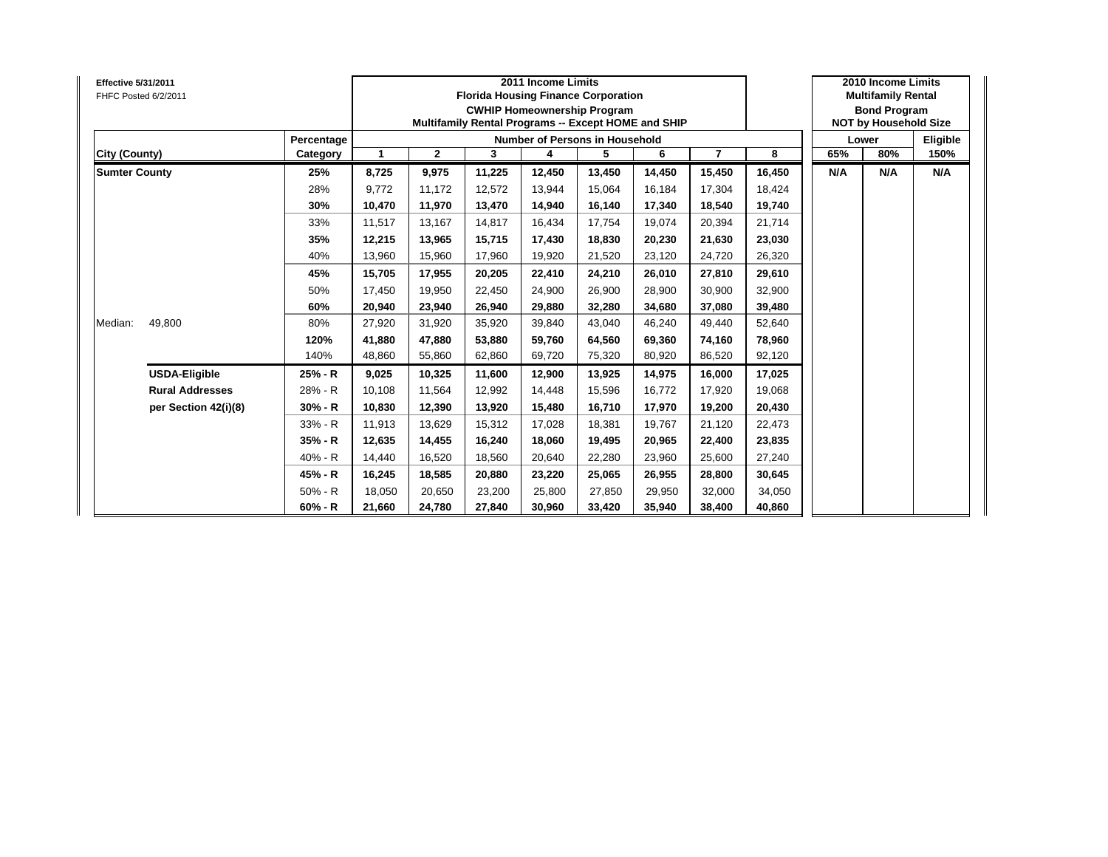| <b>Effective 5/31/2011</b><br>FHFC Posted 6/2/2011 |            |        |              | 2011 Income Limits<br><b>Florida Housing Finance Corporation</b><br><b>CWHIP Homeownership Program</b><br>Multifamily Rental Programs -- Except HOME and SHIP |        |                                       | 2010 Income Limits<br><b>Multifamily Rental</b><br><b>Bond Program</b><br><b>NOT by Household Size</b> |                |        |     |       |          |
|----------------------------------------------------|------------|--------|--------------|---------------------------------------------------------------------------------------------------------------------------------------------------------------|--------|---------------------------------------|--------------------------------------------------------------------------------------------------------|----------------|--------|-----|-------|----------|
|                                                    | Percentage |        |              |                                                                                                                                                               |        | <b>Number of Persons in Household</b> |                                                                                                        |                |        |     | Lower | Eligible |
| City (County)                                      | Category   | 1      | $\mathbf{2}$ | 3                                                                                                                                                             | 4      | 5                                     | 6                                                                                                      | $\overline{7}$ | 8      | 65% | 80%   | 150%     |
| <b>Sumter County</b>                               | 25%        | 8,725  | 9,975        | 11,225                                                                                                                                                        | 12,450 | 13,450                                | 14,450                                                                                                 | 15,450         | 16,450 | N/A | N/A   | N/A      |
|                                                    | 28%        | 9.772  | 11.172       | 12.572                                                                                                                                                        | 13,944 | 15.064                                | 16.184                                                                                                 | 17.304         | 18,424 |     |       |          |
|                                                    | 30%        | 10,470 | 11,970       | 13,470                                                                                                                                                        | 14,940 | 16,140                                | 17,340                                                                                                 | 18,540         | 19,740 |     |       |          |
|                                                    | 33%        | 11,517 | 13,167       | 14,817                                                                                                                                                        | 16,434 | 17,754                                | 19,074                                                                                                 | 20,394         | 21,714 |     |       |          |
|                                                    | 35%        | 12,215 | 13,965       | 15,715                                                                                                                                                        | 17,430 | 18,830                                | 20,230                                                                                                 | 21,630         | 23,030 |     |       |          |
|                                                    | 40%        | 13,960 | 15,960       | 17,960                                                                                                                                                        | 19,920 | 21,520                                | 23,120                                                                                                 | 24,720         | 26,320 |     |       |          |
|                                                    | 45%        | 15,705 | 17,955       | 20,205                                                                                                                                                        | 22,410 | 24,210                                | 26.010                                                                                                 | 27,810         | 29,610 |     |       |          |
|                                                    | 50%        | 17,450 | 19,950       | 22,450                                                                                                                                                        | 24,900 | 26,900                                | 28,900                                                                                                 | 30,900         | 32,900 |     |       |          |
|                                                    | 60%        | 20,940 | 23,940       | 26,940                                                                                                                                                        | 29,880 | 32,280                                | 34,680                                                                                                 | 37,080         | 39,480 |     |       |          |
| 49,800<br>Median:                                  | 80%        | 27,920 | 31,920       | 35,920                                                                                                                                                        | 39,840 | 43,040                                | 46,240                                                                                                 | 49,440         | 52,640 |     |       |          |
|                                                    | 120%       | 41,880 | 47,880       | 53,880                                                                                                                                                        | 59,760 | 64,560                                | 69,360                                                                                                 | 74,160         | 78,960 |     |       |          |
|                                                    | 140%       | 48,860 | 55,860       | 62,860                                                                                                                                                        | 69,720 | 75,320                                | 80,920                                                                                                 | 86,520         | 92,120 |     |       |          |
| <b>USDA-Eligible</b>                               | 25% - R    | 9,025  | 10,325       | 11,600                                                                                                                                                        | 12,900 | 13,925                                | 14,975                                                                                                 | 16,000         | 17,025 |     |       |          |
| <b>Rural Addresses</b>                             | 28% - R    | 10.108 | 11.564       | 12.992                                                                                                                                                        | 14,448 | 15.596                                | 16.772                                                                                                 | 17,920         | 19,068 |     |       |          |
| per Section 42(i)(8)                               | $30% - R$  | 10,830 | 12,390       | 13,920                                                                                                                                                        | 15,480 | 16,710                                | 17,970                                                                                                 | 19,200         | 20,430 |     |       |          |
|                                                    | 33% - R    | 11,913 | 13,629       | 15,312                                                                                                                                                        | 17,028 | 18,381                                | 19,767                                                                                                 | 21,120         | 22,473 |     |       |          |
|                                                    | 35% - R    | 12,635 | 14,455       | 16,240                                                                                                                                                        | 18,060 | 19,495                                | 20,965                                                                                                 | 22,400         | 23,835 |     |       |          |
|                                                    | $40% - R$  | 14,440 | 16,520       | 18,560                                                                                                                                                        | 20,640 | 22,280                                | 23,960                                                                                                 | 25,600         | 27,240 |     |       |          |
|                                                    | 45% - R    | 16,245 | 18,585       | 20,880                                                                                                                                                        | 23,220 | 25,065                                | 26,955                                                                                                 | 28,800         | 30,645 |     |       |          |
|                                                    | $50% - R$  | 18,050 | 20,650       | 23,200                                                                                                                                                        | 25,800 | 27,850                                | 29,950                                                                                                 | 32,000         | 34,050 |     |       |          |
|                                                    | $60% - R$  | 21,660 | 24,780       | 27,840                                                                                                                                                        | 30,960 | 33,420                                | 35,940                                                                                                 | 38,400         | 40,860 |     |       |          |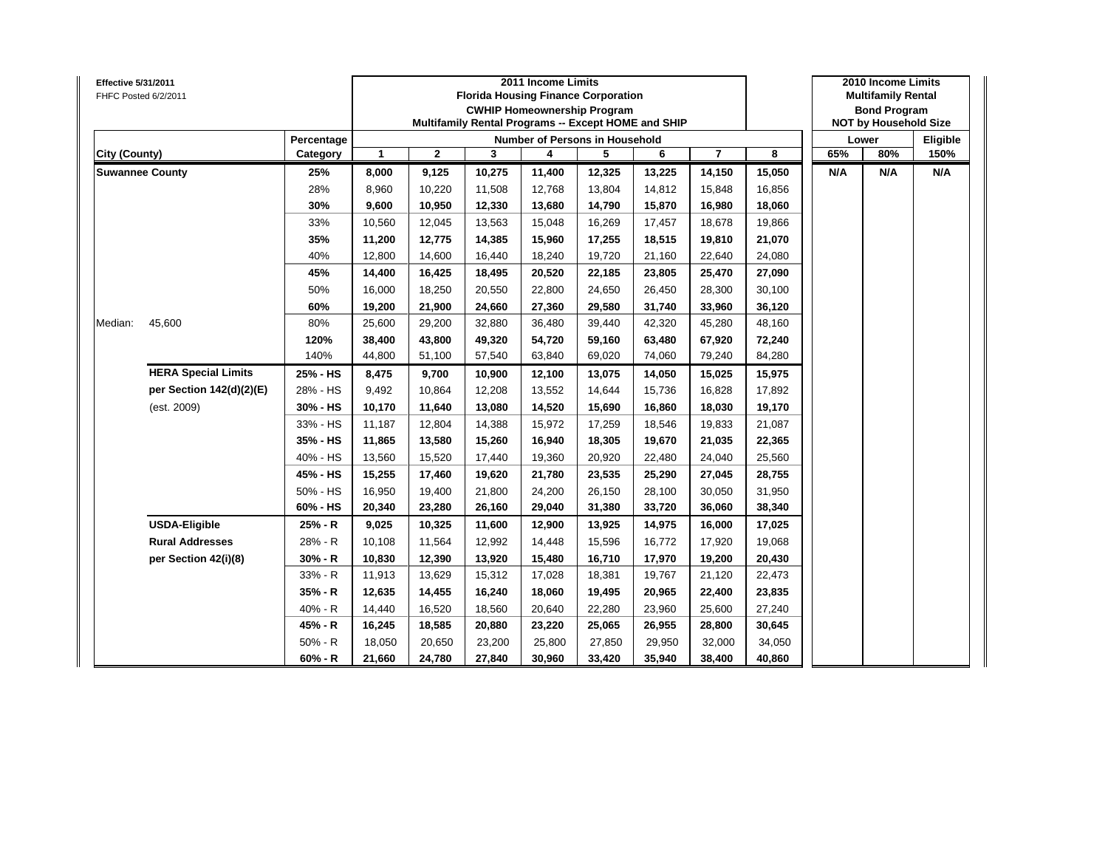| Effective 5/31/2011 | FHFC Posted 6/2/2011       |            |        |              | 2011 Income Limits<br><b>Florida Housing Finance Corporation</b><br><b>CWHIP Homeownership Program</b><br>Multifamily Rental Programs -- Except HOME and SHIP |        |                                       | 2010 Income Limits<br><b>Multifamily Rental</b><br><b>Bond Program</b><br><b>NOT by Household Size</b> |                |        |     |       |          |
|---------------------|----------------------------|------------|--------|--------------|---------------------------------------------------------------------------------------------------------------------------------------------------------------|--------|---------------------------------------|--------------------------------------------------------------------------------------------------------|----------------|--------|-----|-------|----------|
|                     |                            | Percentage |        |              |                                                                                                                                                               |        | <b>Number of Persons in Household</b> |                                                                                                        |                |        |     | Lower | Eligible |
| City (County)       |                            | Category   | 1      | $\mathbf{2}$ | 3                                                                                                                                                             | 4      | 5                                     | 6                                                                                                      | $\overline{7}$ | 8      | 65% | 80%   | 150%     |
|                     | <b>Suwannee County</b>     | 25%        | 8,000  | 9,125        | 10,275                                                                                                                                                        | 11,400 | 12,325                                | 13,225                                                                                                 | 14,150         | 15,050 | N/A | N/A   | N/A      |
|                     |                            | 28%        | 8,960  | 10,220       | 11,508                                                                                                                                                        | 12,768 | 13,804                                | 14,812                                                                                                 | 15,848         | 16,856 |     |       |          |
|                     |                            | 30%        | 9,600  | 10,950       | 12,330                                                                                                                                                        | 13,680 | 14,790                                | 15,870                                                                                                 | 16,980         | 18,060 |     |       |          |
|                     |                            | 33%        | 10,560 | 12,045       | 13,563                                                                                                                                                        | 15,048 | 16,269                                | 17,457                                                                                                 | 18,678         | 19,866 |     |       |          |
|                     |                            | 35%        | 11,200 | 12,775       | 14,385                                                                                                                                                        | 15,960 | 17,255                                | 18,515                                                                                                 | 19,810         | 21,070 |     |       |          |
|                     |                            | 40%        | 12,800 | 14,600       | 16,440                                                                                                                                                        | 18,240 | 19,720                                | 21,160                                                                                                 | 22,640         | 24,080 |     |       |          |
|                     |                            | 45%        | 14,400 | 16,425       | 18,495                                                                                                                                                        | 20,520 | 22,185                                | 23,805                                                                                                 | 25,470         | 27,090 |     |       |          |
| Median:             |                            | 50%        | 16,000 | 18,250       | 20,550                                                                                                                                                        | 22,800 | 24,650                                | 26,450                                                                                                 | 28,300         | 30,100 |     |       |          |
|                     |                            | 60%        | 19,200 | 21,900       | 24,660                                                                                                                                                        | 27,360 | 29,580                                | 31,740                                                                                                 | 33,960         | 36,120 |     |       |          |
|                     | 45,600                     | 80%        | 25,600 | 29,200       | 32,880                                                                                                                                                        | 36,480 | 39,440                                | 42,320                                                                                                 | 45,280         | 48,160 |     |       |          |
|                     |                            | 120%       | 38,400 | 43,800       | 49,320                                                                                                                                                        | 54,720 | 59,160                                | 63,480                                                                                                 | 67,920         | 72,240 |     |       |          |
|                     |                            | 140%       | 44,800 | 51,100       | 57,540                                                                                                                                                        | 63,840 | 69,020                                | 74,060                                                                                                 | 79,240         | 84,280 |     |       |          |
|                     | <b>HERA Special Limits</b> | 25% - HS   | 8,475  | 9,700        | 10,900                                                                                                                                                        | 12,100 | 13,075                                | 14,050                                                                                                 | 15,025         | 15,975 |     |       |          |
|                     | per Section 142(d)(2)(E)   | 28% - HS   | 9,492  | 10,864       | 12,208                                                                                                                                                        | 13,552 | 14,644                                | 15,736                                                                                                 | 16,828         | 17,892 |     |       |          |
|                     | (est. 2009)                | 30% - HS   | 10,170 | 11,640       | 13,080                                                                                                                                                        | 14,520 | 15,690                                | 16,860                                                                                                 | 18,030         | 19,170 |     |       |          |
|                     |                            | 33% - HS   | 11,187 | 12,804       | 14,388                                                                                                                                                        | 15,972 | 17,259                                | 18,546                                                                                                 | 19,833         | 21,087 |     |       |          |
|                     |                            | 35% - HS   | 11,865 | 13,580       | 15,260                                                                                                                                                        | 16,940 | 18,305                                | 19,670                                                                                                 | 21,035         | 22,365 |     |       |          |
|                     |                            | 40% - HS   | 13,560 | 15,520       | 17,440                                                                                                                                                        | 19,360 | 20,920                                | 22,480                                                                                                 | 24,040         | 25,560 |     |       |          |
|                     |                            | 45% - HS   | 15,255 | 17,460       | 19,620                                                                                                                                                        | 21,780 | 23,535                                | 25,290                                                                                                 | 27,045         | 28,755 |     |       |          |
|                     |                            | 50% - HS   | 16,950 | 19,400       | 21,800                                                                                                                                                        | 24,200 | 26,150                                | 28,100                                                                                                 | 30,050         | 31,950 |     |       |          |
|                     |                            | 60% - HS   | 20,340 | 23,280       | 26,160                                                                                                                                                        | 29,040 | 31,380                                | 33,720                                                                                                 | 36,060         | 38,340 |     |       |          |
|                     | <b>USDA-Eligible</b>       | 25% - R    | 9,025  | 10,325       | 11,600                                                                                                                                                        | 12,900 | 13,925                                | 14,975                                                                                                 | 16,000         | 17,025 |     |       |          |
|                     | <b>Rural Addresses</b>     | 28% - R    | 10,108 | 11,564       | 12,992                                                                                                                                                        | 14,448 | 15,596                                | 16,772                                                                                                 | 17,920         | 19,068 |     |       |          |
|                     | per Section 42(i)(8)       | 30% - R    | 10,830 | 12,390       | 13,920                                                                                                                                                        | 15,480 | 16,710                                | 17,970                                                                                                 | 19,200         | 20,430 |     |       |          |
|                     |                            | 33% - R    | 11,913 | 13,629       | 15,312                                                                                                                                                        | 17,028 | 18,381                                | 19,767                                                                                                 | 21,120         | 22,473 |     |       |          |
|                     |                            | 35% - R    | 12,635 | 14,455       | 16,240                                                                                                                                                        | 18,060 | 19,495                                | 20,965                                                                                                 | 22,400         | 23,835 |     |       |          |
|                     |                            | 40% - R    | 14,440 | 16,520       | 18,560                                                                                                                                                        | 20,640 | 22,280                                | 23,960                                                                                                 | 25,600         | 27,240 |     |       |          |
|                     |                            | 45% - R    | 16,245 | 18,585       | 20,880                                                                                                                                                        | 23,220 | 25,065                                | 26,955                                                                                                 | 28,800         | 30,645 |     |       |          |
|                     |                            | $50% - R$  | 18,050 | 20,650       | 23,200                                                                                                                                                        | 25,800 | 27,850                                | 29,950                                                                                                 | 32,000         | 34,050 |     |       |          |
|                     |                            | $60% - R$  | 21,660 | 24,780       | 27,840                                                                                                                                                        | 30,960 | 33,420                                | 35,940                                                                                                 | 38,400         | 40,860 |     |       |          |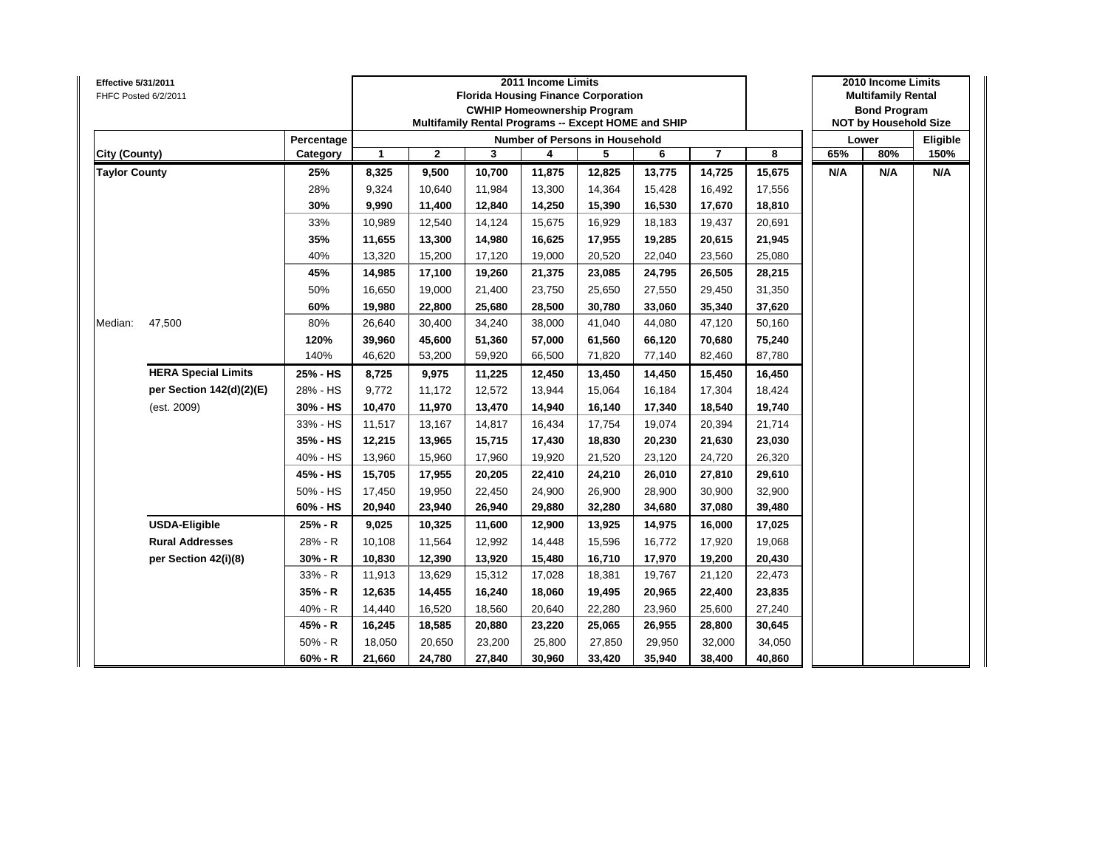| Effective 5/31/2011  | FHFC Posted 6/2/2011       |            |              | <b>Florida Housing Finance Corporation</b><br>Multifamily Rental Programs -- Except HOME and SHIP |        | 2010 Income Limits<br><b>Multifamily Rental</b><br><b>Bond Program</b><br><b>NOT by Household Size</b> |                                |        |                |        |     |       |          |
|----------------------|----------------------------|------------|--------------|---------------------------------------------------------------------------------------------------|--------|--------------------------------------------------------------------------------------------------------|--------------------------------|--------|----------------|--------|-----|-------|----------|
|                      |                            | Percentage |              |                                                                                                   |        |                                                                                                        | Number of Persons in Household |        |                |        |     | Lower | Eligible |
| City (County)        |                            | Category   | $\mathbf{1}$ | $\mathbf{2}$                                                                                      | 3      | 4                                                                                                      | 5                              | 6      | $\overline{7}$ | 8      | 65% | 80%   | 150%     |
| <b>Taylor County</b> |                            | 25%        | 8,325        | 9,500                                                                                             | 10,700 | 11,875                                                                                                 | 12,825                         | 13,775 | 14,725         | 15,675 | N/A | N/A   | N/A      |
|                      |                            | 28%        | 9,324        | 10,640                                                                                            | 11,984 | 13,300                                                                                                 | 14,364                         | 15,428 | 16,492         | 17,556 |     |       |          |
|                      |                            | 30%        | 9,990        | 11,400                                                                                            | 12,840 | 14,250                                                                                                 | 15,390                         | 16,530 | 17,670         | 18,810 |     |       |          |
|                      |                            | 33%        | 10,989       | 12,540                                                                                            | 14,124 | 15,675                                                                                                 | 16,929                         | 18,183 | 19,437         | 20,691 |     |       |          |
|                      |                            | 35%        | 11,655       | 13,300                                                                                            | 14,980 | 16,625                                                                                                 | 17,955                         | 19,285 | 20,615         | 21,945 |     |       |          |
|                      |                            | 40%        | 13,320       | 15,200                                                                                            | 17,120 | 19,000                                                                                                 | 20,520                         | 22,040 | 23,560         | 25,080 |     |       |          |
|                      |                            | 45%        | 14,985       | 17,100                                                                                            | 19,260 | 21,375                                                                                                 | 23,085                         | 24,795 | 26,505         | 28,215 |     |       |          |
|                      |                            | 50%        | 16,650       | 19,000                                                                                            | 21,400 | 23,750                                                                                                 | 25,650                         | 27,550 | 29,450         | 31,350 |     |       |          |
|                      |                            | 60%        | 19,980       | 22,800                                                                                            | 25,680 | 28,500                                                                                                 | 30,780                         | 33,060 | 35,340         | 37,620 |     |       |          |
| Median:              | 47,500                     | 80%        | 26,640       | 30,400                                                                                            | 34,240 | 38,000                                                                                                 | 41,040                         | 44,080 | 47,120         | 50,160 |     |       |          |
|                      |                            | 120%       | 39,960       | 45,600                                                                                            | 51,360 | 57,000                                                                                                 | 61,560                         | 66,120 | 70,680         | 75,240 |     |       |          |
|                      |                            | 140%       | 46,620       | 53,200                                                                                            | 59,920 | 66,500                                                                                                 | 71,820                         | 77,140 | 82,460         | 87,780 |     |       |          |
|                      | <b>HERA Special Limits</b> | 25% - HS   | 8,725        | 9,975                                                                                             | 11,225 | 12,450                                                                                                 | 13,450                         | 14,450 | 15,450         | 16,450 |     |       |          |
|                      | per Section 142(d)(2)(E)   | 28% - HS   | 9,772        | 11,172                                                                                            | 12,572 | 13,944                                                                                                 | 15,064                         | 16,184 | 17,304         | 18,424 |     |       |          |
|                      | (est. 2009)                | 30% - HS   | 10,470       | 11,970                                                                                            | 13,470 | 14,940                                                                                                 | 16,140                         | 17,340 | 18,540         | 19,740 |     |       |          |
|                      |                            | 33% - HS   | 11,517       | 13,167                                                                                            | 14,817 | 16,434                                                                                                 | 17,754                         | 19,074 | 20,394         | 21,714 |     |       |          |
|                      |                            | 35% - HS   | 12,215       | 13,965                                                                                            | 15,715 | 17,430                                                                                                 | 18,830                         | 20,230 | 21,630         | 23,030 |     |       |          |
|                      |                            | 40% - HS   | 13,960       | 15,960                                                                                            | 17,960 | 19,920                                                                                                 | 21,520                         | 23,120 | 24,720         | 26,320 |     |       |          |
|                      |                            | 45% - HS   | 15,705       | 17,955                                                                                            | 20,205 | 22,410                                                                                                 | 24,210                         | 26,010 | 27,810         | 29,610 |     |       |          |
|                      |                            | 50% - HS   | 17,450       | 19,950                                                                                            | 22,450 | 24,900                                                                                                 | 26,900                         | 28,900 | 30,900         | 32,900 |     |       |          |
|                      |                            | 60% - HS   | 20,940       | 23,940                                                                                            | 26,940 | 29,880                                                                                                 | 32,280                         | 34,680 | 37,080         | 39,480 |     |       |          |
|                      | <b>USDA-Eligible</b>       | 25% - R    | 9,025        | 10,325                                                                                            | 11,600 | 12,900                                                                                                 | 13,925                         | 14,975 | 16,000         | 17,025 |     |       |          |
|                      | <b>Rural Addresses</b>     | 28% - R    | 10,108       | 11,564                                                                                            | 12,992 | 14,448                                                                                                 | 15,596                         | 16,772 | 17,920         | 19,068 |     |       |          |
|                      | per Section 42(i)(8)       | $30% - R$  | 10,830       | 12,390                                                                                            | 13,920 | 15,480                                                                                                 | 16,710                         | 17,970 | 19,200         | 20,430 |     |       |          |
|                      |                            | 33% - R    | 11,913       | 13,629                                                                                            | 15,312 | 17,028                                                                                                 | 18,381                         | 19,767 | 21,120         | 22,473 |     |       |          |
|                      |                            | $35% - R$  | 12,635       | 14,455                                                                                            | 16,240 | 18,060                                                                                                 | 19,495                         | 20,965 | 22,400         | 23,835 |     |       |          |
|                      |                            | 40% - R    | 14,440       | 16,520                                                                                            | 18,560 | 20,640                                                                                                 | 22,280                         | 23,960 | 25,600         | 27,240 |     |       |          |
|                      |                            | 45% - R    | 16,245       | 18,585                                                                                            | 20,880 | 23,220                                                                                                 | 25,065                         | 26,955 | 28,800         | 30,645 |     |       |          |
|                      |                            | $50% - R$  | 18,050       | 20,650                                                                                            | 23,200 | 25,800                                                                                                 | 27,850                         | 29,950 | 32,000         | 34,050 |     |       |          |
|                      |                            | $60% - R$  | 21,660       | 24,780                                                                                            | 27,840 | 30,960                                                                                                 | 33,420                         | 35,940 | 38,400         | 40,860 |     |       |          |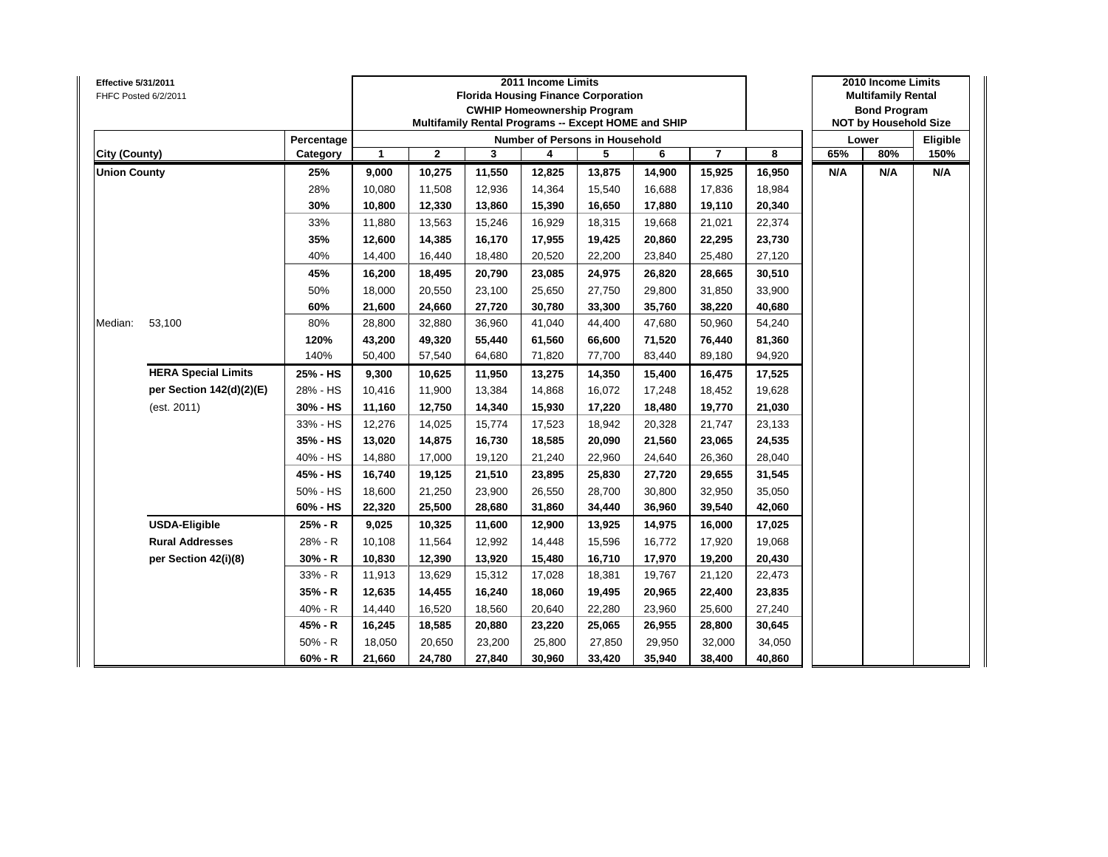| Effective 5/31/2011<br>FHFC Posted 6/2/2011 |                            |            |              |              | 2011 Income Limits<br><b>Florida Housing Finance Corporation</b><br><b>CWHIP Homeownership Program</b><br>Multifamily Rental Programs -- Except HOME and SHIP |        |                                       | 2010 Income Limits<br><b>Multifamily Rental</b><br><b>Bond Program</b><br><b>NOT by Household Size</b> |                         |        |     |       |          |
|---------------------------------------------|----------------------------|------------|--------------|--------------|---------------------------------------------------------------------------------------------------------------------------------------------------------------|--------|---------------------------------------|--------------------------------------------------------------------------------------------------------|-------------------------|--------|-----|-------|----------|
|                                             |                            | Percentage |              |              |                                                                                                                                                               |        | <b>Number of Persons in Household</b> |                                                                                                        |                         |        |     | Lower | Eligible |
| City (County)                               |                            | Category   | $\mathbf{1}$ | $\mathbf{2}$ | 3                                                                                                                                                             | 4      | 5                                     | 6                                                                                                      | $\overline{\mathbf{r}}$ | 8      | 65% | 80%   | 150%     |
| <b>Union County</b>                         |                            | 25%        | 9,000        | 10,275       | 11,550                                                                                                                                                        | 12,825 | 13,875                                | 14,900                                                                                                 | 15,925                  | 16,950 | N/A | N/A   | N/A      |
|                                             |                            | 28%        | 10,080       | 11,508       | 12,936                                                                                                                                                        | 14,364 | 15,540                                | 16,688                                                                                                 | 17,836                  | 18,984 |     |       |          |
|                                             |                            | 30%        | 10,800       | 12,330       | 13,860                                                                                                                                                        | 15,390 | 16,650                                | 17,880                                                                                                 | 19,110                  | 20,340 |     |       |          |
|                                             |                            | 33%        | 11,880       | 13,563       | 15,246                                                                                                                                                        | 16,929 | 18,315                                | 19,668                                                                                                 | 21,021                  | 22,374 |     |       |          |
|                                             |                            | 35%        | 12,600       | 14,385       | 16,170                                                                                                                                                        | 17,955 | 19,425                                | 20,860                                                                                                 | 22,295                  | 23,730 |     |       |          |
|                                             |                            | 40%        | 14,400       | 16,440       | 18,480                                                                                                                                                        | 20,520 | 22,200                                | 23,840                                                                                                 | 25,480                  | 27,120 |     |       |          |
|                                             |                            | 45%        | 16,200       | 18,495       | 20,790                                                                                                                                                        | 23,085 | 24,975                                | 26,820                                                                                                 | 28,665                  | 30,510 |     |       |          |
|                                             |                            | 50%        | 18,000       | 20,550       | 23,100                                                                                                                                                        | 25,650 | 27,750                                | 29,800                                                                                                 | 31,850                  | 33,900 |     |       |          |
| Median:                                     |                            | 60%        | 21,600       | 24,660       | 27,720                                                                                                                                                        | 30,780 | 33,300                                | 35,760                                                                                                 | 38,220                  | 40,680 |     |       |          |
|                                             | 53,100                     | 80%        | 28,800       | 32,880       | 36,960                                                                                                                                                        | 41,040 | 44,400                                | 47,680                                                                                                 | 50,960                  | 54,240 |     |       |          |
|                                             |                            | 120%       | 43,200       | 49,320       | 55,440                                                                                                                                                        | 61,560 | 66,600                                | 71,520                                                                                                 | 76,440                  | 81,360 |     |       |          |
|                                             |                            | 140%       | 50,400       | 57,540       | 64,680                                                                                                                                                        | 71,820 | 77,700                                | 83,440                                                                                                 | 89,180                  | 94,920 |     |       |          |
|                                             | <b>HERA Special Limits</b> | 25% - HS   | 9,300        | 10,625       | 11,950                                                                                                                                                        | 13,275 | 14,350                                | 15,400                                                                                                 | 16,475                  | 17,525 |     |       |          |
|                                             | per Section 142(d)(2)(E)   | 28% - HS   | 10,416       | 11,900       | 13,384                                                                                                                                                        | 14,868 | 16,072                                | 17,248                                                                                                 | 18,452                  | 19,628 |     |       |          |
|                                             | (est. 2011)                | 30% - HS   | 11,160       | 12,750       | 14,340                                                                                                                                                        | 15,930 | 17,220                                | 18,480                                                                                                 | 19,770                  | 21,030 |     |       |          |
|                                             |                            | 33% - HS   | 12,276       | 14,025       | 15,774                                                                                                                                                        | 17,523 | 18,942                                | 20,328                                                                                                 | 21,747                  | 23,133 |     |       |          |
|                                             |                            | 35% - HS   | 13,020       | 14,875       | 16,730                                                                                                                                                        | 18,585 | 20,090                                | 21,560                                                                                                 | 23,065                  | 24,535 |     |       |          |
|                                             |                            | 40% - HS   | 14,880       | 17,000       | 19,120                                                                                                                                                        | 21,240 | 22,960                                | 24,640                                                                                                 | 26,360                  | 28,040 |     |       |          |
|                                             |                            | 45% - HS   | 16,740       | 19,125       | 21,510                                                                                                                                                        | 23,895 | 25,830                                | 27,720                                                                                                 | 29,655                  | 31,545 |     |       |          |
|                                             |                            | 50% - HS   | 18,600       | 21,250       | 23,900                                                                                                                                                        | 26,550 | 28,700                                | 30,800                                                                                                 | 32,950                  | 35,050 |     |       |          |
|                                             |                            | 60% - HS   | 22,320       | 25,500       | 28,680                                                                                                                                                        | 31,860 | 34,440                                | 36,960                                                                                                 | 39,540                  | 42,060 |     |       |          |
|                                             | <b>USDA-Eligible</b>       | 25% - R    | 9,025        | 10,325       | 11,600                                                                                                                                                        | 12,900 | 13,925                                | 14,975                                                                                                 | 16,000                  | 17,025 |     |       |          |
|                                             | <b>Rural Addresses</b>     | 28% - R    | 10,108       | 11,564       | 12,992                                                                                                                                                        | 14,448 | 15,596                                | 16,772                                                                                                 | 17,920                  | 19,068 |     |       |          |
|                                             | per Section 42(i)(8)       | $30% - R$  | 10,830       | 12,390       | 13,920                                                                                                                                                        | 15,480 | 16,710                                | 17,970                                                                                                 | 19,200                  | 20,430 |     |       |          |
|                                             |                            | 33% - R    | 11,913       | 13,629       | 15,312                                                                                                                                                        | 17,028 | 18,381                                | 19,767                                                                                                 | 21,120                  | 22,473 |     |       |          |
|                                             |                            | 35% - R    | 12,635       | 14,455       | 16,240                                                                                                                                                        | 18,060 | 19,495                                | 20,965                                                                                                 | 22,400                  | 23,835 |     |       |          |
|                                             |                            | 40% - R    | 14,440       | 16,520       | 18,560                                                                                                                                                        | 20,640 | 22,280                                | 23,960                                                                                                 | 25,600                  | 27,240 |     |       |          |
|                                             |                            | 45% - R    | 16,245       | 18,585       | 20,880                                                                                                                                                        | 23,220 | 25,065                                | 26,955                                                                                                 | 28,800                  | 30,645 |     |       |          |
|                                             |                            | $50% - R$  | 18,050       | 20,650       | 23,200                                                                                                                                                        | 25,800 | 27,850                                | 29,950                                                                                                 | 32,000                  | 34,050 |     |       |          |
|                                             |                            | $60% - R$  | 21,660       | 24,780       | 27,840                                                                                                                                                        | 30,960 | 33,420                                | 35,940                                                                                                 | 38,400                  | 40,860 |     |       |          |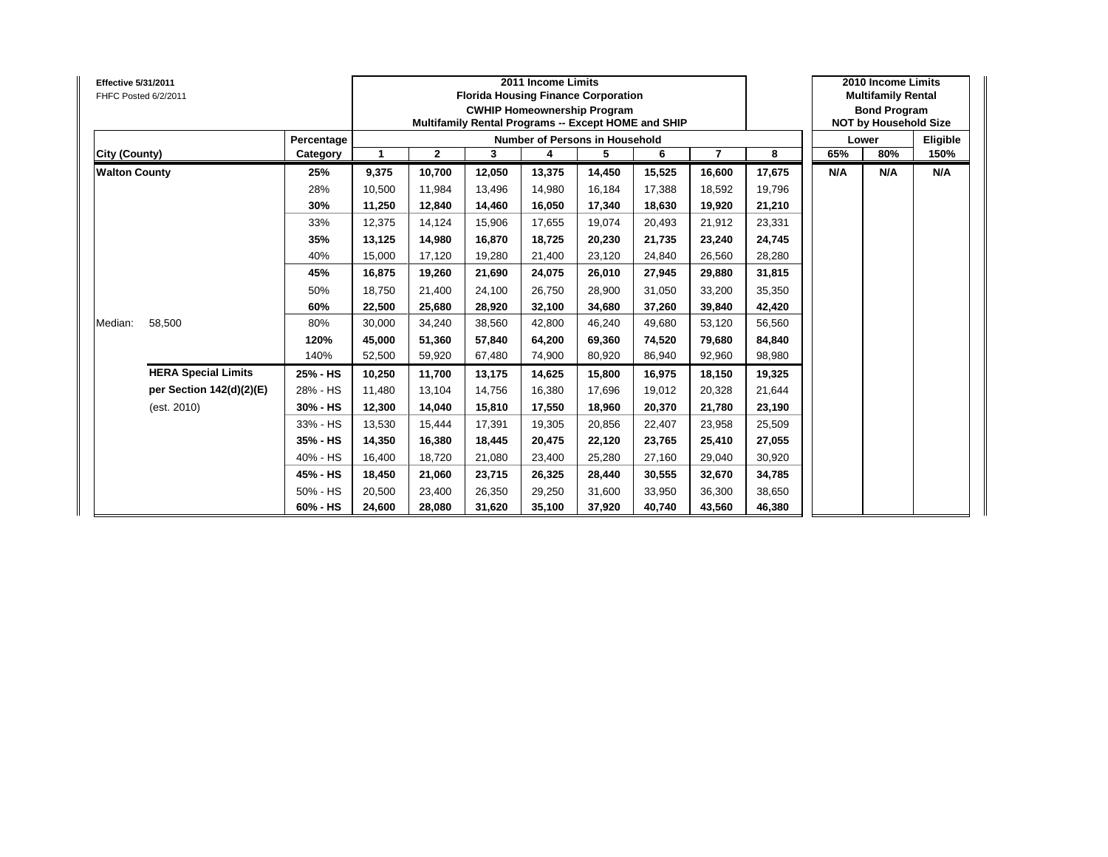| <b>Effective 5/31/2011</b><br>FHFC Posted 6/2/2011 |                            |            |        |              | 2011 Income Limits<br><b>Florida Housing Finance Corporation</b><br><b>CWHIP Homeownership Program</b><br>Multifamily Rental Programs -- Except HOME and SHIP |        |                                       | 2010 Income Limits<br><b>Multifamily Rental</b><br><b>Bond Program</b><br><b>NOT by Household Size</b> |                |        |     |       |          |
|----------------------------------------------------|----------------------------|------------|--------|--------------|---------------------------------------------------------------------------------------------------------------------------------------------------------------|--------|---------------------------------------|--------------------------------------------------------------------------------------------------------|----------------|--------|-----|-------|----------|
|                                                    |                            | Percentage |        |              |                                                                                                                                                               |        | <b>Number of Persons in Household</b> |                                                                                                        |                |        |     | Lower | Eligible |
| City (County)                                      |                            | Category   | 1      | $\mathbf{2}$ | 3                                                                                                                                                             | 4      | 5                                     | 6                                                                                                      | $\overline{7}$ | 8      | 65% | 80%   | 150%     |
| <b>Walton County</b>                               |                            | 25%        | 9,375  | 10,700       | 12,050                                                                                                                                                        | 13,375 | 14,450                                | 15,525                                                                                                 | 16,600         | 17,675 | N/A | N/A   | N/A      |
|                                                    |                            | 28%        | 10,500 | 11.984       | 13.496                                                                                                                                                        | 14,980 | 16,184                                | 17.388                                                                                                 | 18,592         | 19,796 |     |       |          |
|                                                    |                            | 30%        | 11,250 | 12,840       | 14,460                                                                                                                                                        | 16,050 | 17,340                                | 18,630                                                                                                 | 19,920         | 21,210 |     |       |          |
|                                                    |                            | 33%        | 12,375 | 14,124       | 15,906                                                                                                                                                        | 17,655 | 19,074                                | 20,493                                                                                                 | 21,912         | 23,331 |     |       |          |
|                                                    |                            | 35%        | 13,125 | 14,980       | 16,870                                                                                                                                                        | 18,725 | 20,230                                | 21,735                                                                                                 | 23,240         | 24,745 |     |       |          |
|                                                    |                            | 40%        | 15,000 | 17,120       | 19,280                                                                                                                                                        | 21,400 | 23,120                                | 24,840                                                                                                 | 26,560         | 28,280 |     |       |          |
|                                                    |                            | 45%        | 16,875 | 19,260       | 21,690                                                                                                                                                        | 24,075 | 26,010                                | 27,945                                                                                                 | 29,880         | 31,815 |     |       |          |
|                                                    |                            | 50%        | 18,750 | 21,400       | 24,100                                                                                                                                                        | 26,750 | 28,900                                | 31,050                                                                                                 | 33,200         | 35,350 |     |       |          |
|                                                    |                            | 60%        | 22,500 | 25,680       | 28,920                                                                                                                                                        | 32,100 | 34,680                                | 37,260                                                                                                 | 39,840         | 42,420 |     |       |          |
| Median:                                            | 58,500                     | 80%        | 30,000 | 34,240       | 38,560                                                                                                                                                        | 42,800 | 46,240                                | 49,680                                                                                                 | 53,120         | 56,560 |     |       |          |
|                                                    |                            | 120%       | 45,000 | 51,360       | 57,840                                                                                                                                                        | 64,200 | 69,360                                | 74,520                                                                                                 | 79,680         | 84,840 |     |       |          |
|                                                    |                            | 140%       | 52,500 | 59,920       | 67,480                                                                                                                                                        | 74,900 | 80,920                                | 86,940                                                                                                 | 92,960         | 98,980 |     |       |          |
|                                                    | <b>HERA Special Limits</b> | 25% - HS   | 10,250 | 11,700       | 13,175                                                                                                                                                        | 14,625 | 15,800                                | 16,975                                                                                                 | 18,150         | 19,325 |     |       |          |
|                                                    | per Section 142(d)(2)(E)   | 28% - HS   | 11,480 | 13,104       | 14.756                                                                                                                                                        | 16,380 | 17.696                                | 19.012                                                                                                 | 20,328         | 21,644 |     |       |          |
|                                                    | (est. 2010)                | 30% - HS   | 12,300 | 14,040       | 15,810                                                                                                                                                        | 17,550 | 18,960                                | 20,370                                                                                                 | 21,780         | 23,190 |     |       |          |
|                                                    |                            | 33% - HS   | 13,530 | 15,444       | 17,391                                                                                                                                                        | 19,305 | 20,856                                | 22,407                                                                                                 | 23,958         | 25,509 |     |       |          |
|                                                    |                            | 35% - HS   | 14,350 | 16,380       | 18,445                                                                                                                                                        | 20,475 | 22,120                                | 23,765                                                                                                 | 25,410         | 27,055 |     |       |          |
|                                                    |                            | 40% - HS   | 16,400 | 18,720       | 21,080                                                                                                                                                        | 23,400 | 25,280                                | 27,160                                                                                                 | 29,040         | 30,920 |     |       |          |
|                                                    |                            | 45% - HS   | 18,450 | 21,060       | 23,715                                                                                                                                                        | 26,325 | 28,440                                | 30,555                                                                                                 | 32,670         | 34,785 |     |       |          |
|                                                    |                            | 50% - HS   | 20,500 | 23,400       | 26,350                                                                                                                                                        | 29,250 | 31,600                                | 33,950                                                                                                 | 36,300         | 38,650 |     |       |          |
|                                                    |                            | 60% - HS   | 24,600 | 28,080       | 31,620                                                                                                                                                        | 35,100 | 37,920                                | 40,740                                                                                                 | 43,560         | 46,380 |     |       |          |